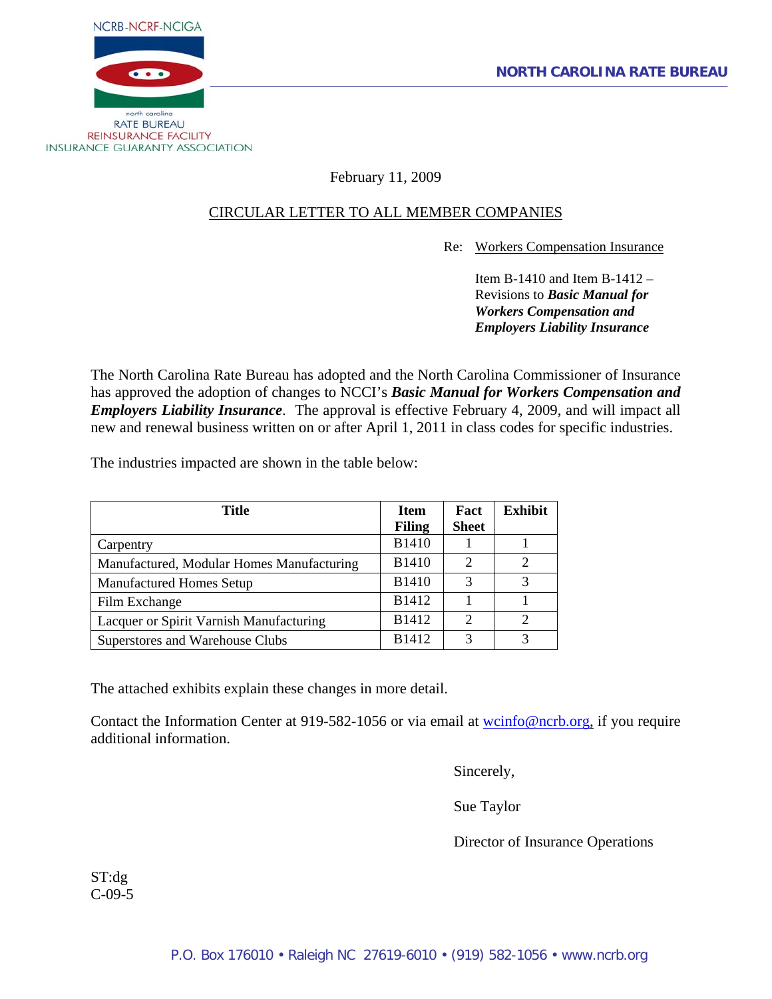

February 11, 2009

# CIRCULAR LETTER TO ALL MEMBER COMPANIES

Re: Workers Compensation Insurance

 Item B-1410 and Item B-1412 – Revisions to *Basic Manual for Workers Compensation and Employers Liability Insurance* 

The North Carolina Rate Bureau has adopted and the North Carolina Commissioner of Insurance has approved the adoption of changes to NCCI's *Basic Manual for Workers Compensation and Employers Liability Insurance*. The approval is effective February 4, 2009, and will impact all new and renewal business written on or after April 1, 2011 in class codes for specific industries.

The industries impacted are shown in the table below:

| Title                                     | <b>Item</b>   | Fact                        | <b>Exhibit</b> |
|-------------------------------------------|---------------|-----------------------------|----------------|
|                                           | <b>Filing</b> | <b>Sheet</b>                |                |
| Carpentry                                 | <b>B1410</b>  |                             |                |
| Manufactured, Modular Homes Manufacturing | <b>B1410</b>  | $\mathcal{D}_{\mathcal{L}}$ | ↑              |
| <b>Manufactured Homes Setup</b>           | <b>B1410</b>  | 3                           | 3              |
| Film Exchange                             | B1412         |                             |                |
| Lacquer or Spirit Varnish Manufacturing   | <b>B1412</b>  | $\overline{c}$              | $\mathfrak{D}$ |
| Superstores and Warehouse Clubs           | <b>B1412</b>  | 3                           |                |

The attached exhibits explain these changes in more detail.

Contact the Information Center at 919-582-1056 or via email at works of energy or equire additional information.

Sincerely,

Sue Taylor

Director of Insurance Operations

ST:dg C-09-5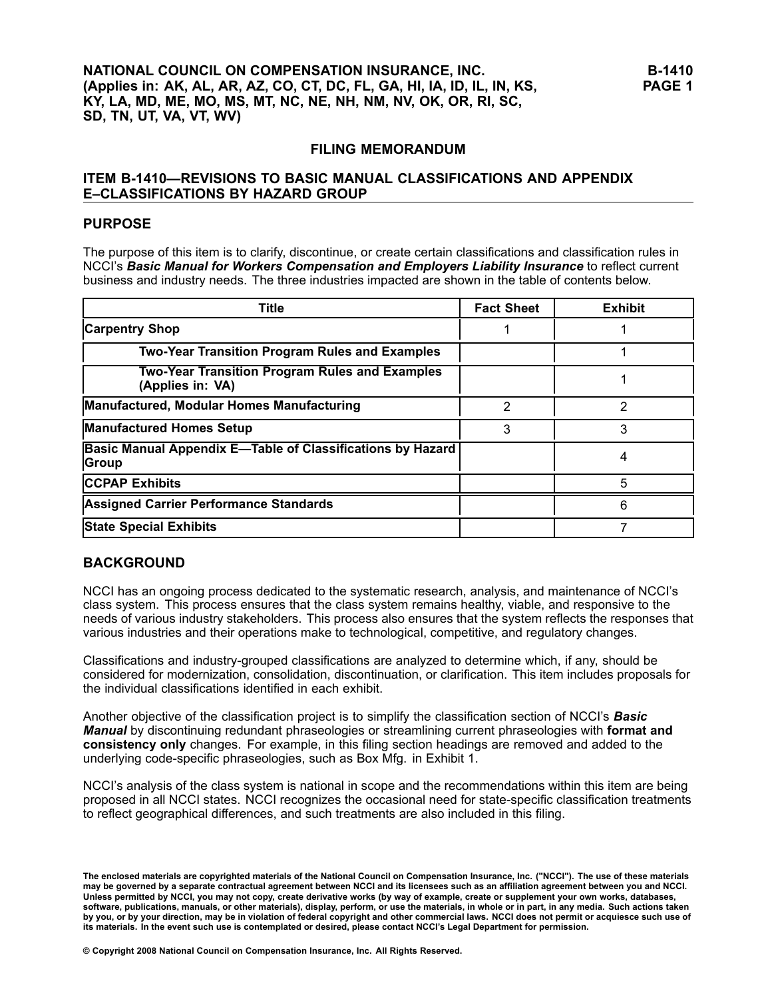# **FILING MEMORANDUM**

# **ITEM B1410—REVISIONS TO BASIC MANUAL CLASSIFICATIONS AND APPENDIX E–CLASSIFICATIONS BY HAZARD GROUP**

# **PURPOSE**

The purpose of this item is to clarify, discontinue, or create certain classifications and classification rules in NCCI's *Basic Manual for Workers Compensation and Employers Liability Insurance* to reflect current business and industry needs. The three industries impacted are shown in the table of contents below.

| <b>Title</b>                                                               | <b>Fact Sheet</b> | <b>Exhibit</b> |
|----------------------------------------------------------------------------|-------------------|----------------|
| <b>Carpentry Shop</b>                                                      |                   |                |
| <b>Two-Year Transition Program Rules and Examples</b>                      |                   |                |
| <b>Two-Year Transition Program Rules and Examples</b><br>(Applies in: VA)  |                   |                |
| Manufactured, Modular Homes Manufacturing                                  | 2                 | 2              |
| <b>Manufactured Homes Setup</b>                                            | 3                 | 3              |
| <b>Basic Manual Appendix E-Table of Classifications by Hazard</b><br>Group |                   |                |
| <b>CCPAP Exhibits</b>                                                      |                   | 5              |
| <b>Assigned Carrier Performance Standards</b>                              |                   | 6              |
| <b>State Special Exhibits</b>                                              |                   |                |

# **BACKGROUND**

NCCI has an ongoing process dedicated to the systematic research, analysis, and maintenance of NCCI's class system. This process ensures that the class system remains healthy, viable, and responsive to the needs of various industry stakeholders. This process also ensures that the system reflects the responses that various industries and their operations make to technological, competitive, and regulatory changes.

Classifications and industry-grouped classifications are analyzed to determine which, if any, should be considered for modernization, consolidation, discontinuation, or clarification. This item includes proposals for the individual classifications identified in each exhibit.

Another objective of the classification project is to simplify the classification section of NCCI's *Basic Manual* by discontinuing redundant phraseologies or streamlining current phraseologies with **format and consistency only** changes. For example, in this filing section headings are removed and added to the underlying code-specific phraseologies, such as Box Mfg. in Exhibit 1.

NCCI's analysis of the class system is national in scope and the recommendations within this item are being proposed in all NCCI states. NCCI recognizes the occasional need for statespecific classification treatments to reflect geographical differences, and such treatments are also included in this filing.

The enclosed materials are copyrighted materials of the National Council on Compensation Insurance, Inc. ("NCCI"). The use of these materials may be governed by a separate contractual agreement between NCCI and its licensees such as an affiliation agreement between you and NCCI. Unless permitted by NCCI, you may not copy, create derivative works (by way of example, create or supplement your own works, databases, software, publications, manuals, or other materials), display, perform, or use the materials, in whole or in part, in any media. Such actions taken by you, or by your direction, may be in violation of federal copyright and other commercial laws. NCCI does not permit or acquiesce such use of its materials. In the event such use is contemplated or desired, please contact NCCI's Legal Department for permission.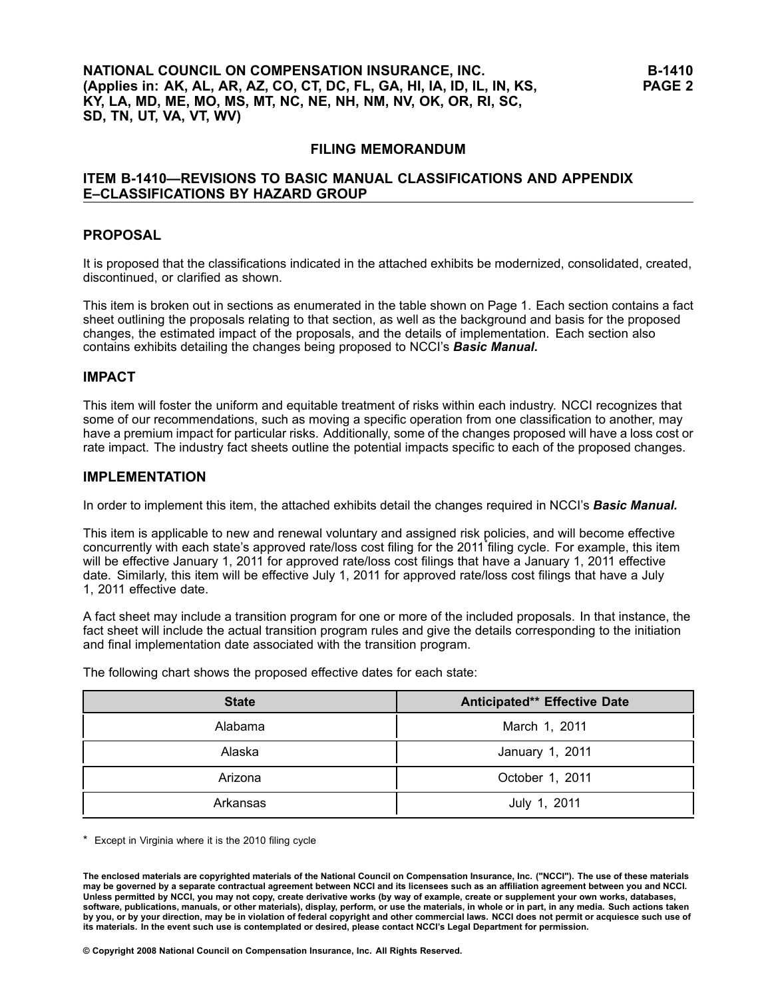# **NATIONAL COUNCIL ON COMPENSATION INSURANCE, INC. (Applies in: AK, AL, AR, AZ, CO, CT, DC, FL, GA, HI, IA, ID, IL, IN, KS, KY, LA, MD, ME, MO, MS, MT, NC, NE, NH, NM, NV, OK, OR, RI, SC, SD, TN, UT, VA, VT, WV)**

#### **FILING MEMORANDUM**

# **ITEM B1410—REVISIONS TO BASIC MANUAL CLASSIFICATIONS AND APPENDIX E–CLASSIFICATIONS BY HAZARD GROUP**

#### **PROPOSAL**

It is proposed that the classifications indicated in the attached exhibits be modernized, consolidated, created, discontinued, or clarified as shown.

This item is broken out in sections as enumerated in the table shown on Page 1. Each section contains <sup>a</sup> fact sheet outlining the proposals relating to that section, as well as the background and basis for the proposed changes, the estimated impact of the proposals, and the details of implementation. Each section also contains exhibits detailing the changes being proposed to NCCI's *Basic Manual.*

#### **IMPACT**

This item will foster the uniform and equitable treatment of risks within each industry. NCCI recognizes that some of our recommendations, such as moving <sup>a</sup> specific operation from one classification to another, may have <sup>a</sup> premium impact for particular risks. Additionally, some of the changes proposed will have <sup>a</sup> loss cost or rate impact. The industry fact sheets outline the potential impacts specific to each of the proposed changes.

#### **IMPLEMENTATION**

In order to implement this item, the attached exhibits detail the changes required in NCCI's *Basic Manual.*

This item is applicable to new and renewal voluntary and assigned risk policies, and will become effective concurrently with each state's approved rate/loss cost filing for the <sup>2011</sup>\* filing cycle. For example, this item will be effective January 1, 2011 for approved rate/loss cost filings that have <sup>a</sup> January 1, 2011 effective date. Similarly, this item will be effective July 1, 2011 for approved rate/loss cost filings that have <sup>a</sup> July 1, 2011 effective date.

A fact sheet may include <sup>a</sup> transition program for one or more of the included proposals. In that instance, the fact sheet will include the actual transition program rules and give the details corresponding to the initiation and final implementation date associated with the transition program.

The following chart shows the proposed effective dates for each state:

| <b>State</b> | Anticipated** Effective Date |
|--------------|------------------------------|
| Alabama      | March 1, 2011                |
| Alaska       | January 1, 2011              |
| Arizona      | October 1, 2011              |
| Arkansas     | July 1, 2011                 |

\* Except in Virginia where it is the 2010 filing cycle

The enclosed materials are copyrighted materials of the National Council on Compensation Insurance, Inc. ("NCCI"). The use of these materials may be governed by a separate contractual agreement between NCCI and its licensees such as an affiliation agreement between you and NCCI. Unless permitted by NCCI, you may not copy, create derivative works (by way of example, create or supplement your own works, databases, software, publications, manuals, or other materials), display, perform, or use the materials, in whole or in part, in any media. Such actions taken by you, or by your direction, may be in violation of federal copyright and other commercial laws. NCCI does not permit or acquiesce such use of its materials. In the event such use is contemplated or desired, please contact NCCI's Legal Department for permission.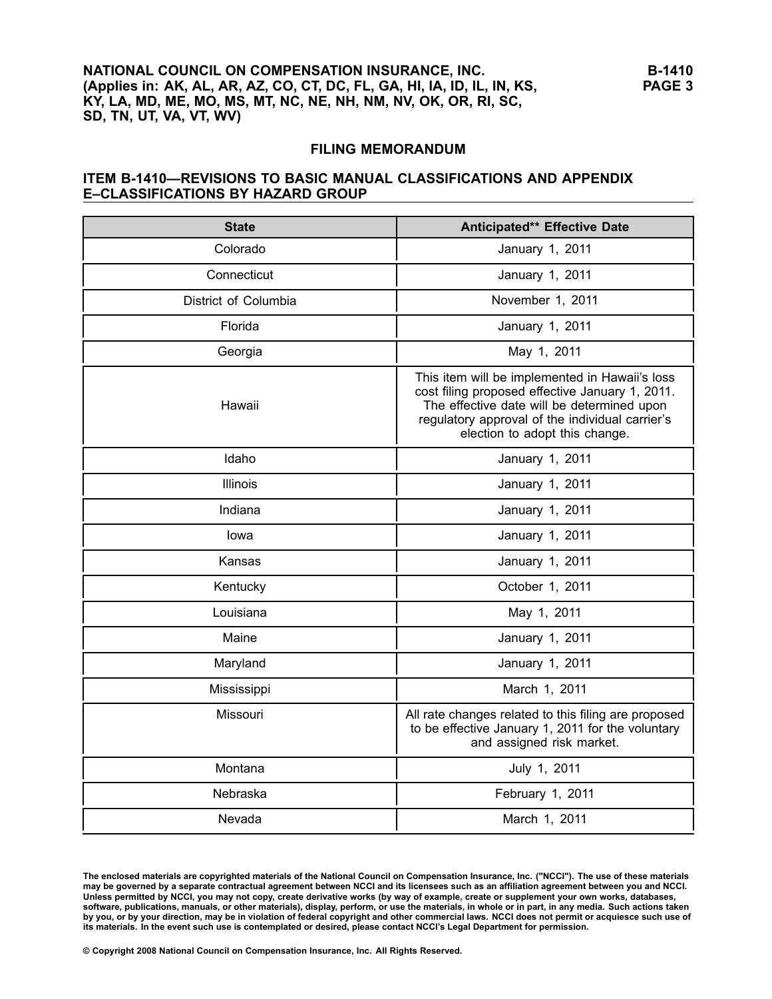# **NATIONAL COUNCIL ON COMPENSATION INSURANCE, INC. (Applies in: AK, AL, AR, AZ, CO, CT, DC, FL, GA, HI, IA, ID, IL, IN, KS, KY, LA, MD, ME, MO, MS, MT, NC, NE, NH, NM, NV, OK, OR, RI, SC, SD, TN, UT, VA, VT, WV)**

#### **FILING MEMORANDUM**

#### **ITEM B1410—REVISIONS TO BASIC MANUAL CLASSIFICATIONS AND APPENDIX E–CLASSIFICATIONS BY HAZARD GROUP**

| <b>State</b>         | Anticipated** Effective Date                                                                                                                                                                                                         |
|----------------------|--------------------------------------------------------------------------------------------------------------------------------------------------------------------------------------------------------------------------------------|
| Colorado             | January 1, 2011                                                                                                                                                                                                                      |
| Connecticut          | January 1, 2011                                                                                                                                                                                                                      |
| District of Columbia | November 1, 2011                                                                                                                                                                                                                     |
| Florida              | January 1, 2011                                                                                                                                                                                                                      |
| Georgia              | May 1, 2011                                                                                                                                                                                                                          |
| Hawaii               | This item will be implemented in Hawaii's loss<br>cost filing proposed effective January 1, 2011.<br>The effective date will be determined upon<br>regulatory approval of the individual carrier's<br>election to adopt this change. |
| Idaho                | January 1, 2011                                                                                                                                                                                                                      |
| <b>Illinois</b>      | January 1, 2011                                                                                                                                                                                                                      |
| Indiana              | January 1, 2011                                                                                                                                                                                                                      |
| lowa                 | January 1, 2011                                                                                                                                                                                                                      |
| Kansas               | January 1, 2011                                                                                                                                                                                                                      |
| Kentucky             | October 1, 2011                                                                                                                                                                                                                      |
| Louisiana            | May 1, 2011                                                                                                                                                                                                                          |
| Maine                | January 1, 2011                                                                                                                                                                                                                      |
| Maryland             | January 1, 2011                                                                                                                                                                                                                      |
| Mississippi          | March 1, 2011                                                                                                                                                                                                                        |
| Missouri             | All rate changes related to this filing are proposed<br>to be effective January 1, 2011 for the voluntary<br>and assigned risk market.                                                                                               |
| Montana              | July 1, 2011                                                                                                                                                                                                                         |
| Nebraska             | February 1, 2011                                                                                                                                                                                                                     |
| Nevada               | March 1, 2011                                                                                                                                                                                                                        |

The enclosed materials are copyrighted materials of the National Council on Compensation Insurance, Inc. ("NCCI"). The use of these materials may be governed by a separate contractual agreement between NCCI and its licensees such as an affiliation agreement between you and NCCI. Unless permitted by NCCI, you may not copy, create derivative works (by way of example, create or supplement your own works, databases, software, publications, manuals, or other materials), display, perform, or use the materials, in whole or in part, in any media. Such actions taken by you, or by your direction, may be in violation of federal copyright and other commercial laws. NCCI does not permit or acquiesce such use of its materials. In the event such use is contemplated or desired, please contact NCCI's Legal Department for permission.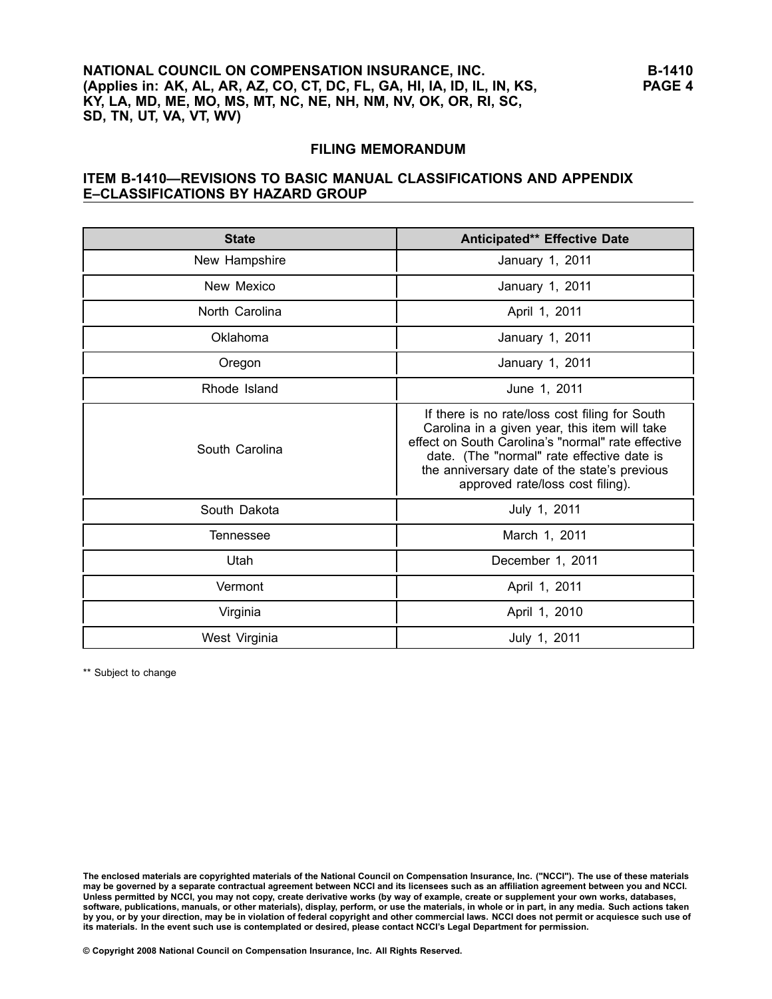# **NATIONAL COUNCIL ON COMPENSATION INSURANCE, INC. (Applies in: AK, AL, AR, AZ, CO, CT, DC, FL, GA, HI, IA, ID, IL, IN, KS, KY, LA, MD, ME, MO, MS, MT, NC, NE, NH, NM, NV, OK, OR, RI, SC, SD, TN, UT, VA, VT, WV)**

#### **FILING MEMORANDUM**

#### **ITEM B1410—REVISIONS TO BASIC MANUAL CLASSIFICATIONS AND APPENDIX E–CLASSIFICATIONS BY HAZARD GROUP**

| <b>State</b>   | Anticipated** Effective Date                                                                                                                                                                                                                                                            |
|----------------|-----------------------------------------------------------------------------------------------------------------------------------------------------------------------------------------------------------------------------------------------------------------------------------------|
| New Hampshire  | January 1, 2011                                                                                                                                                                                                                                                                         |
| New Mexico     | January 1, 2011                                                                                                                                                                                                                                                                         |
| North Carolina | April 1, 2011                                                                                                                                                                                                                                                                           |
| Oklahoma       | January 1, 2011                                                                                                                                                                                                                                                                         |
| Oregon         | January 1, 2011                                                                                                                                                                                                                                                                         |
| Rhode Island   | June 1, 2011                                                                                                                                                                                                                                                                            |
| South Carolina | If there is no rate/loss cost filing for South<br>Carolina in a given year, this item will take<br>effect on South Carolina's "normal" rate effective<br>date. (The "normal" rate effective date is<br>the anniversary date of the state's previous<br>approved rate/loss cost filing). |
| South Dakota   | July 1, 2011                                                                                                                                                                                                                                                                            |
| Tennessee      | March 1, 2011                                                                                                                                                                                                                                                                           |
| Utah           | December 1, 2011                                                                                                                                                                                                                                                                        |
| Vermont        | April 1, 2011                                                                                                                                                                                                                                                                           |
| Virginia       | April 1, 2010                                                                                                                                                                                                                                                                           |
| West Virginia  | July 1, 2011                                                                                                                                                                                                                                                                            |

\*\* Subject to change

The enclosed materials are copyrighted materials of the National Council on Compensation Insurance, Inc. ("NCCI"). The use of these materials may be governed by a separate contractual agreement between NCCI and its licensees such as an affiliation agreement between you and NCCI. Unless permitted by NCCI, you may not copy, create derivative works (by way of example, create or supplement your own works, databases, software, publications, manuals, or other materials), display, perform, or use the materials, in whole or in part, in any media. Such actions taken by you, or by your direction, may be in violation of federal copyright and other commercial laws. NCCI does not permit or acquiesce such use of its materials. In the event such use is contemplated or desired, please contact NCCI's Legal Department for permission.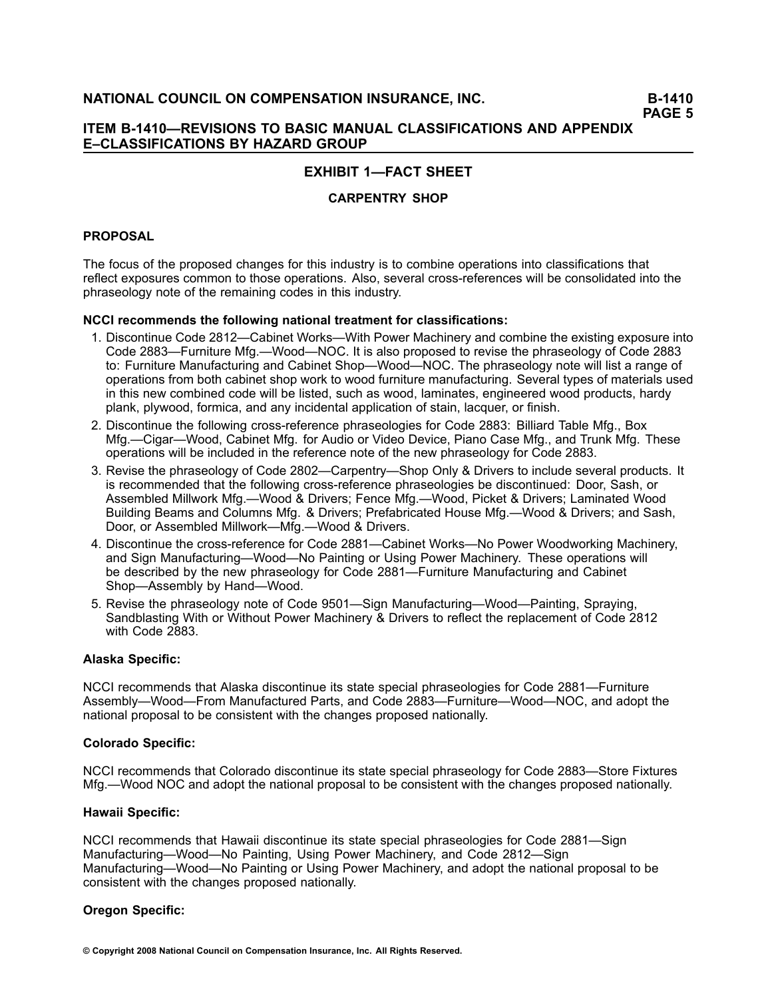# **EXHIBIT 1—FACT SHEET**

# **CARPENTRY SHOP**

# **PROPOSAL**

The focus of the proposed changes for this industry is to combine operations into classifications that reflect exposures common to those operations. Also, several cross-references will be consolidated into the phraseology note of the remaining codes in this industry.

#### **NCCI recommends the following national treatment for classifications:**

- 1. Discontinue Code 2812—Cabinet Works—With Power Machinery and combine the existing exposure into Code 2883—Furniture Mfg.—Wood—NOC. It is also proposed to revise the phraseology of Code 2883 to: Furniture Manufacturing and Cabinet Shop—Wood—NOC. The phraseology note will list <sup>a</sup> range of operations from both cabinet shop work to wood furniture manufacturing. Several types of materials used in this new combined code will be listed, such as wood, laminates, engineered wood products, hardy plank, plywood, formica, and any incidental application of stain, lacquer, or finish.
- 2. Discontinue the following cross-reference phraseologies for Code 2883: Billiard Table Mfg., Box Mfg.—Cigar—Wood, Cabinet Mfg. for Audio or Video Device, Piano Case Mfg., and Trunk Mfg. These operations will be included in the reference note of the new phraseology for Code 2883.
- 3. Revise the phraseology of Code 2802—Carpentry—Shop Only & Drivers to include several products. It is recommended that the following cross-reference phraseologies be discontinued: Door, Sash, or Assembled Millwork Mfg.—Wood & Drivers; Fence Mfg.—Wood, Picket & Drivers; Laminated Wood Building Beams and Columns Mfg. & Drivers; Prefabricated House Mfg.—Wood & Drivers; and Sash, Door, or Assembled Millwork—Mfg.—Wood & Drivers.
- 4. Discontinue the cross-reference for Code 2881—Cabinet Works—No Power Woodworking Machinery, and Sign Manufacturing—Wood—No Painting or Using Power Machinery. These operations will be described by the new phraseology for Code 2881—Furniture Manufacturing and Cabinet Shop—Assembly by Hand—Wood.
- 5. Revise the phraseology note of Code 9501—Sign Manufacturing—Wood—Painting, Spraying, Sandblasting With or Without Power Machinery & Drivers to reflect the replacement of Code 2812 with Code 2883.

#### **Alaska Specific:**

NCCI recommends that Alaska discontinue its state special phraseologies for Code 2881—Furniture Assembly—Wood—From Manufactured Parts, and Code 2883—Furniture—Wood—NOC, and adopt the national proposal to be consistent with the changes proposed nationally.

#### **Colorado Specific:**

NCCI recommends that Colorado discontinue its state special phraseology for Code 2883—Store Fixtures Mfg.—Wood NOC and adopt the national proposal to be consistent with the changes proposed nationally.

#### **Hawaii Specific:**

NCCI recommends that Hawaii discontinue its state special phraseologies for Code 2881—Sign Manufacturing—Wood—No Painting, Using Power Machinery, and Code 2812—Sign Manufacturing—Wood—No Painting or Using Power Machinery, and adopt the national proposal to be consistent with the changes proposed nationally.

#### **Oregon Specific:**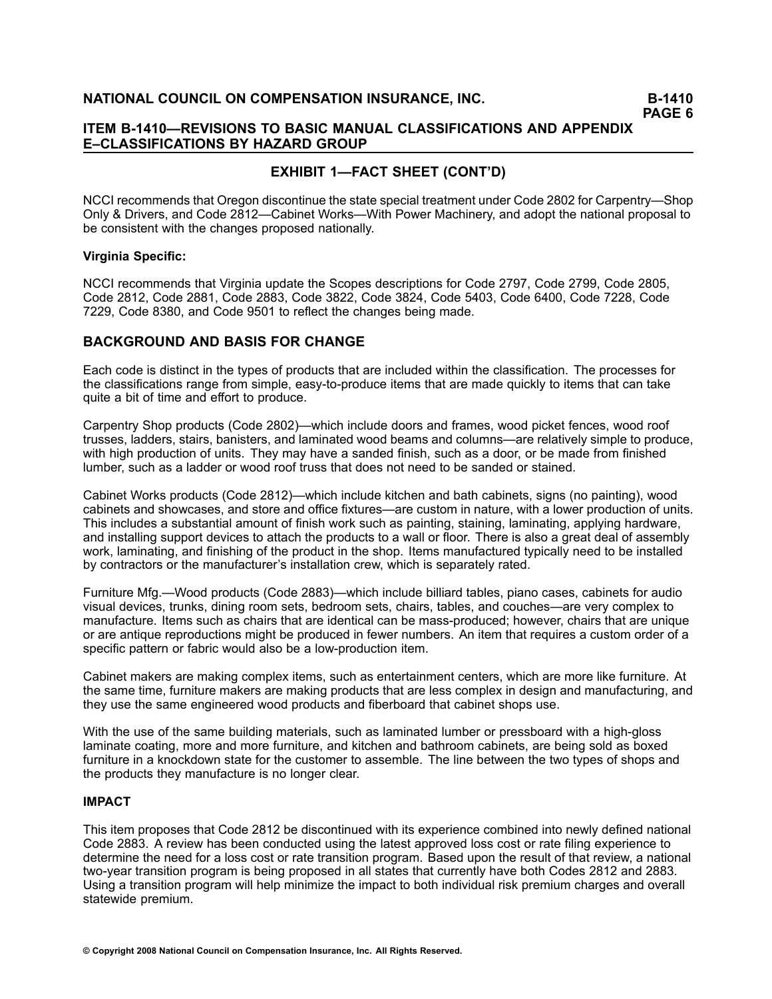# **ITEM B1410—REVISIONS TO BASIC MANUAL CLASSIFICATIONS AND APPENDIX E–CLASSIFICATIONS BY HAZARD GROUP**

# **EXHIBIT 1—FACT SHEET (CONT'D)**

NCCI recommends that Oregon discontinue the state special treatment under Code 2802 for Carpentry—Shop Only & Drivers, and Code 2812—Cabinet Works—With Power Machinery, and adopt the national proposal to be consistent with the changes proposed nationally.

#### **Virginia Specific:**

NCCI recommends that Virginia update the Scopes descriptions for Code 2797, Code 2799, Code 2805, Code 2812, Code 2881, Code 2883, Code 3822, Code 3824, Code 5403, Code 6400, Code 7228, Code 7229, Code 8380, and Code 9501 to reflect the changes being made.

# **BACKGROUND AND BASIS FOR CHANGE**

Each code is distinct in the types of products that are included within the classification. The processes for the classifications range from simple, easy-to-produce items that are made quickly to items that can take quite <sup>a</sup> bit of time and effort to produce.

Carpentry Shop products (Code 2802)—which include doors and frames, wood picket fences, wood roof trusses, ladders, stairs, banisters, and laminated wood beams and columns—are relatively simple to produce, with high production of units. They may have <sup>a</sup> sanded finish, such as <sup>a</sup> door, or be made from finished lumber, such as <sup>a</sup> ladder or wood roof truss that does not need to be sanded or stained.

Cabinet Works products (Code 2812)—which include kitchen and bath cabinets, signs (no painting), wood cabinets and showcases, and store and office fixtures—are custom in nature, with <sup>a</sup> lower production of units. This includes <sup>a</sup> substantial amount of finish work such as painting, staining, laminating, applying hardware, and installing support devices to attach the products to <sup>a</sup> wall or floor. There is also <sup>a</sup> great deal of assembly work, laminating, and finishing of the product in the shop. Items manufactured typically need to be installed by contractors or the manufacturer's installation crew, which is separately rated.

Furniture Mfg.—Wood products (Code 2883)—which include billiard tables, piano cases, cabinets for audio visual devices, trunks, dining room sets, bedroom sets, chairs, tables, and couches—are very complex to manufacture. Items such as chairs that are identical can be mass-produced; however, chairs that are unique or are antique reproductions might be produced in fewer numbers. An item that requires <sup>a</sup> custom order of <sup>a</sup> specific pattern or fabric would also be a low-production item.

Cabinet makers are making complex items, such as entertainment centers, which are more like furniture. At the same time, furniture makers are making products that are less complex in design and manufacturing, and they use the same engineered wood products and fiberboard that cabinet shops use.

With the use of the same building materials, such as laminated lumber or pressboard with a high-gloss laminate coating, more and more furniture, and kitchen and bathroom cabinets, are being sold as boxed furniture in <sup>a</sup> knockdown state for the customer to assemble. The line between the two types of shops and the products they manufacture is no longer clear.

# **IMPACT**

This item proposes that Code 2812 be discontinued with its experience combined into newly defined national Code 2883. A review has been conducted using the latest approved loss cost or rate filing experience to determine the need for <sup>a</sup> loss cost or rate transition program. Based upon the result of that review, <sup>a</sup> national two-year transition program is being proposed in all states that currently have both Codes 2812 and 2883. Using <sup>a</sup> transition program will help minimize the impact to both individual risk premium charges and overall statewide premium.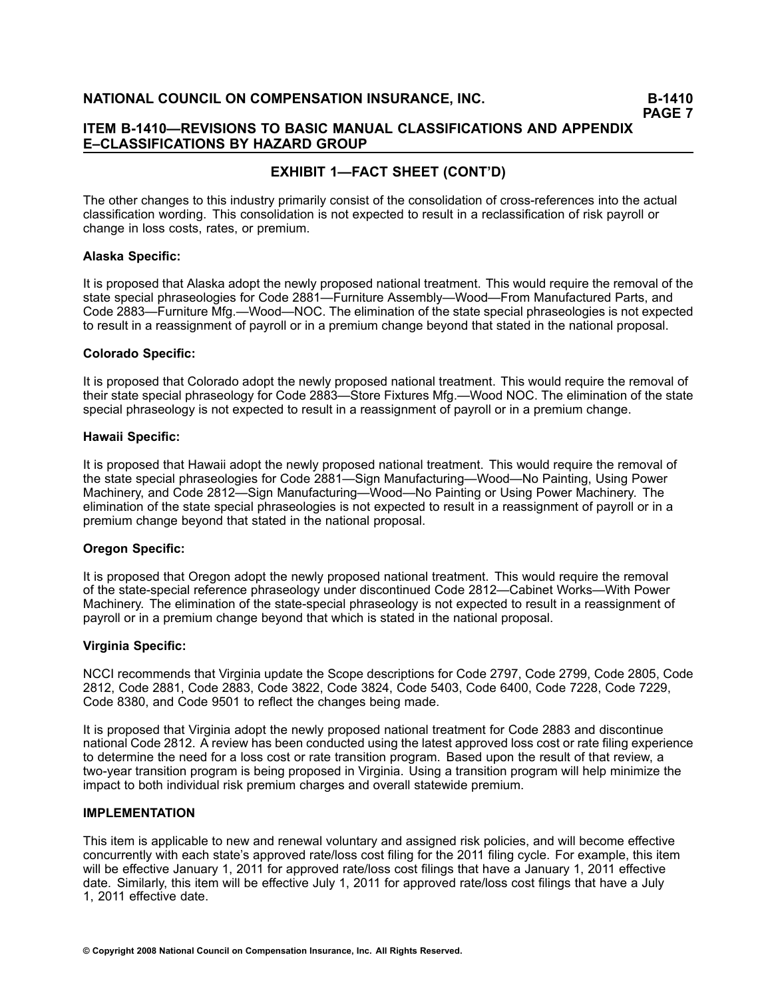# **ITEM B1410—REVISIONS TO BASIC MANUAL CLASSIFICATIONS AND APPENDIX E–CLASSIFICATIONS BY HAZARD GROUP**

# **EXHIBIT 1—FACT SHEET (CONT'D)**

The other changes to this industry primarily consist of the consolidation of cross-references into the actual classification wording. This consolidation is not expected to result in <sup>a</sup> reclassification of risk payroll or change in loss costs, rates, or premium.

#### **Alaska Specific:**

It is proposed that Alaska adopt the newly proposed national treatment. This would require the removal of the state special phraseologies for Code 2881—Furniture Assembly—Wood—From Manufactured Parts, and Code 2883—Furniture Mfg.—Wood—NOC. The elimination of the state special phraseologies is not expected to result in <sup>a</sup> reassignment of payroll or in <sup>a</sup> premium change beyond that stated in the national proposal.

#### **Colorado Specific:**

It is proposed that Colorado adopt the newly proposed national treatment. This would require the removal of their state special phraseology for Code 2883—Store Fixtures Mfg.—Wood NOC. The elimination of the state special phraseology is not expected to result in <sup>a</sup> reassignment of payroll or in <sup>a</sup> premium change.

#### **Hawaii Specific:**

It is proposed that Hawaii adopt the newly proposed national treatment. This would require the removal of the state special phraseologies for Code 2881—Sign Manufacturing—Wood—No Painting, Using Power Machinery, and Code 2812—Sign Manufacturing—Wood—No Painting or Using Power Machinery. The elimination of the state special phraseologies is not expected to result in <sup>a</sup> reassignment of payroll or in <sup>a</sup> premium change beyond that stated in the national proposal.

#### **Oregon Specific:**

It is proposed that Oregon adopt the newly proposed national treatment. This would require the removal of the statespecial reference phraseology under discontinued Code 2812—Cabinet Works—With Power Machinery. The elimination of the state-special phraseology is not expected to result in a reassignment of payroll or in <sup>a</sup> premium change beyond that which is stated in the national proposal.

#### **Virginia Specific:**

NCCI recommends that Virginia update the Scope descriptions for Code 2797, Code 2799, Code 2805, Code 2812, Code 2881, Code 2883, Code 3822, Code 3824, Code 5403, Code 6400, Code 7228, Code 7229, Code 8380, and Code 9501 to reflect the changes being made.

It is proposed that Virginia adopt the newly proposed national treatment for Code 2883 and discontinue national Code 2812. A review has been conducted using the latest approved loss cost or rate filing experience to determine the need for <sup>a</sup> loss cost or rate transition program. Based upon the result of that review, <sup>a</sup> two-year transition program is being proposed in Virginia. Using a transition program will help minimize the impact to both individual risk premium charges and overall statewide premium.

#### **IMPLEMENTATION**

This item is applicable to new and renewal voluntary and assigned risk policies, and will become effective concurrently with each state's approved rate/loss cost filing for the 2011 filing cycle. For example, this item will be effective January 1, 2011 for approved rate/loss cost filings that have <sup>a</sup> January 1, 2011 effective date. Similarly, this item will be effective July 1, 2011 for approved rate/loss cost filings that have <sup>a</sup> July 1, 2011 effective date.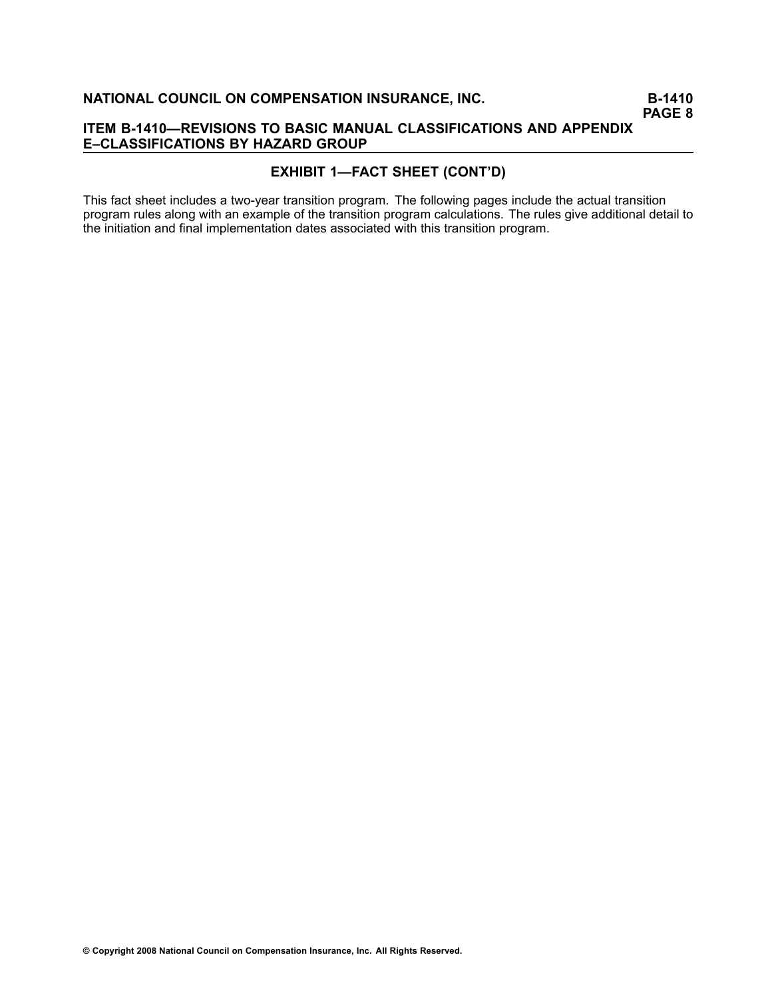# **EXHIBIT 1—FACT SHEET (CONT'D)**

This fact sheet includes a two-year transition program. The following pages include the actual transition program rules along with an example of the transition program calculations. The rules give additional detail to the initiation and final implementation dates associated with this transition program.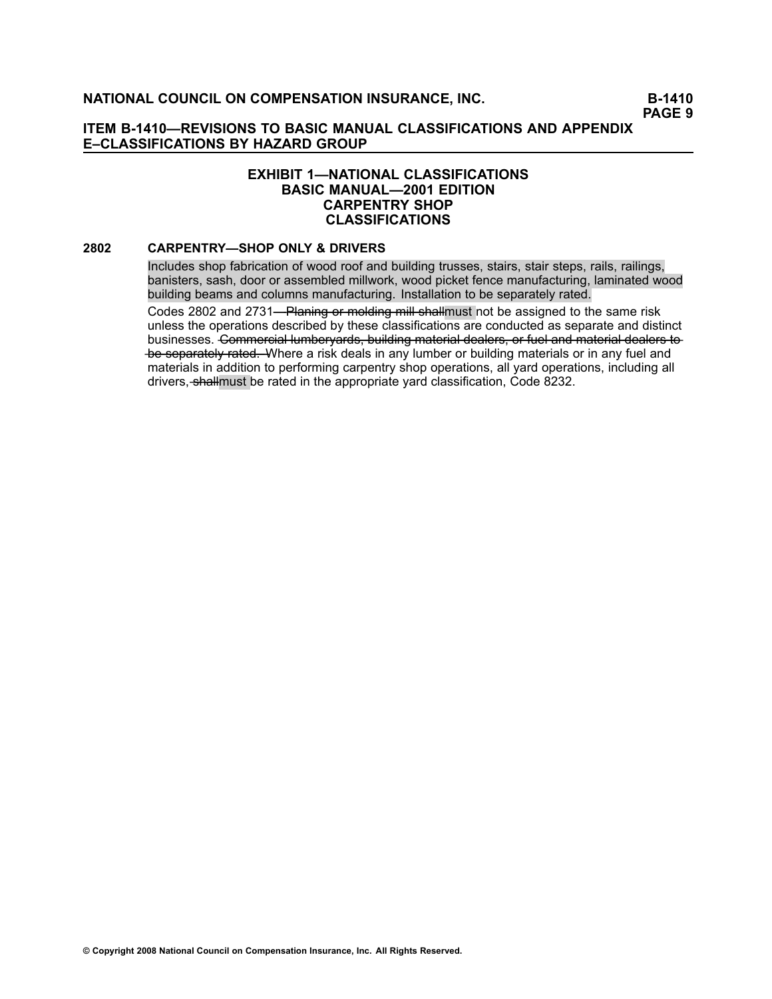## **EXHIBIT 1—NATIONAL CLASSIFICATIONS BASIC MANUAL—2001 EDITION CARPENTRY SHOP CLASSIFICATIONS**

#### **[2802](file:///C:/manuscript/hyperlink.asp?docid=2802<?Pub & EntityName=amp>manualtitle=scopesxml) CARPENTRY—SHOP ONLY & DRIVERS**

Includes shop fabrication of wood roof and building trusses, stairs, stair steps, rails, railings, banisters, sash, door or assembled millwork, wood picket fence manufacturing, laminated wood building beams and columns manufacturing. Installation to be separately rated.

Codes [2802](file:///C:/manuscript/hyperlink.asp?docid=2802<?Pub & EntityName=amp>manualtitle=scopesxml) and [2731—](file:///C:/manuscript/hyperlink.asp?docid=2731<?Pub & EntityName=amp>manualtitle=scopesxml)Planing or molding mill shallmust not be assigned to the same risk unless the operations described by these classifications are conducted as separate and distinct businesses. Commercial lumberyards, building material dealers, or fuel and material dealers to be separately rated. Where a risk deals in any lumber or building materials or in any fuel and materials in addition to performing carpentry shop operations, all yard operations, including all drivers, shallmust be rated in the appropriate yard classification, Code [8232](file:///C:/manuscript/hyperlink.asp?docid=8232<?Pub & EntityName=amp>manualtitle=scopesxml).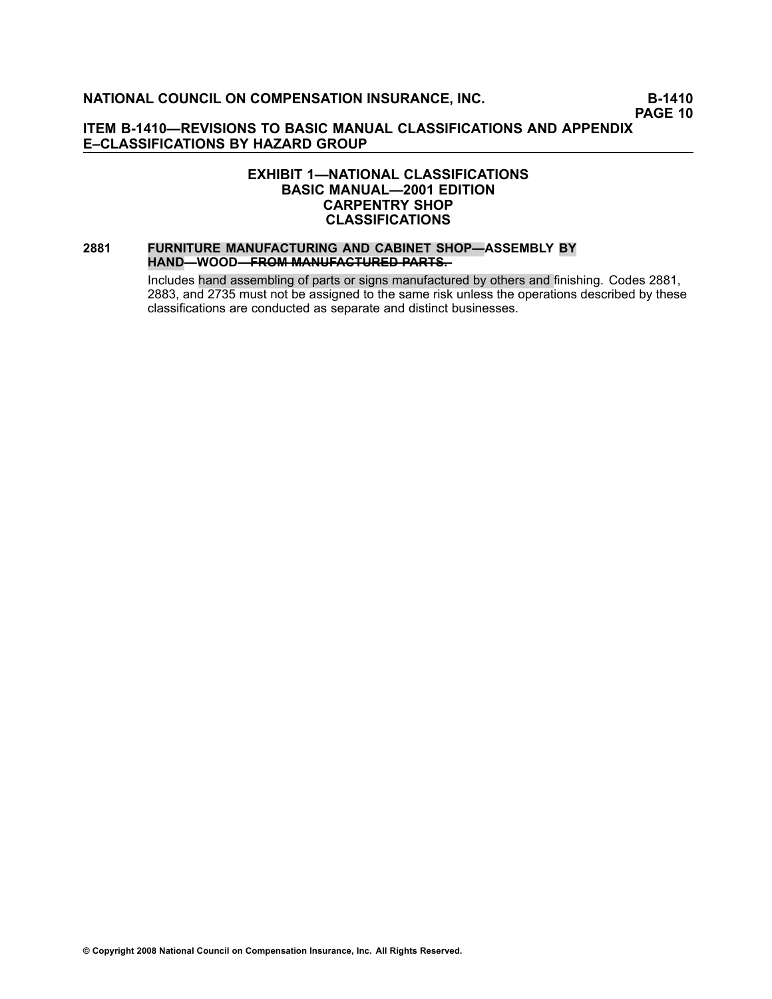**PAGE 10**

# **ITEM B1410—REVISIONS TO BASIC MANUAL CLASSIFICATIONS AND APPENDIX E–CLASSIFICATIONS BY HAZARD GROUP**

## **EXHIBIT 1—NATIONAL CLASSIFICATIONS BASIC MANUAL—2001 EDITION CARPENTRY SHOP CLASSIFICATIONS**

## **[2881](file:///C:/manuscript/hyperlink.asp?docid=2881<?Pub & EntityName=amp>manualtitle=scopesxml) FURNITURE MANUFACTURING AND CABINET SHOP—ASSEMBLY BY HAND—WOOD<del>—FROM MANUFACTURED PARTS.</del>**

Includes hand assembling of parts or signs manufactured by others and finishing. Codes [2881](file:///C:/manuscript/hyperlink.asp?docid=2881<?Pub & EntityName=amp>manualtitle=scopesxml), [2883](file:///C:/manuscript/hyperlink.asp?docid=2883<?Pub & EntityName=amp>manualtitle=scopesxml), and [2735](file:///C:/manuscript/hyperlink.asp?docid=2735<?Pub & EntityName=amp>manualtitle=scopesxml) must not be assigned to the same risk unless the operations described by these classifications are conducted as separate and distinct businesses.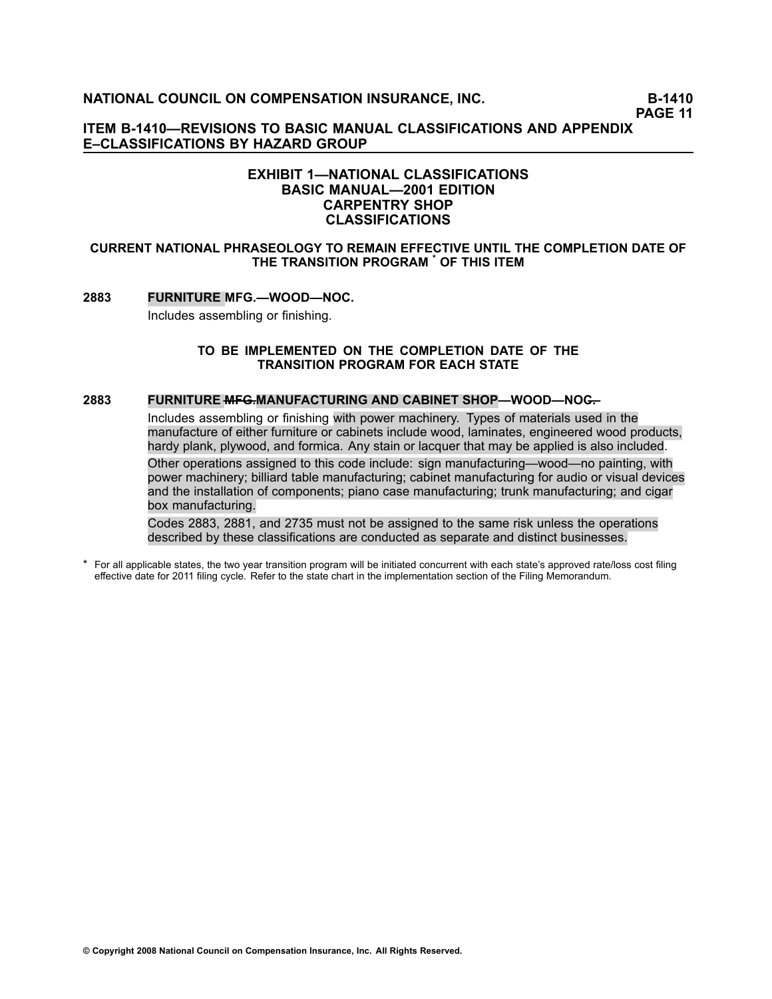**PAGE 11**

**ITEM B1410—REVISIONS TO BASIC MANUAL CLASSIFICATIONS AND APPENDIX E–CLASSIFICATIONS BY HAZARD GROUP**

## **EXHIBIT 1—NATIONAL CLASSIFICATIONS BASIC MANUAL—2001 EDITION CARPENTRY SHOP CLASSIFICATIONS**

#### **CURRENT NATIONAL PHRASEOLOGY TO REMAIN EFFECTIVE UNTIL THE COMPLETION DATE OF THE TRANSITION PROGRAM \* OF THIS ITEM**

#### **[2883](file:///C:/manuscript/hyperlink.asp?docid=2883<?Pub & EntityName=amp>manualtitle=scopesxml) FURNITURE MFG.—WOOD—NOC.**

Includes assembling or finishing.

#### **TO BE IMPLEMENTED ON THE COMPLETION DATE OF THE TRANSITION PROGRAM FOR EACH STATE**

#### **[2883](file:///C:/manuscript/hyperlink.asp?docid=2883<?Pub & EntityName=amp>manualtitle=scopesxml) FURNITURE <del>MFG.</del>MANUFACTURING AND CABINET SHOP—WOOD—NOG—</del>**

Includes assembling or finishing with power machinery. Types of materials used in the manufacture of either furniture or cabinets include wood, laminates, engineered wood products, hardy plank, plywood, and formica. Any stain or lacquer that may be applied is also included.

Other operations assigned to this code include: sign manufacturing—wood—no painting, with power machinery; billiard table manufacturing; cabinet manufacturing for audio or visual devices and the installation of components; piano case manufacturing; trunk manufacturing; and cigar box manufacturing.

Codes 2883, 2881, and 2735 must not be assigned to the same risk unless the operations described by these classifications are conducted as separate and distinct businesses.

\* For all applicable states, the two year transition program will be initiated concurrent with each state's approved rate/loss cost filing effective date for 2011 filing cycle. Refer to the state chart in the implementation section of the Filing Memorandum.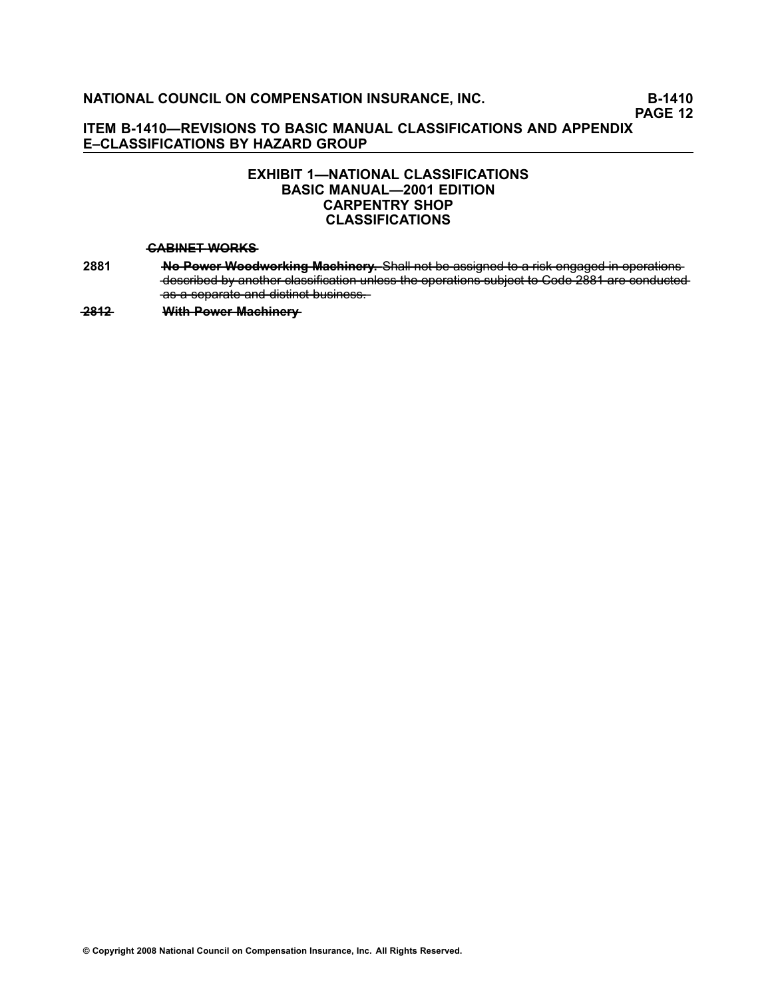# **EXHIBIT 1—NATIONAL CLASSIFICATIONS BASIC MANUAL—2001 EDITION CARPENTRY SHOP CLASSIFICATIONS**

#### **—C—A—B—I—N—E—T**—**—W—O—R—K—S**

**[2881](file:///C:/manuscript/hyperlink.asp?docid=2881<?Pub & EntityName=amp>manualtitle=scopesxml) <b>A**-Power Woodworking Machinery. Shall not be assigned to a risk engaged in operations -described by another classification unless the operations subject to Code 2881 are conducted as a separate and distinct business.

**2812 With Power Machinery**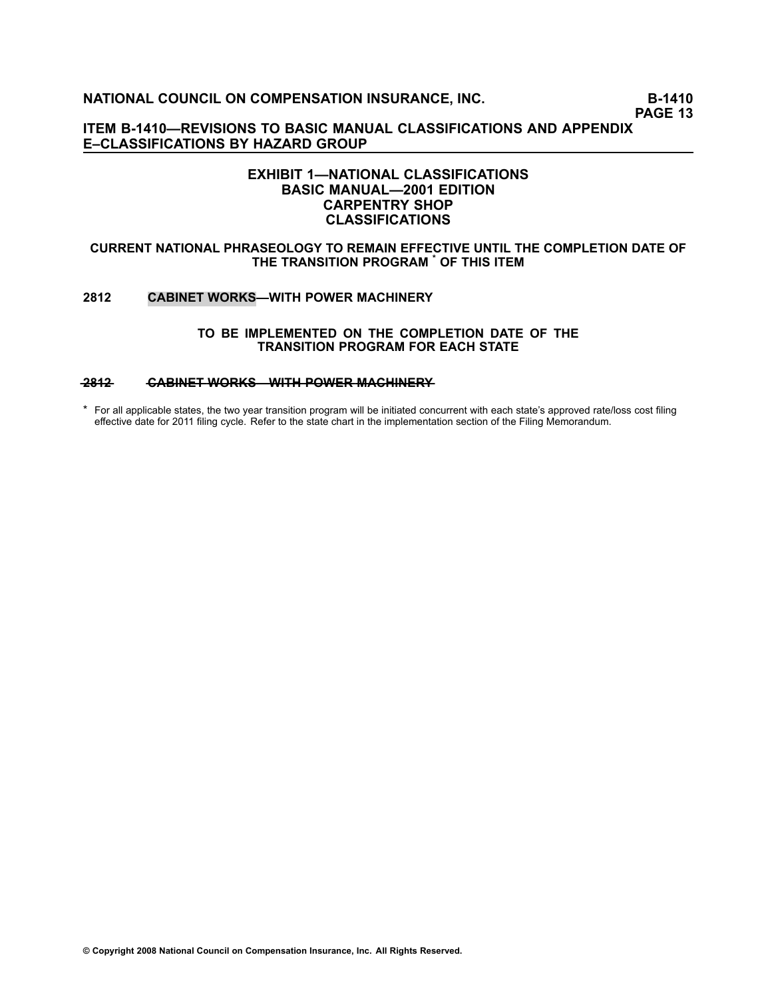**PAGE 13**

**ITEM B1410—REVISIONS TO BASIC MANUAL CLASSIFICATIONS AND APPENDIX E–CLASSIFICATIONS BY HAZARD GROUP**

## **EXHIBIT 1—NATIONAL CLASSIFICATIONS BASIC MANUAL—2001 EDITION CARPENTRY SHOP CLASSIFICATIONS**

#### **CURRENT NATIONAL PHRASEOLOGY TO REMAIN EFFECTIVE UNTIL THE COMPLETION DATE OF THE TRANSITION PROGRAM \* OF THIS ITEM**

#### **[2812](file:///C:/manuscript/hyperlink.asp?docid=2812<?Pub & EntityName=amp>manualtitle=scopesxml) CABINET WORKS—WITH POWER MACHINERY**

#### **TO BE IMPLEMENTED ON THE COMPLETION DATE OF THE TRANSITION PROGRAM FOR EACH STATE**

#### **[—2—8—1—2](file:///C:/manuscript/hyperlink.asp?docid=2812<?Pub & EntityName=amp>manualtitle=scopesxml) —C—A—B—I—N—E—T**—**—W—O—R—K—S—W——I—T—H**—**—P—O—W—E—R**—**—M—A—C—H—I—N—E—R—Y**

\* For all applicable states, the two year transition program will be initiated concurrent with each state's approved rate/loss cost filing effective date for 2011 filing cycle. Refer to the state chart in the implementation section of the Filing Memorandum.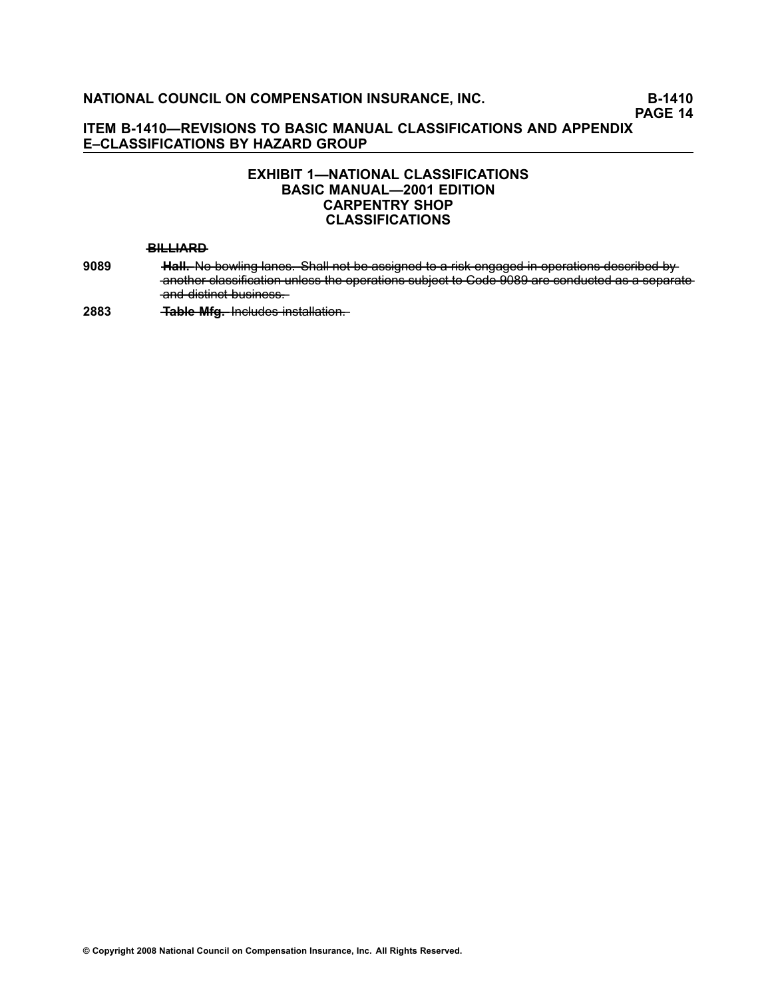# **EXHIBIT 1—NATIONAL CLASSIFICATIONS BASIC MANUAL—2001 EDITION CARPENTRY SHOP CLASSIFICATIONS**

#### **—B—I—L—L—I—A—R—D**

- **[9089](file:///C:/manuscript/hyperlink.asp?docid=9089<?Pub & EntityName=amp>manualtitle=scopesxml) —H—a——l—l.** —N—o——b—o—w——li—n—g——l—a—n—e—s——. —S—h—a——l—l—n—o——t—b—e——a—s—s—i—g—n—e—d——t—o——a———r—is—k——e—n—g—a—g—e—d———in——o—p—e—r—a——t—io—n—s——d—e—s—c——r—ib—e—d——b—y another classification unless the operations subject to Code 9089 are conducted as a separate and distinct business.
- **[2883](file:///C:/manuscript/hyperlink.asp?docid=2883<?Pub & EntityName=amp>manualtitle=scopesxml) ——<del>Table Mfg. Includes installation.</del>**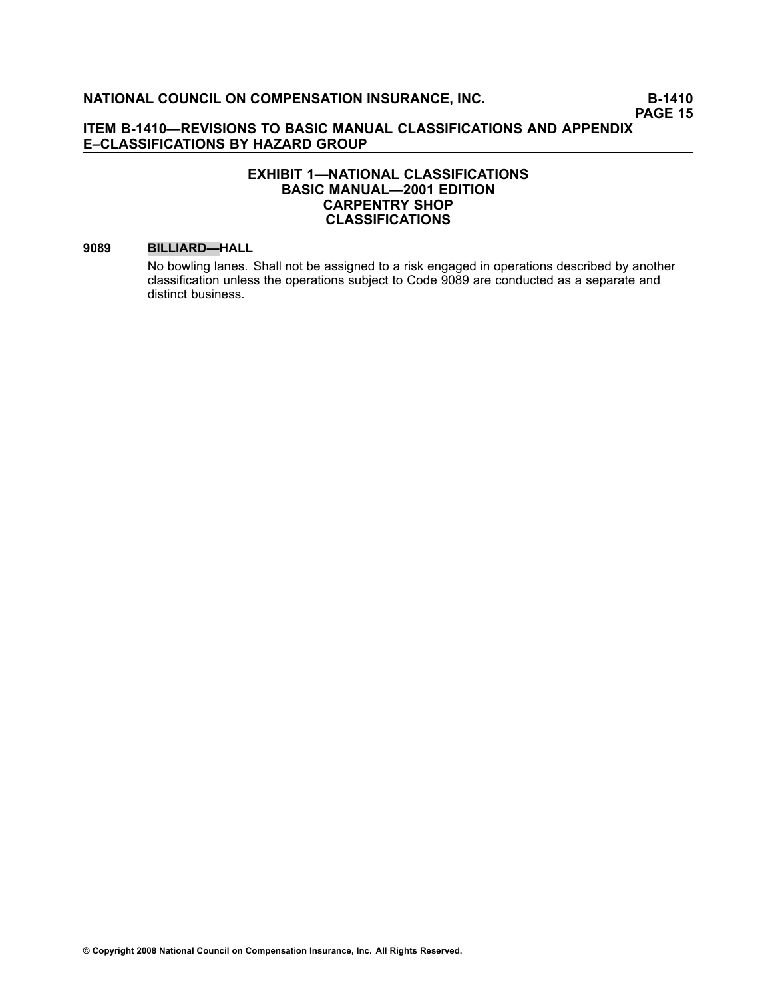# **EXHIBIT 1—NATIONAL CLASSIFICATIONS BASIC MANUAL—2001 EDITION CARPENTRY SHOP CLASSIFICATIONS**

#### **[9089](file:///C:/manuscript/hyperlink.asp?docid=9089<?Pub & EntityName=amp>manualtitle=scopesxml) BILLIARD—HALL**

No bowling lanes. Shall not be assigned to <sup>a</sup> risk engaged in operations described by another classification unless the operations subject to Code 9089 are conducted as <sup>a</sup> separate and distinct business.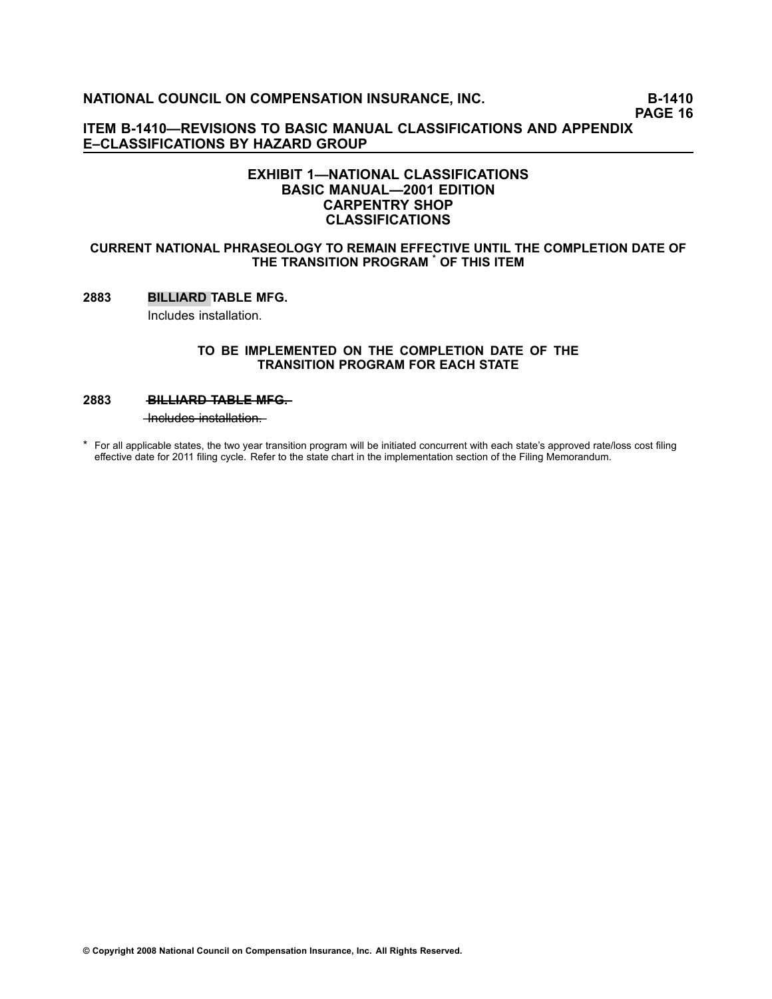**PAGE 16**

# **ITEM B1410—REVISIONS TO BASIC MANUAL CLASSIFICATIONS AND APPENDIX E–CLASSIFICATIONS BY HAZARD GROUP**

# **EXHIBIT 1—NATIONAL CLASSIFICATIONS BASIC MANUAL—2001 EDITION CARPENTRY SHOP CLASSIFICATIONS**

#### **CURRENT NATIONAL PHRASEOLOGY TO REMAIN EFFECTIVE UNTIL THE COMPLETION DATE OF THE TRANSITION PROGRAM \* OF THIS ITEM**

### **[2883](file:///C:/manuscript/hyperlink.asp?docid=2883<?Pub & EntityName=amp>manualtitle=scopesxml) BILLIARD TABLE MFG.**

Includes installation.

#### **TO BE IMPLEMENTED ON THE COMPLETION DATE OF THE TRANSITION PROGRAM FOR EACH STATE**

#### **[2883](file:///C:/manuscript/hyperlink.asp?docid=2883<?Pub & EntityName=amp>manualtitle=scopesxml) — BILLIARD TABLE MFG—**

 $-$ Includes installation.

\* For all applicable states, the two year transition program will be initiated concurrent with each state's approved rate/loss cost filing effective date for 2011 filing cycle. Refer to the state chart in the implementation section of the Filing Memorandum.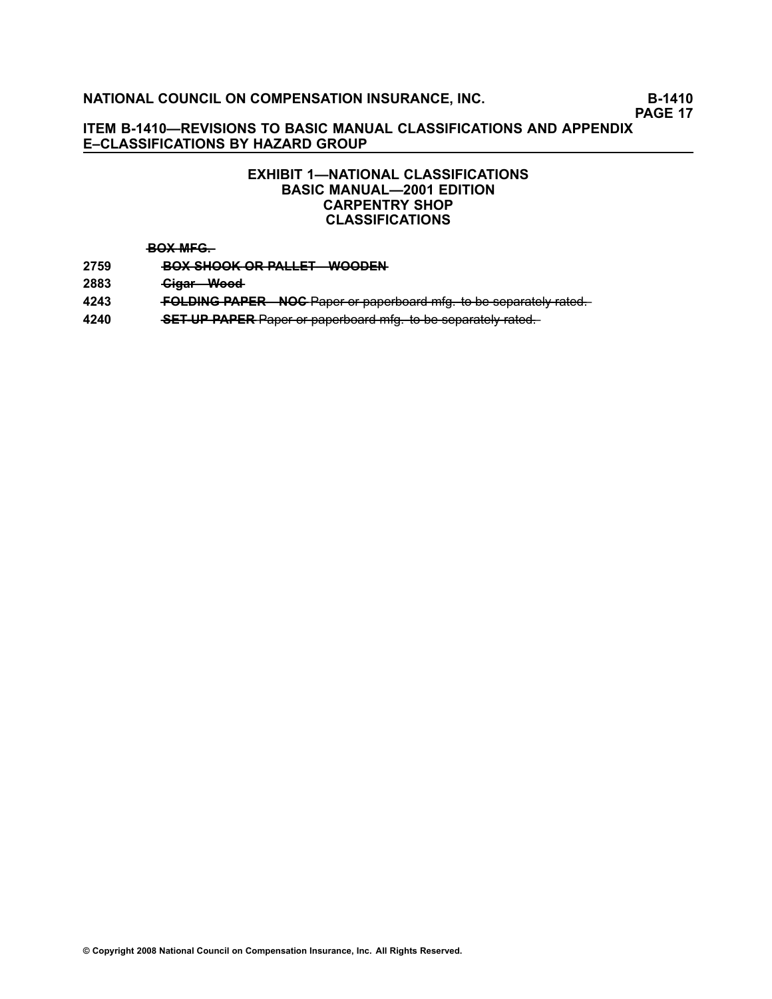**PAGE 17**

# **ITEM B1410—REVISIONS TO BASIC MANUAL CLASSIFICATIONS AND APPENDIX E–CLASSIFICATIONS BY HAZARD GROUP**

# **EXHIBIT 1—NATIONAL CLASSIFICATIONS BASIC MANUAL—2001 EDITION CARPENTRY SHOP CLASSIFICATIONS**

#### **—B—O—X**—**—M—F—G—.**

- **[2759](file:///C:/manuscript/hyperlink.asp?docid=2759<?Pub & EntityName=amp>manualtitle=scopesxml) BOX SHOOK OR PALLET—WOODEN**
- [2883](file:///C:/manuscript/hyperlink.asp?docid=2883<?Pub & EntityName=amp>manualtitle=scopesxml) *Gigar* **Wood**
- **[4243](file:///C:/manuscript/hyperlink.asp?docid=4243<?Pub & EntityName=amp>manualtitle=scopesxml) —F—O—L—D—I—N—G**—**—P—A—P—E—R—N——O—C**—P—a—p—e——r—o——r—p—a—p—e—r—b—o—a—r—d——m—f—g——.—t—o——b—e——s—e—p—a—r—a—t—e——ly——r—a—t—e—d—.
- **[4240](file:///C:/manuscript/hyperlink.asp?docid=4240<?Pub & EntityName=amp>manualtitle=scopesxml) •• SET UP PAPER** Paper or paperboard mfg. to be separately rated.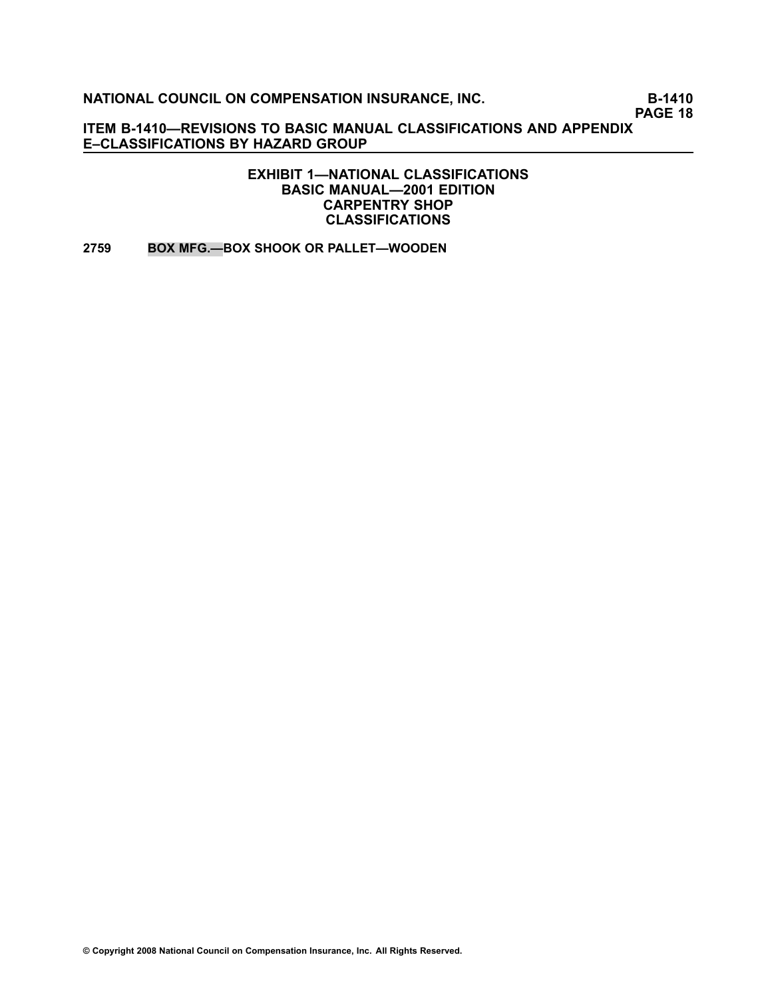**PAGE 18**

**ITEM B1410—REVISIONS TO BASIC MANUAL CLASSIFICATIONS AND APPENDIX E–CLASSIFICATIONS BY HAZARD GROUP**

> **EXHIBIT 1—NATIONAL CLASSIFICATIONS BASIC MANUAL—2001 EDITION CARPENTRY SHOP CLASSIFICATIONS**

**[2759](file:///C:/manuscript/hyperlink.asp?docid=2759<?Pub & EntityName=amp>manualtitle=scopesxml) BOX MFG.—BOX SHOOK OR PALLET—WOODEN**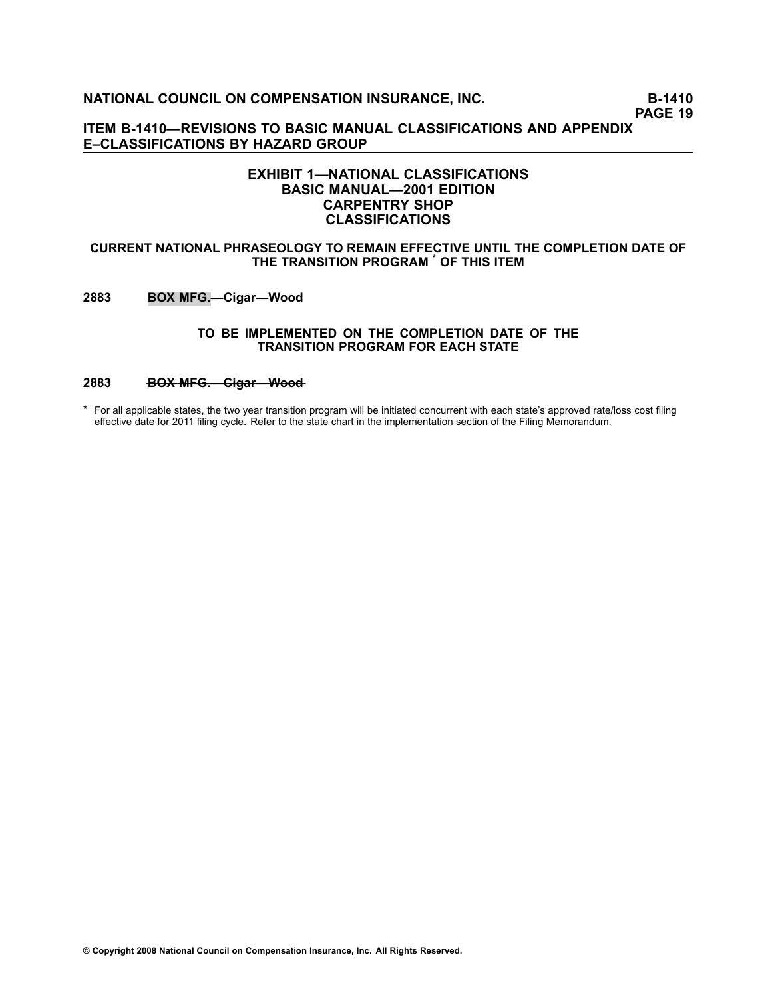**PAGE 19**

**ITEM B1410—REVISIONS TO BASIC MANUAL CLASSIFICATIONS AND APPENDIX E–CLASSIFICATIONS BY HAZARD GROUP**

## **EXHIBIT 1—NATIONAL CLASSIFICATIONS BASIC MANUAL—2001 EDITION CARPENTRY SHOP CLASSIFICATIONS**

#### **CURRENT NATIONAL PHRASEOLOGY TO REMAIN EFFECTIVE UNTIL THE COMPLETION DATE OF THE TRANSITION PROGRAM \* OF THIS ITEM**

**[2883](file:///C:/manuscript/hyperlink.asp?docid=2883<?Pub & EntityName=amp>manualtitle=scopesxml) BOX MFG.—Cigar—Wood**

#### **TO BE IMPLEMENTED ON THE COMPLETION DATE OF THE TRANSITION PROGRAM FOR EACH STATE**

# [2883](file:///C:/manuscript/hyperlink.asp?docid=2883<?Pub & EntityName=amp>manualtitle=scopesxml) **BOX MFG.** Cigar Wood

\* For all applicable states, the two year transition program will be initiated concurrent with each state's approved rate/loss cost filing effective date for 2011 filing cycle. Refer to the state chart in the implementation section of the Filing Memorandum.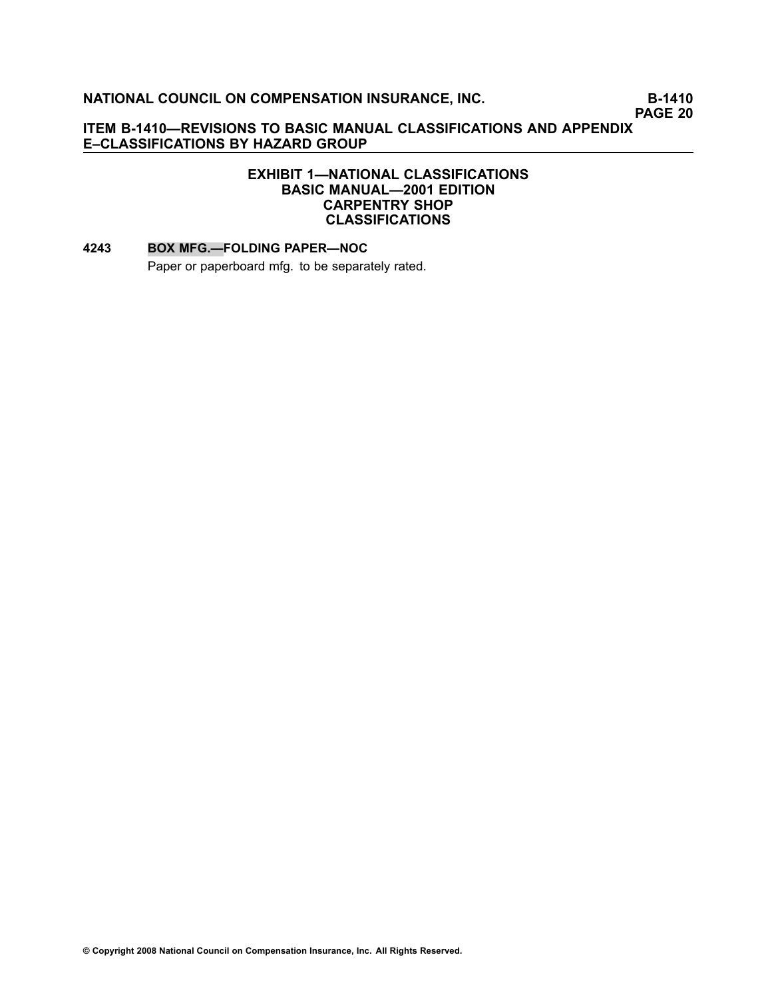**PAGE 20**

# **ITEM B1410—REVISIONS TO BASIC MANUAL CLASSIFICATIONS AND APPENDIX E–CLASSIFICATIONS BY HAZARD GROUP**

# **EXHIBIT 1—NATIONAL CLASSIFICATIONS BASIC MANUAL—2001 EDITION CARPENTRY SHOP CLASSIFICATIONS**

#### **[4243](file:///C:/manuscript/hyperlink.asp?docid=4243<?Pub & EntityName=amp>manualtitle=scopesxml) BOX MFG.—FOLDING PAPER—NOC**

Paper or paperboard mfg. to be separately rated.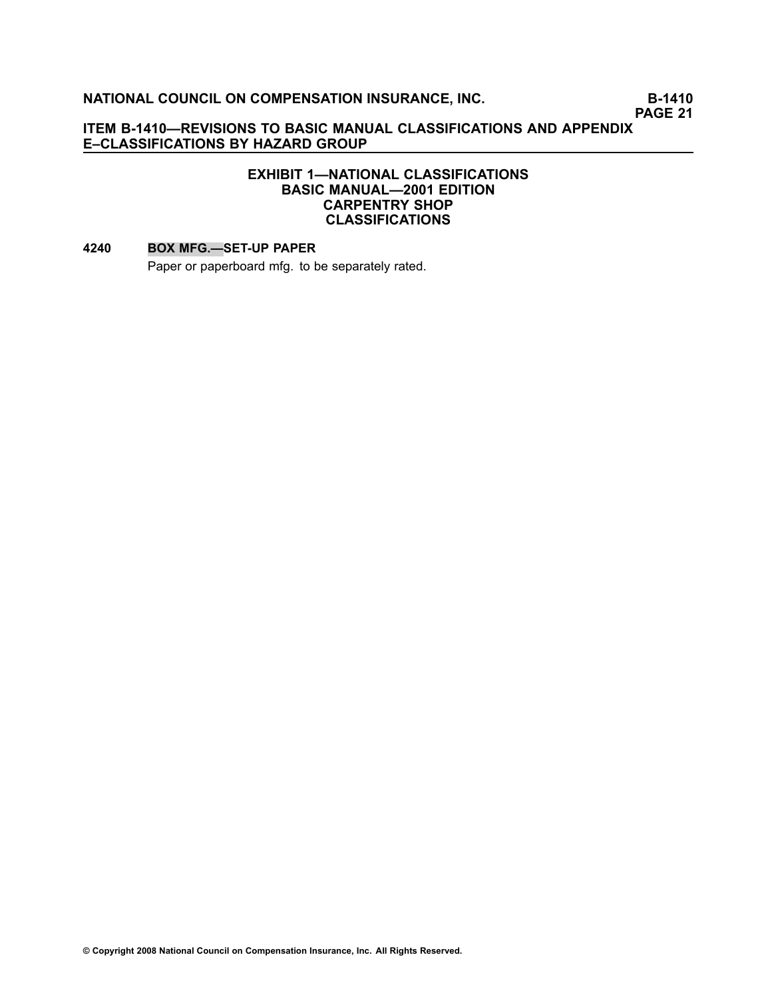**PAGE 21**

# **ITEM B1410—REVISIONS TO BASIC MANUAL CLASSIFICATIONS AND APPENDIX E–CLASSIFICATIONS BY HAZARD GROUP**

# **EXHIBIT 1—NATIONAL CLASSIFICATIONS BASIC MANUAL—2001 EDITION CARPENTRY SHOP CLASSIFICATIONS**

#### **[4240](file:///C:/manuscript/hyperlink.asp?docid=4240<?Pub & EntityName=amp>manualtitle=scopesxml) BOX MFG.—SETUP PAPER**

Paper or paperboard mfg. to be separately rated.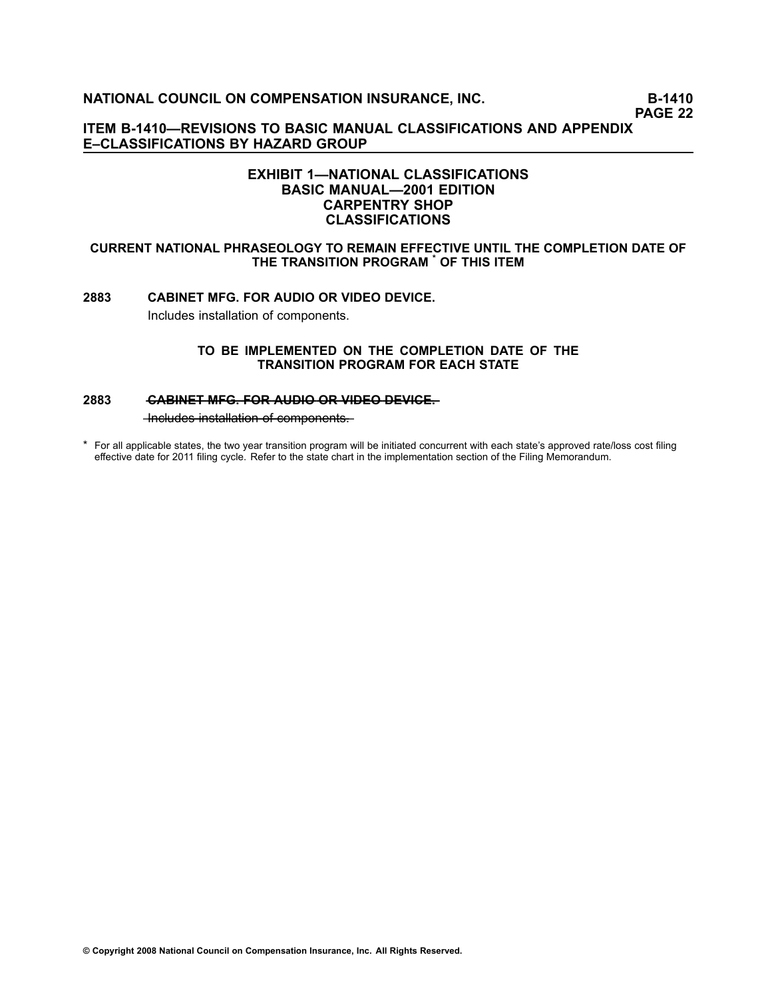**PAGE 22**

**ITEM B1410—REVISIONS TO BASIC MANUAL CLASSIFICATIONS AND APPENDIX E–CLASSIFICATIONS BY HAZARD GROUP**

# **EXHIBIT 1—NATIONAL CLASSIFICATIONS BASIC MANUAL—2001 EDITION CARPENTRY SHOP CLASSIFICATIONS**

#### **CURRENT NATIONAL PHRASEOLOGY TO REMAIN EFFECTIVE UNTIL THE COMPLETION DATE OF THE TRANSITION PROGRAM \* OF THIS ITEM**

# **[2883](file:///C:/manuscript/hyperlink.asp?docid=2883<?Pub & EntityName=amp>manualtitle=scopesxml) CABINET MFG. FOR AUDIO OR VIDEO DEVICE.** Includes installation of components.

**TO BE IMPLEMENTED ON THE COMPLETION DATE OF THE TRANSITION PROGRAM FOR EACH STATE**

#### **[2883](file:///C:/manuscript/hyperlink.asp?docid=2883<?Pub & EntityName=amp>manualtitle=scopesxml) •• CABINET MFG. FOR AUDIO OR VIDEO DEVICE.**

 $-$ Includes installation of components.

\* For all applicable states, the two year transition program will be initiated concurrent with each state's approved rate/loss cost filing effective date for 2011 filing cycle. Refer to the state chart in the implementation section of the Filing Memorandum.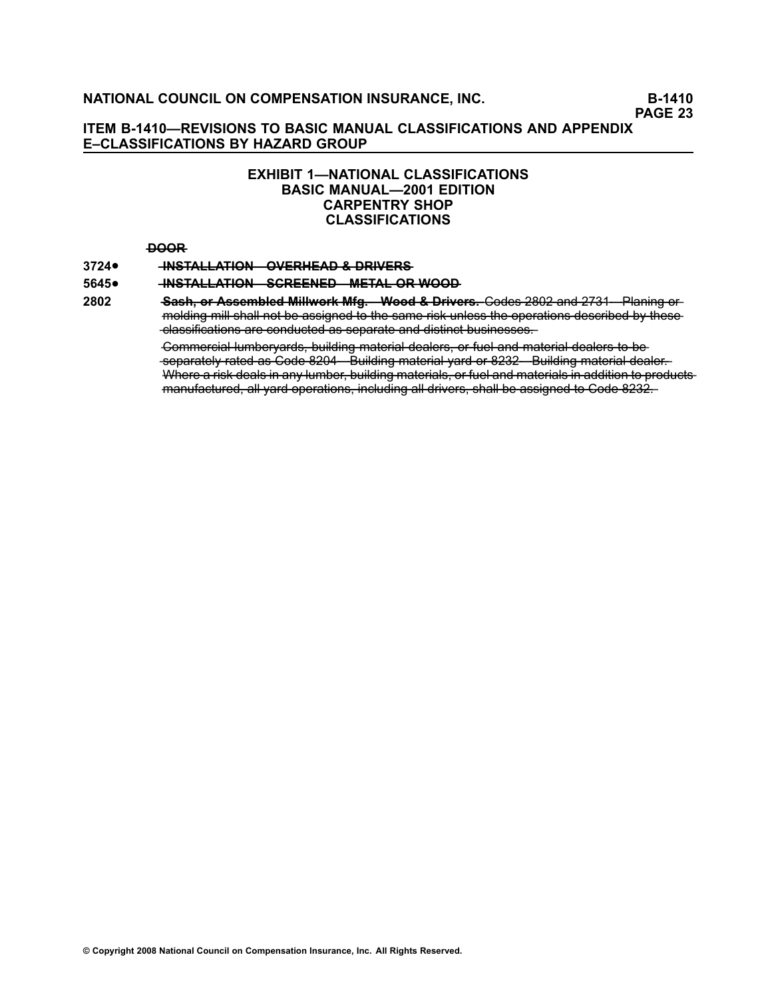**PAGE 23**

## **ITEM B1410—REVISIONS TO BASIC MANUAL CLASSIFICATIONS AND APPENDIX E–CLASSIFICATIONS BY HAZARD GROUP**

# **EXHIBIT 1—NATIONAL CLASSIFICATIONS BASIC MANUAL—2001 EDITION CARPENTRY SHOP CLASSIFICATIONS**

#### **—D—O—O—R**

#### **[3724](file:///C:/manuscript/hyperlink.asp?docid=3724<?Pub & EntityName=amp>manualtitle=scopesxml)**• $-MSTALLATION$  **WERHEAD & DRIVERS**

#### **[5645](file:///C:/manuscript/hyperlink.asp?docid=5645<?Pub & EntityName=amp>manualtitle=scopesxml)**• $-MSTALLATION -SCREENED - METAL-OR-WOOD-$

**[2802](file:///C:/manuscript/hyperlink.asp?docid=2802<?Pub & EntityName=amp>manualtitle=scopesxml) —S—a—s—h—**—**,—o—r**—**—A—s—s—e—m—b—l—e—d**—**—M——i—ll—w—o—r—k**—**—M—f—g—.—W——o—o—d**—**—&**—**—D—r—i—v—e—r—s—.** —C—o—d—e[—](file:///C:/manuscript/hyperlink.asp?docid=2802<?Pub & EntityName=amp>manualtitle=scopesxml)s[——2—8—0—2—](file:///C:/manuscript/hyperlink.asp?docid=2802<?Pub & EntityName=amp>manualtitle=scopesxml)—a—n—d[——2—7—3—1—](file:///C:/manuscript/hyperlink.asp?docid=2731<?Pub & EntityName=amp>manualtitle=scopesxml)P———la—n—i—n—g——o—r molding mill shall not be assigned to the same risk unless the operations described by these -classifications are conducted as separate and distinct businesses.

> Commercial lumberyards, building material dealers, or fuel and material dealers to beseparately rated as Code 8204 Euilding material yard or 8232 Building material dealer. Where a risk deals in any lumber, building materials, or fuel and materials in addition to productsmanufactured, all yard operations, including all drivers, shall be assigned to Code 8232.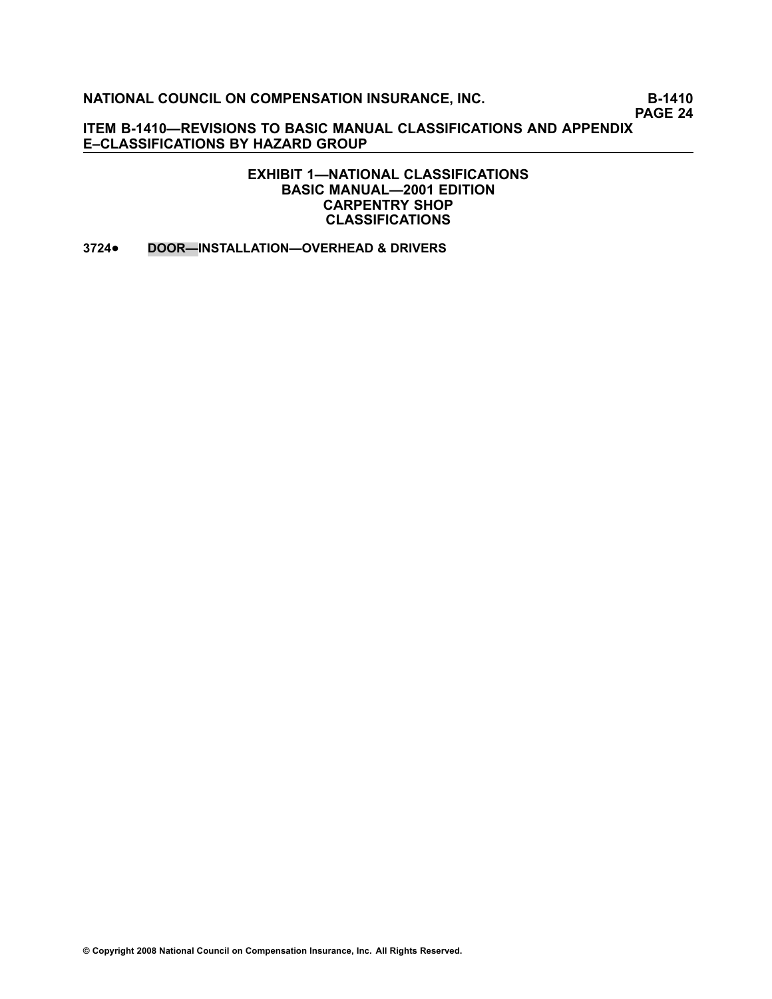**PAGE 24**

**ITEM B1410—REVISIONS TO BASIC MANUAL CLASSIFICATIONS AND APPENDIX E–CLASSIFICATIONS BY HAZARD GROUP**

> **EXHIBIT 1—NATIONAL CLASSIFICATIONS BASIC MANUAL—2001 EDITION CARPENTRY SHOP CLASSIFICATIONS**

**[3724](file:///C:/manuscript/hyperlink.asp?docid=3724<?Pub & EntityName=amp>manualtitle=scopesxml)**•**DOOR—INSTALLATION—OVERHEAD & DRIVERS**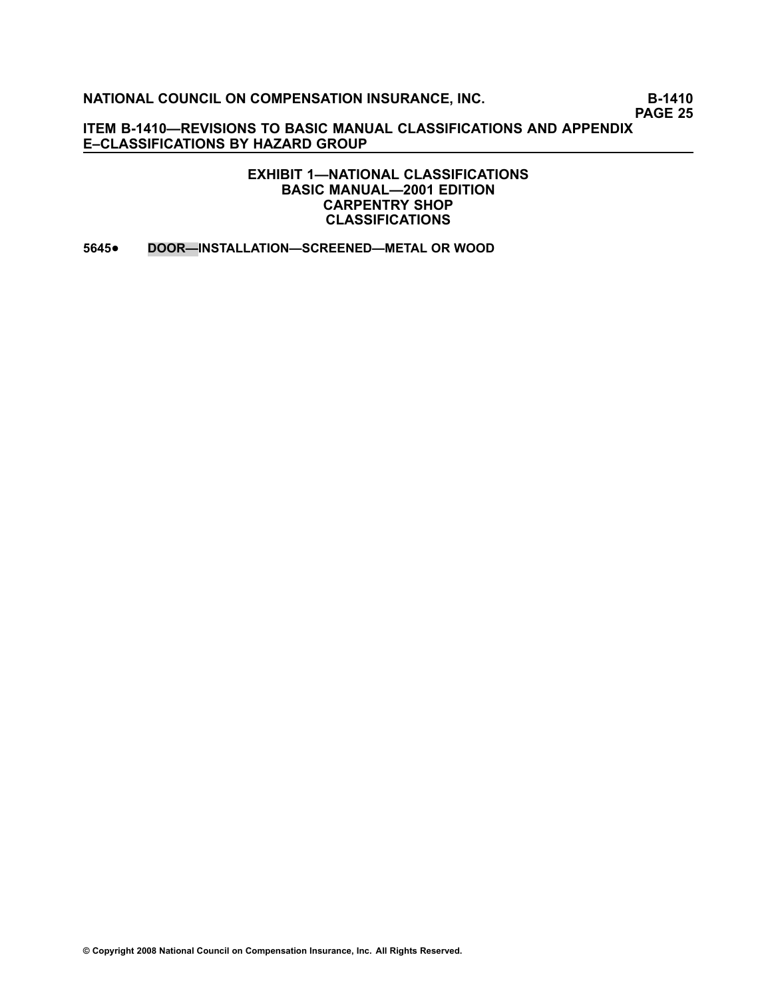**PAGE 25**

**ITEM B1410—REVISIONS TO BASIC MANUAL CLASSIFICATIONS AND APPENDIX E–CLASSIFICATIONS BY HAZARD GROUP**

> **EXHIBIT 1—NATIONAL CLASSIFICATIONS BASIC MANUAL—2001 EDITION CARPENTRY SHOP CLASSIFICATIONS**

**[5645](file:///C:/manuscript/hyperlink.asp?docid=5645<?Pub & EntityName=amp>manualtitle=scopesxml)**•**DOOR—INSTALLATION—SCREENED—METAL OR WOOD**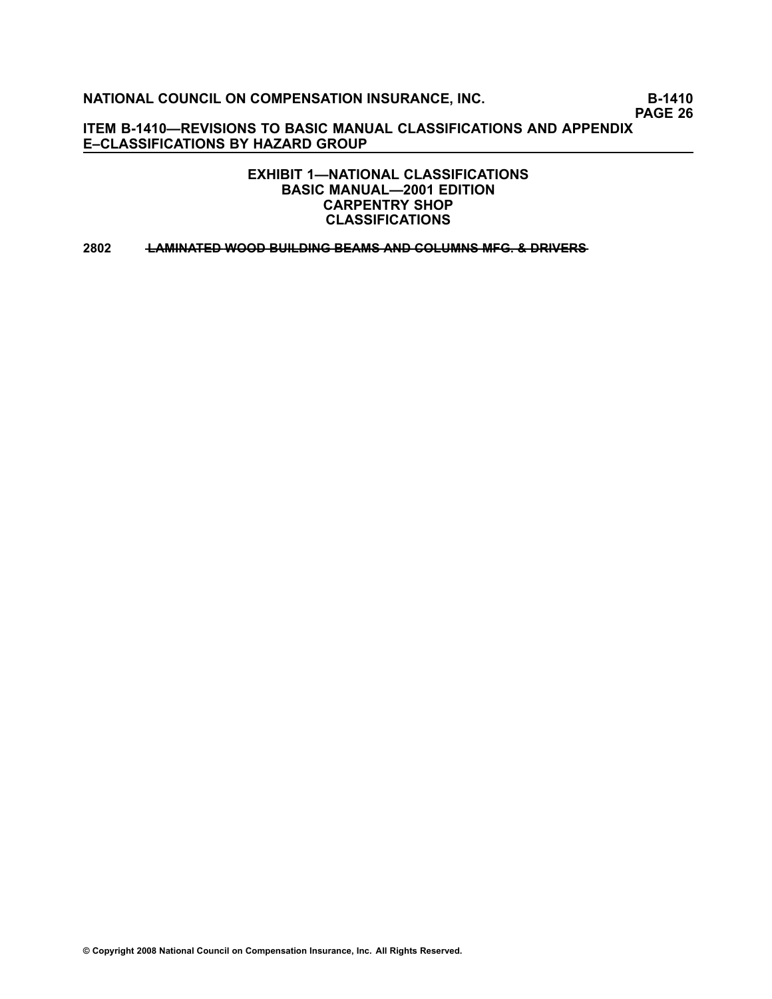**PAGE 26**

**ITEM B1410—REVISIONS TO BASIC MANUAL CLASSIFICATIONS AND APPENDIX E–CLASSIFICATIONS BY HAZARD GROUP**

> **EXHIBIT 1—NATIONAL CLASSIFICATIONS BASIC MANUAL—2001 EDITION CARPENTRY SHOP CLASSIFICATIONS**

**[2802](file:///C:/manuscript/hyperlink.asp?docid=2802<?Pub & EntityName=amp>manualtitle=scopesxml) —L—A—M—I—N—A—T—E—D**—**—W—O—O—D**—**—B—U—I—L—D—I—N—G**—**—B—E—A—M—S**—**—A—N—D**—**—C—O—L—U—M—N—S**—**—M—F—G—**—**.—&**—**—D—R—I—V—E—R—S**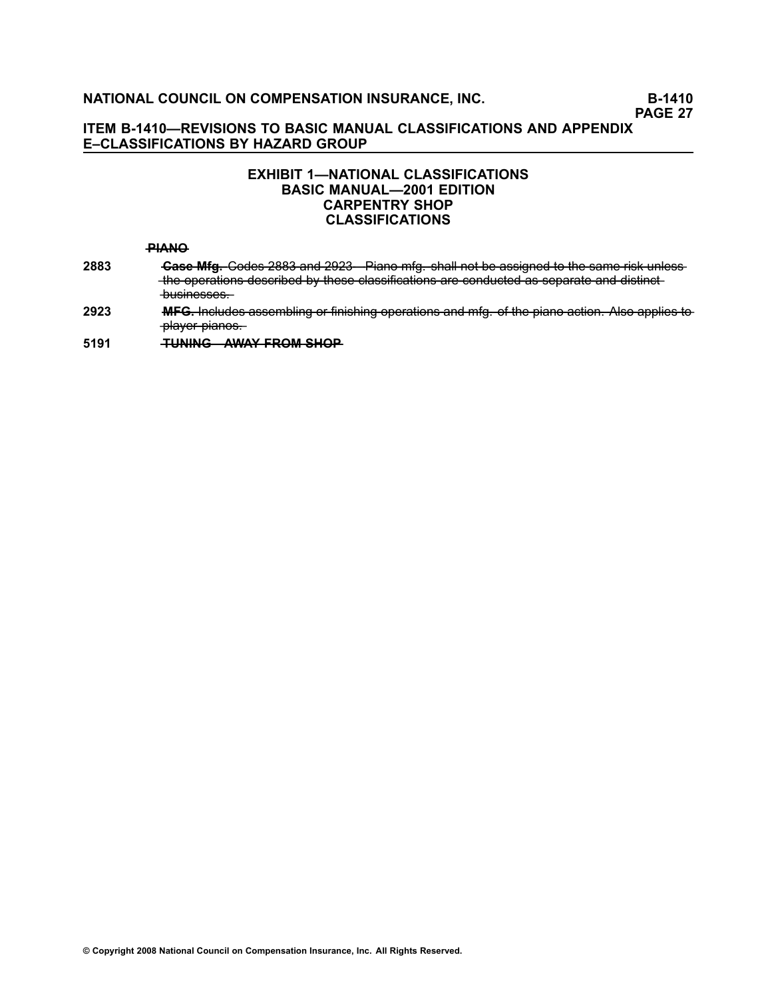# **EXHIBIT 1—NATIONAL CLASSIFICATIONS BASIC MANUAL—2001 EDITION CARPENTRY SHOP CLASSIFICATIONS**

#### **—P—I—A—N—O**

- **[2883](file:///C:/manuscript/hyperlink.asp?docid=2883<?Pub & EntityName=amp>manualtitle=scopesxml) •• Gase Mfg.** Codes 2883 and 2923 Piano mfg. shall not be assigned to the same risk unless -the operations described by these classifications are conducted as separate and distinctbusinesses.
- **[2923](file:///C:/manuscript/hyperlink.asp?docid=2923<?Pub & EntityName=amp>manualtitle=scopesxml) ——MFG.** Includes assembling or finishing operations and mfg. of the piano action. Also applies to -player-pianos.

**[5191](file:///C:/manuscript/hyperlink.asp?docid=5191<?Pub & EntityName=amp>manualtitle=scopesxml) —T—U—N—I—N—G—A——W—A—Y**—**—F—R—O—M**—**—S—H—O—P**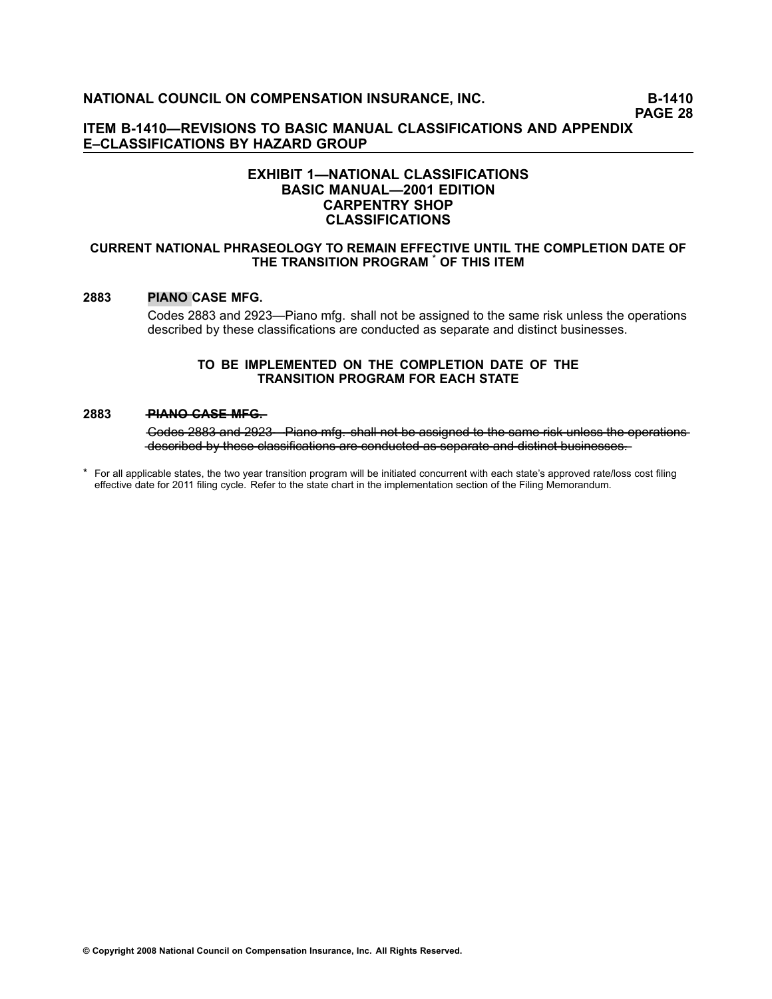**PAGE 28**

**ITEM B1410—REVISIONS TO BASIC MANUAL CLASSIFICATIONS AND APPENDIX E–CLASSIFICATIONS BY HAZARD GROUP**

#### **EXHIBIT 1—NATIONAL CLASSIFICATIONS BASIC MANUAL—2001 EDITION CARPENTRY SHOP CLASSIFICATIONS**

#### **CURRENT NATIONAL PHRASEOLOGY TO REMAIN EFFECTIVE UNTIL THE COMPLETION DATE OF THE TRANSITION PROGRAM \* OF THIS ITEM**

#### **[2883](file:///C:/manuscript/hyperlink.asp?docid=2883<?Pub & EntityName=amp>manualtitle=scopesxml) PIANO CASE MFG.**

Codes 2883 and 2923—Piano mfg. shall not be assigned to the same risk unless the operations described by these classifications are conducted as separate and distinct businesses.

#### **TO BE IMPLEMENTED ON THE COMPLETION DATE OF THE TRANSITION PROGRAM FOR EACH STATE**

#### **[2883](file:///C:/manuscript/hyperlink.asp?docid=2883<?Pub & EntityName=amp>manualtitle=scopesxml) — PIANO-CASE-MFG—**

Godes 2883 and 2923 Piano mfg. shall not be assigned to the same risk unless the operations described by these classifications are conducted as separate and distinct businesses.

\* For all applicable states, the two year transition program will be initiated concurrent with each state's approved rate/loss cost filing effective date for 2011 filing cycle. Refer to the state chart in the implementation section of the Filing Memorandum.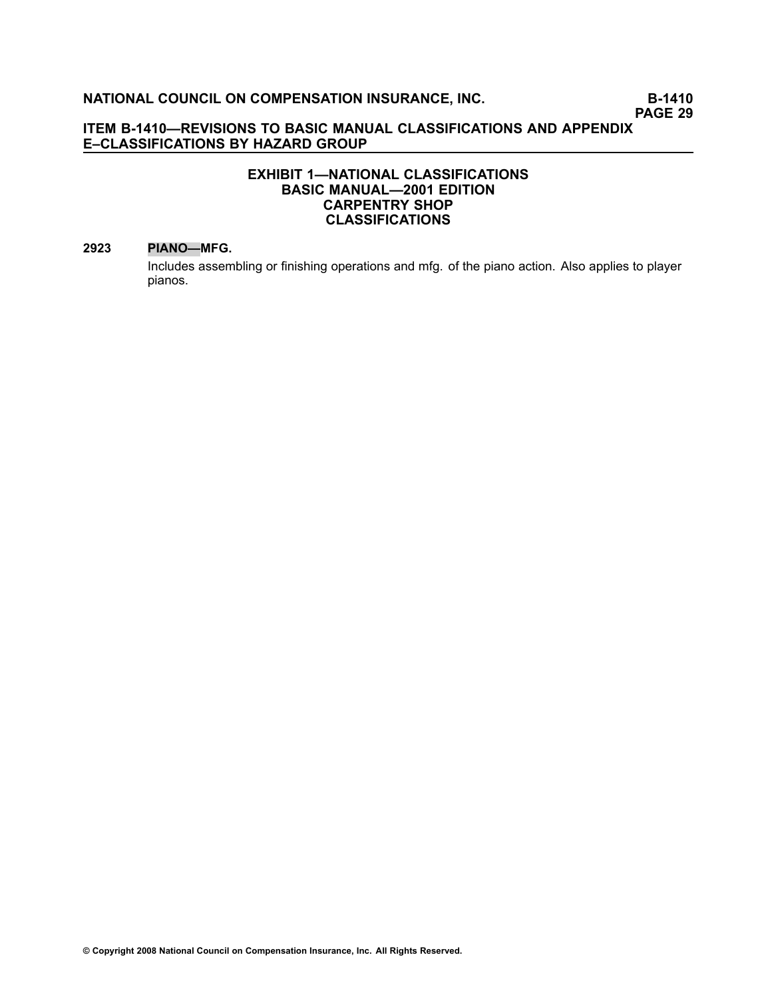# **EXHIBIT 1—NATIONAL CLASSIFICATIONS BASIC MANUAL—2001 EDITION CARPENTRY SHOP CLASSIFICATIONS**

#### **[2923](file:///C:/manuscript/hyperlink.asp?docid=2923<?Pub & EntityName=amp>manualtitle=scopesxml) PIANO—MFG.**

Includes assembling or finishing operations and mfg. of the piano action. Also applies to player pianos.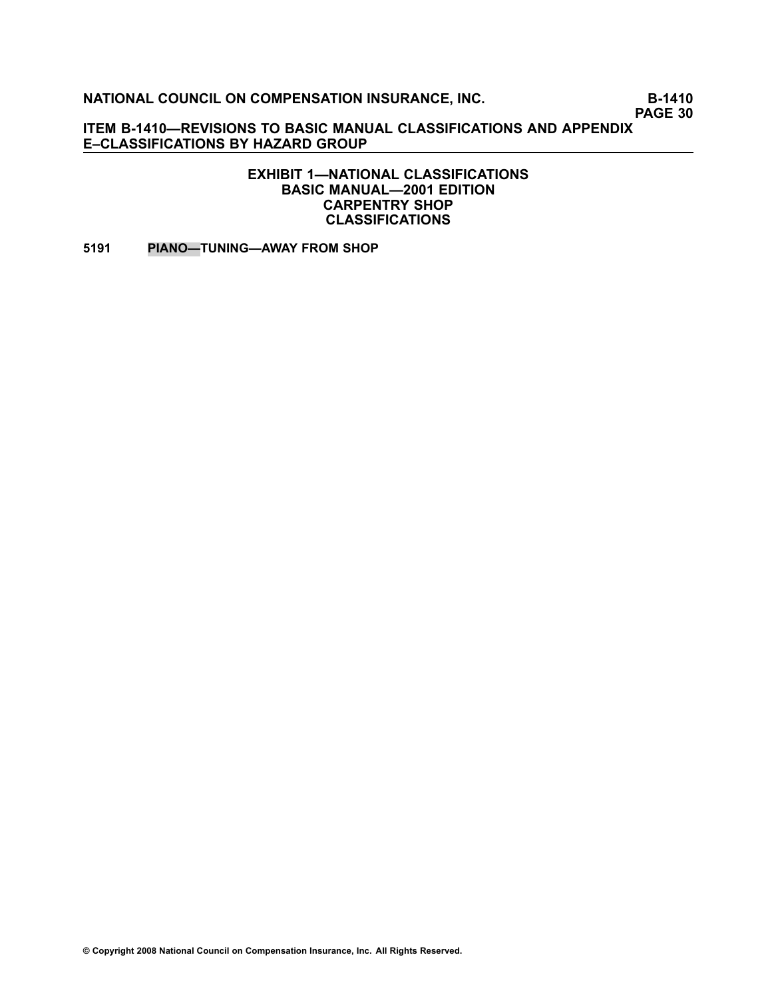**PAGE 30**

**ITEM B1410—REVISIONS TO BASIC MANUAL CLASSIFICATIONS AND APPENDIX E–CLASSIFICATIONS BY HAZARD GROUP**

> **EXHIBIT 1—NATIONAL CLASSIFICATIONS BASIC MANUAL—2001 EDITION CARPENTRY SHOP CLASSIFICATIONS**

**[5191](file:///C:/manuscript/hyperlink.asp?docid=5191<?Pub & EntityName=amp>manualtitle=scopesxml) PIANO—TUNING—AWAY FROM SHOP**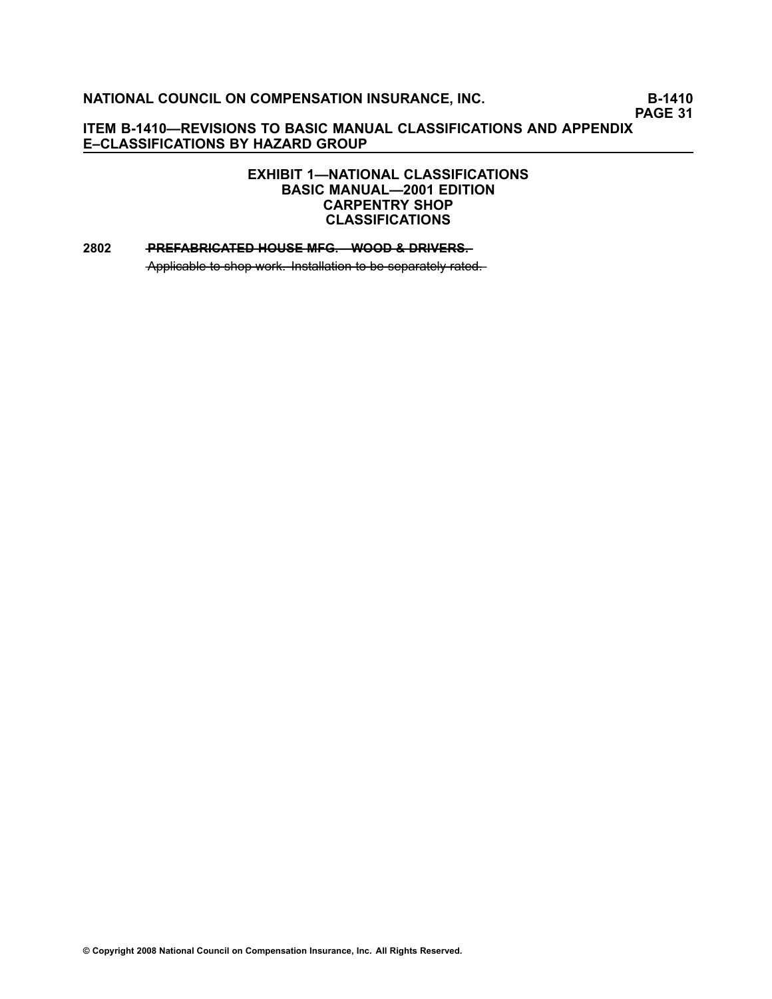**PAGE 31**

# **ITEM B1410—REVISIONS TO BASIC MANUAL CLASSIFICATIONS AND APPENDIX E–CLASSIFICATIONS BY HAZARD GROUP**

# **EXHIBIT 1—NATIONAL CLASSIFICATIONS BASIC MANUAL—2001 EDITION CARPENTRY SHOP CLASSIFICATIONS**

#### **[2802](file:///C:/manuscript/hyperlink.asp?docid=2802<?Pub & EntityName=amp>manualtitle=scopesxml) — PREFABRICATED HOUSE MFG. WOOD & DRIVERS.**

Applicable to shop work. Installation to be separately rated.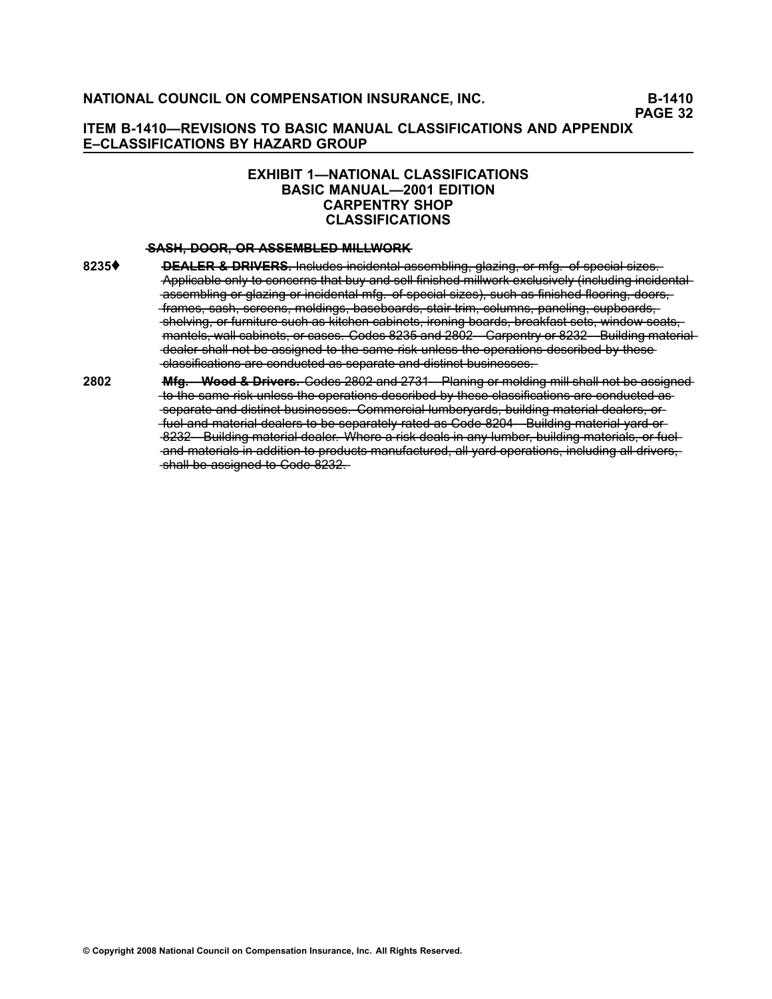# **EXHIBIT 1—NATIONAL CLASSIFICATIONS BASIC MANUAL—2001 EDITION CARPENTRY SHOP CLASSIFICATIONS**

#### **—S—A—S—H—**—**, —D—O—O—R—**—**, —O—R**—**—A—S—S—E—M—B—L—E—D**—**—M—I—L—L—W—O—R—K**

- [8235](file:///C:/manuscript/hyperlink.asp?docid=8235<?Pub & EntityName=amp>manualtitle=scopesxml)♦ **DEALER & DRIVERS.** Includes incidental assembling, glazing, or mfg. of special sizes. Applicable only to concerns that buy and sell finished millwork exclusively (including incidentalassembling or glazing or incidental mfg. of special sizes), such as finished flooring, doors. -frames, sash, screens, moldings, baseboards, stair trim, columns, paneling, cupboards, -shelving, or furniture such as kitchen cabinets, ironing boards, breakfast sets, window seats, mantels, wall cabinets, or cases. Codes 8235 and 2802 Carpentry or 8232 Building material -dealer shall not be assigned to the same risk unless the operations described by these--classifications are conducted as separate and distinct businesses.
- **[2802](file:///C:/manuscript/hyperlink.asp?docid=2802<?Pub & EntityName=amp>manualtitle=scopesxml) —M—f—g—.—W——o—o—d**—**—&**—**—D—r—i—v—e—r—s—.** —C—o—d—e[—](file:///C:/manuscript/hyperlink.asp?docid=2802<?Pub & EntityName=amp>manualtitle=scopesxml)s[——2—8—0—2—](file:///C:/manuscript/hyperlink.asp?docid=2802<?Pub & EntityName=amp>manualtitle=scopesxml)—a—n—d[——2—7—3—1](file:///C:/manuscript/hyperlink.asp?docid=2731<?Pub & EntityName=amp>manualtitle=scopesxml)—P———la—n——in—g——o——r —m—o——ld——in—g——m——i—l—l—s—h—a——l—l—n—o——t—b—e——a—s—s—i—g—n—e—d -to-the same risk unless the operations described by these classifications are conducted asseparate and distinct businesses. Commercial lumbervards, building material dealers, or fuel and material dealers to be separately rated as Code 8204 Building material yard or -8232 Building material dealer. Where a risk deals in any lumber, building materials, or fueland materials in addition to products manufactured, all yard operations, including all drivers, shall be assigned to Code 8232.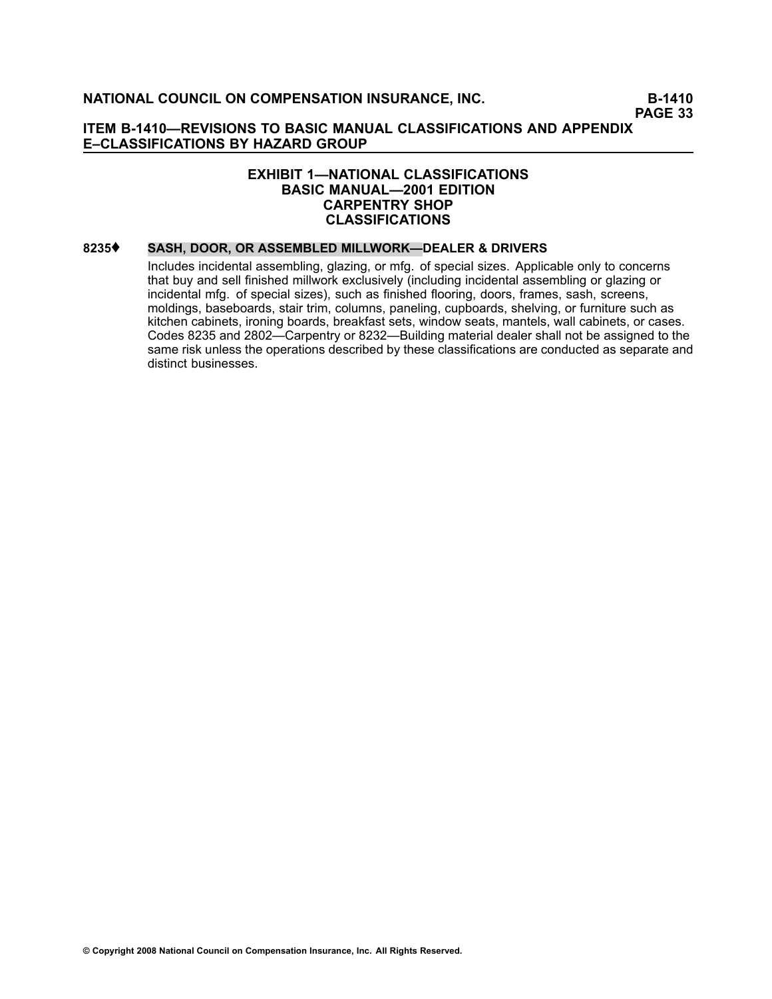#### **EXHIBIT 1—NATIONAL CLASSIFICATIONS BASIC MANUAL—2001 EDITION CARPENTRY SHOP CLASSIFICATIONS**

# **[8235](file:///C:/manuscript/hyperlink.asp?docid=8235<?Pub & EntityName=amp>manualtitle=scopesxml)**♦ **SASH, DOOR, OR ASSEMBLED MILLWORK—DEALER & DRIVERS**

Includes incidental assembling, glazing, or mfg. of special sizes. Applicable only to concerns that buy and sell finished millwork exclusively (including incidental assembling or glazing or incidental mfg. of special sizes), such as finished flooring, doors, frames, sash, screens, moldings, baseboards, stair trim, columns, paneling, cupboards, shelving, or furniture such as kitchen cabinets, ironing boards, breakfast sets, window seats, mantels, wall cabinets, or cases. Codes [8235](file:///C:/manuscript/hyperlink.asp?docid=8235<?Pub & EntityName=amp>manualtitle=scopesxml) and [2802](file:///C:/manuscript/hyperlink.asp?docid=2802<?Pub & EntityName=amp>manualtitle=scopesxml)—Carpentry or [8232](file:///C:/manuscript/hyperlink.asp?docid=8232<?Pub & EntityName=amp>manualtitle=scopesxml)—Building material dealer shall not be assigned to the same risk unless the operations described by these classifications are conducted as separate and distinct businesses.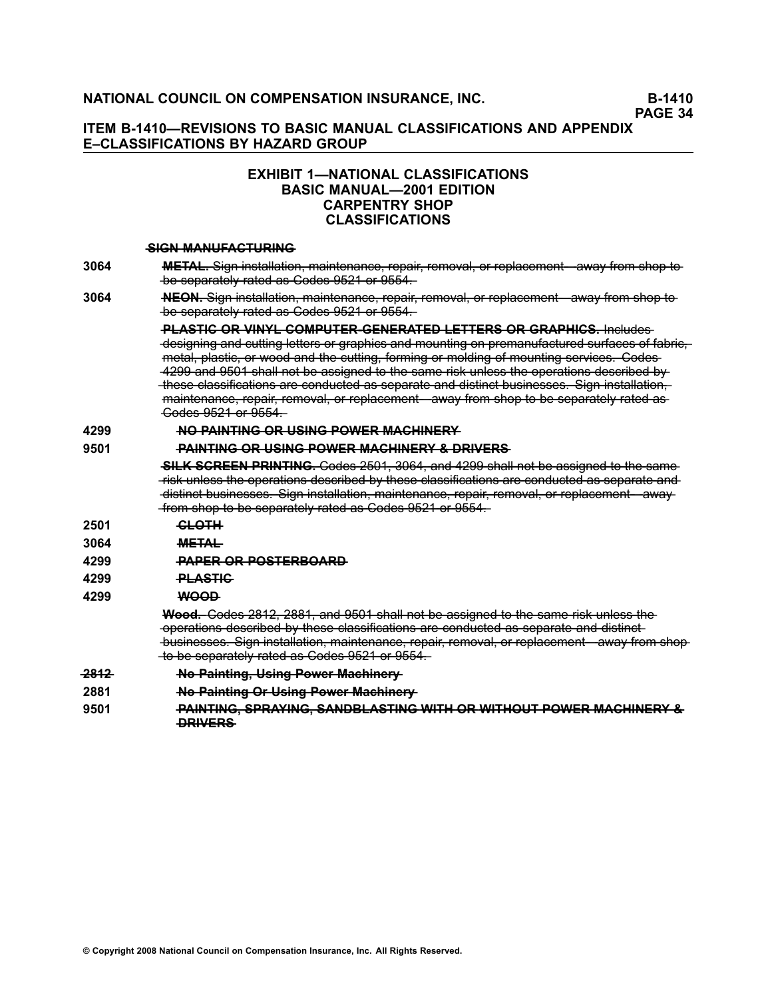**PAGE 34**

## **ITEM B1410—REVISIONS TO BASIC MANUAL CLASSIFICATIONS AND APPENDIX E–CLASSIFICATIONS BY HAZARD GROUP**

# **EXHIBIT 1—NATIONAL CLASSIFICATIONS BASIC MANUAL—2001 EDITION CARPENTRY SHOP CLASSIFICATIONS**

#### **—S—I—G—N**—**—M—A—N—U—F—A—C—T—U—R—I—N—G**

- **[3064](file:///C:/manuscript/hyperlink.asp?docid=3064<?Pub & EntityName=amp>manualtitle=scopesxml) —M—E—T—A—L—.**—S—i—g—n——i—n—s—t—a——ll—a——ti—o—n——, —m—a—i—n—t—e—n—a—n—c—e——,—r—e—p—a——i—r—,—r—e—m—o—v—a——l—,—o——r—r—e—p——la—c—e—m—e—n—t—a——w—a—y———fr—o—m——s—h—o—p——t—o be separately rated as Codes 9521 or 9554.
- **[3064](file:///C:/manuscript/hyperlink.asp?docid=3064<?Pub & EntityName=amp>manualtitle=scopesxml) —N—E—O—N—.**—S—i—g—n——i—n—s—t—a——ll—a——ti—o—n——, —m—a—i—n—t—e—n—a—n—c—e——,—r—e—p—a——i—r—,—r—e—m—o—v—a——l—,—o——r—r—e—p——la—c—e—m—e—n—t—a——w—a—y———fr—o—m——s—h—o—p——t—o be separately rated as Codes 9521 or 9554.

**—P—L—A—S—T—I—C**—**—O—R**—**—V—I—N—Y—L**—**—C—O—M—P—U—T—E—R——G—E—N—E—R—A—T—E—D**—**—L—E—T—T—E—R—S**—**—O—R**—**—G—R—A—P—H—I—C—S—.**—I—n—c——lu—d—e—s -designing and cutting letters or graphics and mounting on premanufactured surfaces of fabric, metal, plastic, or wood and the cutting, forming or molding of mounting services. Codes 4299 and 9501 shall not be assigned to the same risk unless the operations described by -these classifications are conducted as separate and distinct businesses. Sign installation, maintenance, repair, removal, or replacement—away from shop to be separately rated as —C—o—d—e—s[——9—5—2—1—](file:///C:/manuscript/hyperlink.asp?docid=9521<?Pub & EntityName=amp>manualtitle=scopesxml)—o[——](file:///C:/manuscript/hyperlink.asp?docid=9554<?Pub & EntityName=amp>manualtitle=scopesxml)r[—9—5—5—4—](file:///C:/manuscript/hyperlink.asp?docid=9554<?Pub & EntityName=amp>manualtitle=scopesxml).

#### **[4299](file:///C:/manuscript/hyperlink.asp?docid=4299<?Pub & EntityName=amp>manualtitle=scopesxml) —N—O**—**—P—A—I—N—T—I—N—G**—**—O—R**—**—U—S—I—N—G**—**—P—O—W—E—R**—**—M—A—C—H—I—N—E—R—Y**

#### **[9501](file:///C:/manuscript/hyperlink.asp?docid=9501<?Pub & EntityName=amp>manualtitle=scopesxml) ••• PAINTING OR USING POWER MACHINERY & DRIVERS**

**SILK SCREEN PRINTING.** Codes 2501, 3064, and 4299 shall not be assigned to the same Fisk unless the operations described by these classifications are conducted as separate and -distinct businesses. Sign installation, maintenance, repair, removal, or replacement - away--from shop to be separately rated as Codes 9521 or 9554.

- **[2501](file:///C:/manuscript/hyperlink.asp?docid=2501<?Pub & EntityName=amp>manualtitle=scopesxml)** <del>CLOTH</del>
- **[3064](file:///C:/manuscript/hyperlink.asp?docid=3064<?Pub & EntityName=amp>manualtitle=scopesxml) —M—E—T—A—L**
- **[4299](file:///C:/manuscript/hyperlink.asp?docid=4299<?Pub & EntityName=amp>manualtitle=scopesxml) PAPER OR POSTERBOARD**
- **[4299](file:///C:/manuscript/hyperlink.asp?docid=4299<?Pub & EntityName=amp>manualtitle=scopesxml) PLASTIC**
- **[4299](file:///C:/manuscript/hyperlink.asp?docid=4299<?Pub & EntityName=amp>manualtitle=scopesxml) —W—O—O—D**

**Wood.** Codes 2812, 2881, and 9501 shall not be assigned to the same risk unless the -operations described by these classifications are conducted as separate and distinctbusinesses. Sign installation, maintenance, repair, removal, or replacement—away from shopto be separately rated as Codes 9521 or 9554.

- **2812 No Painting, Using Power Machinery**
- **[2881](file:///C:/manuscript/hyperlink.asp?docid=2881<?Pub & EntityName=amp>manualtitle=scopesxml) ——————No-Painting Or-Using Power Machinery**
- **[9501](file:///C:/manuscript/hyperlink.asp?docid=9501<?Pub & EntityName=amp>manualtitle=scopesxml) —P—A—I—N—T—I—N—G—**—**,—S—P—R—A—Y—I—N—G—**—**,—S—A—N—D—B—L—A—S—T—I—N—G**—**—W—I—T—H**—**—O—R**—**—W—I—T—H—O—U—T**—**—P—O—W—E—R**—**—M—A—C—H—I—N—E—R—Y**—**—& —D—R—I—V—E—R—S**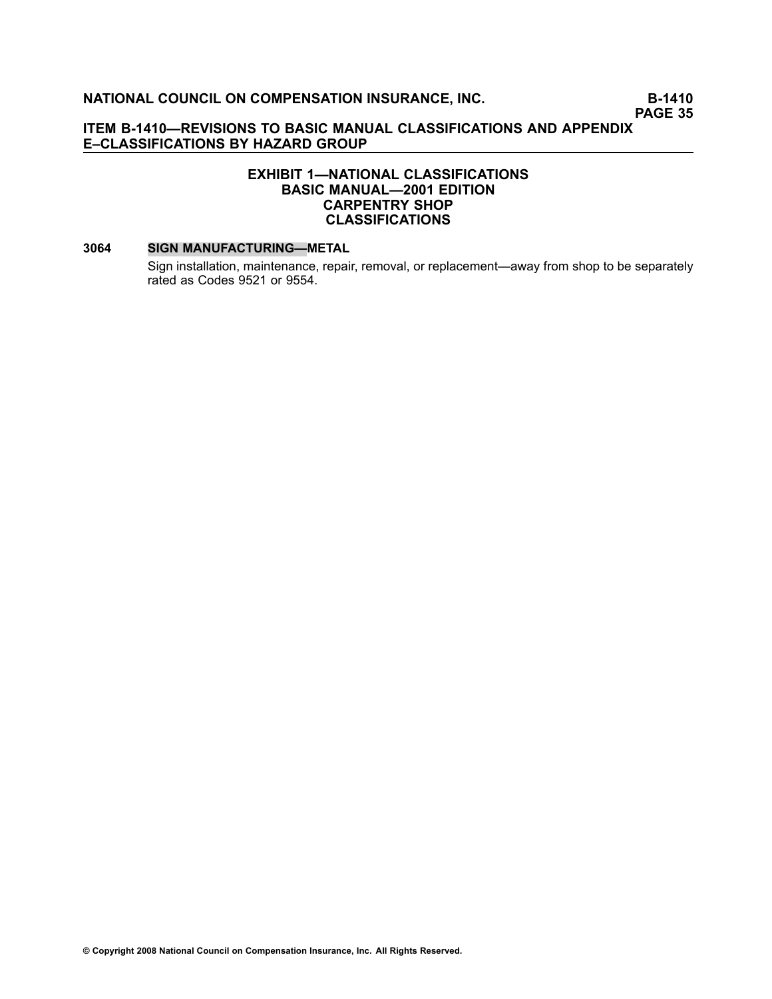# **EXHIBIT 1—NATIONAL CLASSIFICATIONS BASIC MANUAL—2001 EDITION CARPENTRY SHOP CLASSIFICATIONS**

#### **[3064](file:///C:/manuscript/hyperlink.asp?docid=3064<?Pub & EntityName=amp>manualtitle=scopesxml) SIGN MANUFACTURING—METAL**

Sign installation, maintenance, repair, removal, or replacement—away from shop to be separately rated as Codes [9521](file:///C:/manuscript/hyperlink.asp?docid=9521<?Pub & EntityName=amp>manualtitle=scopesxml) or [9554](file:///C:/manuscript/hyperlink.asp?docid=9554<?Pub & EntityName=amp>manualtitle=scopesxml).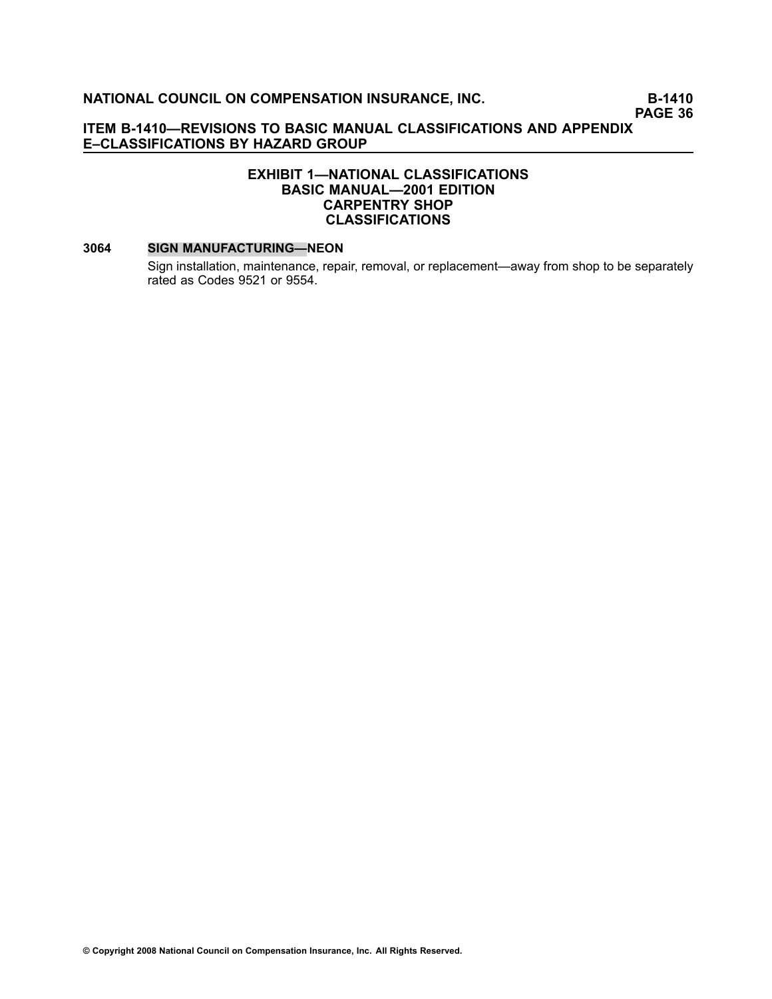### **ITEM B1410—REVISIONS TO BASIC MANUAL CLASSIFICATIONS AND APPENDIX E–CLASSIFICATIONS BY HAZARD GROUP**

### **EXHIBIT 1—NATIONAL CLASSIFICATIONS BASIC MANUAL—2001 EDITION CARPENTRY SHOP CLASSIFICATIONS**

#### **[3064](file:///C:/manuscript/hyperlink.asp?docid=3064<?Pub & EntityName=amp>manualtitle=scopesxml) SIGN MANUFACTURING—NEON**

Sign installation, maintenance, repair, removal, or replacement—away from shop to be separately rated as Codes [9521](file:///C:/manuscript/hyperlink.asp?docid=9521<?Pub & EntityName=amp>manualtitle=scopesxml) or [9554](file:///C:/manuscript/hyperlink.asp?docid=9554<?Pub & EntityName=amp>manualtitle=scopesxml).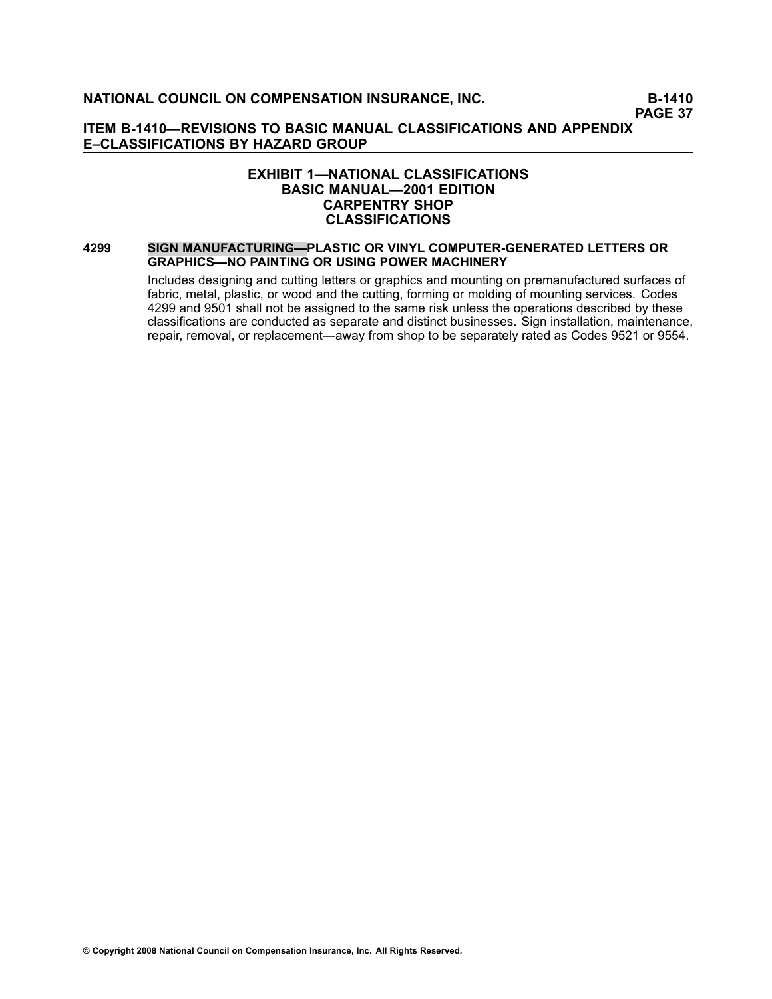**PAGE 37**

#### **ITEM B1410—REVISIONS TO BASIC MANUAL CLASSIFICATIONS AND APPENDIX E–CLASSIFICATIONS BY HAZARD GROUP**

### **EXHIBIT 1—NATIONAL CLASSIFICATIONS BASIC MANUAL—2001 EDITION CARPENTRY SHOP CLASSIFICATIONS**

#### **[4299](file:///C:/manuscript/hyperlink.asp?docid=4299<?Pub & EntityName=amp>manualtitle=scopesxml) SIGN MANUFACTURING—PLASTIC OR VINYL COMPUTERGENERATED LETTERS OR GRAPHICS—NO PAINTING OR USING POWER MACHINERY**

Includes designing and cutting letters or graphics and mounting on premanufactured surfaces of fabric, metal, plastic, or wood and the cutting, forming or molding of mounting services. Codes [4299](file:///C:/manuscript/hyperlink.asp?docid=4299<?Pub & EntityName=amp>manualtitle=scopesxml) and [9501](file:///C:/manuscript/hyperlink.asp?docid=9501<?Pub & EntityName=amp>manualtitle=scopesxml) shall not be assigned to the same risk unless the operations described by these classifications are conducted as separate and distinct businesses. Sign installation, maintenance, repair, removal, or replacement—away from shop to be separately rated as Codes [9521](file:///C:/manuscript/hyperlink.asp?docid=9521<?Pub & EntityName=amp>manualtitle=scopesxml) or [9554](file:///C:/manuscript/hyperlink.asp?docid=9554<?Pub & EntityName=amp>manualtitle=scopesxml).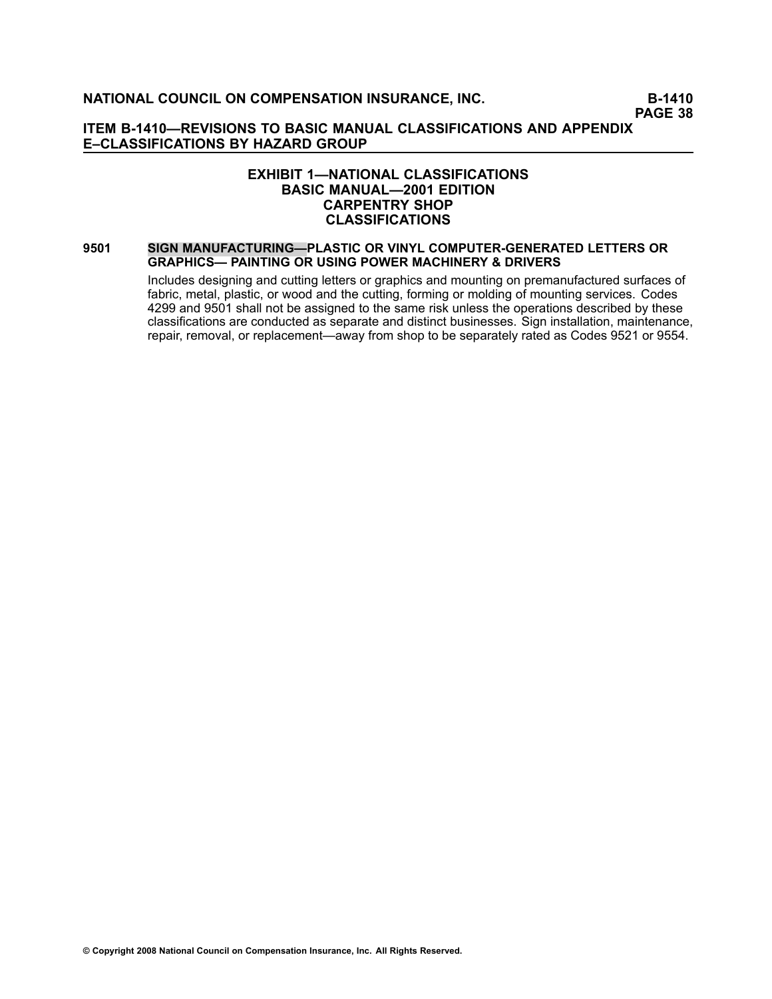**PAGE 38**

### **ITEM B1410—REVISIONS TO BASIC MANUAL CLASSIFICATIONS AND APPENDIX E–CLASSIFICATIONS BY HAZARD GROUP**

### **EXHIBIT 1—NATIONAL CLASSIFICATIONS BASIC MANUAL—2001 EDITION CARPENTRY SHOP CLASSIFICATIONS**

#### **[9501](file:///C:/manuscript/hyperlink.asp?docid=9501<?Pub & EntityName=amp>manualtitle=scopesxml) SIGN MANUFACTURING—PLASTIC OR VINYL COMPUTERGENERATED LETTERS OR GRAPHICS— PAINTING OR USING POWER MACHINERY & DRIVERS**

Includes designing and cutting letters or graphics and mounting on premanufactured surfaces of fabric, metal, plastic, or wood and the cutting, forming or molding of mounting services. Codes [4299](file:///C:/manuscript/hyperlink.asp?docid=4299<?Pub & EntityName=amp>manualtitle=scopesxml) and [9501](file:///C:/manuscript/hyperlink.asp?docid=9501<?Pub & EntityName=amp>manualtitle=scopesxml) shall not be assigned to the same risk unless the operations described by these classifications are conducted as separate and distinct businesses. Sign installation, maintenance, repair, removal, or replacement—away from shop to be separately rated as Codes [9521](file:///C:/manuscript/hyperlink.asp?docid=9521<?Pub & EntityName=amp>manualtitle=scopesxml) or [9554](file:///C:/manuscript/hyperlink.asp?docid=9554<?Pub & EntityName=amp>manualtitle=scopesxml).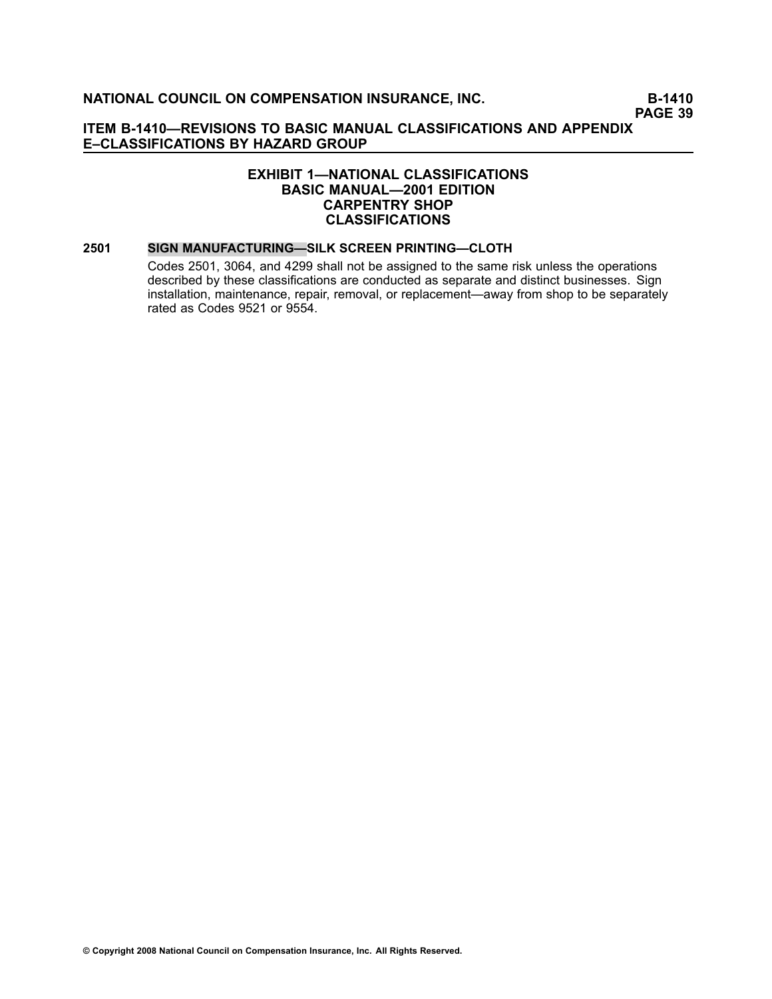### **EXHIBIT 1—NATIONAL CLASSIFICATIONS BASIC MANUAL—2001 EDITION CARPENTRY SHOP CLASSIFICATIONS**

#### **[2501](file:///C:/manuscript/hyperlink.asp?docid=2501<?Pub & EntityName=amp>manualtitle=scopesxml) SIGN MANUFACTURING—SILK SCREEN PRINTING—CLOTH**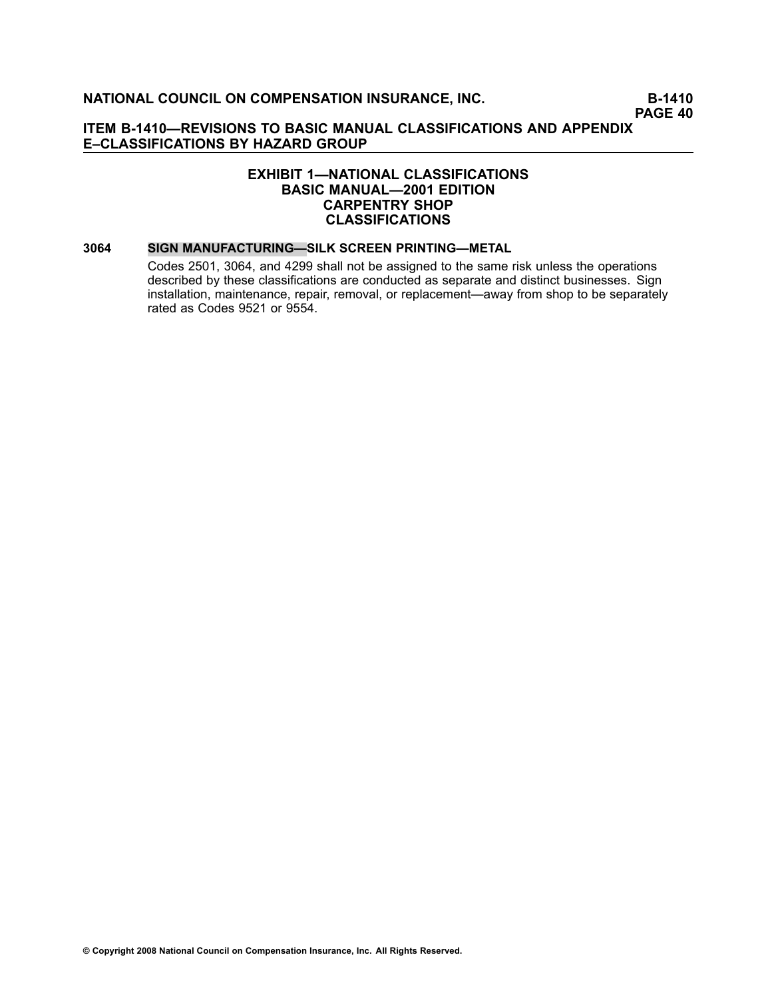### **EXHIBIT 1—NATIONAL CLASSIFICATIONS BASIC MANUAL—2001 EDITION CARPENTRY SHOP CLASSIFICATIONS**

#### **[3064](file:///C:/manuscript/hyperlink.asp?docid=3064<?Pub & EntityName=amp>manualtitle=scopesxml) SIGN MANUFACTURING—SILK SCREEN PRINTING—METAL**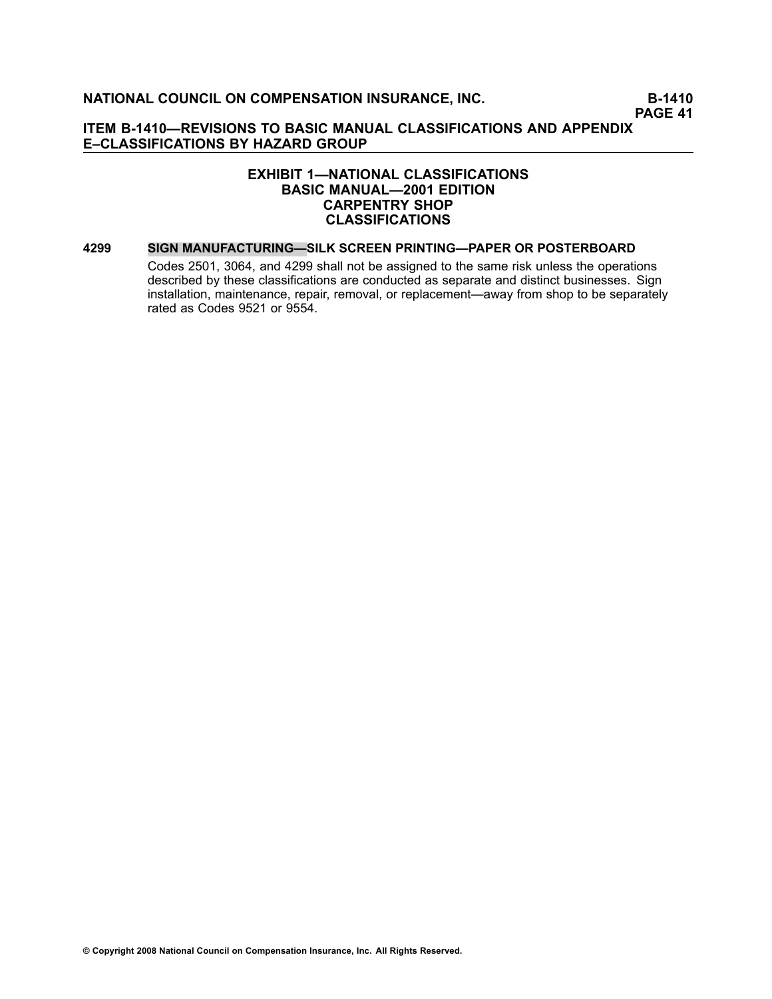### **EXHIBIT 1—NATIONAL CLASSIFICATIONS BASIC MANUAL—2001 EDITION CARPENTRY SHOP CLASSIFICATIONS**

#### **[4299](file:///C:/manuscript/hyperlink.asp?docid=4299<?Pub & EntityName=amp>manualtitle=scopesxml) SIGN MANUFACTURING—SILK SCREEN PRINTING—PAPER OR POSTERBOARD**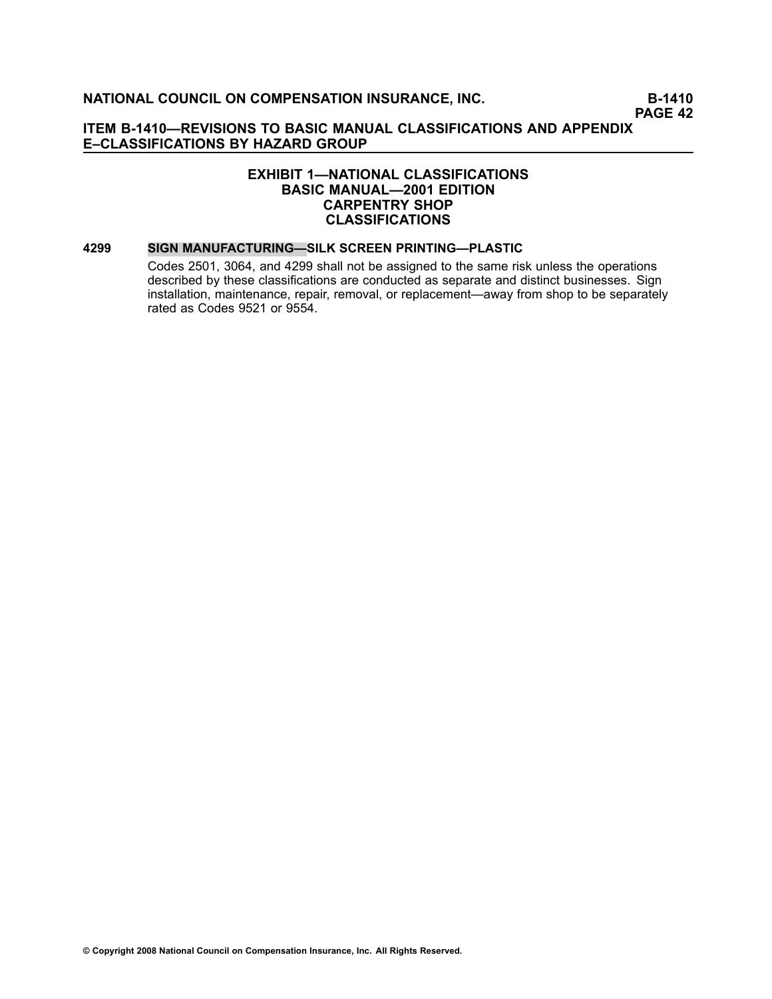### **EXHIBIT 1—NATIONAL CLASSIFICATIONS BASIC MANUAL—2001 EDITION CARPENTRY SHOP CLASSIFICATIONS**

#### **[4299](file:///C:/manuscript/hyperlink.asp?docid=4299<?Pub & EntityName=amp>manualtitle=scopesxml) SIGN MANUFACTURING—SILK SCREEN PRINTING—PLASTIC**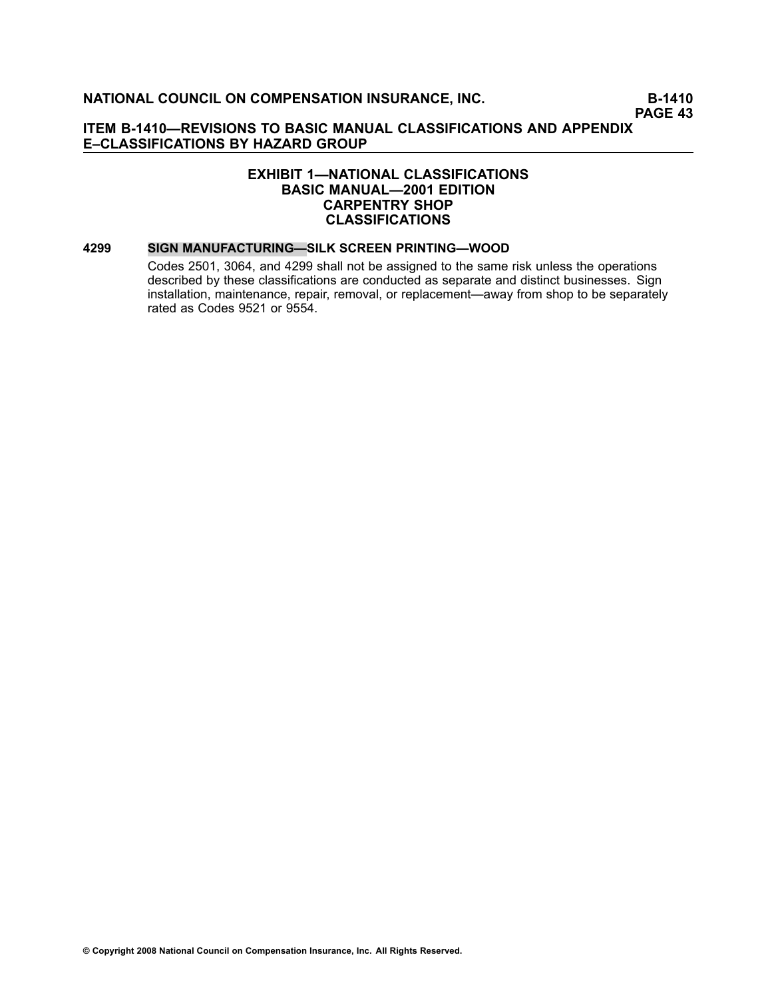### **EXHIBIT 1—NATIONAL CLASSIFICATIONS BASIC MANUAL—2001 EDITION CARPENTRY SHOP CLASSIFICATIONS**

#### **[4299](file:///C:/manuscript/hyperlink.asp?docid=4299<?Pub & EntityName=amp>manualtitle=scopesxml) SIGN MANUFACTURING—SILK SCREEN PRINTING—WOOD**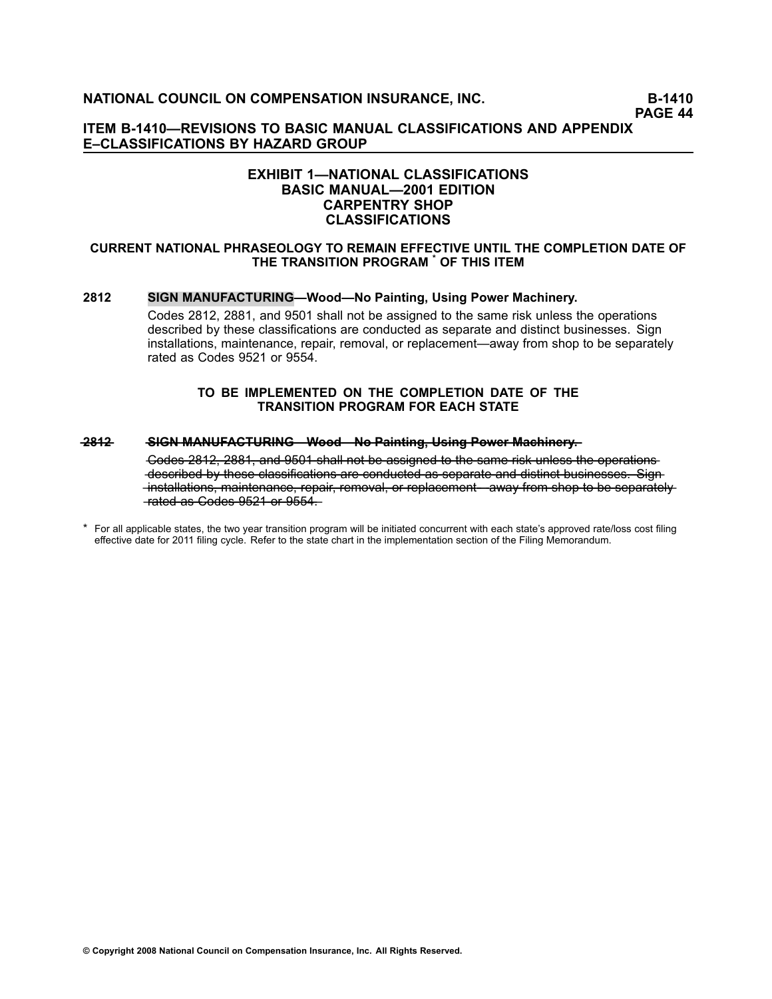### **ITEM B1410—REVISIONS TO BASIC MANUAL CLASSIFICATIONS AND APPENDIX E–CLASSIFICATIONS BY HAZARD GROUP**

### **EXHIBIT 1—NATIONAL CLASSIFICATIONS BASIC MANUAL—2001 EDITION CARPENTRY SHOP CLASSIFICATIONS**

#### **CURRENT NATIONAL PHRASEOLOGY TO REMAIN EFFECTIVE UNTIL THE COMPLETION DATE OF THE TRANSITION PROGRAM \* OF THIS ITEM**

#### **[2812](file:///C:/manuscript/hyperlink.asp?docid=2812<?Pub & EntityName=amp>manualtitle=scopesxml) SIGN MANUFACTURING—Wood—No Painting, Using Power Machinery.**

Codes 2812, 2881, and 9501 shall not be assigned to the same risk unless the operations described by these classifications are conducted as separate and distinct businesses. Sign installations, maintenance, repair, removal, or replacement—away from shop to be separately rated as Codes 9521 or 9554.

#### **TO BE IMPLEMENTED ON THE COMPLETION DATE OF THE TRANSITION PROGRAM FOR EACH STATE**

#### **[—2—8—1—2](file:///C:/manuscript/hyperlink.asp?docid=2812<?Pub & EntityName=amp>manualtitle=scopesxml) —S—I—G—N**—**—M—A—N—U—F—A—C—T—U—R—I—N—G—W——o—o—d—N——o**—**—P—a—i—n——ti—n—g—**—**,—U—s—i—n—g**—**—P—o—w—e—r**—**—M—a—c—h—i—n—e—r—y—.**

<sup>\*</sup> For all applicable states, the two year transition program will be initiated concurrent with each state's approved rate/loss cost filing effective date for 2011 filing cycle. Refer to the state chart in the implementation section of the Filing Memorandum.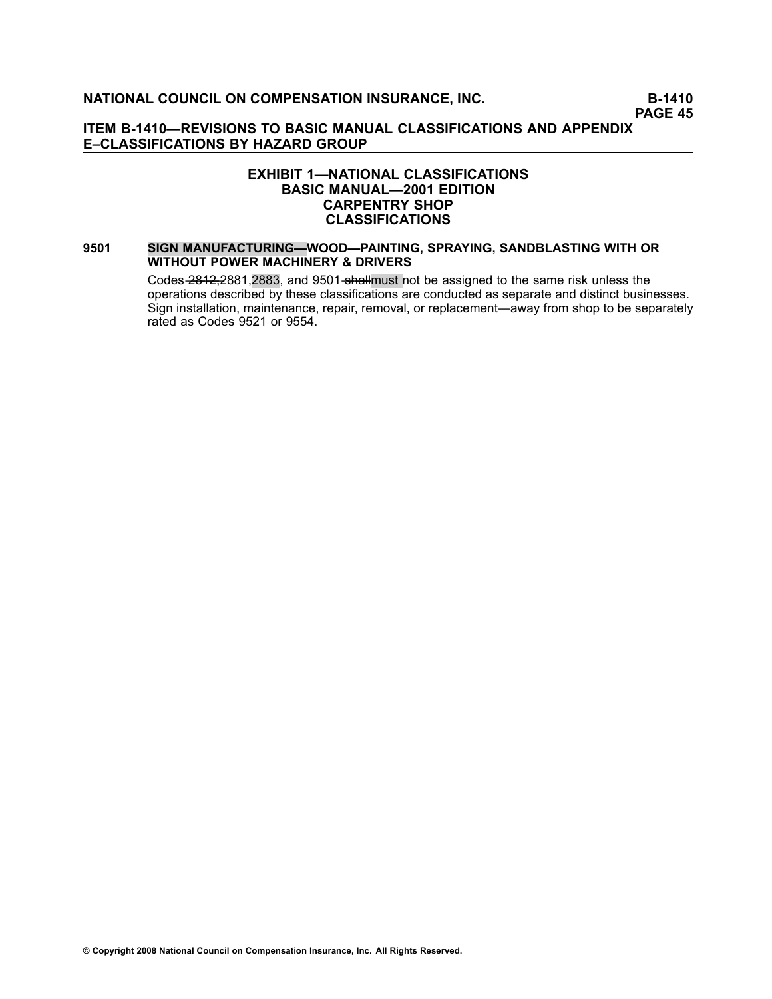### **EXHIBIT 1—NATIONAL CLASSIFICATIONS BASIC MANUAL—2001 EDITION CARPENTRY SHOP CLASSIFICATIONS**

#### **[9501](file:///C:/manuscript/hyperlink.asp?docid=9501<?Pub & EntityName=amp>manualtitle=scopesxml) SIGN MANUFACTURING—WOOD—PAINTING, SPRAYING, SANDBLASTING WITH OR WITHOUT POWER MACHINERY & DRIVERS**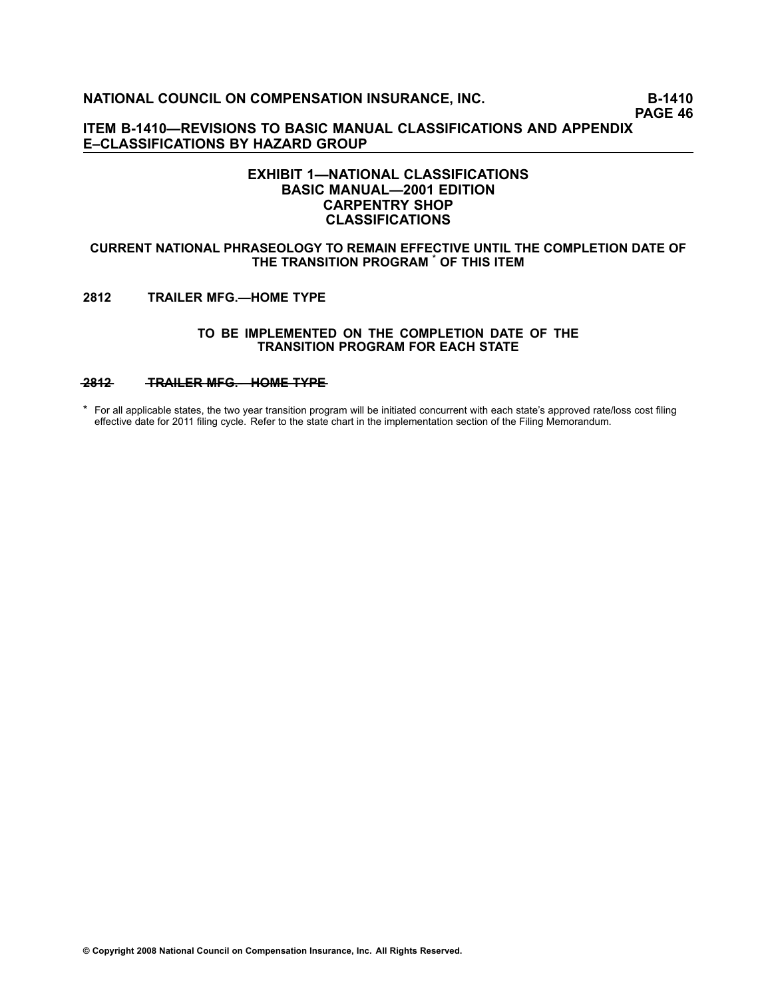**PAGE 46**

**ITEM B1410—REVISIONS TO BASIC MANUAL CLASSIFICATIONS AND APPENDIX E–CLASSIFICATIONS BY HAZARD GROUP**

### **EXHIBIT 1—NATIONAL CLASSIFICATIONS BASIC MANUAL—2001 EDITION CARPENTRY SHOP CLASSIFICATIONS**

#### **CURRENT NATIONAL PHRASEOLOGY TO REMAIN EFFECTIVE UNTIL THE COMPLETION DATE OF THE TRANSITION PROGRAM \* OF THIS ITEM**

#### **[2812](file:///C:/manuscript/hyperlink.asp?docid=2812<?Pub & EntityName=amp>manualtitle=scopesxml) TRAILER MFG.—HOME TYPE**

#### **TO BE IMPLEMENTED ON THE COMPLETION DATE OF THE TRANSITION PROGRAM FOR EACH STATE**

### **[—2—8—1—2](file:///C:/manuscript/hyperlink.asp?docid=2812<?Pub & EntityName=amp>manualtitle=scopesxml) —T—R—A—I—L—E—R**—**—M—F—G—.—H——O—M—E**—**—T—Y—P—E**

\* For all applicable states, the two year transition program will be initiated concurrent with each state's approved rate/loss cost filing effective date for 2011 filing cycle. Refer to the state chart in the implementation section of the Filing Memorandum.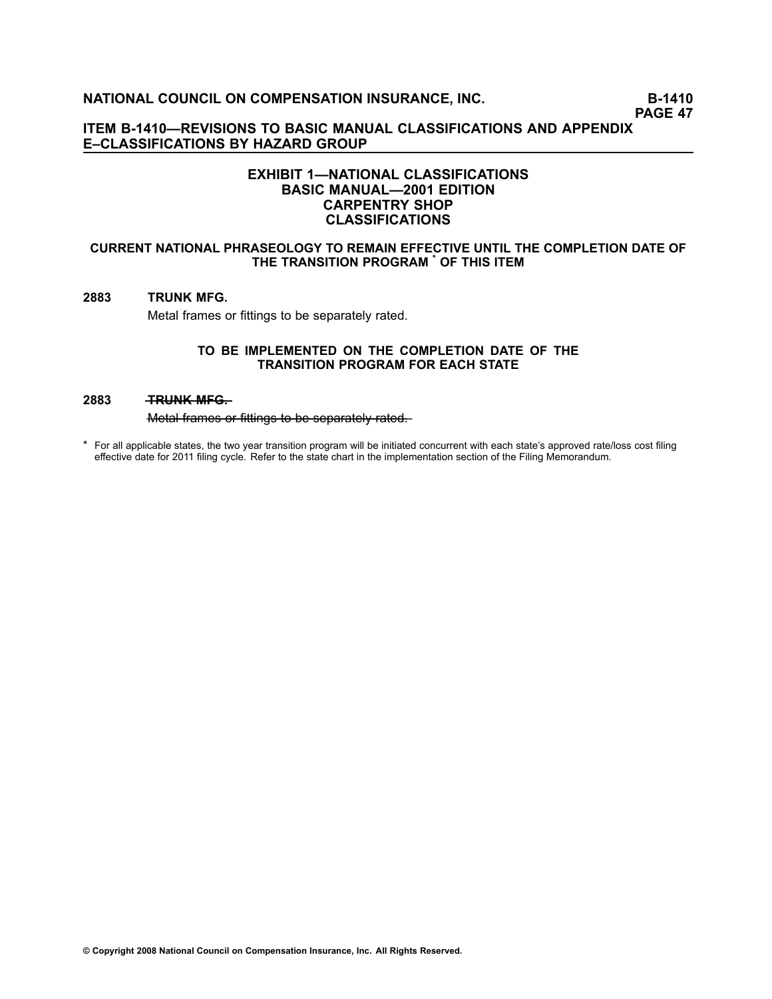### **ITEM B1410—REVISIONS TO BASIC MANUAL CLASSIFICATIONS AND APPENDIX E–CLASSIFICATIONS BY HAZARD GROUP**

### **EXHIBIT 1—NATIONAL CLASSIFICATIONS BASIC MANUAL—2001 EDITION CARPENTRY SHOP CLASSIFICATIONS**

#### **CURRENT NATIONAL PHRASEOLOGY TO REMAIN EFFECTIVE UNTIL THE COMPLETION DATE OF THE TRANSITION PROGRAM \* OF THIS ITEM**

### **[2883](file:///C:/manuscript/hyperlink.asp?docid=2883<?Pub & EntityName=amp>manualtitle=scopesxml) TRUNK MFG.**

Metal frames or fittings to be separately rated.

#### **TO BE IMPLEMENTED ON THE COMPLETION DATE OF THE TRANSITION PROGRAM FOR EACH STATE**

#### **[2883](file:///C:/manuscript/hyperlink.asp?docid=2883<?Pub & EntityName=amp>manualtitle=scopesxml) — TRUNK MFG—**

Metal frames or fittings to be separately rated.

\* For all applicable states, the two year transition program will be initiated concurrent with each state's approved rate/loss cost filing effective date for 2011 filing cycle. Refer to the state chart in the implementation section of the Filing Memorandum.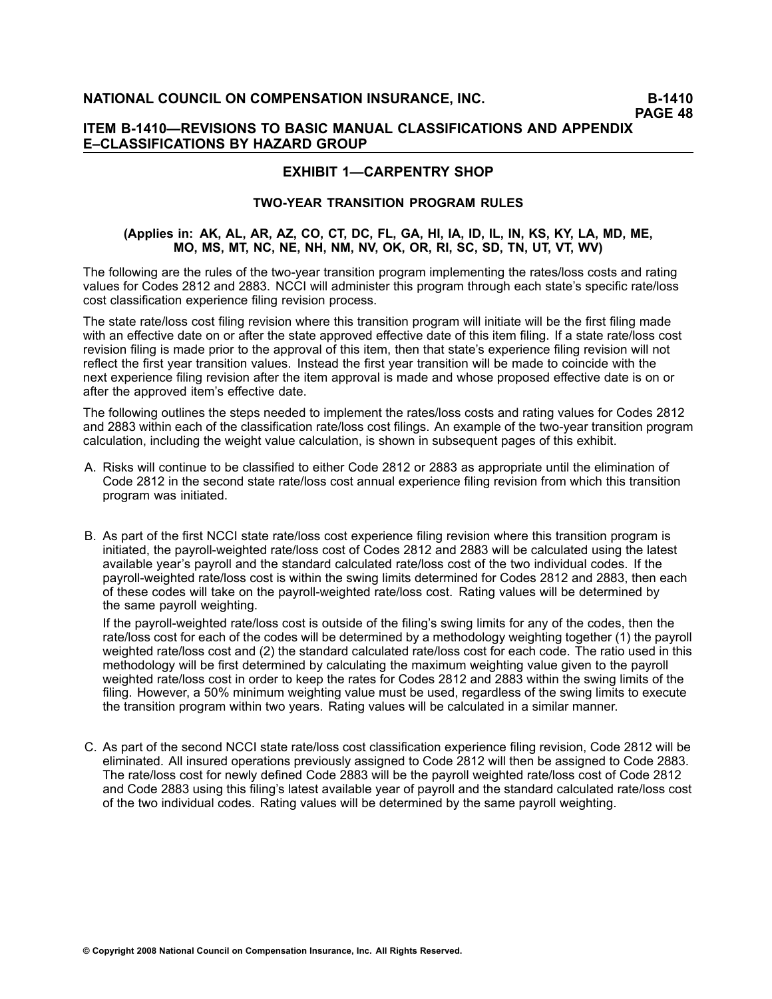### **ITEM B1410—REVISIONS TO BASIC MANUAL CLASSIFICATIONS AND APPENDIX E–CLASSIFICATIONS BY HAZARD GROUP**

# **EXHIBIT 1—CARPENTRY SHOP**

### **TWOYEAR TRANSITION PROGRAM RULES**

#### (Applies in: AK, AL, AR, AZ, CO, CT, DC, FL, GA, HI, IA, ID, IL, IN, KS, KY, LA, MD, ME, **MO, MS, MT, NC, NE, NH, NM, NV, OK, OR, RI, SC, SD, TN, UT, VT, WV)**

The following are the rules of the two-year transition program implementing the rates/loss costs and rating values for Codes 2812 and 2883. NCCI will administer this program through each state's specific rate/loss cost classification experience filing revision process.

The state rate/loss cost filing revision where this transition program will initiate will be the first filing made with an effective date on or after the state approved effective date of this item filing. If <sup>a</sup> state rate/loss cost revision filing is made prior to the approval of this item, then that state's experience filing revision will not reflect the first year transition values. Instead the first year transition will be made to coincide with the next experience filing revision after the item approval is made and whose proposed effective date is on or after the approved item's effective date.

The following outlines the steps needed to implement the rates/loss costs and rating values for Codes 2812 and 2883 within each of the classification rate/loss cost filings. An example of the two-year transition program calculation, including the weight value calculation, is shown in subsequent pages of this exhibit.

- A. Risks will continue to be classified to either Code 2812 or 2883 as appropriate until the elimination of Code 2812 in the second state rate/loss cost annual experience filing revision from which this transition program was initiated.
- B. As part of the first NCCI state rate/loss cost experience filing revision where this transition program is initiated, the payroll-weighted rate/loss cost of Codes 2812 and 2883 will be calculated using the latest available year's payroll and the standard calculated rate/loss cost of the two individual codes. If the payrollweighted rate/loss cost is within the swing limits determined for Codes 2812 and 2883, then each of these codes will take on the payroll-weighted rate/loss cost. Rating values will be determined by the same payroll weighting.

If the payroll-weighted rate/loss cost is outside of the filing's swing limits for any of the codes, then the rate/loss cost for each of the codes will be determined by <sup>a</sup> methodology weighting together (1) the payroll weighted rate/loss cost and (2) the standard calculated rate/loss cost for each code. The ratio used in this methodology will be first determined by calculating the maximum weighting value given to the payroll weighted rate/loss cost in order to keep the rates for Codes 2812 and 2883 within the swing limits of the filing. However, <sup>a</sup> 50% minimum weighting value must be used, regardless of the swing limits to execute the transition program within two years. Rating values will be calculated in <sup>a</sup> similar manner.

C. As part of the second NCCI state rate/loss cost classification experience filing revision, Code 2812 will be eliminated. All insured operations previously assigned to Code 2812 will then be assigned to Code 2883. The rate/loss cost for newly defined Code 2883 will be the payroll weighted rate/loss cost of Code 2812 and Code 2883 using this filing's latest available year of payroll and the standard calculated rate/loss cost of the two individual codes. Rating values will be determined by the same payroll weighting.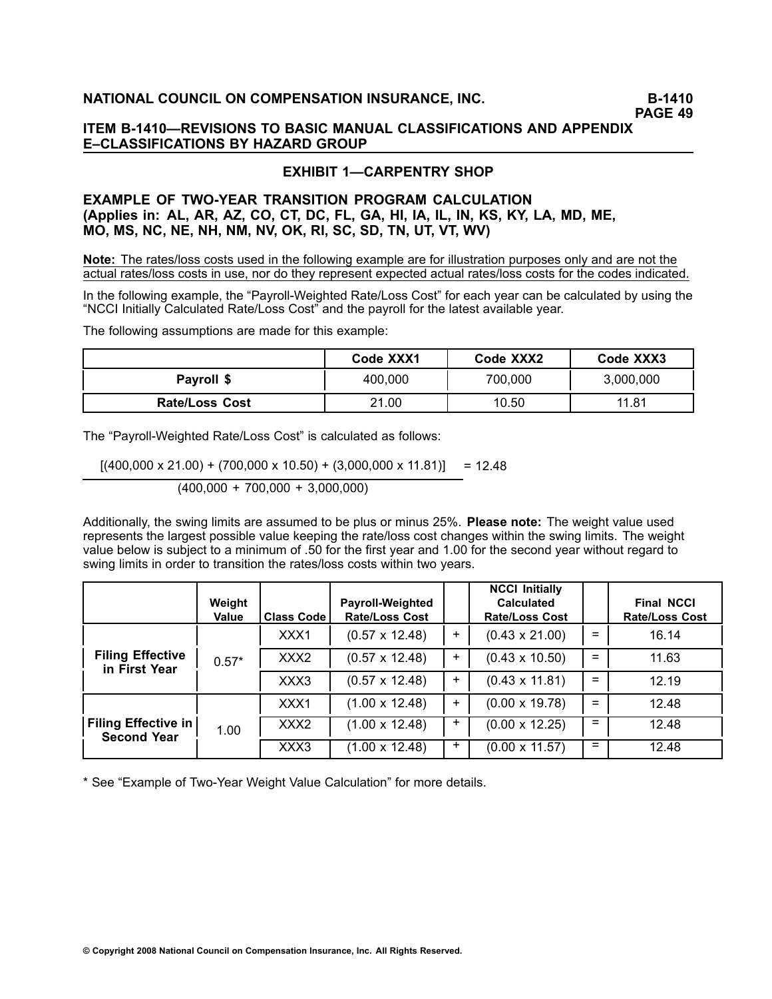# **EXHIBIT 1—CARPENTRY SHOP**

# **EXAMPLE OF TWOYEAR TRANSITION PROGRAM CALCULATION (Applies in: AL, AR, AZ, CO, CT, DC, FL, GA, HI, IA, IL, IN, KS, KY, LA, MD, ME, MO, MS, NC, NE, NH, NM, NV, OK, RI, SC, SD, TN, UT, VT, WV)**

**Note:** The rates/loss costs used in the following example are for illustration purposes only and are not the actual rates/loss costs in use, nor do they represent expected actual rates/loss costs for the codes indicated.

In the following example, the "Payroll-Weighted Rate/Loss Cost" for each year can be calculated by using the "NCCI Initially Calculated Rate/Loss Cost" and the payroll for the latest available year.

The following assumptions are made for this example:

|                       | Code XXX1 | Code XXX2 | Code XXX3 |
|-----------------------|-----------|-----------|-----------|
| Payroll \$            | 400,000   | 700,000   | 3,000,000 |
| <b>Rate/Loss Cost</b> | 21.00     | 10.50     | 11.81     |

The "Payroll-Weighted Rate/Loss Cost" is calculated as follows:

 $[(400,000 \times 21.00) + (700,000 \times 10.50) + (3,000,000 \times 11.81)] = 12.48$ 

(400,000 <sup>+</sup> 700,000 <sup>+</sup> 3,000,000)

Additionally, the swing limits are assumed to be plus or minus 25%. **Please note:** The weight value used represents the largest possible value keeping the rate/loss cost changes within the swing limits. The weight value below is subject to <sup>a</sup> minimum of .50 for the first year and 1.00 for the second year without regard to swing limits in order to transition the rates/loss costs within two years.

|                                                  | Weight<br>Value | <b>Class Code</b> | <b>Payroll-Weighted</b><br><b>Rate/Loss Cost</b> |       | <b>NCCI Initially</b><br><b>Calculated</b><br><b>Rate/Loss Cost</b> |     | <b>Final NCCI</b><br><b>Rate/Loss Cost</b> |
|--------------------------------------------------|-----------------|-------------------|--------------------------------------------------|-------|---------------------------------------------------------------------|-----|--------------------------------------------|
| <b>Filing Effective</b><br>in First Year         | $0.57*$         | XXX1              | $(0.57 \times 12.48)$                            | $\pm$ | $(0.43 \times 21.00)$                                               | $=$ | 16.14                                      |
|                                                  |                 | XXX <sub>2</sub>  | $(0.57 \times 12.48)$                            | $+$   | $(0.43 \times 10.50)$                                               | $=$ | 11.63                                      |
|                                                  |                 | XXX3              | $(0.57 \times 12.48)$                            | $+$   | $(0.43 \times 11.81)$                                               | $=$ | 12.19                                      |
| <b>Filing Effective in</b><br><b>Second Year</b> |                 | XXX1              | $(1.00 \times 12.48)$                            | $\pm$ | $(0.00 \times 19.78)$                                               | $=$ | 12.48                                      |
|                                                  | 1.00            | XXX2              | $(1.00 \times 12.48)$                            | ٠     | $(0.00 \times 12.25)$                                               | $=$ | 12.48                                      |
|                                                  |                 | XXX3              | $(1.00 \times 12.48)$                            | $\pm$ | $(0.00 \times 11.57)$                                               | $=$ | 12.48                                      |

\* See "Example of Two-Year Weight Value Calculation" for more details.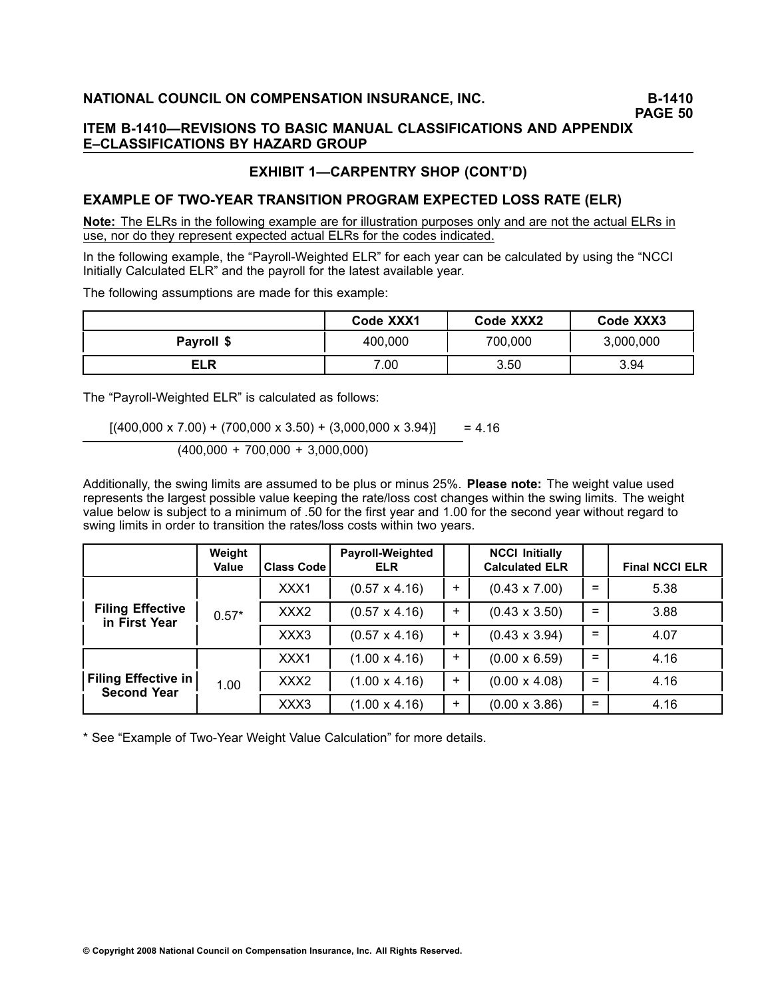**PAGE 50**

### **ITEM B1410—REVISIONS TO BASIC MANUAL CLASSIFICATIONS AND APPENDIX E–CLASSIFICATIONS BY HAZARD GROUP**

## **EXHIBIT 1—CARPENTRY SHOP (CONT'D)**

### **EXAMPLE OF TWOYEAR TRANSITION PROGRAM EXPECTED LOSS RATE (ELR)**

**Note:** The ELRs in the following example are for illustration purposes only and are not the actual ELRs in use, nor do they represent expected actual ELRs for the codes indicated.

In the following example, the "Payroll-Weighted ELR" for each year can be calculated by using the "NCCI Initially Calculated ELR" and the payroll for the latest available year.

The following assumptions are made for this example:

|            | Code XXX1 | Code XXX2 | Code XXX3 |
|------------|-----------|-----------|-----------|
| Payroll \$ | 400,000   | 700,000   | 3,000,000 |
| <b>ELR</b> | 7.00      | 3.50      | 3.94      |

The "Payroll-Weighted ELR" is calculated as follows:

 $[(400,000 \times 7.00) + (700,000 \times 3.50) + (3,000,000 \times 3.94)] = 4.16$ 

$$
(400,000 + 700,000 + 3,000,000)
$$

Additionally, the swing limits are assumed to be plus or minus 25%. **Please note:** The weight value used represents the largest possible value keeping the rate/loss cost changes within the swing limits. The weight value below is subject to <sup>a</sup> minimum of .50 for the first year and 1.00 for the second year without regard to swing limits in order to transition the rates/loss costs within two years.

|                                                  | Weight<br>Value | <b>Class Code</b> | Payroll-Weighted<br><b>ELR</b> |           | <b>NCCI Initially</b><br><b>Calculated ELR</b> |     | <b>Final NCCI ELR</b> |
|--------------------------------------------------|-----------------|-------------------|--------------------------------|-----------|------------------------------------------------|-----|-----------------------|
| <b>Filing Effective</b><br>in First Year         | $0.57*$         | XXX1              | $(0.57 \times 4.16)$           | $\pm$     | $(0.43 \times 7.00)$                           | $=$ | 5.38                  |
|                                                  |                 | XXX <sub>2</sub>  | $(0.57 \times 4.16)$           | $\ddot{}$ | $(0.43 \times 3.50)$                           | $=$ | 3.88                  |
|                                                  |                 | XXX3              | $(0.57 \times 4.16)$           | $\ddot{}$ | $(0.43 \times 3.94)$                           | $=$ | 4.07                  |
| <b>Filing Effective in</b><br><b>Second Year</b> |                 | XXX1              | $(1.00 \times 4.16)$           | ÷.        | $(0.00 \times 6.59)$                           | $=$ | 4.16                  |
|                                                  | 1.00            | XXX <sub>2</sub>  | $(1.00 \times 4.16)$           | $\ddot{}$ | $(0.00 \times 4.08)$                           | $=$ | 4.16                  |
|                                                  |                 | XXX3              | $(1.00 \times 4.16)$           | $\ddot{}$ | $(0.00 \times 3.86)$                           | $=$ | 4.16                  |

\* See "Example of Two-Year Weight Value Calculation" for more details.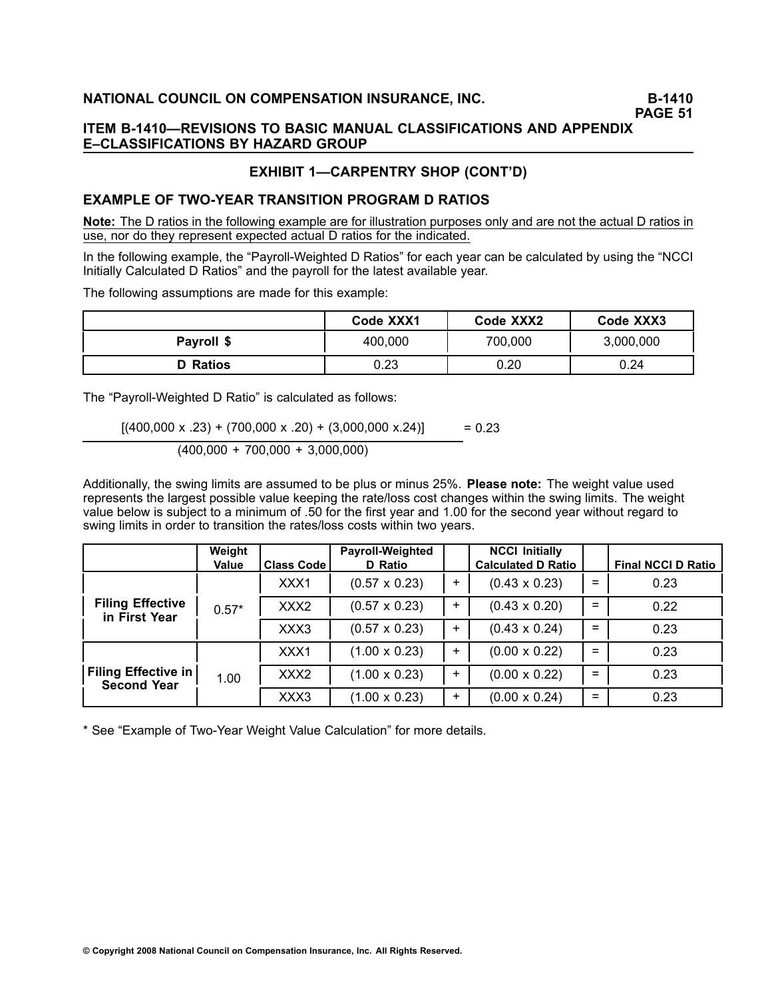**PAGE 51**

### **ITEM B1410—REVISIONS TO BASIC MANUAL CLASSIFICATIONS AND APPENDIX E–CLASSIFICATIONS BY HAZARD GROUP**

# **EXHIBIT 1—CARPENTRY SHOP (CONT'D)**

### **EXAMPLE OF TWOYEAR TRANSITION PROGRAM D RATIOS**

**Note:** The D ratios in the following example are for illustration purposes only and are not the actual Dratios in use, nor do they represent expected actual D ratios for the indicated.

In the following example, the "Payroll-Weighted D Ratios" for each year can be calculated by using the "NCCI Initially Calculated D Ratios" and the payroll for the latest available year.

The following assumptions are made for this example:

|                 | Code XXX1 | Code XXX2 | Code XXX3 |
|-----------------|-----------|-----------|-----------|
| Payroll \$      | 400,000   | 700,000   | 3,000,000 |
| <b>D</b> Ratios | 0.23      | 0.20      | 0.24      |

The "Payroll-Weighted D Ratio" is calculated as follows:

 $[(400,000 \times .23) + (700,000 \times .20) + (3,000,000 \times .24)] = 0.23$ 

$$
(400,000 + 700,000 + 3,000,000)
$$

Additionally, the swing limits are assumed to be plus or minus 25%. **Please note:** The weight value used represents the largest possible value keeping the rate/loss cost changes within the swing limits. The weight value below is subject to <sup>a</sup> minimum of .50 for the first year and 1.00 for the second year without regard to swing limits in order to transition the rates/loss costs within two years.

|                                                  | Weight<br>Value | <b>Class Code</b> | <b>Payroll-Weighted</b><br>D Ratio |           | <b>NCCI Initially</b><br><b>Calculated D Ratio</b> |     | <b>Final NCCI D Ratio</b> |
|--------------------------------------------------|-----------------|-------------------|------------------------------------|-----------|----------------------------------------------------|-----|---------------------------|
|                                                  | $0.57*$         | XXX1              | $(0.57 \times 0.23)$               | $\ddot{}$ | $(0.43 \times 0.23)$                               | $=$ | 0.23                      |
| <b>Filing Effective</b><br>in First Year         |                 | XXX <sub>2</sub>  | $(0.57 \times 0.23)$               | $+$       | $(0.43 \times 0.20)$                               | $=$ | 0.22                      |
|                                                  |                 | XXX3              | $(0.57 \times 0.23)$               | $\pm$     | $(0.43 \times 0.24)$                               | $=$ | 0.23                      |
|                                                  |                 | XXX1              | $(1.00 \times 0.23)$               | $\pm$     | $(0.00 \times 0.22)$                               | $=$ | 0.23                      |
| <b>Filing Effective in</b><br><b>Second Year</b> | 1.00            | XXX <sub>2</sub>  | $(1.00 \times 0.23)$               | $\pm$     | $(0.00 \times 0.22)$                               | $=$ | 0.23                      |
|                                                  |                 | XXX3              | $(1.00 \times 0.23)$               | $+$       | $(0.00 \times 0.24)$                               | $=$ | 0.23                      |

\* See "Example of Two-Year Weight Value Calculation" for more details.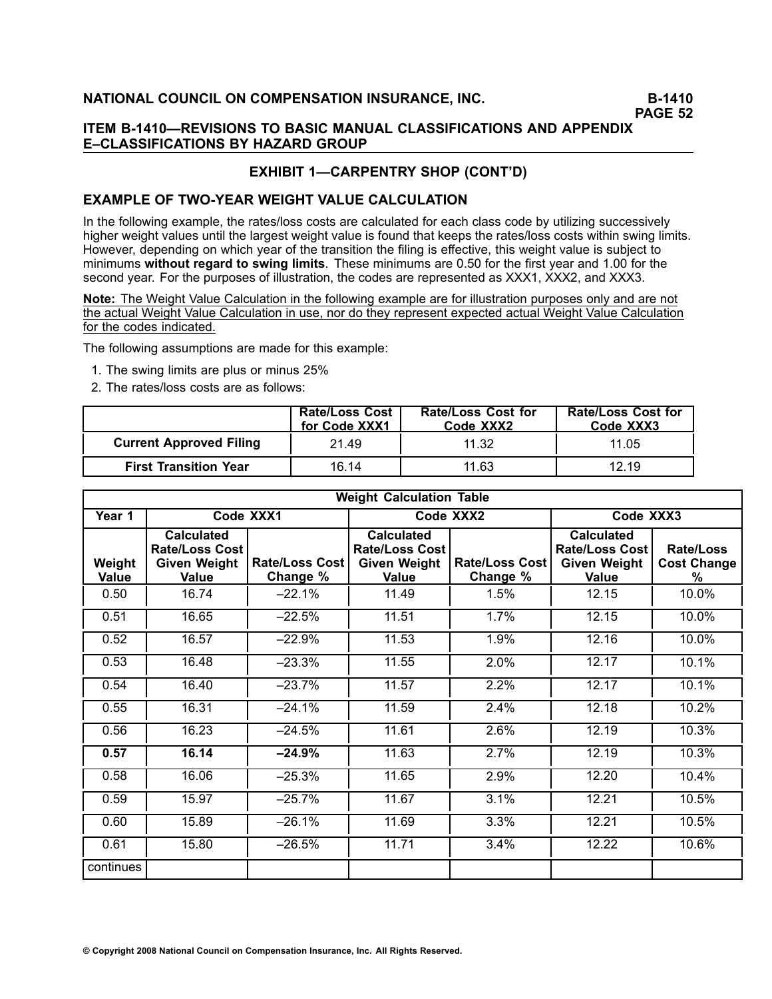### **ITEM B1410—REVISIONS TO BASIC MANUAL CLASSIFICATIONS AND APPENDIX E–CLASSIFICATIONS BY HAZARD GROUP**

# **EXHIBIT 1—CARPENTRY SHOP (CONT'D)**

### **EXAMPLE OF TWO-YEAR WEIGHT VALUE CALCULATION**

In the following example, the rates/loss costs are calculated for each class code by utilizing successively higher weight values until the largest weight value is found that keeps the rates/loss costs within swing limits. However, depending on which year of the transition the filing is effective, this weight value is subject to minimums **without regard to swing limits**. These minimums are 0.50 for the first year and 1.00 for the second year. For the purposes of illustration, the codes are represented as XXX1, XXX2, and XXX3.

**Note:** The Weight Value Calculation in the following example are for illustration purposes only and are not the actual Weight Value Calculation in use, nor do they represent expected actual Weight Value Calculation for the codes indicated.

The following assumptions are made for this example:

- 1. The swing limits are plus or minus 25%
- 2. The rates/loss costs are as follows:

|                                | <b>Rate/Loss Cost</b><br>for Code XXX1 | <b>Rate/Loss Cost for</b><br>Code XXX2 | <b>Rate/Loss Cost for</b><br>Code XXX3 |
|--------------------------------|----------------------------------------|----------------------------------------|----------------------------------------|
| <b>Current Approved Filing</b> | 21.49                                  | 11.32                                  | 11.05                                  |
| <b>First Transition Year</b>   | 16.14                                  | 11.63                                  | 12.19                                  |

|                        | <b>Weight Calculation Table</b>                                            |                                   |                                                                            |                            |                                                                            |                                      |  |
|------------------------|----------------------------------------------------------------------------|-----------------------------------|----------------------------------------------------------------------------|----------------------------|----------------------------------------------------------------------------|--------------------------------------|--|
| Year 1                 | Code XXX1                                                                  |                                   | Code XXX2                                                                  |                            | Code XXX3                                                                  |                                      |  |
| Weight<br><b>Value</b> | <b>Calculated</b><br><b>Rate/Loss Cost</b><br><b>Given Weight</b><br>Value | <b>Rate/Loss Cost</b><br>Change % | <b>Calculated</b><br><b>Rate/Loss Cost</b><br><b>Given Weight</b><br>Value | Rate/Loss Cost<br>Change % | <b>Calculated</b><br><b>Rate/Loss Cost</b><br><b>Given Weight</b><br>Value | Rate/Loss<br><b>Cost Change</b><br>℅ |  |
| 0.50                   | 16.74                                                                      | $-22.1%$                          | 11.49                                                                      | 1.5%                       | 12.15                                                                      | 10.0%                                |  |
| 0.51                   | 16.65                                                                      | $-22.5%$                          | 11.51                                                                      | 1.7%                       | 12.15                                                                      | 10.0%                                |  |
| 0.52                   | 16.57                                                                      | $-22.9%$                          | 11.53                                                                      | 1.9%                       | 12.16                                                                      | 10.0%                                |  |
| 0.53                   | 16.48                                                                      | $-23.3%$                          | 11.55                                                                      | 2.0%                       | 12.17                                                                      | 10.1%                                |  |
| 0.54                   | 16.40                                                                      | $-23.7%$                          | 11.57                                                                      | 2.2%                       | 12.17                                                                      | 10.1%                                |  |
| 0.55                   | 16.31                                                                      | $-24.1%$                          | 11.59                                                                      | 2.4%                       | 12.18                                                                      | 10.2%                                |  |
| 0.56                   | 16.23                                                                      | $-24.5%$                          | 11.61                                                                      | 2.6%                       | 12.19                                                                      | 10.3%                                |  |
| 0.57                   | 16.14                                                                      | $-24.9%$                          | 11.63                                                                      | 2.7%                       | 12.19                                                                      | 10.3%                                |  |
| 0.58                   | 16.06                                                                      | $-25.3%$                          | 11.65                                                                      | 2.9%                       | 12.20                                                                      | 10.4%                                |  |
| 0.59                   | 15.97                                                                      | $-25.7%$                          | 11.67                                                                      | 3.1%                       | 12.21                                                                      | 10.5%                                |  |
| 0.60                   | 15.89                                                                      | $-26.1%$                          | 11.69                                                                      | 3.3%                       | 12.21                                                                      | 10.5%                                |  |
| 0.61                   | 15.80                                                                      | $-26.5%$                          | 11.71                                                                      | 3.4%                       | 12.22                                                                      | 10.6%                                |  |
| continues              |                                                                            |                                   |                                                                            |                            |                                                                            |                                      |  |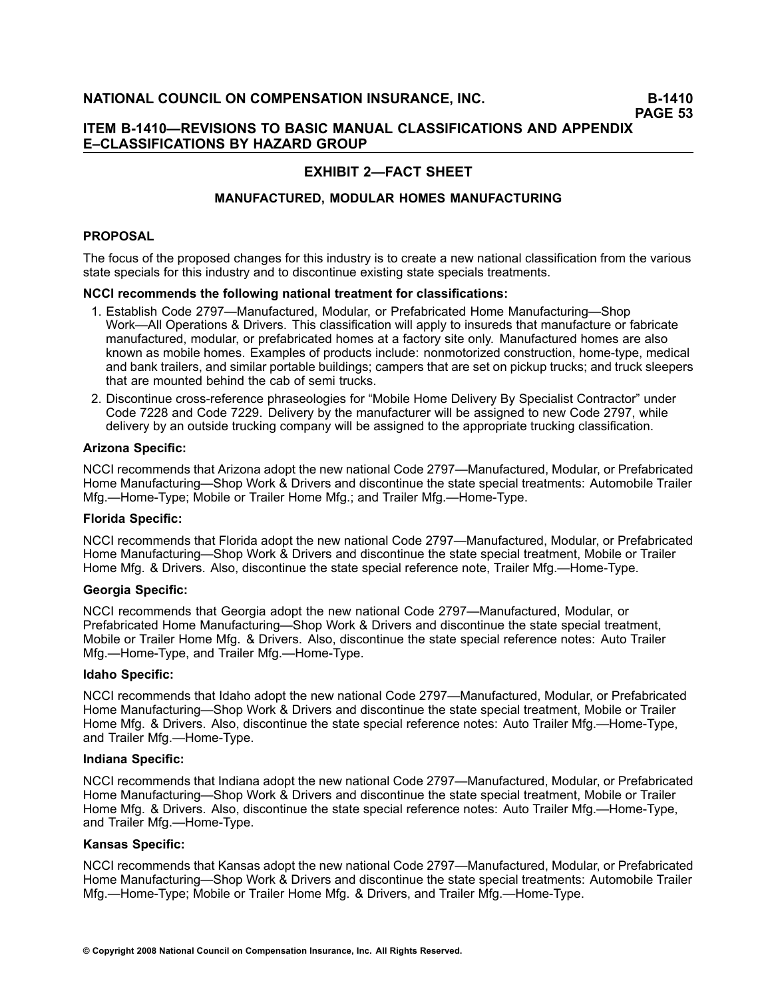### **ITEM B1410—REVISIONS TO BASIC MANUAL CLASSIFICATIONS AND APPENDIX E–CLASSIFICATIONS BY HAZARD GROUP**

# **EXHIBIT 2—FACT SHEET**

### **MANUFACTURED, MODULAR HOMES MANUFACTURING**

### **PROPOSAL**

The focus of the proposed changes for this industry is to create <sup>a</sup> new national classification from the various state specials for this industry and to discontinue existing state specials treatments.

#### **NCCI recommends the following national treatment for classifications:**

- 1. Establish Code 2797—Manufactured, Modular, or Prefabricated Home Manufacturing—Shop Work—All Operations & Drivers. This classification will apply to insureds that manufacture or fabricate manufactured, modular, or prefabricated homes at <sup>a</sup> factory site only. Manufactured homes are also known as mobile homes. Examples of products include: nonmotorized construction, home-type, medical and bank trailers, and similar portable buildings; campers that are set on pickup trucks; and truck sleepers that are mounted behind the cab of semi trucks.
- 2. Discontinue cross-reference phraseologies for "Mobile Home Delivery By Specialist Contractor" under Code 7228 and Code 7229. Delivery by the manufacturer will be assigned to new Code 2797, while delivery by an outside trucking company will be assigned to the appropriate trucking classification.

#### **Arizona Specific:**

NCCI recommends that Arizona adopt the new national Code 2797—Manufactured, Modular, or Prefabricated Home Manufacturing—Shop Work & Drivers and discontinue the state special treatments: Automobile Trailer Mfg.—Home-Type; Mobile or Trailer Home Mfg.; and Trailer Mfg.—Home-Type.

#### **Florida Specific:**

NCCI recommends that Florida adopt the new national Code 2797—Manufactured, Modular, or Prefabricated Home Manufacturing—Shop Work & Drivers and discontinue the state special treatment, Mobile or Trailer Home Mfg. & Drivers. Also, discontinue the state special reference note, Trailer Mfg.—Home-Type.

#### **Georgia Specific:**

NCCI recommends that Georgia adopt the new national Code 2797—Manufactured, Modular, or Prefabricated Home Manufacturing—Shop Work & Drivers and discontinue the state special treatment, Mobile or Trailer Home Mfg. & Drivers. Also, discontinue the state special reference notes: Auto Trailer Mfg.—Home-Type, and Trailer Mfg.—Home-Type.

#### **Idaho Specific:**

NCCI recommends that Idaho adopt the new national Code 2797—Manufactured, Modular, or Prefabricated Home Manufacturing—Shop Work & Drivers and discontinue the state special treatment, Mobile or Trailer Home Mfg. & Drivers. Also, discontinue the state special reference notes: Auto Trailer Mfg.—Home-Type, and Trailer Mfg.-Home-Type.

#### **Indiana Specific:**

NCCI recommends that Indiana adopt the new national Code 2797—Manufactured, Modular, or Prefabricated Home Manufacturing—Shop Work & Drivers and discontinue the state special treatment, Mobile or Trailer Home Mfg. & Drivers. Also, discontinue the state special reference notes: Auto Trailer Mfg.—Home-Type, and Trailer Mfg.—Home-Type.

#### **Kansas Specific:**

NCCI recommends that Kansas adopt the new national Code 2797—Manufactured, Modular, or Prefabricated Home Manufacturing—Shop Work & Drivers and discontinue the state special treatments: Automobile Trailer Mfg.—Home-Type; Mobile or Trailer Home Mfg. & Drivers, and Trailer Mfg.—Home-Type.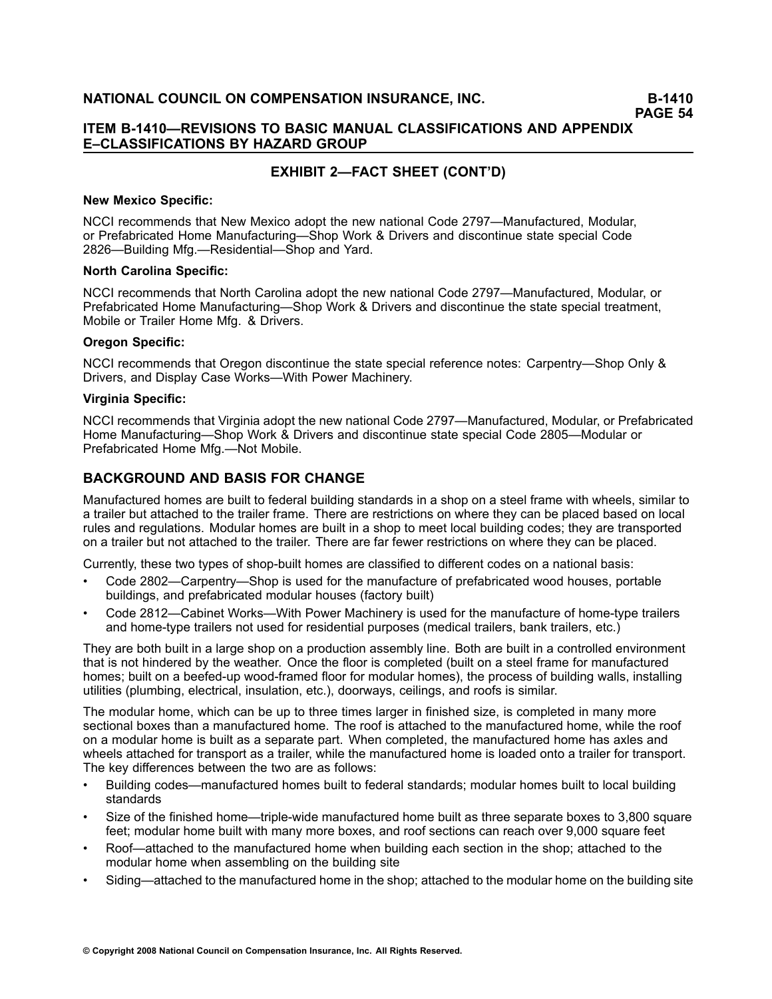### **ITEM B1410—REVISIONS TO BASIC MANUAL CLASSIFICATIONS AND APPENDIX E–CLASSIFICATIONS BY HAZARD GROUP**

# **EXHIBIT 2—FACT SHEET (CONT'D)**

#### **New Mexico Specific:**

NCCI recommends that New Mexico adopt the new national Code 2797—Manufactured, Modular, or Prefabricated Home Manufacturing—Shop Work & Drivers and discontinue state special Code 2826—Building Mfg.—Residential—Shop and Yard.

### **North Carolina Specific:**

NCCI recommends that North Carolina adopt the new national Code 2797—Manufactured, Modular, or Prefabricated Home Manufacturing—Shop Work & Drivers and discontinue the state special treatment, Mobile or Trailer Home Mfg. & Drivers.

### **Oregon Specific:**

NCCI recommends that Oregon discontinue the state special reference notes: Carpentry—Shop Only & Drivers, and Display Case Works—With Power Machinery.

### **Virginia Specific:**

NCCI recommends that Virginia adopt the new national Code 2797—Manufactured, Modular, or Prefabricated Home Manufacturing—Shop Work & Drivers and discontinue state special Code 2805—Modular or Prefabricated Home Mfg.—Not Mobile.

# **BACKGROUND AND BASIS FOR CHANGE**

Manufactured homes are built to federal building standards in <sup>a</sup> shop on <sup>a</sup> steel frame with wheels, similar to <sup>a</sup> trailer but attached to the trailer frame. There are restrictions on where they can be placed based on local rules and regulations. Modular homes are built in <sup>a</sup> shop to meet local building codes; they are transported on <sup>a</sup> trailer but not attached to the trailer. There are far fewer restrictions on where they can be placed.

Currently, these two types of shop-built homes are classified to different codes on a national basis:

- • Code 2802—Carpentry—Shop is used for the manufacture of prefabricated wood houses, portable buildings, and prefabricated modular houses (factory built)
- •Code 2812—Cabinet Works—With Power Machinery is used for the manufacture of home-type trailers and home-type trailers not used for residential purposes (medical trailers, bank trailers, etc.)

They are both built in <sup>a</sup> large shop on <sup>a</sup> production assembly line. Both are built in <sup>a</sup> controlled environment that is not hindered by the weather. Once the floor is completed (built on <sup>a</sup> steel frame for manufactured homes; built on a beefed-up wood-framed floor for modular homes), the process of building walls, installing utilities (plumbing, electrical, insulation, etc.), doorways, ceilings, and roofs is similar.

The modular home, which can be up to three times larger in finished size, is completed in many more sectional boxes than <sup>a</sup> manufactured home. The roof is attached to the manufactured home, while the roof on <sup>a</sup> modular home is built as <sup>a</sup> separate part. When completed, the manufactured home has axles and wheels attached for transport as <sup>a</sup> trailer, while the manufactured home is loaded onto <sup>a</sup> trailer for transport. The key differences between the two are as follows:

- • Building codes—manufactured homes built to federal standards; modular homes built to local building standards
- •Size of the finished home—triple-wide manufactured home built as three separate boxes to 3,800 square feet; modular home built with many more boxes, and roof sections can reach over 9,000 square feet
- • Roof—attached to the manufactured home when building each section in the shop; attached to the modular home when assembling on the building site
- •Siding—attached to the manufactured home in the shop; attached to the modular home on the building site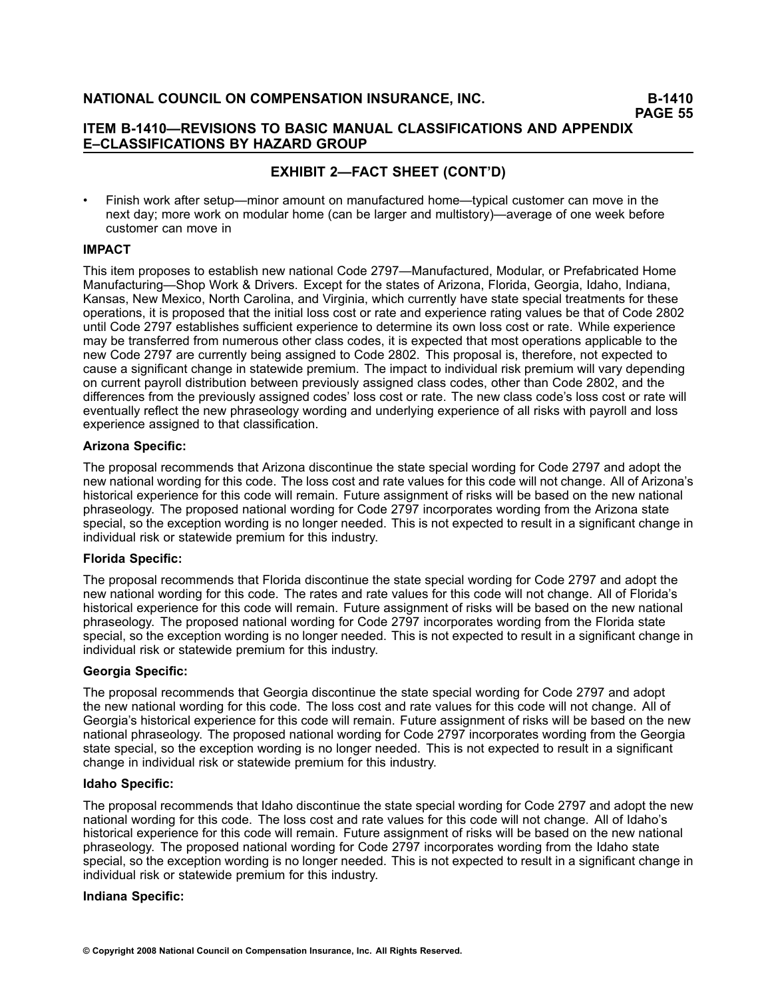### **ITEM B1410—REVISIONS TO BASIC MANUAL CLASSIFICATIONS AND APPENDIX E–CLASSIFICATIONS BY HAZARD GROUP**

# **EXHIBIT 2—FACT SHEET (CONT'D)**

• Finish work after setup—minor amount on manufactured home—typical customer can move in the next day; more work on modular home (can be larger and multistory)—average of one week before customer can move in

### **IMPACT**

This item proposes to establish new national Code 2797—Manufactured, Modular, or Prefabricated Home Manufacturing—Shop Work & Drivers. Except for the states of Arizona, Florida, Georgia, Idaho, Indiana, Kansas, New Mexico, North Carolina, and Virginia, which currently have state special treatments for these operations, it is proposed that the initial loss cost or rate and experience rating values be that of Code 2802 until Code 2797 establishes sufficient experience to determine its own loss cost or rate. While experience may be transferred from numerous other class codes, it is expected that most operations applicable to the new Code 2797 are currently being assigned to Code 2802. This proposal is, therefore, not expected to cause <sup>a</sup> significant change in statewide premium. The impact to individual risk premium will vary depending on current payroll distribution between previously assigned class codes, other than Code 2802, and the differences from the previously assigned codes' loss cost or rate. The new class code's loss cost or rate will eventually reflect the new phraseology wording and underlying experience of all risks with payroll and loss experience assigned to that classification.

#### **Arizona Specific:**

The proposal recommends that Arizona discontinue the state special wording for Code 2797 and adopt the new national wording for this code. The loss cost and rate values for this code will not change. All of Arizona's historical experience for this code will remain. Future assignment of risks will be based on the new national phraseology. The proposed national wording for Code 2797 incorporates wording from the Arizona state special, so the exception wording is no longer needed. This is not expected to result in <sup>a</sup> significant change in individual risk or statewide premium for this industry.

### **Florida Specific:**

The proposal recommends that Florida discontinue the state special wording for Code 2797 and adopt the new national wording for this code. The rates and rate values for this code will not change. All of Florida's historical experience for this code will remain. Future assignment of risks will be based on the new national phraseology. The proposed national wording for Code 2797 incorporates wording from the Florida state special, so the exception wording is no longer needed. This is not expected to result in <sup>a</sup> significant change in individual risk or statewide premium for this industry.

#### **Georgia Specific:**

The proposal recommends that Georgia discontinue the state special wording for Code 2797 and adopt the new national wording for this code. The loss cost and rate values for this code will not change. All of Georgia's historical experience for this code will remain. Future assignment of risks will be based on the new national phraseology. The proposed national wording for Code 2797 incorporates wording from the Georgia state special, so the exception wording is no longer needed. This is not expected to result in <sup>a</sup> significant change in individual risk or statewide premium for this industry.

#### **Idaho Specific:**

The proposal recommends that Idaho discontinue the state special wording for Code 2797 and adopt the new national wording for this code. The loss cost and rate values for this code will not change. All of Idaho's historical experience for this code will remain. Future assignment of risks will be based on the new national phraseology. The proposed national wording for Code 2797 incorporates wording from the Idaho state special, so the exception wording is no longer needed. This is not expected to result in <sup>a</sup> significant change in individual risk or statewide premium for this industry.

#### **Indiana Specific:**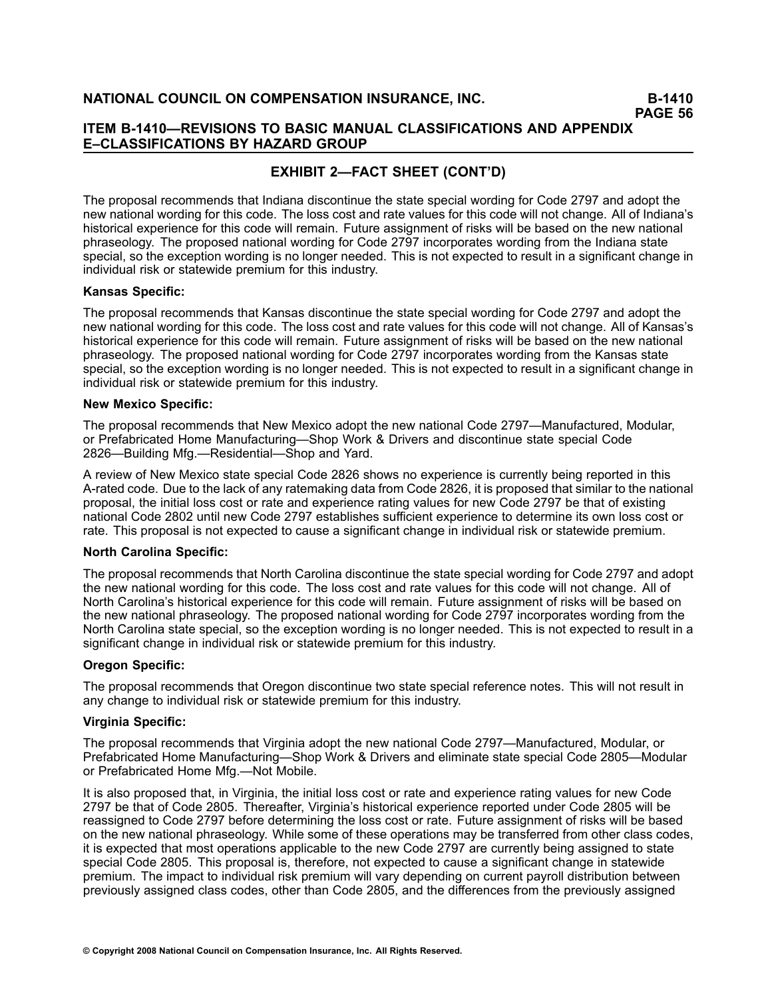### **ITEM B1410—REVISIONS TO BASIC MANUAL CLASSIFICATIONS AND APPENDIX E–CLASSIFICATIONS BY HAZARD GROUP**

# **EXHIBIT 2—FACT SHEET (CONT'D)**

The proposal recommends that Indiana discontinue the state special wording for Code 2797 and adopt the new national wording for this code. The loss cost and rate values for this code will not change. All of Indiana's historical experience for this code will remain. Future assignment of risks will be based on the new national phraseology. The proposed national wording for Code 2797 incorporates wording from the Indiana state special, so the exception wording is no longer needed. This is not expected to result in <sup>a</sup> significant change in individual risk or statewide premium for this industry.

#### **Kansas Specific:**

The proposal recommends that Kansas discontinue the state special wording for Code 2797 and adopt the new national wording for this code. The loss cost and rate values for this code will not change. All of Kansas's historical experience for this code will remain. Future assignment of risks will be based on the new national phraseology. The proposed national wording for Code 2797 incorporates wording from the Kansas state special, so the exception wording is no longer needed. This is not expected to result in <sup>a</sup> significant change in individual risk or statewide premium for this industry.

#### **New Mexico Specific:**

The proposal recommends that New Mexico adopt the new national Code 2797—Manufactured, Modular, or Prefabricated Home Manufacturing—Shop Work & Drivers and discontinue state special Code 2826—Building Mfg.—Residential—Shop and Yard.

A review of New Mexico state special Code 2826 shows no experience is currently being reported in this Arated code. Due to the lack of any ratemaking data from Code 2826, it is proposed that similar to the national proposal, the initial loss cost or rate and experience rating values for new Code 2797 be that of existing national Code 2802 until new Code 2797 establishes sufficient experience to determine its own loss cost or rate. This proposal is not expected to cause <sup>a</sup> significant change in individual risk or statewide premium.

#### **North Carolina Specific:**

The proposal recommends that North Carolina discontinue the state special wording for Code 2797 and adopt the new national wording for this code. The loss cost and rate values for this code will not change. All of North Carolina's historical experience for this code will remain. Future assignment of risks will be based on the new national phraseology. The proposed national wording for Code 2797 incorporates wording from the North Carolina state special, so the exception wording is no longer needed. This is not expected to result in <sup>a</sup> significant change in individual risk or statewide premium for this industry.

#### **Oregon Specific:**

The proposal recommends that Oregon discontinue two state special reference notes. This will not result in any change to individual risk or statewide premium for this industry.

#### **Virginia Specific:**

The proposal recommends that Virginia adopt the new national Code 2797—Manufactured, Modular, or Prefabricated Home Manufacturing—Shop Work & Drivers and eliminate state special Code 2805—Modular or Prefabricated Home Mfg.—Not Mobile.

It is also proposed that, in Virginia, the initial loss cost or rate and experience rating values for new Code 2797 be that of Code 2805. Thereafter, Virginia's historical experience reported under Code 2805 will be reassigned to Code 2797 before determining the loss cost or rate. Future assignment of risks will be based on the new national phraseology. While some of these operations may be transferred from other class codes, it is expected that most operations applicable to the new Code 2797 are currently being assigned to state special Code 2805. This proposal is, therefore, not expected to cause <sup>a</sup> significant change in statewide premium. The impact to individual risk premium will vary depending on current payroll distribution between previously assigned class codes, other than Code 2805, and the differences from the previously assigned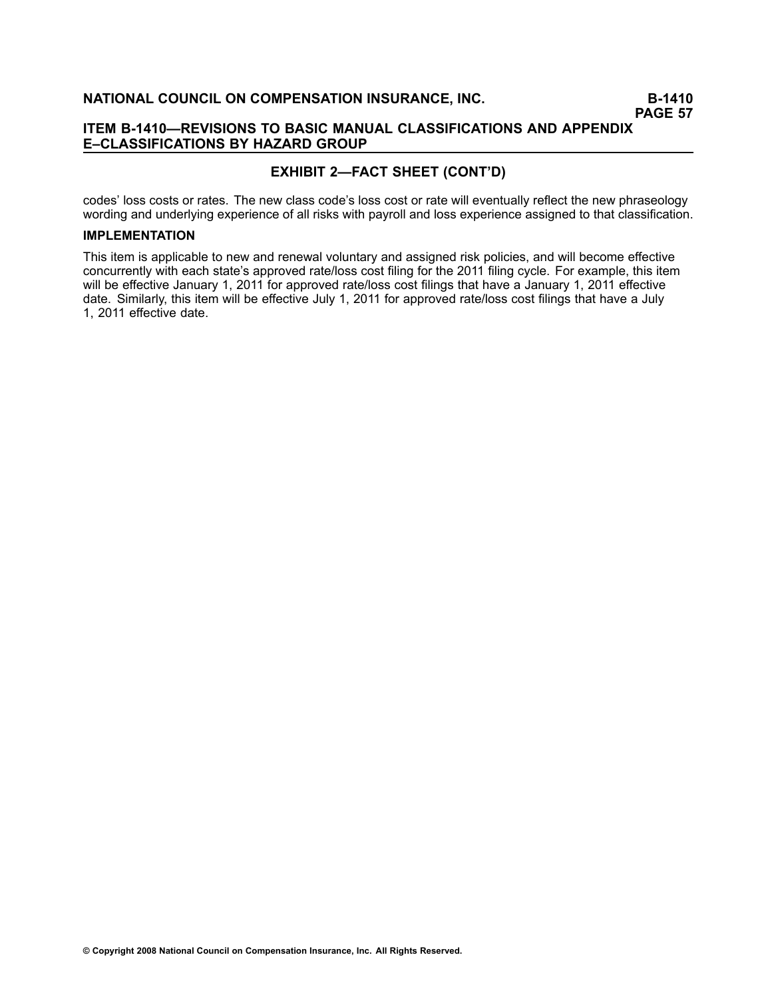### **ITEM B1410—REVISIONS TO BASIC MANUAL CLASSIFICATIONS AND APPENDIX E–CLASSIFICATIONS BY HAZARD GROUP**

## **EXHIBIT 2—FACT SHEET (CONT'D)**

codes' loss costs or rates. The new class code's loss cost or rate will eventually reflect the new phraseology wording and underlying experience of all risks with payroll and loss experience assigned to that classification.

### **IMPLEMENTATION**

This item is applicable to new and renewal voluntary and assigned risk policies, and will become effective concurrently with each state's approved rate/loss cost filing for the 2011 filing cycle. For example, this item will be effective January 1, 2011 for approved rate/loss cost filings that have a January 1, 2011 effective date. Similarly, this item will be effective July 1, 2011 for approved rate/loss cost filings that have <sup>a</sup> July 1, 2011 effective date.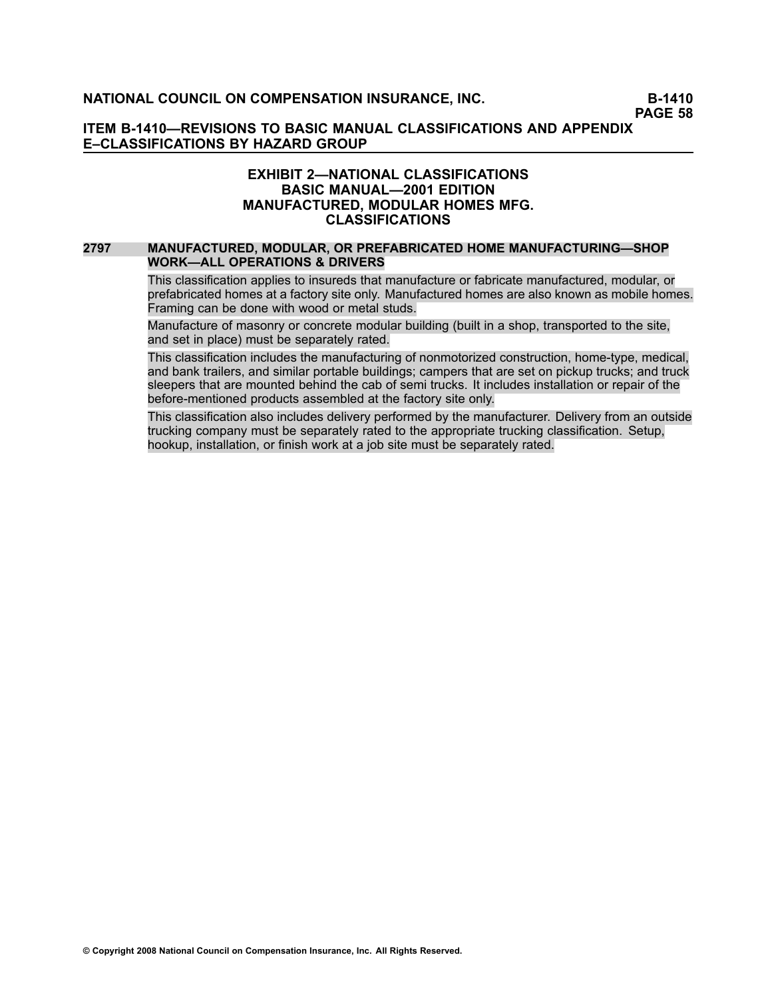### **ITEM B1410—REVISIONS TO BASIC MANUAL CLASSIFICATIONS AND APPENDIX E–CLASSIFICATIONS BY HAZARD GROUP**

### **EXHIBIT 2—NATIONAL CLASSIFICATIONS BASIC MANUAL—2001 EDITION MANUFACTURED, MODULAR HOMES MFG. CLASSIFICATIONS**

#### **[2797](file:///C:/manuscript/hyperlink.asp?docid=2797<?Pub & EntityName=amp>manualtitle=scopesxml) MANUFACTURED, MODULAR, OR PREFABRICATED HOME MANUFACTURING—SHOP WORK—ALL OPERATIONS & DRIVERS**

This classification applies to insureds that manufacture or fabricate manufactured, modular, or prefabricated homes at <sup>a</sup> factory site only. Manufactured homes are also known as mobile homes. Framing can be done with wood or metal studs.

Manufacture of masonry or concrete modular building (built in <sup>a</sup> shop, transported to the site, and set in place) must be separately rated.

This classification includes the manufacturing of nonmotorized construction, home-type, medical, and bank trailers, and similar portable buildings; campers that are set on pickup trucks; and truck sleepers that are mounted behind the cab of semi trucks. It includes installation or repair of the before-mentioned products assembled at the factory site only.

This classification also includes delivery performed by the manufacturer. Delivery from an outside trucking company must be separately rated to the appropriate trucking classification. Setup, hookup, installation, or finish work at <sup>a</sup> job site must be separately rated.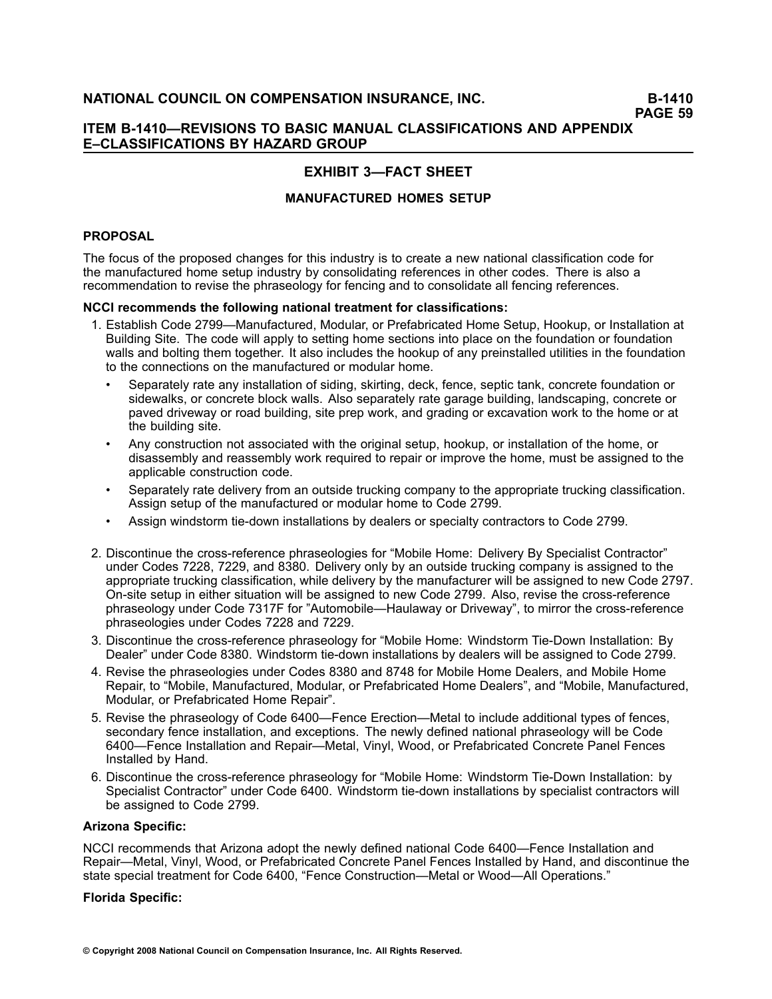# **EXHIBIT 3—FACT SHEET**

### **MANUFACTURED HOMES SETUP**

### **PROPOSAL**

The focus of the proposed changes for this industry is to create <sup>a</sup> new national classification code for the manufactured home setup industry by consolidating references in other codes. There is also <sup>a</sup> recommendation to revise the phraseology for fencing and to consolidate all fencing references.

### **NCCI recommends the following national treatment for classifications:**

- 1. Establish Code 2799—Manufactured, Modular, or Prefabricated Home Setup, Hookup, or Installation at Building Site. The code will apply to setting home sections into place on the foundation or foundation walls and bolting them together. It also includes the hookup of any preinstalled utilities in the foundation to the connections on the manufactured or modular home.
	- • Separately rate any installation of siding, skirting, deck, fence, septic tank, concrete foundation or sidewalks, or concrete block walls. Also separately rate garage building, landscaping, concrete or paved driveway or road building, site prep work, and grading or excavation work to the home or at the building site.
	- • Any construction not associated with the original setup, hookup, or installation of the home, or disassembly and reassembly work required to repair or improve the home, must be assigned to the applicable construction code.
	- • Separately rate delivery from an outside trucking company to the appropriate trucking classification. Assign setup of the manufactured or modular home to Code 2799.
	- •Assign windstorm tie-down installations by dealers or specialty contractors to Code 2799.
- 2. Discontinue the cross-reference phraseologies for "Mobile Home: Delivery By Specialist Contractor" under Codes 7228, 7229, and 8380. Delivery only by an outside trucking company is assigned to the appropriate trucking classification, while delivery by the manufacturer will be assigned to new Code 2797. On-site setup in either situation will be assigned to new Code 2799. Also, revise the cross-reference phraseology under Code 7317F for "Automobile—Haulaway or Driveway", to mirror the cross-reference phraseologies under Codes 7228 and 7229.
- 3. Discontinue the cross-reference phraseology for "Mobile Home: Windstorm Tie-Down Installation: By Dealer" under Code 8380. Windstorm tie-down installations by dealers will be assigned to Code 2799.
- 4. Revise the phraseologies under Codes 8380 and 8748 for Mobile Home Dealers, and Mobile Home Repair, to "Mobile, Manufactured, Modular, or Prefabricated Home Dealers", and "Mobile, Manufactured, Modular, or Prefabricated Home Repair".
- 5. Revise the phraseology of Code 6400—Fence Erection—Metal to include additional types of fences, secondary fence installation, and exceptions. The newly defined national phraseology will be Code 6400—Fence Installation and Repair—Metal, Vinyl, Wood, or Prefabricated Concrete Panel Fences Installed by Hand.
- 6. Discontinue the cross-reference phraseology for "Mobile Home: Windstorm Tie-Down Installation: by Specialist Contractor" under Code 6400. Windstorm tie-down installations by specialist contractors will be assigned to Code 2799.

#### **Arizona Specific:**

NCCI recommends that Arizona adopt the newly defined national Code 6400—Fence Installation and Repair—Metal, Vinyl, Wood, or Prefabricated Concrete Panel Fences Installed by Hand, and discontinue the state special treatment for Code 6400, "Fence Construction—Metal or Wood—All Operations."

#### **Florida Specific:**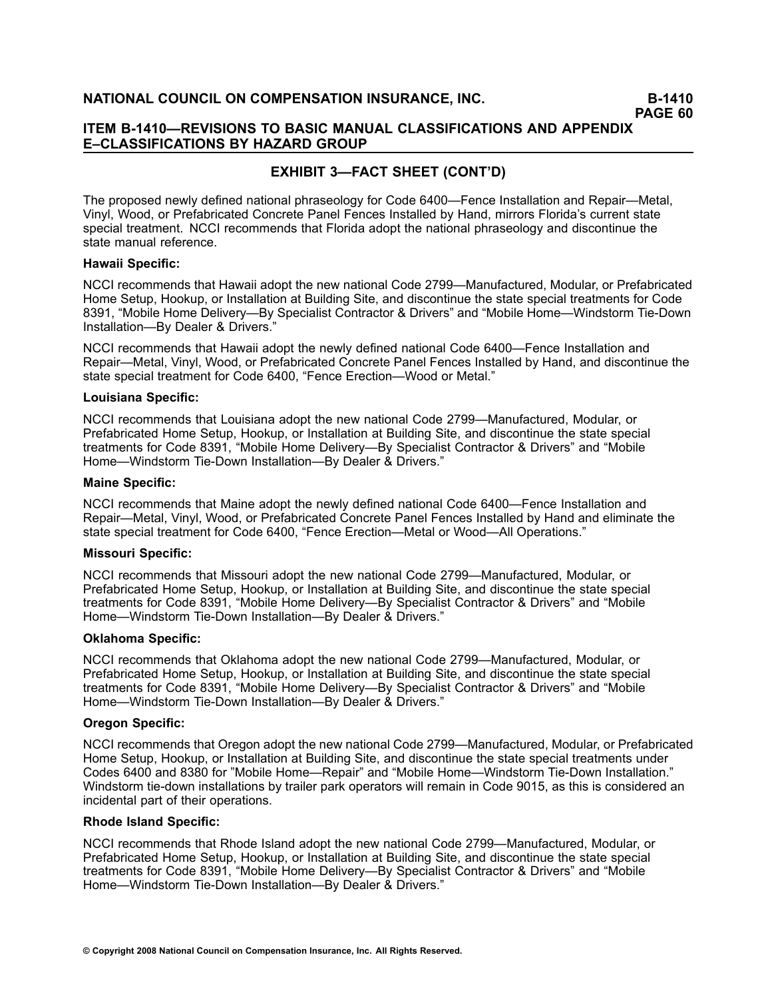### **ITEM B1410—REVISIONS TO BASIC MANUAL CLASSIFICATIONS AND APPENDIX E–CLASSIFICATIONS BY HAZARD GROUP**

# **EXHIBIT 3—FACT SHEET (CONT'D)**

The proposed newly defined national phraseology for Code 6400—Fence Installation and Repair—Metal, Vinyl, Wood, or Prefabricated Concrete Panel Fences Installed by Hand, mirrors Florida's current state special treatment. NCCI recommends that Florida adopt the national phraseology and discontinue the state manual reference.

#### **Hawaii Specific:**

NCCI recommends that Hawaii adopt the new national Code 2799—Manufactured, Modular, or Prefabricated Home Setup, Hookup, or Installation at Building Site, and discontinue the state special treatments for Code 8391, "Mobile Home Delivery—By Specialist Contractor & Drivers" and "Mobile Home—Windstorm Tie-Down Installation—By Dealer & Drivers."

NCCI recommends that Hawaii adopt the newly defined national Code 6400—Fence Installation and Repair—Metal, Vinyl, Wood, or Prefabricated Concrete Panel Fences Installed by Hand, and discontinue the state special treatment for Code 6400, "Fence Erection—Wood or Metal."

#### **Louisiana Specific:**

NCCI recommends that Louisiana adopt the new national Code 2799—Manufactured, Modular, or Prefabricated Home Setup, Hookup, or Installation at Building Site, and discontinue the state special treatments for Code 8391, "Mobile Home Delivery—By Specialist Contractor & Drivers" and "Mobile Home—Windstorm Tie-Down Installation—By Dealer & Drivers."

#### **Maine Specific:**

NCCI recommends that Maine adopt the newly defined national Code 6400—Fence Installation and Repair—Metal, Vinyl, Wood, or Prefabricated Concrete Panel Fences Installed by Hand and eliminate the state special treatment for Code 6400, "Fence Erection—Metal or Wood—All Operations."

#### **Missouri Specific:**

NCCI recommends that Missouri adopt the new national Code 2799—Manufactured, Modular, or Prefabricated Home Setup, Hookup, or Installation at Building Site, and discontinue the state special treatments for Code 8391, "Mobile Home Delivery—By Specialist Contractor & Drivers" and "Mobile Home—Windstorm Tie-Down Installation—By Dealer & Drivers."

#### **Oklahoma Specific:**

NCCI recommends that Oklahoma adopt the new national Code 2799—Manufactured, Modular, or Prefabricated Home Setup, Hookup, or Installation at Building Site, and discontinue the state special treatments for Code 8391, "Mobile Home Delivery—By Specialist Contractor & Drivers" and "Mobile Home—Windstorm Tie-Down Installation—By Dealer & Drivers."

#### **Oregon Specific:**

NCCI recommends that Oregon adopt the new national Code 2799—Manufactured, Modular, or Prefabricated Home Setup, Hookup, or Installation at Building Site, and discontinue the state special treatments under Codes 6400 and 8380 for "Mobile Home—Repair" and "Mobile Home—Windstorm Tie-Down Installation." Windstorm tie-down installations by trailer park operators will remain in Code 9015, as this is considered an incidental part of their operations.

#### **Rhode Island Specific:**

NCCI recommends that Rhode Island adopt the new national Code 2799—Manufactured, Modular, or Prefabricated Home Setup, Hookup, or Installation at Building Site, and discontinue the state special treatments for Code 8391, "Mobile Home Delivery—By Specialist Contractor & Drivers" and "Mobile Home—Windstorm Tie-Down Installation—By Dealer & Drivers."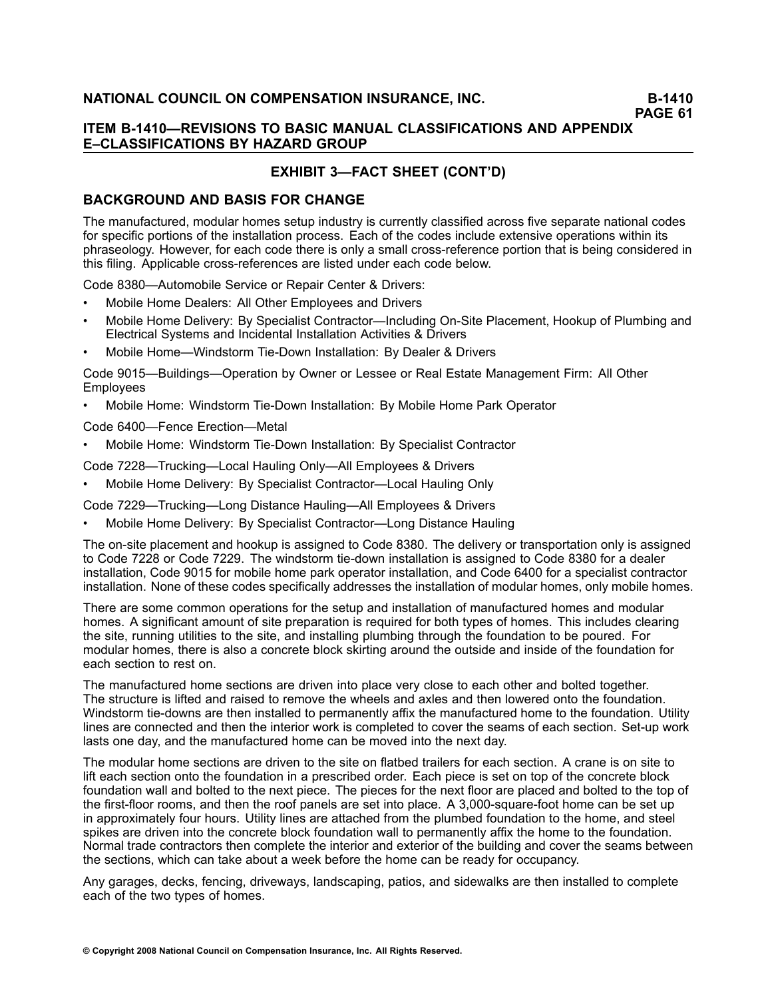### **ITEM B1410—REVISIONS TO BASIC MANUAL CLASSIFICATIONS AND APPENDIX E–CLASSIFICATIONS BY HAZARD GROUP**

# **EXHIBIT 3—FACT SHEET (CONT'D)**

### **BACKGROUND AND BASIS FOR CHANGE**

The manufactured, modular homes setup industry is currently classified across five separate national codes for specific portions of the installation process. Each of the codes include extensive operations within its phraseology. However, for each code there is only a small cross-reference portion that is being considered in this filing. Applicable cross-references are listed under each code below.

Code 8380—Automobile Service or Repair Center & Drivers:

- •Mobile Home Dealers: All Other Employees and Drivers
- •Mobile Home Delivery: By Specialist Contractor—Including On-Site Placement, Hookup of Plumbing and Electrical Systems and Incidental Installation Activities & Drivers
- •Mobile Home—Windstorm Tie-Down Installation: By Dealer & Drivers

Code 9015—Buildings—Operation by Owner or Lessee or Real Estate Management Firm: All Other Employees

•Mobile Home: Windstorm Tie-Down Installation: By Mobile Home Park Operator

Code 6400—Fence Erection—Metal

•Mobile Home: Windstorm Tie-Down Installation: By Specialist Contractor

Code 7228—Trucking—Local Hauling Only—All Employees & Drivers

•Mobile Home Delivery: By Specialist Contractor—Local Hauling Only

Code 7229—Trucking—Long Distance Hauling—All Employees & Drivers

•Mobile Home Delivery: By Specialist Contractor—Long Distance Hauling

The on-site placement and hookup is assigned to Code 8380. The delivery or transportation only is assigned to Code 7228 or Code 7229. The windstorm tie-down installation is assigned to Code 8380 for a dealer installation, Code 9015 for mobile home park operator installation, and Code 6400 for <sup>a</sup> specialist contractor installation. None of these codes specifically addresses the installation of modular homes, only mobile homes.

There are some common operations for the setup and installation of manufactured homes and modular homes. A significant amount of site preparation is required for both types of homes. This includes clearing the site, running utilities to the site, and installing plumbing through the foundation to be poured. For modular homes, there is also <sup>a</sup> concrete block skirting around the outside and inside of the foundation for each section to rest on.

The manufactured home sections are driven into place very close to each other and bolted together. The structure is lifted and raised to remove the wheels and axles and then lowered onto the foundation. Windstorm tie-downs are then installed to permanently affix the manufactured home to the foundation. Utility lines are connected and then the interior work is completed to cover the seams of each section. Set-up work lasts one day, and the manufactured home can be moved into the next day.

The modular home sections are driven to the site on flatbed trailers for each section. A crane is on site to lift each section onto the foundation in <sup>a</sup> prescribed order. Each piece is set on top of the concrete block foundation wall and bolted to the next piece. The pieces for the next floor are placed and bolted to the top of the first-floor rooms, and then the roof panels are set into place. A 3,000-square-foot home can be set up in approximately four hours. Utility lines are attached from the plumbed foundation to the home, and steel spikes are driven into the concrete block foundation wall to permanently affix the home to the foundation. Normal trade contractors then complete the interior and exterior of the building and cover the seams between the sections, which can take about <sup>a</sup> week before the home can be ready for occupancy.

Any garages, decks, fencing, driveways, landscaping, patios, and sidewalks are then installed to complete each of the two types of homes.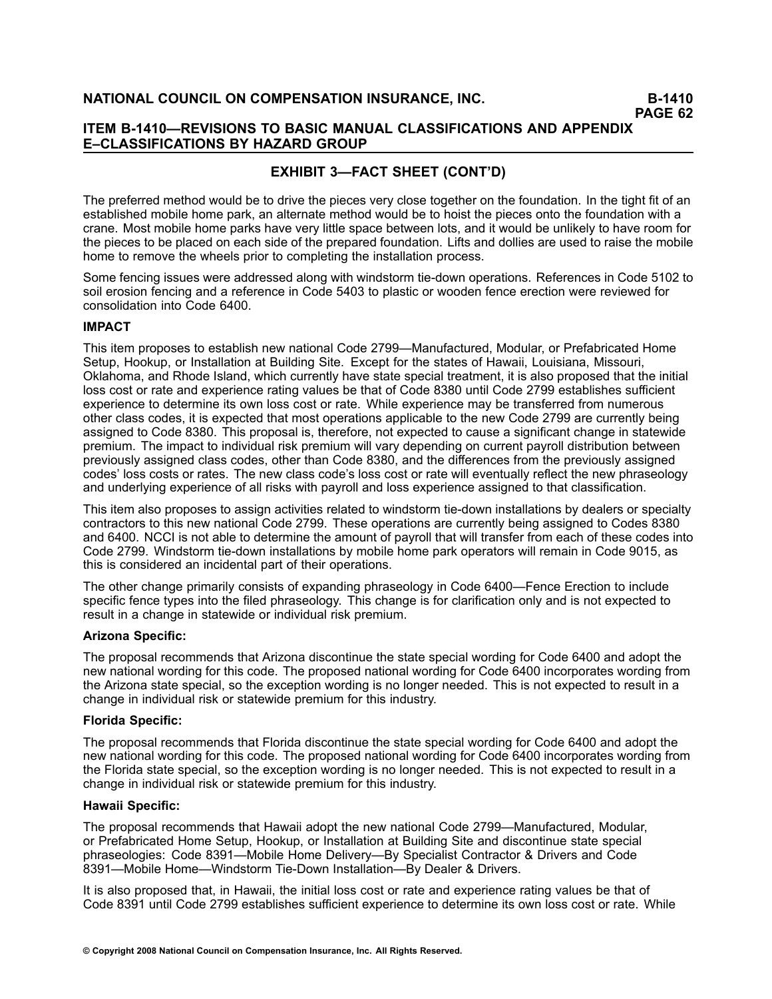# **EXHIBIT 3—FACT SHEET (CONT'D)**

The preferred method would be to drive the pieces very close together on the foundation. In the tight fit of an established mobile home park, an alternate method would be to hoist the pieces onto the foundation with <sup>a</sup> crane. Most mobile home parks have very little space between lots, and it would be unlikely to have room for the pieces to be placed on each side of the prepared foundation. Lifts and dollies are used to raise the mobile home to remove the wheels prior to completing the installation process.

Some fencing issues were addressed along with windstorm tie-down operations. References in Code 5102 to soil erosion fencing and <sup>a</sup> reference in Code 5403 to plastic or wooden fence erection were reviewed for consolidation into Code 6400.

#### **IMPACT**

This item proposes to establish new national Code 2799—Manufactured, Modular, or Prefabricated Home Setup, Hookup, or Installation at Building Site. Except for the states of Hawaii, Louisiana, Missouri, Oklahoma, and Rhode Island, which currently have state special treatment, it is also proposed that the initial loss cost or rate and experience rating values be that of Code 8380 until Code 2799 establishes sufficient experience to determine its own loss cost or rate. While experience may be transferred from numerous other class codes, it is expected that most operations applicable to the new Code 2799 are currently being assigned to Code 8380. This proposal is, therefore, not expected to cause <sup>a</sup> significant change in statewide premium. The impact to individual risk premium will vary depending on current payroll distribution between previously assigned class codes, other than Code 8380, and the differences from the previously assigned codes' loss costs or rates. The new class code's loss cost or rate will eventually reflect the new phraseology and underlying experience of all risks with payroll and loss experience assigned to that classification.

This item also proposes to assign activities related to windstorm tie-down installations by dealers or specialty contractors to this new national Code 2799. These operations are currently being assigned to Codes 8380 and 6400. NCCI is not able to determine the amount of payroll that will transfer from each of these codes into Code 2799. Windstorm tie-down installations by mobile home park operators will remain in Code 9015, as this is considered an incidental part of their operations.

The other change primarily consists of expanding phraseology in Code 6400—Fence Erection to include specific fence types into the filed phraseology. This change is for clarification only and is not expected to result in <sup>a</sup> change in statewide or individual risk premium.

#### **Arizona Specific:**

The proposal recommends that Arizona discontinue the state special wording for Code 6400 and adopt the new national wording for this code. The proposed national wording for Code 6400 incorporates wording from the Arizona state special, so the exception wording is no longer needed. This is not expected to result in <sup>a</sup> change in individual risk or statewide premium for this industry.

#### **Florida Specific:**

The proposal recommends that Florida discontinue the state special wording for Code 6400 and adopt the new national wording for this code. The proposed national wording for Code 6400 incorporates wording from the Florida state special, so the exception wording is no longer needed. This is not expected to result in <sup>a</sup> change in individual risk or statewide premium for this industry.

#### **Hawaii Specific:**

The proposal recommends that Hawaii adopt the new national Code 2799—Manufactured, Modular, or Prefabricated Home Setup, Hookup, or Installation at Building Site and discontinue state special phraseologies: Code 8391—Mobile Home Delivery—By Specialist Contractor & Drivers and Code 8391—Mobile Home—Windstorm Tie-Down Installation—By Dealer & Drivers.

It is also proposed that, in Hawaii, the initial loss cost or rate and experience rating values be that of Code 8391 until Code 2799 establishes sufficient experience to determine its own loss cost or rate. While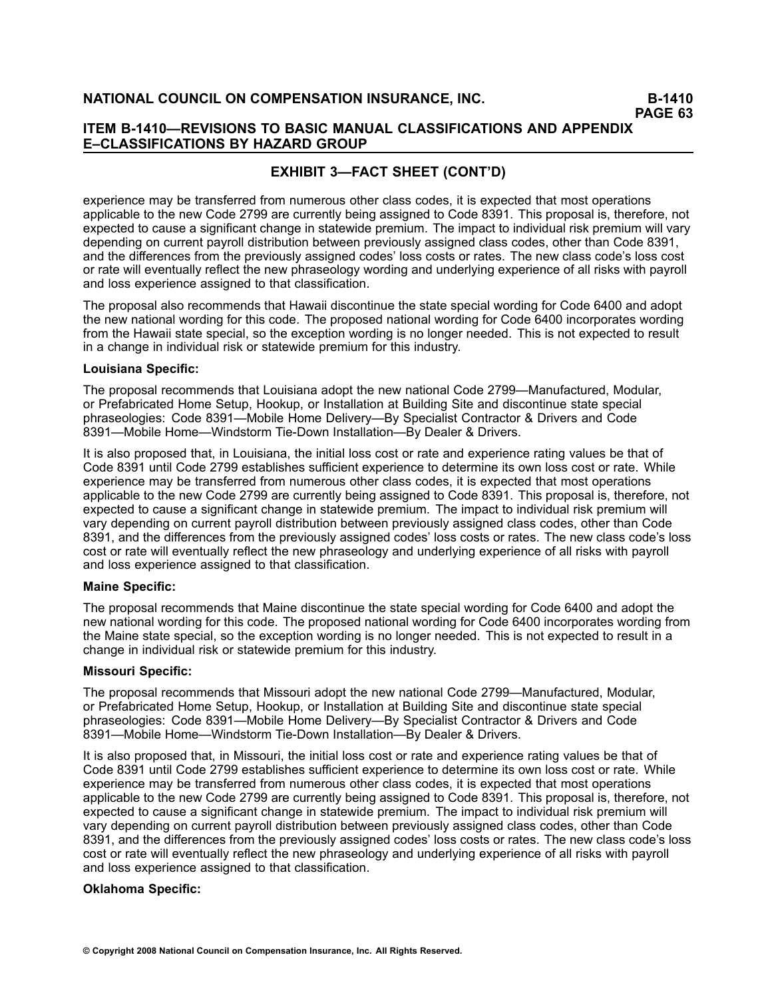### **ITEM B1410—REVISIONS TO BASIC MANUAL CLASSIFICATIONS AND APPENDIX E–CLASSIFICATIONS BY HAZARD GROUP**

# **EXHIBIT 3—FACT SHEET (CONT'D)**

experience may be transferred from numerous other class codes, it is expected that most operations applicable to the new Code 2799 are currently being assigned to Code 8391. This proposal is, therefore, not expected to cause <sup>a</sup> significant change in statewide premium. The impact to individual risk premium will vary depending on current payroll distribution between previously assigned class codes, other than Code 8391, and the differences from the previously assigned codes' loss costs or rates. The new class code's loss cost or rate will eventually reflect the new phraseology wording and underlying experience of all risks with payroll and loss experience assigned to that classification.

The proposal also recommends that Hawaii discontinue the state special wording for Code 6400 and adopt the new national wording for this code. The proposed national wording for Code 6400 incorporates wording from the Hawaii state special, so the exception wording is no longer needed. This is not expected to result in <sup>a</sup> change in individual risk or statewide premium for this industry.

#### **Louisiana Specific:**

The proposal recommends that Louisiana adopt the new national Code 2799—Manufactured, Modular, or Prefabricated Home Setup, Hookup, or Installation at Building Site and discontinue state special phraseologies: Code 8391—Mobile Home Delivery—By Specialist Contractor & Drivers and Code 8391—Mobile Home—Windstorm Tie-Down Installation—By Dealer & Drivers.

It is also proposed that, in Louisiana, the initial loss cost or rate and experience rating values be that of Code 8391 until Code 2799 establishes sufficient experience to determine its own loss cost or rate. While experience may be transferred from numerous other class codes, it is expected that most operations applicable to the new Code 2799 are currently being assigned to Code 8391. This proposal is, therefore, not expected to cause <sup>a</sup> significant change in statewide premium. The impact to individual risk premium will vary depending on current payroll distribution between previously assigned class codes, other than Code 8391, and the differences from the previously assigned codes' loss costs or rates. The new class code's loss cost or rate will eventually reflect the new phraseology and underlying experience of all risks with payroll and loss experience assigned to that classification.

#### **Maine Specific:**

The proposal recommends that Maine discontinue the state special wording for Code 6400 and adopt the new national wording for this code. The proposed national wording for Code 6400 incorporates wording from the Maine state special, so the exception wording is no longer needed. This is not expected to result in <sup>a</sup> change in individual risk or statewide premium for this industry.

#### **Missouri Specific:**

The proposal recommends that Missouri adopt the new national Code 2799—Manufactured, Modular, or Prefabricated Home Setup, Hookup, or Installation at Building Site and discontinue state special phraseologies: Code 8391—Mobile Home Delivery—By Specialist Contractor & Drivers and Code 8391—Mobile Home—Windstorm Tie-Down Installation—By Dealer & Drivers.

It is also proposed that, in Missouri, the initial loss cost or rate and experience rating values be that of Code 8391 until Code 2799 establishes sufficient experience to determine its own loss cost or rate. While experience may be transferred from numerous other class codes, it is expected that most operations applicable to the new Code 2799 are currently being assigned to Code 8391. This proposal is, therefore, not expected to cause <sup>a</sup> significant change in statewide premium. The impact to individual risk premium will vary depending on current payroll distribution between previously assigned class codes, other than Code 8391, and the differences from the previously assigned codes' loss costs or rates. The new class code's loss cost or rate will eventually reflect the new phraseology and underlying experience of all risks with payroll and loss experience assigned to that classification.

#### **Oklahoma Specific:**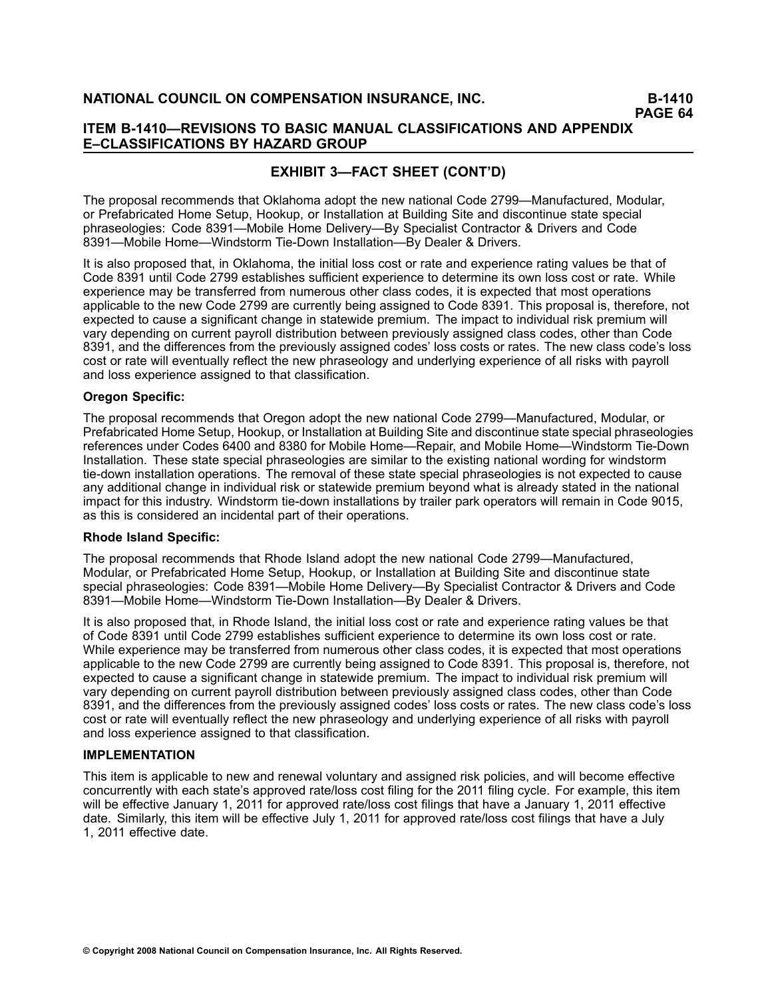### **ITEM B1410—REVISIONS TO BASIC MANUAL CLASSIFICATIONS AND APPENDIX E–CLASSIFICATIONS BY HAZARD GROUP**

# **EXHIBIT 3—FACT SHEET (CONT'D)**

The proposal recommends that Oklahoma adopt the new national Code 2799—Manufactured, Modular, or Prefabricated Home Setup, Hookup, or Installation at Building Site and discontinue state special phraseologies: Code 8391—Mobile Home Delivery—By Specialist Contractor & Drivers and Code 8391—Mobile Home—Windstorm Tie-Down Installation—By Dealer & Drivers.

It is also proposed that, in Oklahoma, the initial loss cost or rate and experience rating values be that of Code 8391 until Code 2799 establishes sufficient experience to determine its own loss cost or rate. While experience may be transferred from numerous other class codes, it is expected that most operations applicable to the new Code 2799 are currently being assigned to Code 8391. This proposal is, therefore, not expected to cause <sup>a</sup> significant change in statewide premium. The impact to individual risk premium will vary depending on current payroll distribution between previously assigned class codes, other than Code 8391, and the differences from the previously assigned codes' loss costs or rates. The new class code's loss cost or rate will eventually reflect the new phraseology and underlying experience of all risks with payroll and loss experience assigned to that classification.

#### **Oregon Specific:**

The proposal recommends that Oregon adopt the new national Code 2799—Manufactured, Modular, or Prefabricated Home Setup, Hookup, or Installation at Building Site and discontinue state special phraseologies references under Codes 6400 and 8380 for Mobile Home—Repair, and Mobile Home—Windstorm Tie-Down Installation. These state special phraseologies are similar to the existing national wording for windstorm tie-down installation operations. The removal of these state special phraseologies is not expected to cause any additional change in individual risk or statewide premium beyond what is already stated in the national impact for this industry. Windstorm tie-down installations by trailer park operators will remain in Code 9015, as this is considered an incidental part of their operations.

#### **Rhode Island Specific:**

The proposal recommends that Rhode Island adopt the new national Code 2799—Manufactured, Modular, or Prefabricated Home Setup, Hookup, or Installation at Building Site and discontinue state special phraseologies: Code 8391—Mobile Home Delivery—By Specialist Contractor & Drivers and Code 8391—Mobile Home—Windstorm Tie-Down Installation—By Dealer & Drivers.

It is also proposed that, in Rhode Island, the initial loss cost or rate and experience rating values be that of Code 8391 until Code 2799 establishes sufficient experience to determine its own loss cost or rate. While experience may be transferred from numerous other class codes, it is expected that most operations applicable to the new Code 2799 are currently being assigned to Code 8391. This proposal is, therefore, not expected to cause <sup>a</sup> significant change in statewide premium. The impact to individual risk premium will vary depending on current payroll distribution between previously assigned class codes, other than Code 8391, and the differences from the previously assigned codes' loss costs or rates. The new class code's loss cost or rate will eventually reflect the new phraseology and underlying experience of all risks with payroll and loss experience assigned to that classification.

#### **IMPLEMENTATION**

This item is applicable to new and renewal voluntary and assigned risk policies, and will become effective concurrently with each state's approved rate/loss cost filing for the 2011 filing cycle. For example, this item will be effective January 1, 2011 for approved rate/loss cost filings that have <sup>a</sup> January 1, 2011 effective date. Similarly, this item will be effective July 1, 2011 for approved rate/loss cost filings that have <sup>a</sup> July 1, 2011 effective date.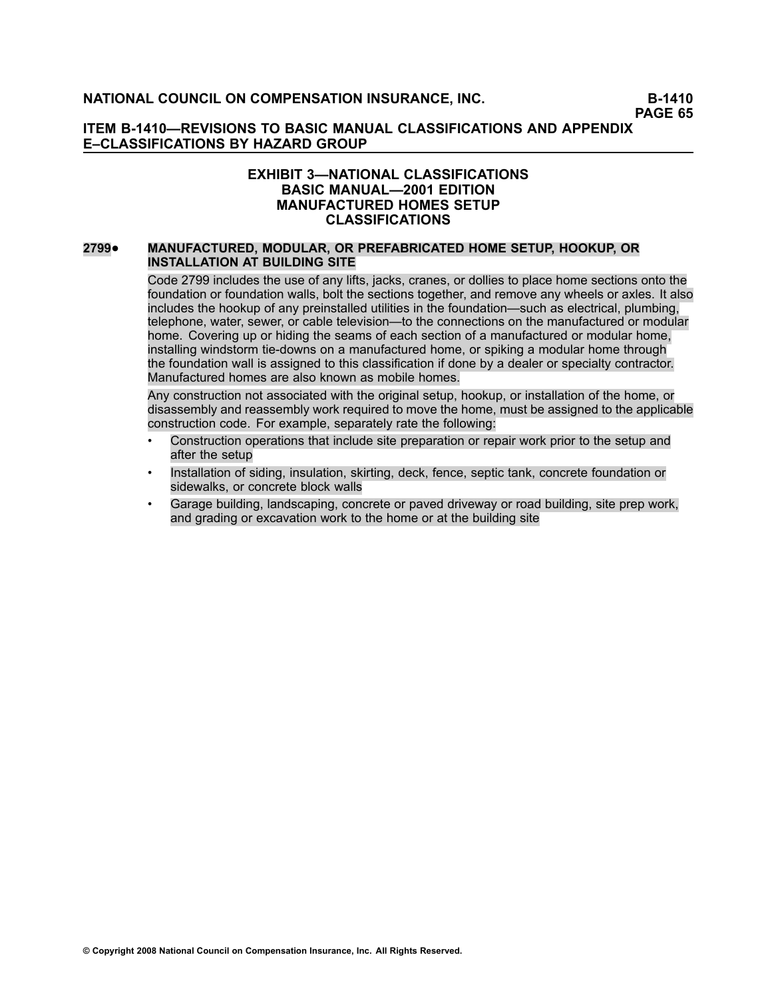### **ITEM B1410—REVISIONS TO BASIC MANUAL CLASSIFICATIONS AND APPENDIX E–CLASSIFICATIONS BY HAZARD GROUP**

### **EXHIBIT 3—NATIONAL CLASSIFICATIONS BASIC MANUAL—2001 EDITION MANUFACTURED HOMES SETUP CLASSIFICATIONS**

#### **[2799](file:///C:/manuscript/hyperlink.asp?docid=2799<?Pub & EntityName=amp>manualtitle=scopesxml)**• **MANUFACTURED, MODULAR, OR PREFABRICATED HOME SETUP, HOOKUP, OR INSTALLATION AT BUILDING SITE**

Code 2799 includes the use of any lifts, jacks, cranes, or dollies to place home sections onto the foundation or foundation walls, bolt the sections together, and remove any wheels or axles. It also includes the hookup of any preinstalled utilities in the foundation—such as electrical, plumbing, telephone, water, sewer, or cable television—to the connections on the manufactured or modular home. Covering up or hiding the seams of each section of <sup>a</sup> manufactured or modular home, installing windstorm tie-downs on a manufactured home, or spiking a modular home through the foundation wall is assigned to this classification if done by <sup>a</sup> dealer or specialty contractor. Manufactured homes are also known as mobile homes.

Any construction not associated with the original setup, hookup, or installation of the home, or disassembly and reassembly work required to move the home, must be assigned to the applicable construction code. For example, separately rate the following:

- • Construction operations that include site preparation or repair work prior to the setup and after the setup
- • Installation of siding, insulation, skirting, deck, fence, septic tank, concrete foundation or sidewalks, or concrete block walls
- • Garage building, landscaping, concrete or paved driveway or road building, site prep work, and grading or excavation work to the home or at the building site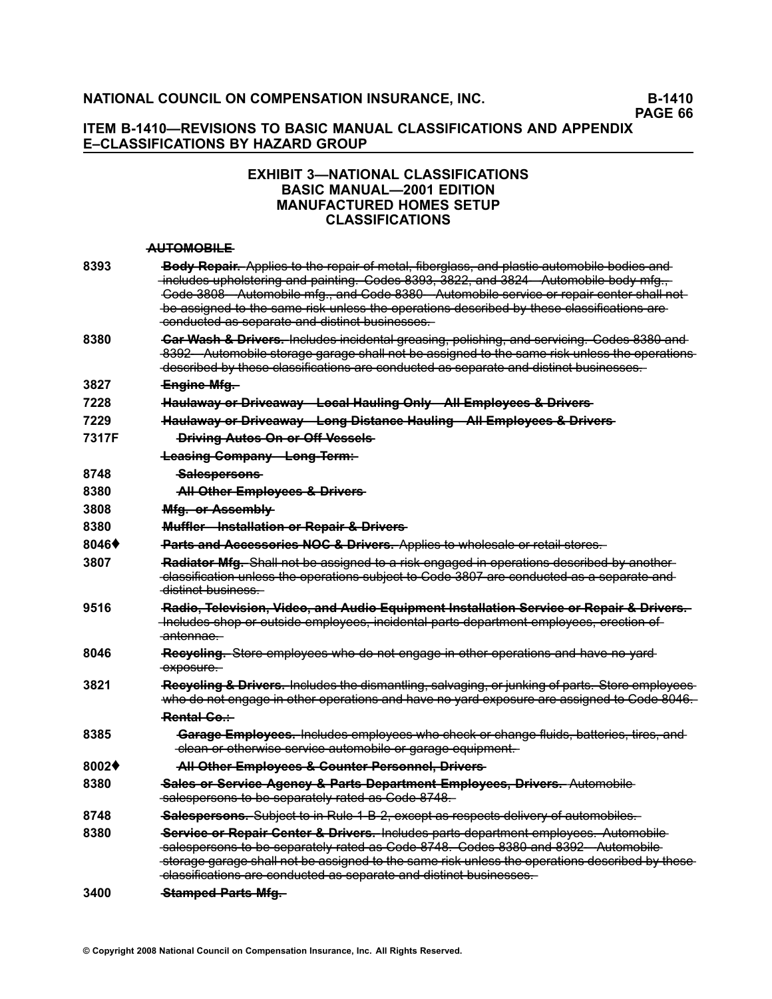### **ITEM B1410—REVISIONS TO BASIC MANUAL CLASSIFICATIONS AND APPENDIX E–CLASSIFICATIONS BY HAZARD GROUP**

### **EXHIBIT 3—NATIONAL CLASSIFICATIONS BASIC MANUAL—2001 EDITION MANUFACTURED HOMES SETUP CLASSIFICATIONS**

#### **—A—U—T—O—M—O—B—I—L—E**

| 8393  | Body Repair. Applies to the repair of metal, fiberglass, and plastic automobile bodies and<br>includes upholstering and painting. Codes 8393, 3822, and 3824 Automobile body mfg.,<br>Code 3808 Automobile mfg., and Code 8380 Automobile service or repair center shall not<br>be assigned to the same risk unless the operations described by these classifications are<br>conducted as separate and distinct businesses. |
|-------|-----------------------------------------------------------------------------------------------------------------------------------------------------------------------------------------------------------------------------------------------------------------------------------------------------------------------------------------------------------------------------------------------------------------------------|
| 8380  | <b>Gar Wash &amp; Drivers.</b> Includes incidental greasing, polishing, and servicing. Codes 8380 and<br>8392 Automobile storage garage shall not be assigned to the same risk unless the operations-<br>described by these classifications are conducted as separate and distinct businesses.                                                                                                                              |
| 3827  | Engine Mfg.                                                                                                                                                                                                                                                                                                                                                                                                                 |
| 7228  | Haulaway or Driveaway Local Hauling Only All Employees & Drivers                                                                                                                                                                                                                                                                                                                                                            |
| 7229  | Haulaway or Driveaway Long Distance Hauling All Employees & Drivers                                                                                                                                                                                                                                                                                                                                                         |
| 7317F | <b>Driving Autos On or Off Vessels</b>                                                                                                                                                                                                                                                                                                                                                                                      |
|       | <b>Leasing Company Long Term:</b>                                                                                                                                                                                                                                                                                                                                                                                           |
| 8748  | <del>Salespersons</del>                                                                                                                                                                                                                                                                                                                                                                                                     |
| 8380  | All Other Employees & Drivers                                                                                                                                                                                                                                                                                                                                                                                               |
| 3808  | Mfg. or Assembly                                                                                                                                                                                                                                                                                                                                                                                                            |
| 8380  | Muffler-Installation or Repair & Drivers-                                                                                                                                                                                                                                                                                                                                                                                   |
| 8046  | Parts and Accessories NOC & Drivers. Applies to wholesale or retail stores.                                                                                                                                                                                                                                                                                                                                                 |
| 3807  | Radiator Mfg. Shall not be assigned to a risk engaged in operations described by another<br>-classification unless the operations subject to Code 3807 are conducted as a separate and<br><del>distinct business.</del>                                                                                                                                                                                                     |
| 9516  | Radio, Television, Video, and Audio Equipment Installation Service or Repair & Drivers.<br>-Includes shop or outside employees, incidental parts department employees, erection of<br><del>antennae.</del>                                                                                                                                                                                                                  |
| 8046  | Recycling. Store employees who do not engage in other operations and have no yard<br>exposure.                                                                                                                                                                                                                                                                                                                              |
| 3821  | Recycling & Drivers. Includes the dismantling, salvaging, or junking of parts. Store employees<br>who do not engage in other operations and have no yard exposure are assigned to Code 8046.                                                                                                                                                                                                                                |
|       | Rental Co.:-                                                                                                                                                                                                                                                                                                                                                                                                                |
| 8385  | Garage Employees. Includes employees who check or change fluids, batteries, tires, and<br>-clean or otherwise service automobile or garage equipment.                                                                                                                                                                                                                                                                       |
| 8002♦ | All Other Employees & Counter Personnel, Drivers                                                                                                                                                                                                                                                                                                                                                                            |
| 8380  | Sales or Service Agency & Parts Department Employees, Drivers. Automobile<br>-salespersons to be separately rated as Code 8748.                                                                                                                                                                                                                                                                                             |
| 8748  | Salespersons. Subject to in Rule 1 B 2, except as respects delivery of automobiles.                                                                                                                                                                                                                                                                                                                                         |
| 8380  | Service or Repair Center & Drivers. Includes parts department employees. Automobile<br>salespersons to be separately rated as Code 8748. Codes 8380 and 8392 Automobile<br>storage garage shall not be assigned to the same risk unless the operations described by these-<br>classifications are conducted as separate and distinct businesses.                                                                            |
| 3400  | <b>Stamped Parts Mfg.</b>                                                                                                                                                                                                                                                                                                                                                                                                   |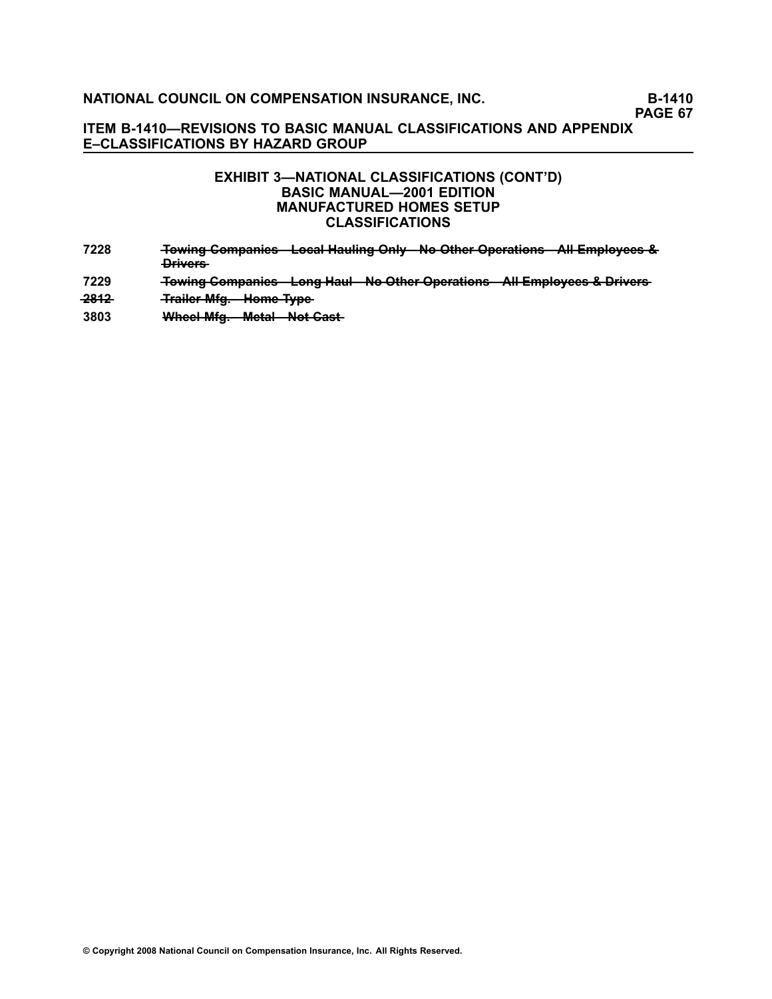### **ITEM B1410—REVISIONS TO BASIC MANUAL CLASSIFICATIONS AND APPENDIX E–CLASSIFICATIONS BY HAZARD GROUP**

### **EXHIBIT 3—NATIONAL CLASSIFICATIONS (CONT'D) BASIC MANUAL—2001 EDITION MANUFACTURED HOMES SETUP CLASSIFICATIONS**

- **[7228](file:///C:/manuscript/hyperlink.asp?docid=7228<?Pub & EntityName=amp>manualtitle=scopesxml) —T—o—w—i—n—g——C—o—m—p—a—n—i—e—s—L——o—c—a——l —H—a—u——li—n—g——O—n—l—y—N——o——O—t—h—e—r——O—p—e—r—a——ti—o—n—s—A———l—l—E—m—p—l—o—y—e—e—s——&**  $P<sub>ri</sub>verse$
- **[7229](file:///C:/manuscript/hyperlink.asp?docid=7229<?Pub & EntityName=amp>manualtitle=scopesxml) Towing Companies Long Haul No Other Operations All Employees & Drivers**
- **2812 Trailer Mfg. Home Type**
- **[3803](file:///C:/manuscript/hyperlink.asp?docid=3803<?Pub & EntityName=amp>manualtitle=scopesxml)** Wheel Mfg. Metal Not Cast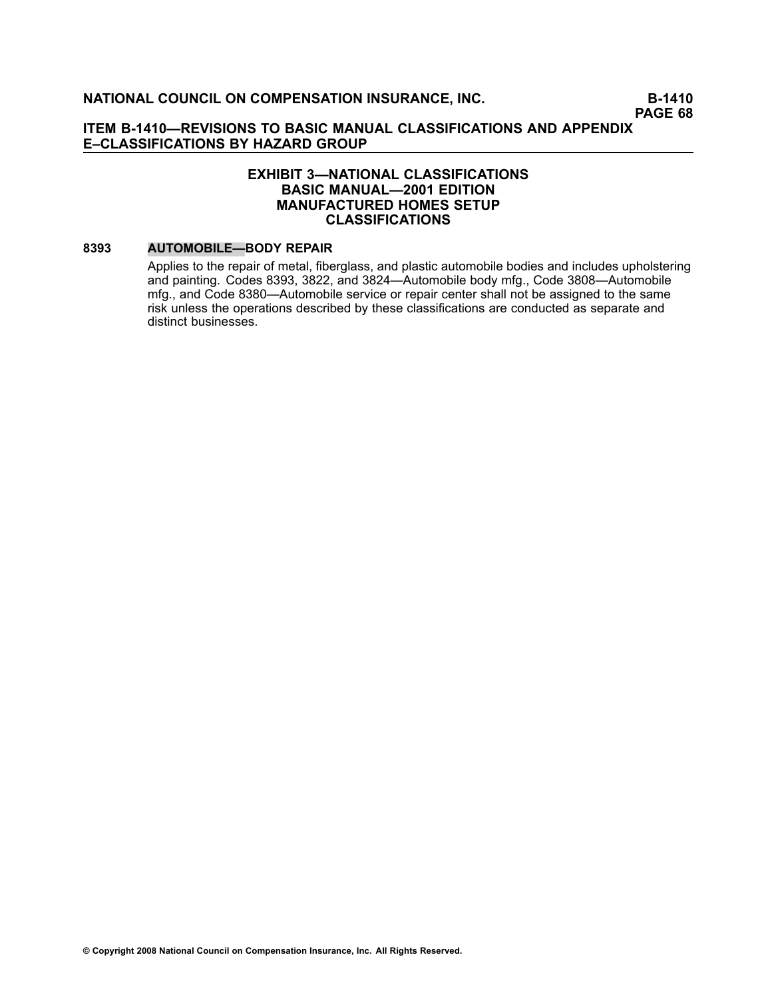### **EXHIBIT 3—NATIONAL CLASSIFICATIONS BASIC MANUAL—2001 EDITION MANUFACTURED HOMES SETUP CLASSIFICATIONS**

#### **[8393](file:///C:/manuscript/hyperlink.asp?docid=8393<?Pub & EntityName=amp>manualtitle=scopesxml) AUTOMOBILE—BODY REPAIR**

Applies to the repair of metal, fiberglass, and plastic automobile bodies and includes upholstering and painting. Codes [8393](file:///C:/manuscript/hyperlink.asp?docid=8393<?Pub & EntityName=amp>manualtitle=scopesxml), [3822](file:///C:/manuscript/hyperlink.asp?docid=3822<?Pub & EntityName=amp>manualtitle=scopesxml), and [3824—](file:///C:/manuscript/hyperlink.asp?docid=3824<?Pub & EntityName=amp>manualtitle=scopesxml)Automobile body mfg., Code [3808](file:///C:/manuscript/hyperlink.asp?docid=3808<?Pub & EntityName=amp>manualtitle=scopesxml)—Automobile mfg., and Code [8380—](file:///C:/manuscript/hyperlink.asp?docid=8380<?Pub & EntityName=amp>manualtitle=scopesxml)Automobile service or repair center shall not be assigned to the same risk unless the operations described by these classifications are conducted as separate and distinct businesses.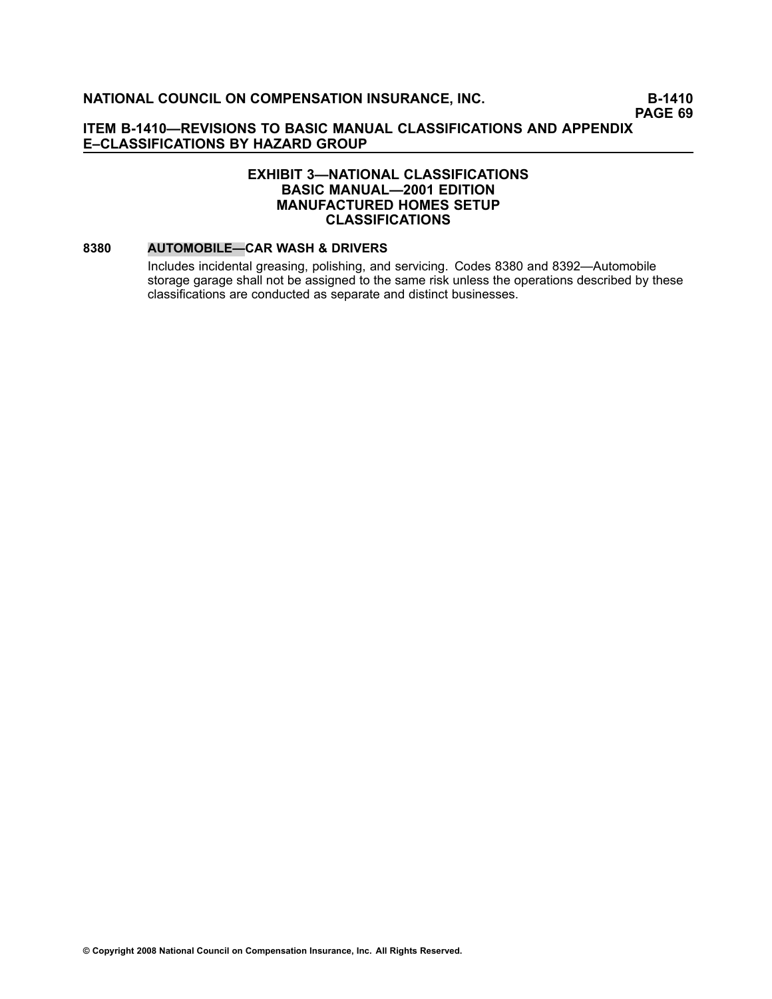### **EXHIBIT 3—NATIONAL CLASSIFICATIONS BASIC MANUAL—2001 EDITION MANUFACTURED HOMES SETUP CLASSIFICATIONS**

#### **[8380](file:///C:/manuscript/hyperlink.asp?docid=8380<?Pub & EntityName=amp>manualtitle=scopesxml) AUTOMOBILE—CAR WASH & DRIVERS**

Includes incidental greasing, polishing, and servicing. Codes [8380](file:///C:/manuscript/hyperlink.asp?docid=8380<?Pub & EntityName=amp>manualtitle=scopesxml) and [8392—](file:///C:/manuscript/hyperlink.asp?docid=8392<?Pub & EntityName=amp>manualtitle=scopesxml)Automobile storage garage shall not be assigned to the same risk unless the operations described by these classifications are conducted as separate and distinct businesses.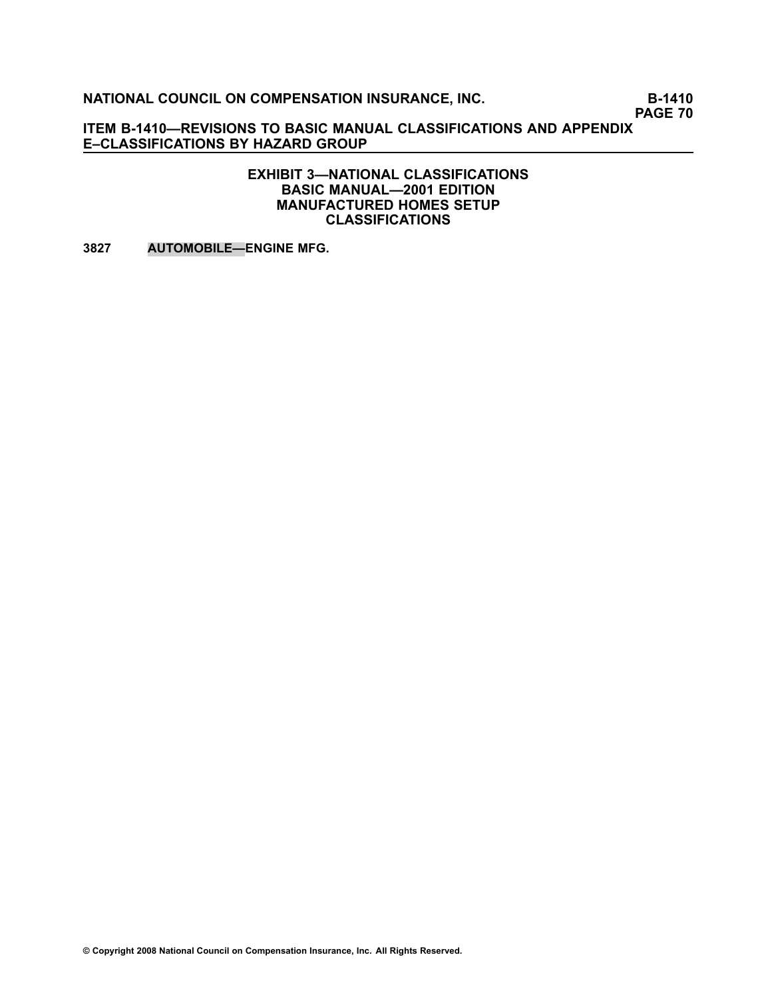**PAGE 70**

**ITEM B1410—REVISIONS TO BASIC MANUAL CLASSIFICATIONS AND APPENDIX E–CLASSIFICATIONS BY HAZARD GROUP**

> **EXHIBIT 3—NATIONAL CLASSIFICATIONS BASIC MANUAL—2001 EDITION MANUFACTURED HOMES SETUP CLASSIFICATIONS**

**[3827](file:///C:/manuscript/hyperlink.asp?docid=3827<?Pub & EntityName=amp>manualtitle=scopesxml) AUTOMOBILE—ENGINE MFG.**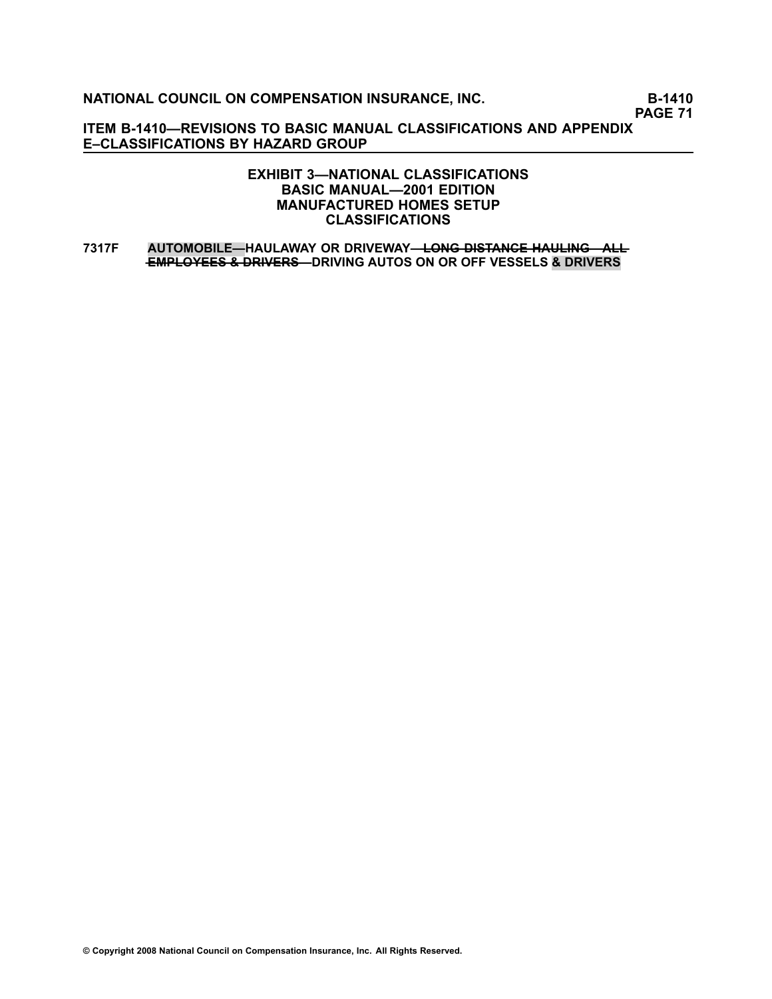**PAGE 71**

**ITEM B1410—REVISIONS TO BASIC MANUAL CLASSIFICATIONS AND APPENDIX E–CLASSIFICATIONS BY HAZARD GROUP**

### **EXHIBIT 3—NATIONAL CLASSIFICATIONS BASIC MANUAL—2001 EDITION MANUFACTURED HOMES SETUP CLASSIFICATIONS**

**[7317F](file:///C:/manuscript/hyperlink.asp?docid=7317F<?Pub & EntityName=amp>manualtitle=scopesxml) AUTOMOBILE—HAULAWAY OR DRIVEWAY——L—O—N—G——D—I—S—T—A—N—C—E——H—A—U—L—I—N—G—A——L—L —E—M—P—L—O—Y—E—E—S——&——D—R—I—V—E—R—S—DRIVING AUTOS ON OR OFF VESSELS & DRIVERS**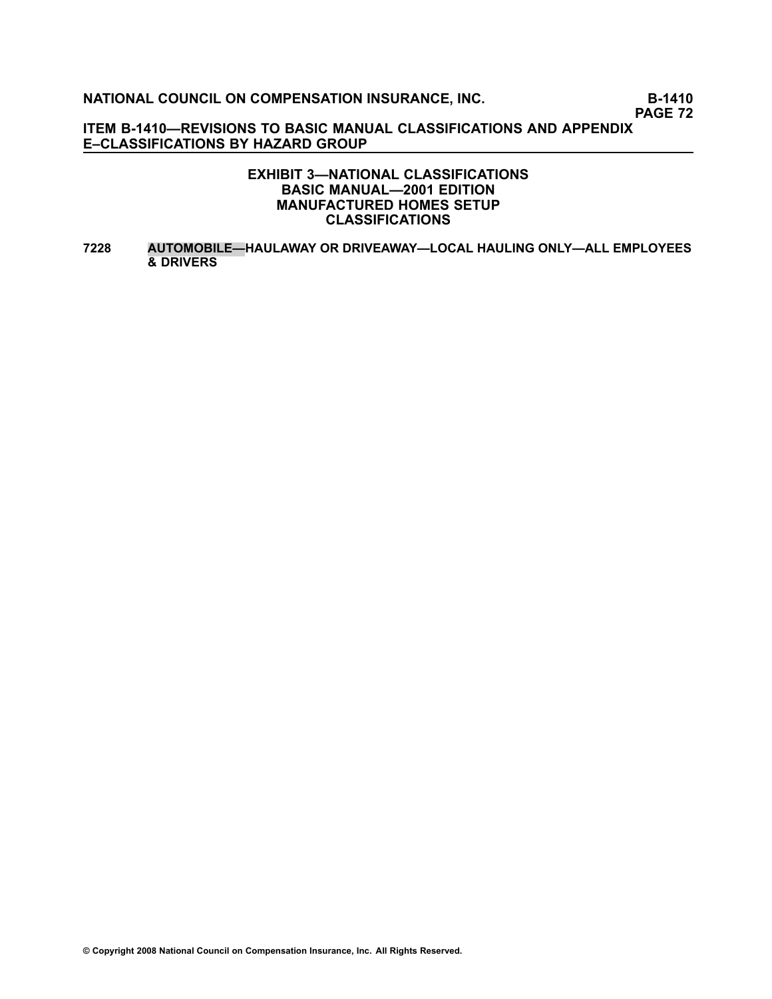**PAGE 72**

**ITEM B1410—REVISIONS TO BASIC MANUAL CLASSIFICATIONS AND APPENDIX E–CLASSIFICATIONS BY HAZARD GROUP**

#### **EXHIBIT 3—NATIONAL CLASSIFICATIONS BASIC MANUAL—2001 EDITION MANUFACTURED HOMES SETUP CLASSIFICATIONS**

**[7228](file:///C:/manuscript/hyperlink.asp?docid=7228<?Pub & EntityName=amp>manualtitle=scopesxml) AUTOMOBILE—HAULAWAY OR DRIVEAWAY—LOCAL HAULING ONLY—ALL EMPLOYEES & DRIVERS**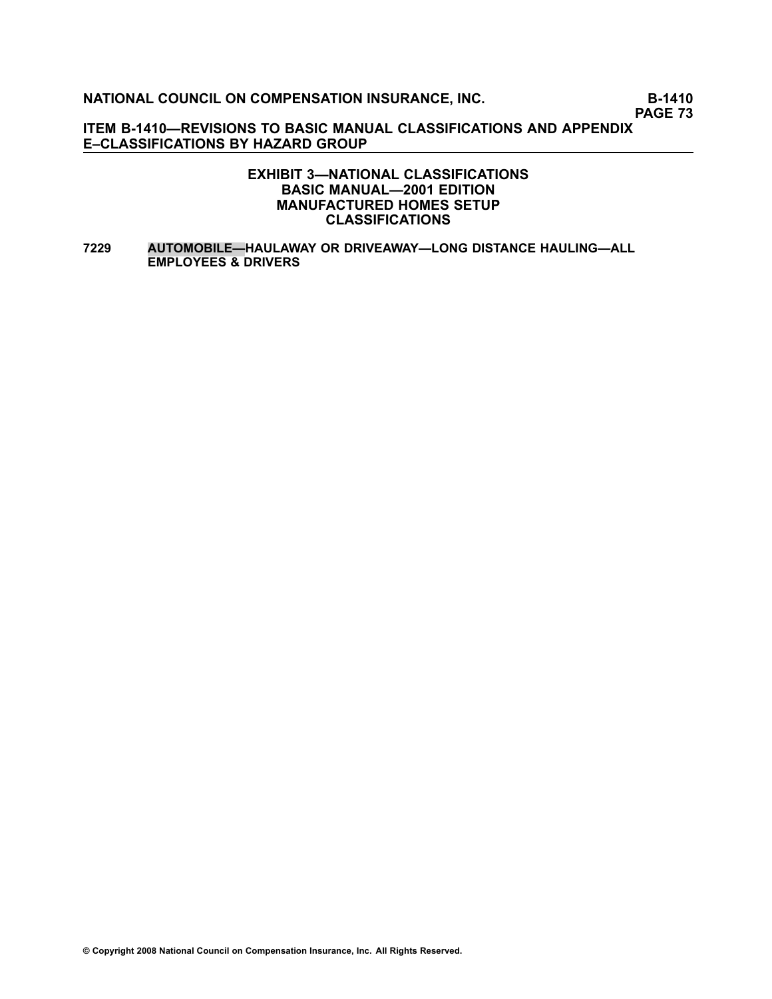**PAGE 73**

**ITEM B1410—REVISIONS TO BASIC MANUAL CLASSIFICATIONS AND APPENDIX E–CLASSIFICATIONS BY HAZARD GROUP**

#### **EXHIBIT 3—NATIONAL CLASSIFICATIONS BASIC MANUAL—2001 EDITION MANUFACTURED HOMES SETUP CLASSIFICATIONS**

**[7229](file:///C:/manuscript/hyperlink.asp?docid=7229<?Pub & EntityName=amp>manualtitle=scopesxml) AUTOMOBILE—HAULAWAY OR DRIVEAWAY—LONG DISTANCE HAULING—ALL EMPLOYEES & DRIVERS**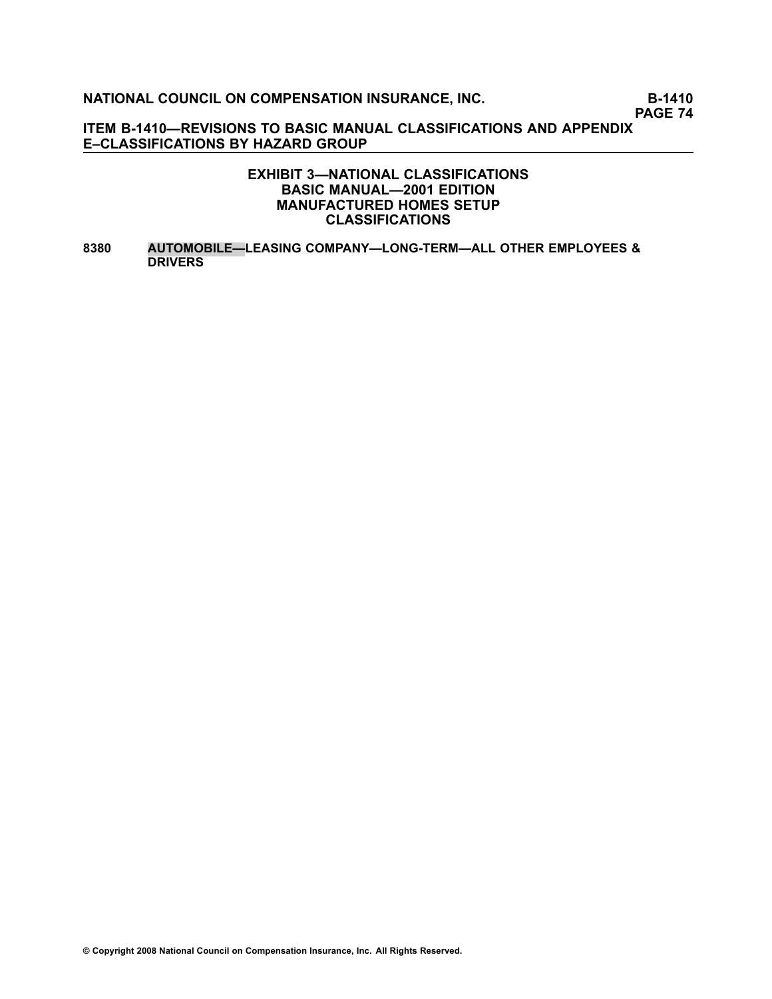**PAGE 74**

**ITEM B1410—REVISIONS TO BASIC MANUAL CLASSIFICATIONS AND APPENDIX E–CLASSIFICATIONS BY HAZARD GROUP**

#### **EXHIBIT 3—NATIONAL CLASSIFICATIONS BASIC MANUAL—2001 EDITION MANUFACTURED HOMES SETUP CLASSIFICATIONS**

**[8380](file:///C:/manuscript/hyperlink.asp?docid=8380<?Pub & EntityName=amp>manualtitle=scopesxml) AUTOMOBILE—LEASING COMPANY—LONGTERM—ALL OTHER EMPLOYEES & DRIVERS**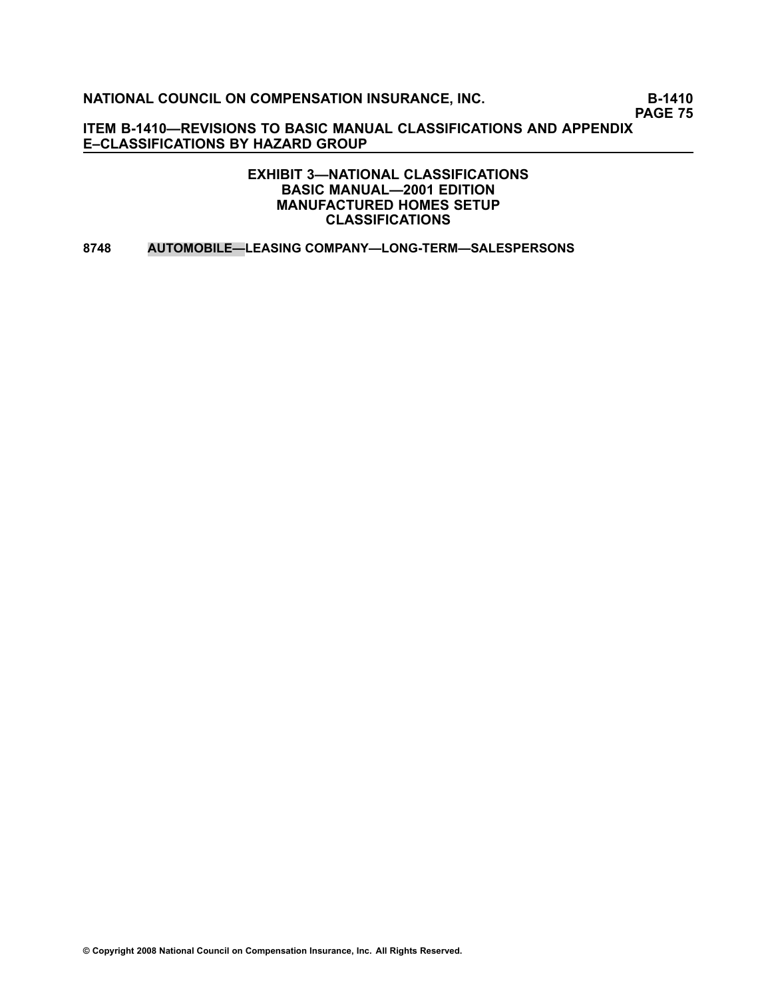**PAGE 75**

**ITEM B1410—REVISIONS TO BASIC MANUAL CLASSIFICATIONS AND APPENDIX E–CLASSIFICATIONS BY HAZARD GROUP**

> **EXHIBIT 3—NATIONAL CLASSIFICATIONS BASIC MANUAL—2001 EDITION MANUFACTURED HOMES SETUP CLASSIFICATIONS**

**[8748](file:///C:/manuscript/hyperlink.asp?docid=8748<?Pub & EntityName=amp>manualtitle=scopesxml) AUTOMOBILE—LEASING COMPANY—LONGTERM—SALESPERSONS**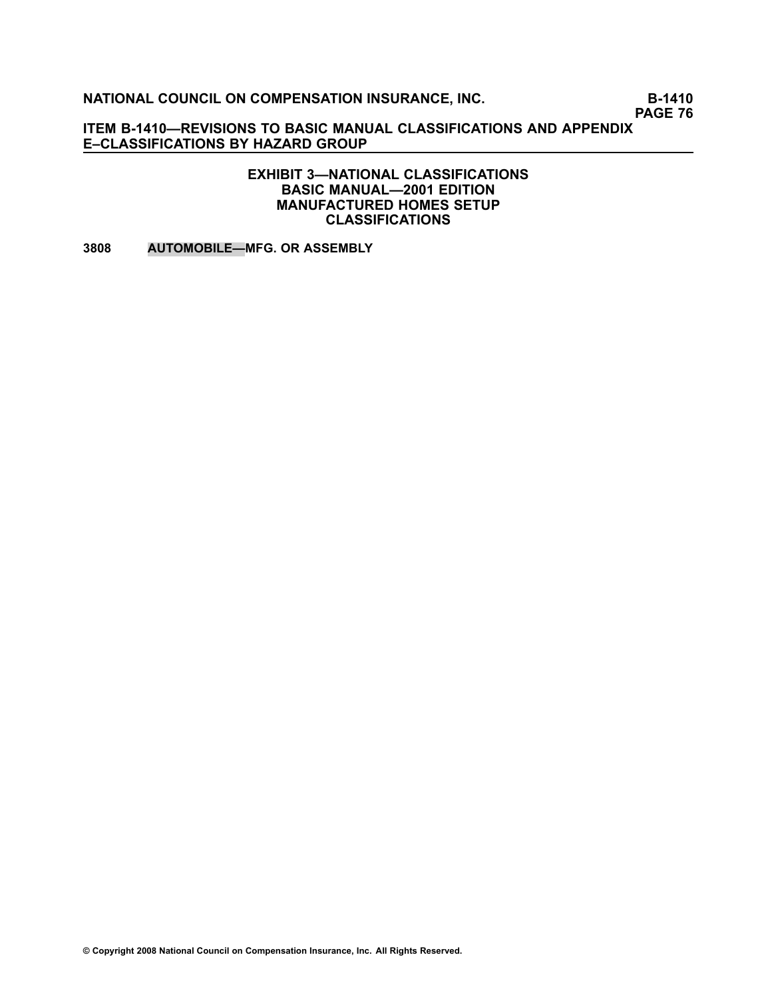**PAGE 76**

**ITEM B1410—REVISIONS TO BASIC MANUAL CLASSIFICATIONS AND APPENDIX E–CLASSIFICATIONS BY HAZARD GROUP**

#### **EXHIBIT 3—NATIONAL CLASSIFICATIONS BASIC MANUAL—2001 EDITION MANUFACTURED HOMES SETUP CLASSIFICATIONS**

**[3808](file:///C:/manuscript/hyperlink.asp?docid=3808<?Pub & EntityName=amp>manualtitle=scopesxml) AUTOMOBILE—MFG. OR ASSEMBLY**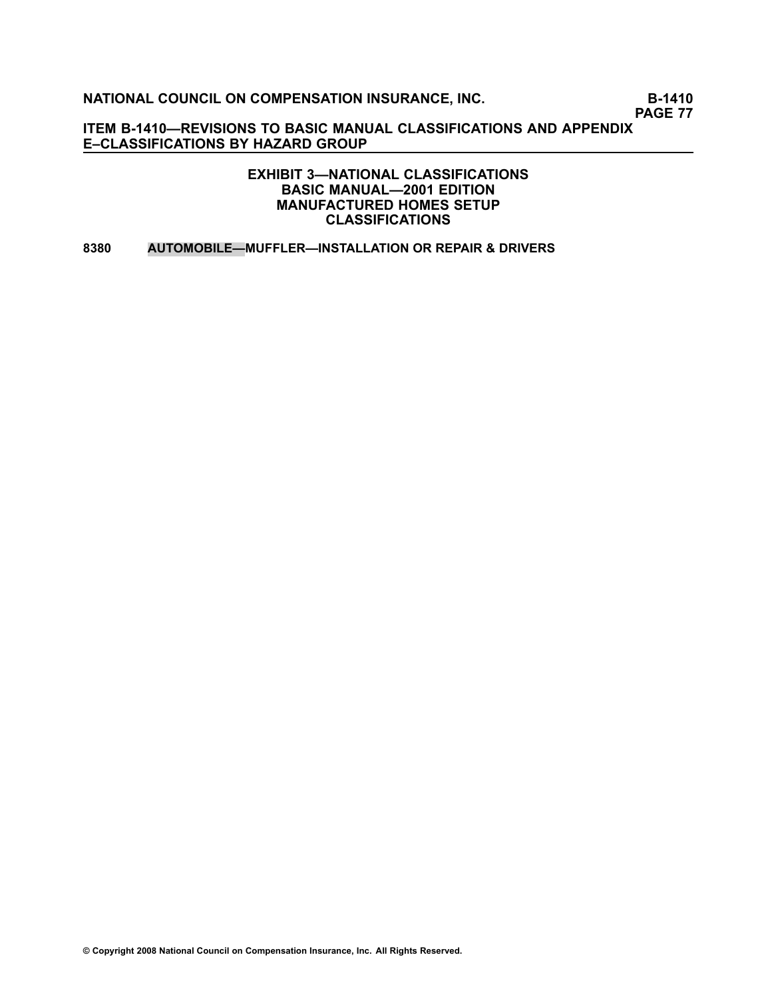**PAGE 77**

**ITEM B1410—REVISIONS TO BASIC MANUAL CLASSIFICATIONS AND APPENDIX E–CLASSIFICATIONS BY HAZARD GROUP**

> **EXHIBIT 3—NATIONAL CLASSIFICATIONS BASIC MANUAL—2001 EDITION MANUFACTURED HOMES SETUP CLASSIFICATIONS**

**[8380](file:///C:/manuscript/hyperlink.asp?docid=8380<?Pub & EntityName=amp>manualtitle=scopesxml) AUTOMOBILE—MUFFLER—INSTALLATION OR REPAIR & DRIVERS**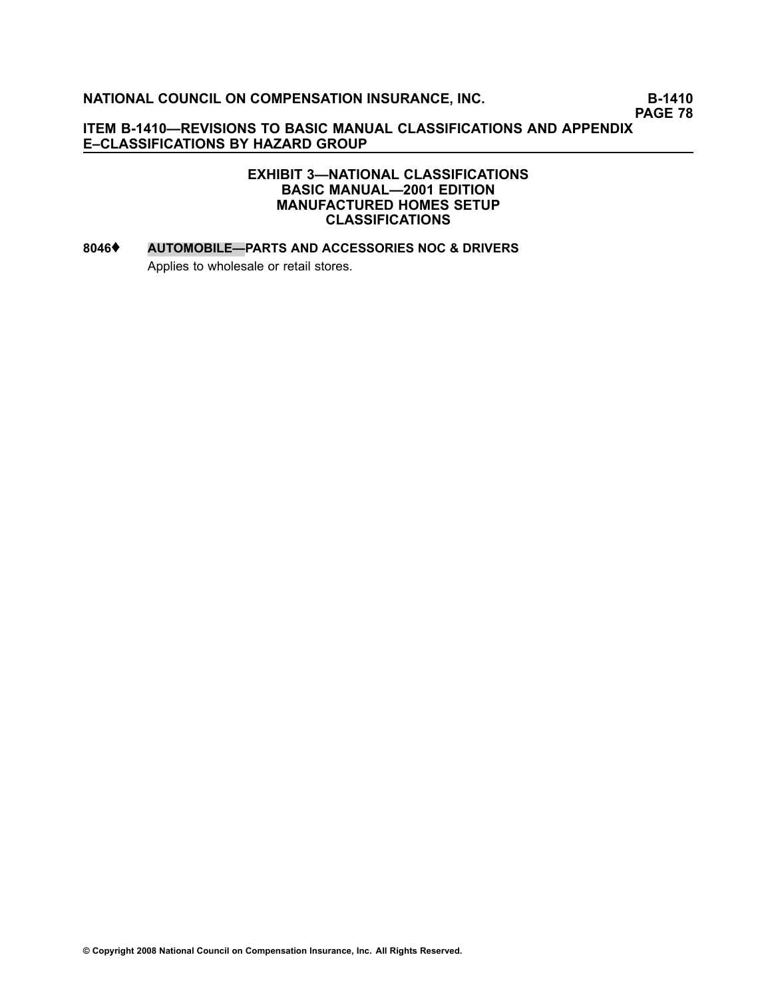**PAGE 78**

**ITEM B1410—REVISIONS TO BASIC MANUAL CLASSIFICATIONS AND APPENDIX E–CLASSIFICATIONS BY HAZARD GROUP**

#### **EXHIBIT 3—NATIONAL CLASSIFICATIONS BASIC MANUAL—2001 EDITION MANUFACTURED HOMES SETUP CLASSIFICATIONS**

# **[8046](file:///C:/manuscript/hyperlink.asp?docid=8046<?Pub & EntityName=amp>manualtitle=scopesxml)**♦ **AUTOMOBILE—PARTS AND ACCESSORIES NOC & DRIVERS** Applies to wholesale or retail stores.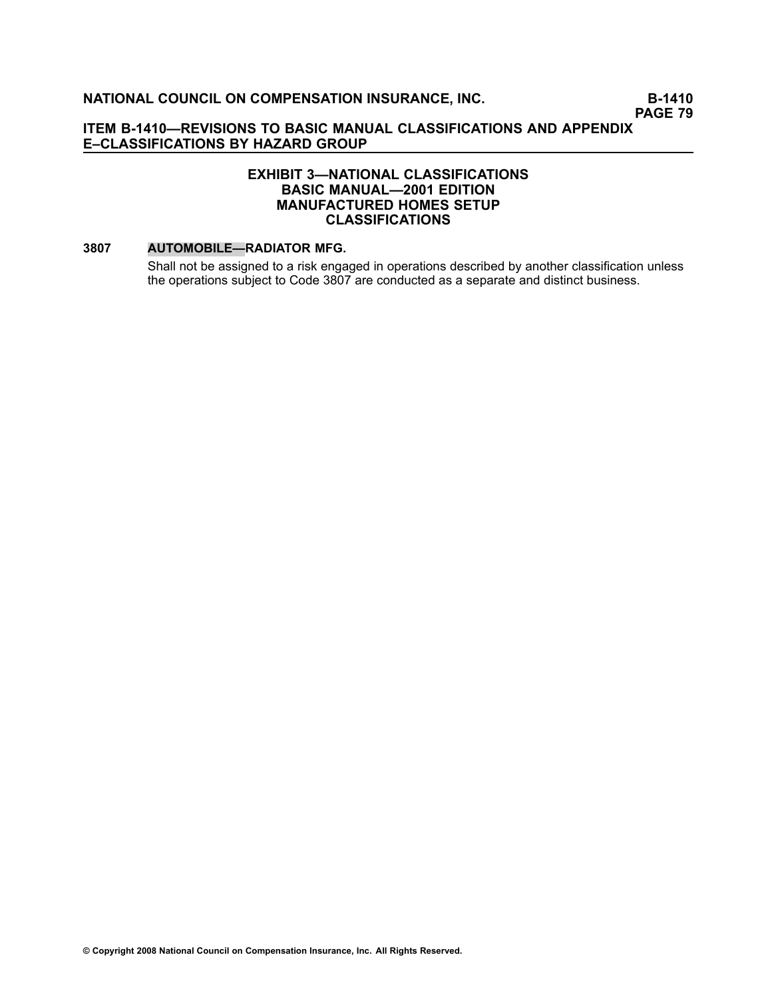**PAGE 79**

#### **ITEM B1410—REVISIONS TO BASIC MANUAL CLASSIFICATIONS AND APPENDIX E–CLASSIFICATIONS BY HAZARD GROUP**

#### **EXHIBIT 3—NATIONAL CLASSIFICATIONS BASIC MANUAL—2001 EDITION MANUFACTURED HOMES SETUP CLASSIFICATIONS**

#### **[3807](file:///C:/manuscript/hyperlink.asp?docid=3807<?Pub & EntityName=amp>manualtitle=scopesxml) AUTOMOBILE—RADIATOR MFG.**

Shall not be assigned to <sup>a</sup> risk engaged in operations described by another classification unless the operations subject to Code 3807 are conducted as <sup>a</sup> separate and distinct business.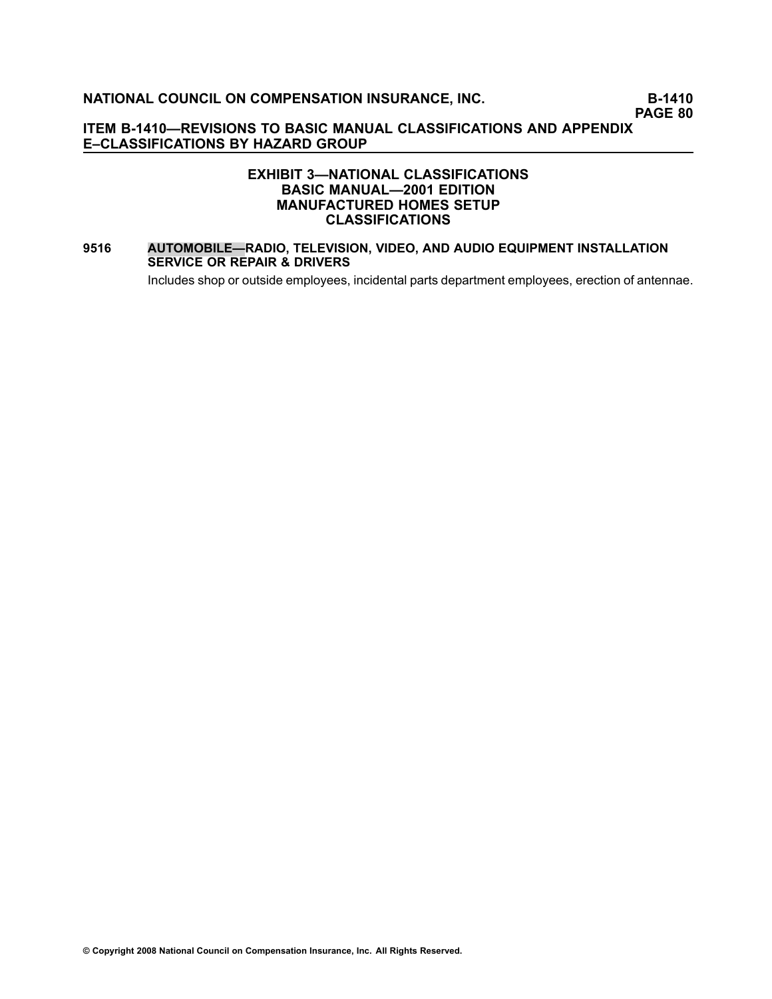**PAGE 80**

#### **ITEM B1410—REVISIONS TO BASIC MANUAL CLASSIFICATIONS AND APPENDIX E–CLASSIFICATIONS BY HAZARD GROUP**

#### **EXHIBIT 3—NATIONAL CLASSIFICATIONS BASIC MANUAL—2001 EDITION MANUFACTURED HOMES SETUP CLASSIFICATIONS**

#### **[9516](file:///C:/manuscript/hyperlink.asp?docid=9516<?Pub & EntityName=amp>manualtitle=scopesxml) AUTOMOBILE—RADIO, TELEVISION, VIDEO, AND AUDIO EQUIPMENT INSTALLATION SERVICE OR REPAIR & DRIVERS**

Includes shop or outside employees, incidental parts department employees, erection of antennae.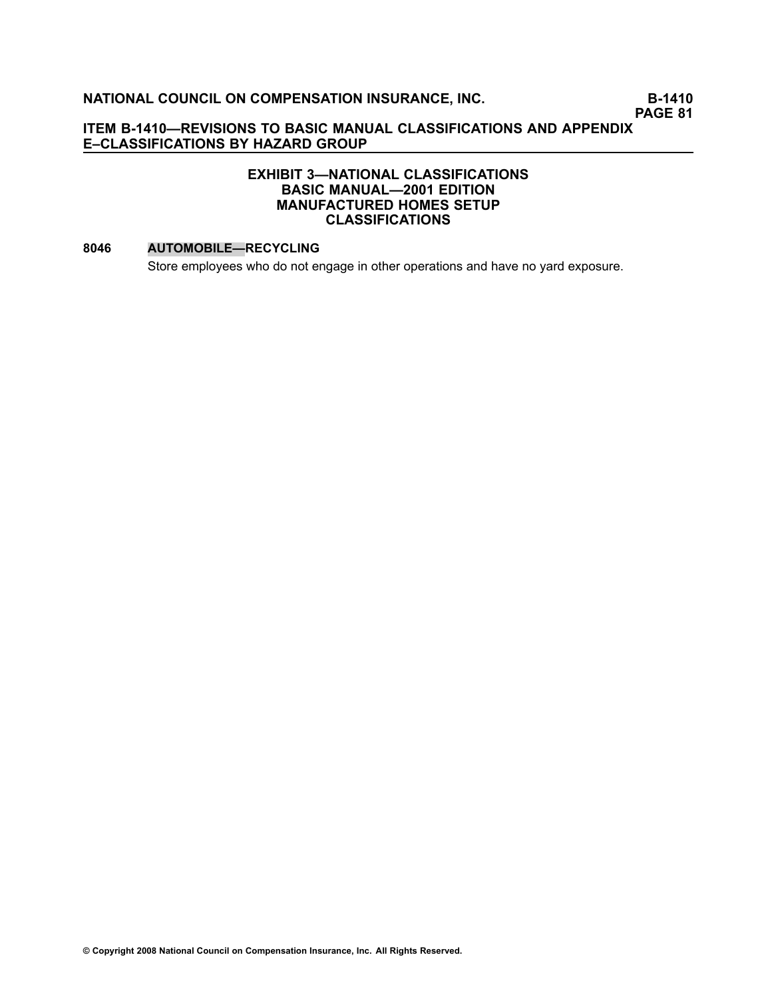**PAGE 81**

#### **ITEM B1410—REVISIONS TO BASIC MANUAL CLASSIFICATIONS AND APPENDIX E–CLASSIFICATIONS BY HAZARD GROUP**

#### **EXHIBIT 3—NATIONAL CLASSIFICATIONS BASIC MANUAL—2001 EDITION MANUFACTURED HOMES SETUP CLASSIFICATIONS**

#### **[8046](file:///C:/manuscript/hyperlink.asp?docid=8046<?Pub & EntityName=amp>manualtitle=scopesxml) AUTOMOBILE—RECYCLING**

Store employees who do not engage in other operations and have no yard exposure.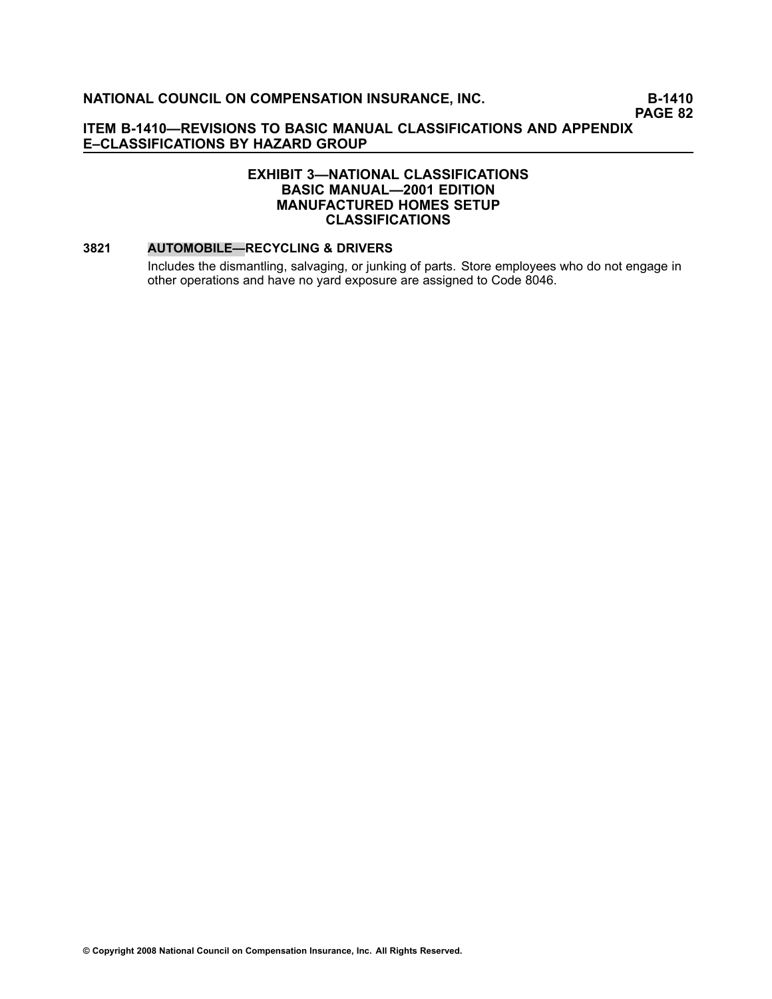**PAGE 82**

#### **ITEM B1410—REVISIONS TO BASIC MANUAL CLASSIFICATIONS AND APPENDIX E–CLASSIFICATIONS BY HAZARD GROUP**

#### **EXHIBIT 3—NATIONAL CLASSIFICATIONS BASIC MANUAL—2001 EDITION MANUFACTURED HOMES SETUP CLASSIFICATIONS**

#### **[3821](file:///C:/manuscript/hyperlink.asp?docid=3821<?Pub & EntityName=amp>manualtitle=scopesxml) AUTOMOBILE—RECYCLING & DRIVERS**

Includes the dismantling, salvaging, or junking of parts. Store employees who do not engage in other operations and have no yard exposure are assigned to Code [8046](file:///C:/manuscript/hyperlink.asp?docid=8046<?Pub & EntityName=amp>manualtitle=scopesxml).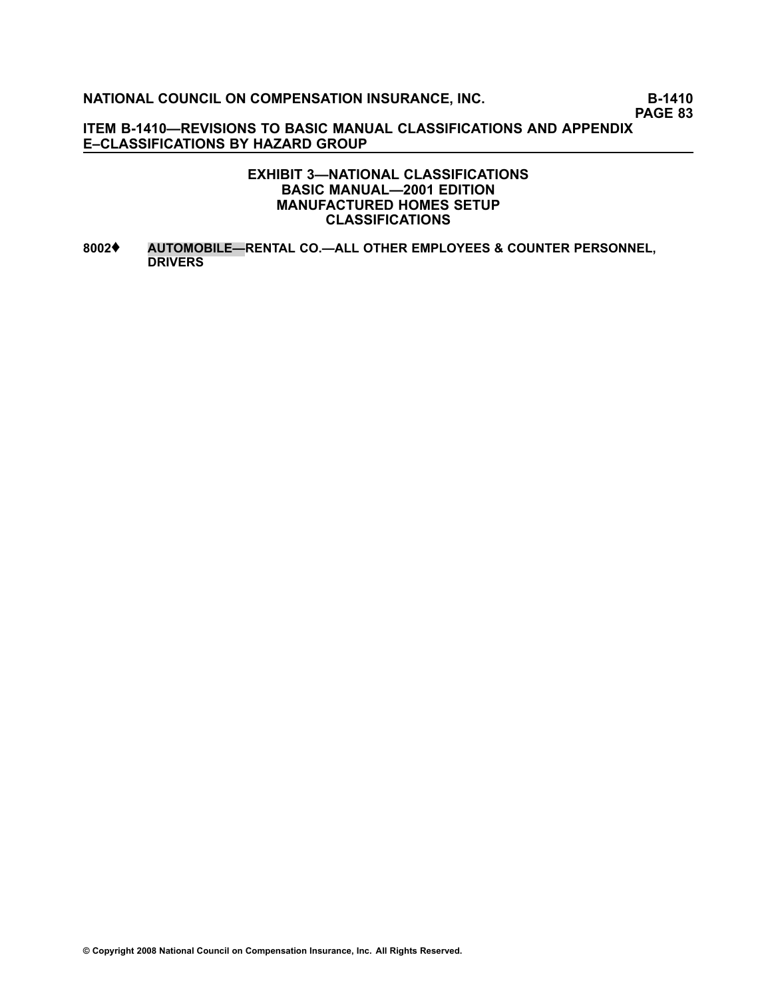**PAGE 83**

**ITEM B1410—REVISIONS TO BASIC MANUAL CLASSIFICATIONS AND APPENDIX E–CLASSIFICATIONS BY HAZARD GROUP**

#### **EXHIBIT 3—NATIONAL CLASSIFICATIONS BASIC MANUAL—2001 EDITION MANUFACTURED HOMES SETUP CLASSIFICATIONS**

**[8002](file:///C:/manuscript/hyperlink.asp?docid=8002<?Pub & EntityName=amp>manualtitle=scopesxml)**♦ **AUTOMOBILE—RENTAL CO.—ALL OTHER EMPLOYEES & COUNTER PERSONNEL, DRIVERS**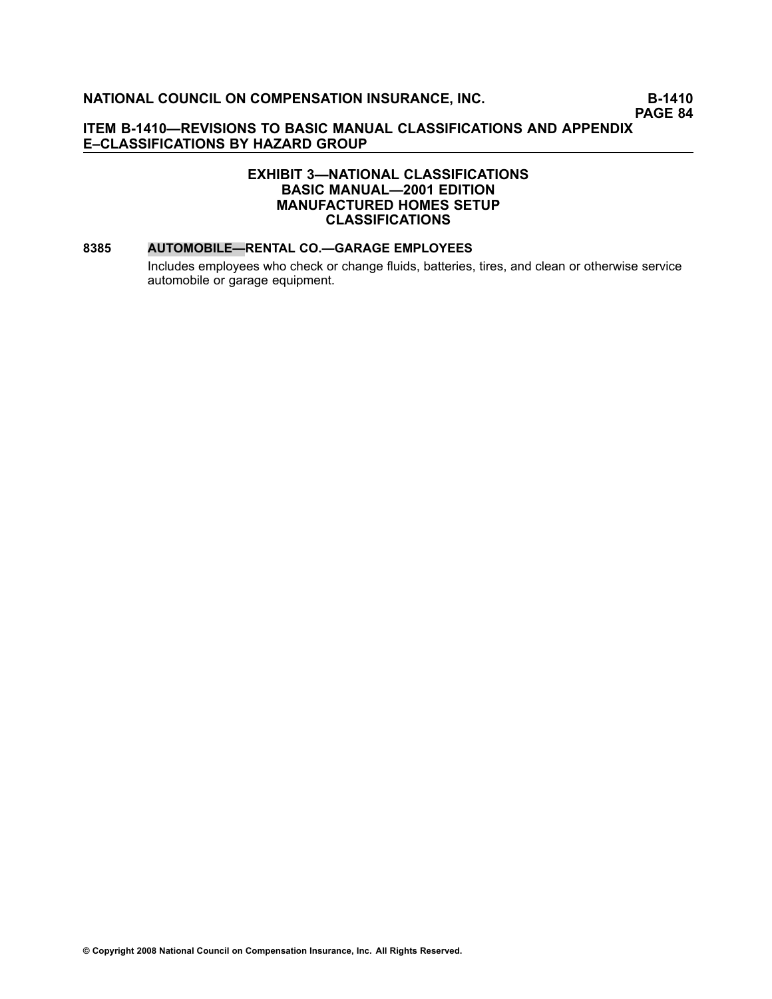**PAGE 84**

#### **ITEM B1410—REVISIONS TO BASIC MANUAL CLASSIFICATIONS AND APPENDIX E–CLASSIFICATIONS BY HAZARD GROUP**

#### **EXHIBIT 3—NATIONAL CLASSIFICATIONS BASIC MANUAL—2001 EDITION MANUFACTURED HOMES SETUP CLASSIFICATIONS**

#### **[8385](file:///C:/manuscript/hyperlink.asp?docid=8385<?Pub & EntityName=amp>manualtitle=scopesxml) AUTOMOBILE—RENTAL CO.—GARAGE EMPLOYEES**

Includes employees who check or change fluids, batteries, tires, and clean or otherwise service automobile or garage equipment.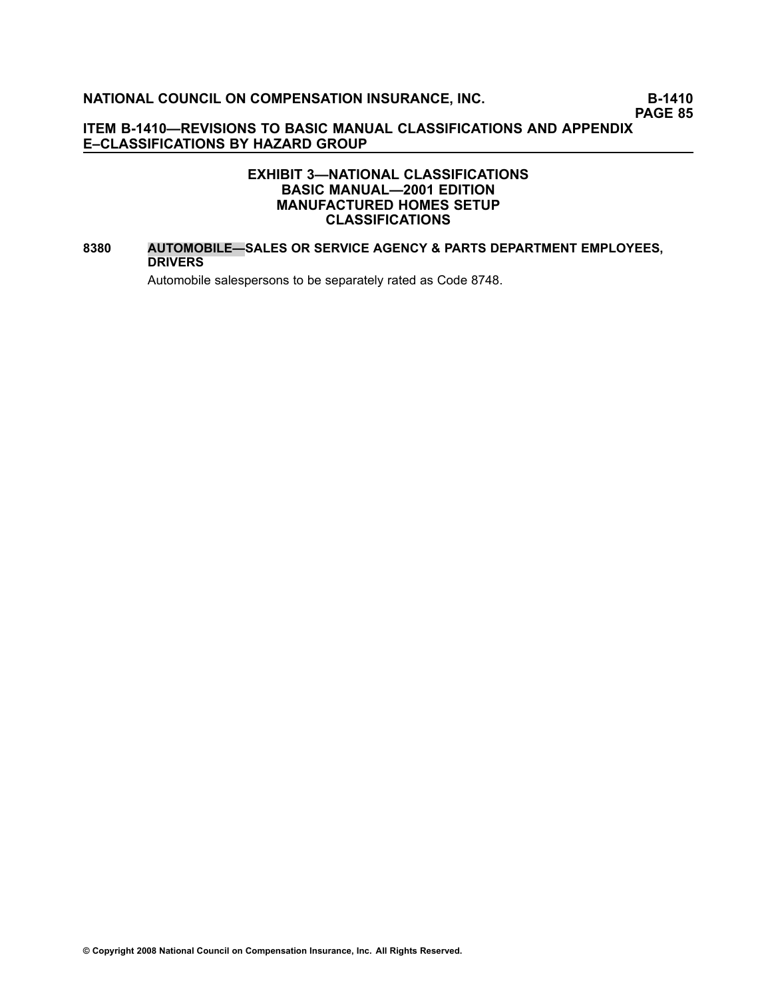**PAGE 85**

#### **ITEM B1410—REVISIONS TO BASIC MANUAL CLASSIFICATIONS AND APPENDIX E–CLASSIFICATIONS BY HAZARD GROUP**

#### **EXHIBIT 3—NATIONAL CLASSIFICATIONS BASIC MANUAL—2001 EDITION MANUFACTURED HOMES SETUP CLASSIFICATIONS**

#### **[8380](file:///C:/manuscript/hyperlink.asp?docid=8380<?Pub & EntityName=amp>manualtitle=scopesxml) AUTOMOBILE—SALES OR SERVICE AGENCY & PARTS DEPARTMENT EMPLOYEES, DRIVERS**

Automobile salespersons to be separately rated as Code [8748](file:///C:/manuscript/hyperlink.asp?docid=8748<?Pub & EntityName=amp>manualtitle=scopesxml).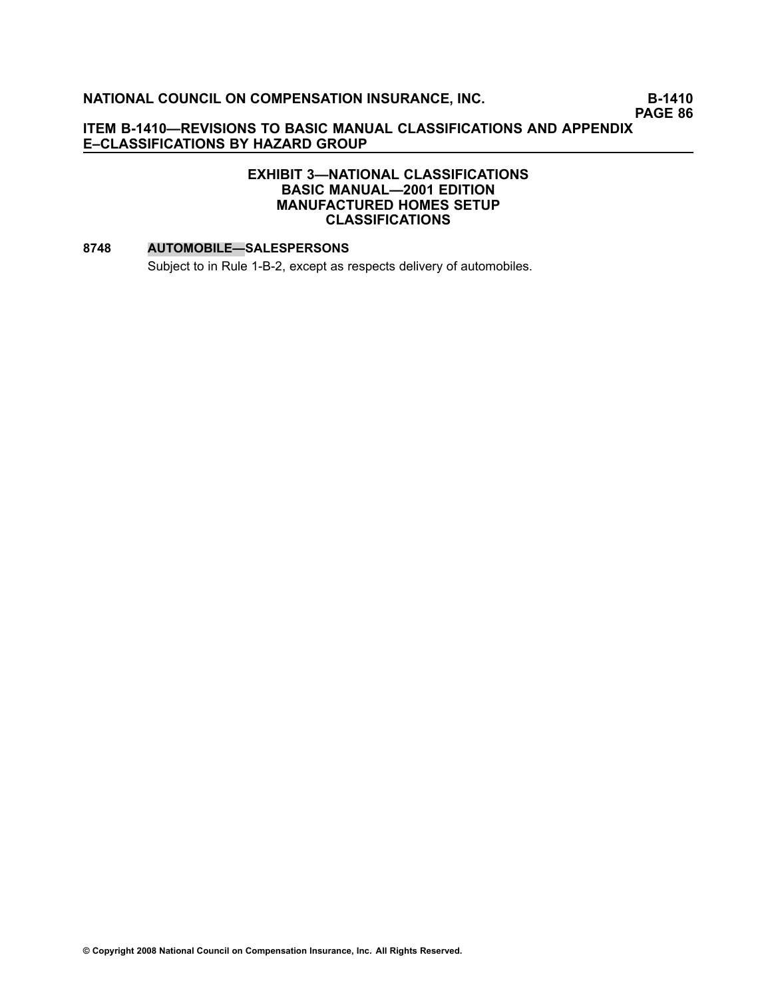**PAGE 86**

#### **ITEM B1410—REVISIONS TO BASIC MANUAL CLASSIFICATIONS AND APPENDIX E–CLASSIFICATIONS BY HAZARD GROUP**

#### **EXHIBIT 3—NATIONAL CLASSIFICATIONS BASIC MANUAL—2001 EDITION MANUFACTURED HOMES SETUP CLASSIFICATIONS**

#### **[8748](file:///C:/manuscript/hyperlink.asp?docid=8748<?Pub & EntityName=amp>manualtitle=scopesxml) AUTOMOBILE—SALESPERSONS**

Subject to in Rule 1-B-2, except as respects delivery of automobiles.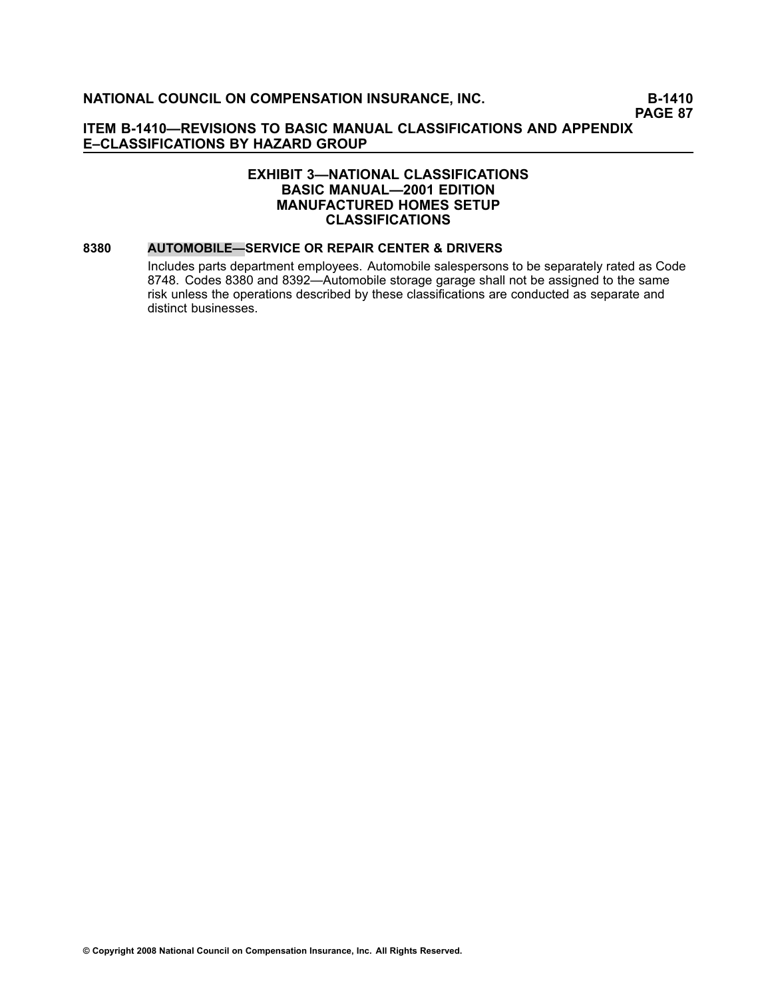#### **ITEM B1410—REVISIONS TO BASIC MANUAL CLASSIFICATIONS AND APPENDIX E–CLASSIFICATIONS BY HAZARD GROUP**

#### **EXHIBIT 3—NATIONAL CLASSIFICATIONS BASIC MANUAL—2001 EDITION MANUFACTURED HOMES SETUP CLASSIFICATIONS**

#### **[8380](file:///C:/manuscript/hyperlink.asp?docid=8380<?Pub & EntityName=amp>manualtitle=scopesxml) AUTOMOBILE—SERVICE OR REPAIR CENTER & DRIVERS**

Includes parts department employees. Automobile salespersons to be separately rated as Code [8748](file:///C:/manuscript/hyperlink.asp?docid=8748<?Pub & EntityName=amp>manualtitle=scopesxml). Codes [8380](file:///C:/manuscript/hyperlink.asp?docid=8380<?Pub & EntityName=amp>manualtitle=scopesxml) and [8392](file:///C:/manuscript/hyperlink.asp?docid=8392<?Pub & EntityName=amp>manualtitle=scopesxml)—Automobile storage garage shall not be assigned to the same risk unless the operations described by these classifications are conducted as separate and distinct businesses.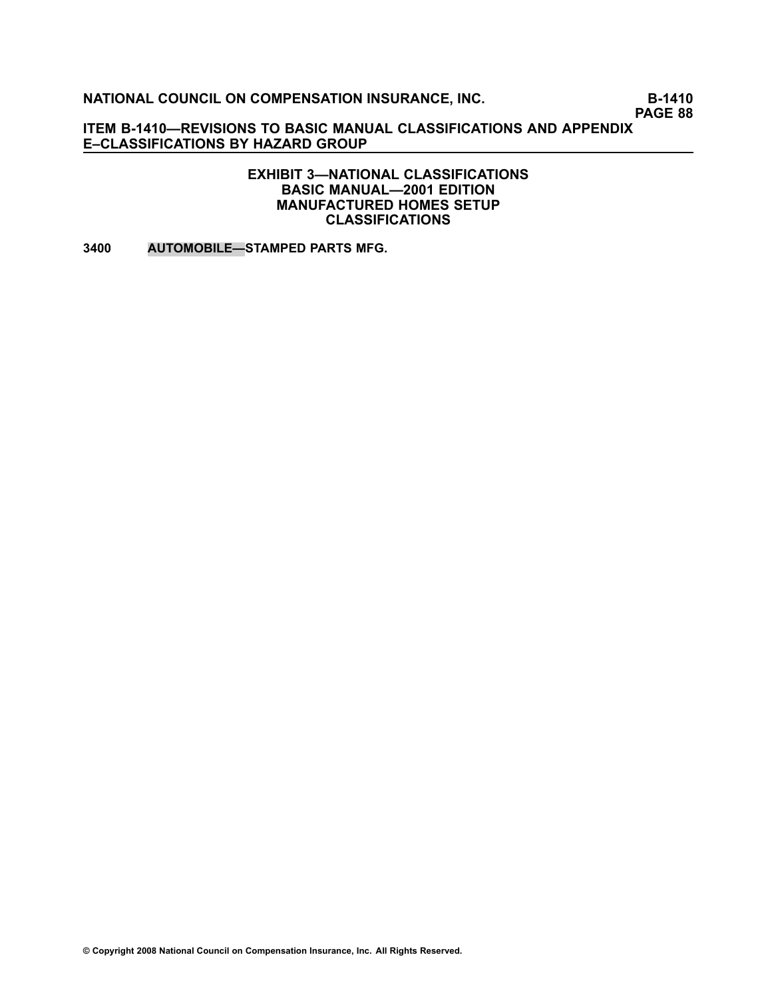**PAGE 88**

**ITEM B1410—REVISIONS TO BASIC MANUAL CLASSIFICATIONS AND APPENDIX E–CLASSIFICATIONS BY HAZARD GROUP**

#### **EXHIBIT 3—NATIONAL CLASSIFICATIONS BASIC MANUAL—2001 EDITION MANUFACTURED HOMES SETUP CLASSIFICATIONS**

**[3400](file:///C:/manuscript/hyperlink.asp?docid=3400<?Pub & EntityName=amp>manualtitle=scopesxml) AUTOMOBILE—STAMPED PARTS MFG.**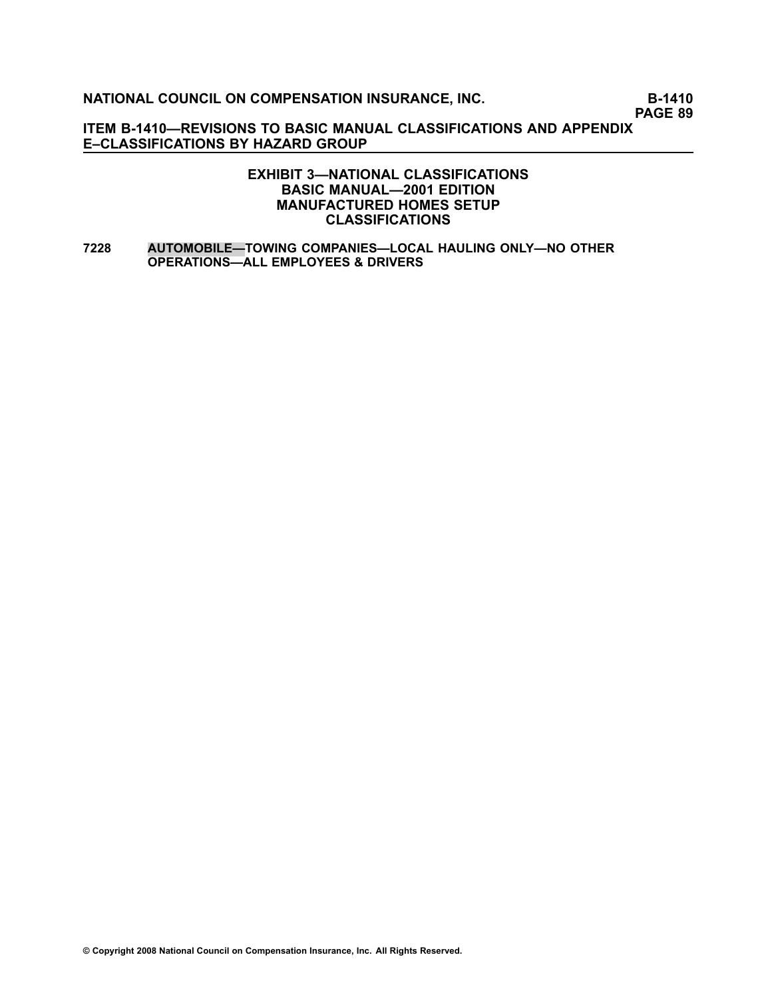**PAGE 89**

**ITEM B1410—REVISIONS TO BASIC MANUAL CLASSIFICATIONS AND APPENDIX E–CLASSIFICATIONS BY HAZARD GROUP**

#### **EXHIBIT 3—NATIONAL CLASSIFICATIONS BASIC MANUAL—2001 EDITION MANUFACTURED HOMES SETUP CLASSIFICATIONS**

**[7228](file:///C:/manuscript/hyperlink.asp?docid=7228<?Pub & EntityName=amp>manualtitle=scopesxml) AUTOMOBILE—TOWING COMPANIES—LOCAL HAULING ONLY—NO OTHER OPERATIONS—ALL EMPLOYEES & DRIVERS**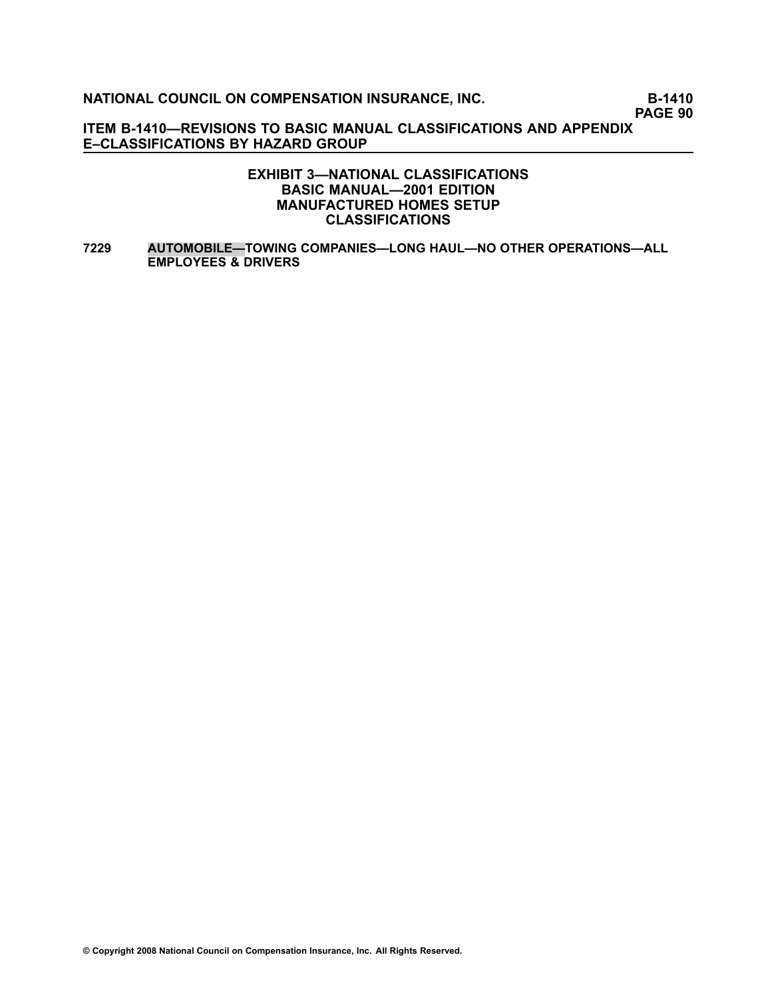**PAGE 90**

**ITEM B1410—REVISIONS TO BASIC MANUAL CLASSIFICATIONS AND APPENDIX E–CLASSIFICATIONS BY HAZARD GROUP**

#### **EXHIBIT 3—NATIONAL CLASSIFICATIONS BASIC MANUAL—2001 EDITION MANUFACTURED HOMES SETUP CLASSIFICATIONS**

**[7229](file:///C:/manuscript/hyperlink.asp?docid=7229<?Pub & EntityName=amp>manualtitle=scopesxml) AUTOMOBILE—TOWING COMPANIES—LONG HAUL—NO OTHER OPERATIONS—ALL EMPLOYEES & DRIVERS**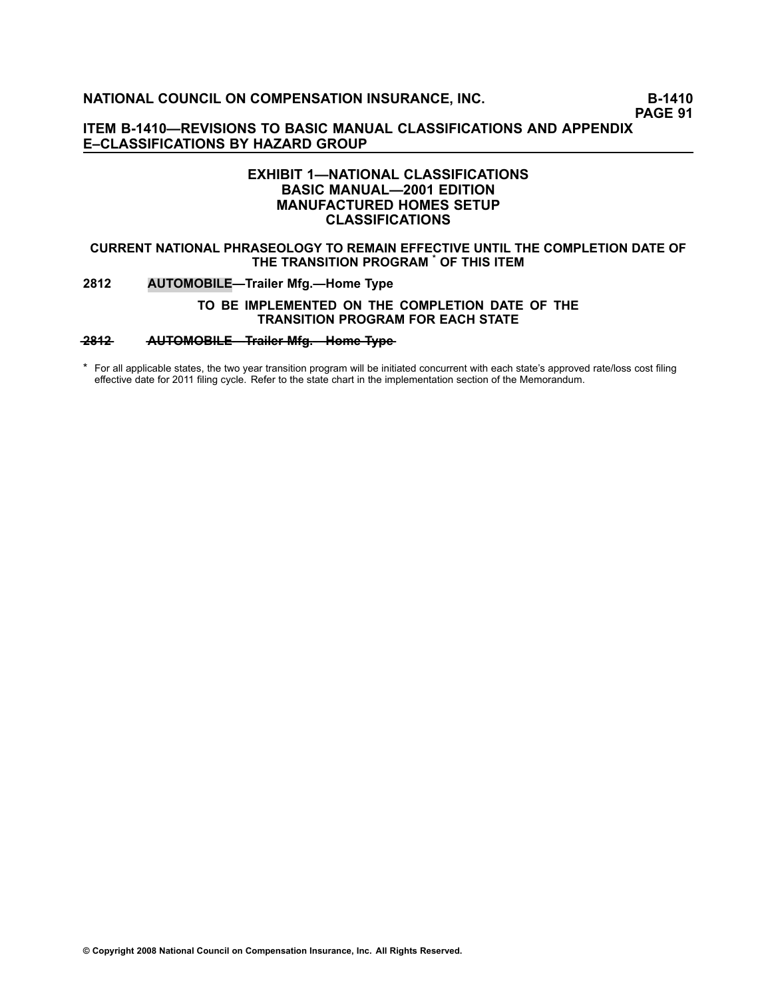**PAGE 91**

**ITEM B1410—REVISIONS TO BASIC MANUAL CLASSIFICATIONS AND APPENDIX E–CLASSIFICATIONS BY HAZARD GROUP**

#### **EXHIBIT 1—NATIONAL CLASSIFICATIONS BASIC MANUAL—2001 EDITION MANUFACTURED HOMES SETUP CLASSIFICATIONS**

#### **CURRENT NATIONAL PHRASEOLOGY TO REMAIN EFFECTIVE UNTIL THE COMPLETION DATE OF THE TRANSITION PROGRAM \* OF THIS ITEM**

#### **[2812](file:///C:/manuscript/hyperlink.asp?docid=2812<?Pub & EntityName=amp>manualtitle=scopesxml) AUTOMOBILE—Trailer Mfg.—Home Type**

#### **TO BE IMPLEMENTED ON THE COMPLETION DATE OF THE TRANSITION PROGRAM FOR EACH STATE**

#### **2812 • AUTOMOBILE-Trailer Mfg.-Home Type**

\* For all applicable states, the two year transition program will be initiated concurrent with each state's approved rate/loss cost filing effective date for 2011 filing cycle. Refer to the state chart in the implementation section of the Memorandum.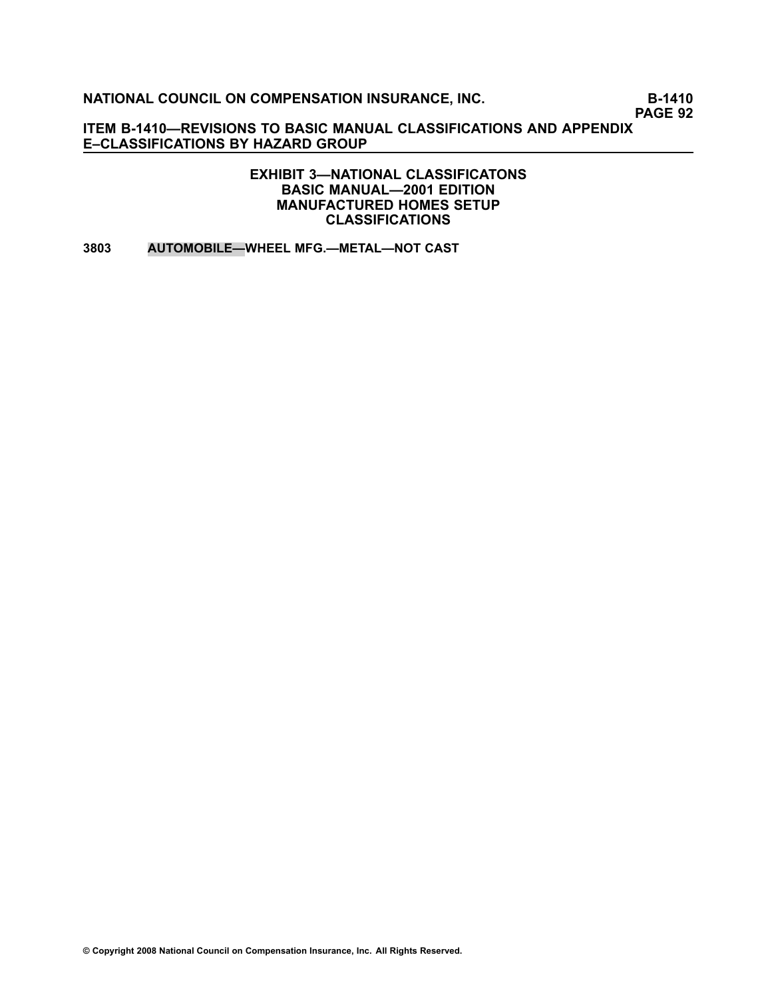**PAGE 92**

**ITEM B1410—REVISIONS TO BASIC MANUAL CLASSIFICATIONS AND APPENDIX E–CLASSIFICATIONS BY HAZARD GROUP**

> **EXHIBIT 3—NATIONAL CLASSIFICATONS BASIC MANUAL—2001 EDITION MANUFACTURED HOMES SETUP CLASSIFICATIONS**

**[3803](file:///C:/manuscript/hyperlink.asp?docid=3803<?Pub & EntityName=amp>manualtitle=scopesxml) AUTOMOBILE—WHEEL MFG.—METAL—NOT CAST**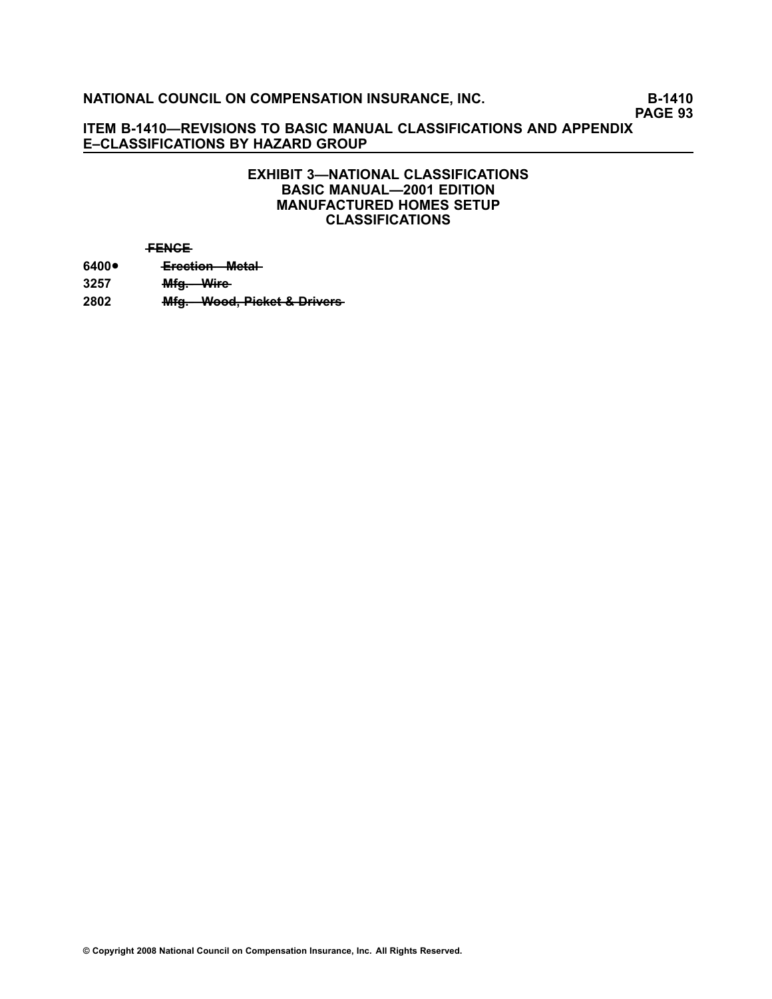# **PAGE 93**

#### **ITEM B1410—REVISIONS TO BASIC MANUAL CLASSIFICATIONS AND APPENDIX E–CLASSIFICATIONS BY HAZARD GROUP**

#### **EXHIBIT 3—NATIONAL CLASSIFICATIONS BASIC MANUAL—2001 EDITION MANUFACTURED HOMES SETUP CLASSIFICATIONS**

#### **—F—E—N—C—E**

**[6400](file:///C:/manuscript/hyperlink.asp?docid=6400<?Pub & EntityName=amp>manualtitle=scopesxml)**•**Erection** Metal **[3257](file:///C:/manuscript/hyperlink.asp?docid=3257<?Pub & EntityName=amp>manualtitle=scopesxml) —M—f—g—.—W———ir—e** [2802](file:///C:/manuscript/hyperlink.asp?docid=2802<?Pub & EntityName=amp>manualtitle=scopesxml) **Mfg. Wood, Picket & Drivers**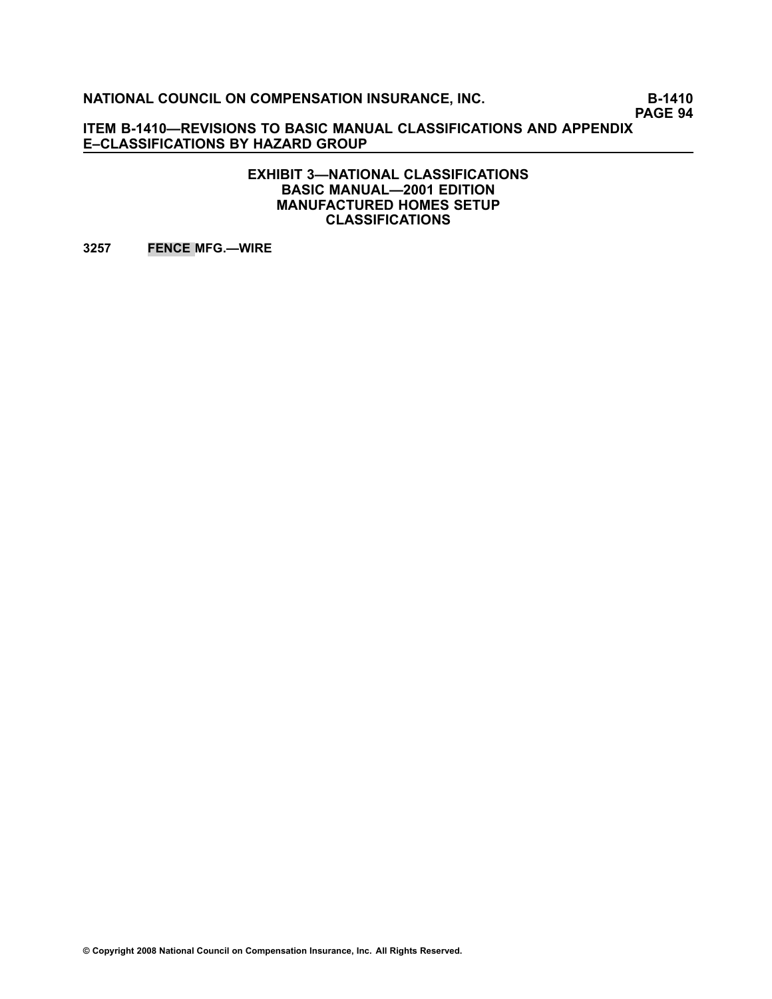**PAGE 94**

**ITEM B1410—REVISIONS TO BASIC MANUAL CLASSIFICATIONS AND APPENDIX E–CLASSIFICATIONS BY HAZARD GROUP**

> **EXHIBIT 3—NATIONAL CLASSIFICATIONS BASIC MANUAL—2001 EDITION MANUFACTURED HOMES SETUP CLASSIFICATIONS**

**[3257](file:///C:/manuscript/hyperlink.asp?docid=3257<?Pub & EntityName=amp>manualtitle=scopesxml) FENCE MFG.—WIRE**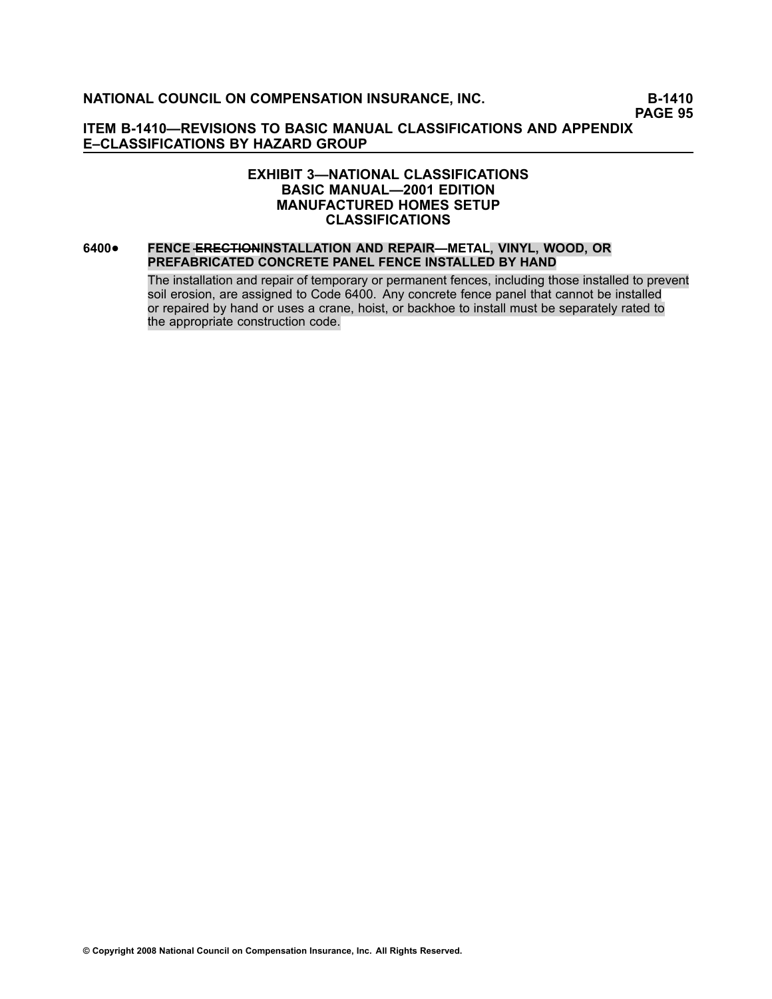**PAGE 95**

#### **ITEM B1410—REVISIONS TO BASIC MANUAL CLASSIFICATIONS AND APPENDIX E–CLASSIFICATIONS BY HAZARD GROUP**

#### **EXHIBIT 3—NATIONAL CLASSIFICATIONS BASIC MANUAL—2001 EDITION MANUFACTURED HOMES SETUP CLASSIFICATIONS**

#### **[6400](file:///C:/manuscript/hyperlink.asp?docid=6400<?Pub & EntityName=amp>manualtitle=scopesxml)**• **FENCE —E—R—E—C—T—I—O—NINSTALLATION AND REPAIR—METAL, VINYL, WOOD, OR PREFABRICATED CONCRETE PANEL FENCE INSTALLED BY HAND**

The installation and repair of temporary or permanent fences, including those installed to prevent soil erosion, are assigned to Code 6400. Any concrete fence panel that cannot be installed or repaired by hand or uses <sup>a</sup> crane, hoist, or backhoe to install must be separately rated to the appropriate construction code.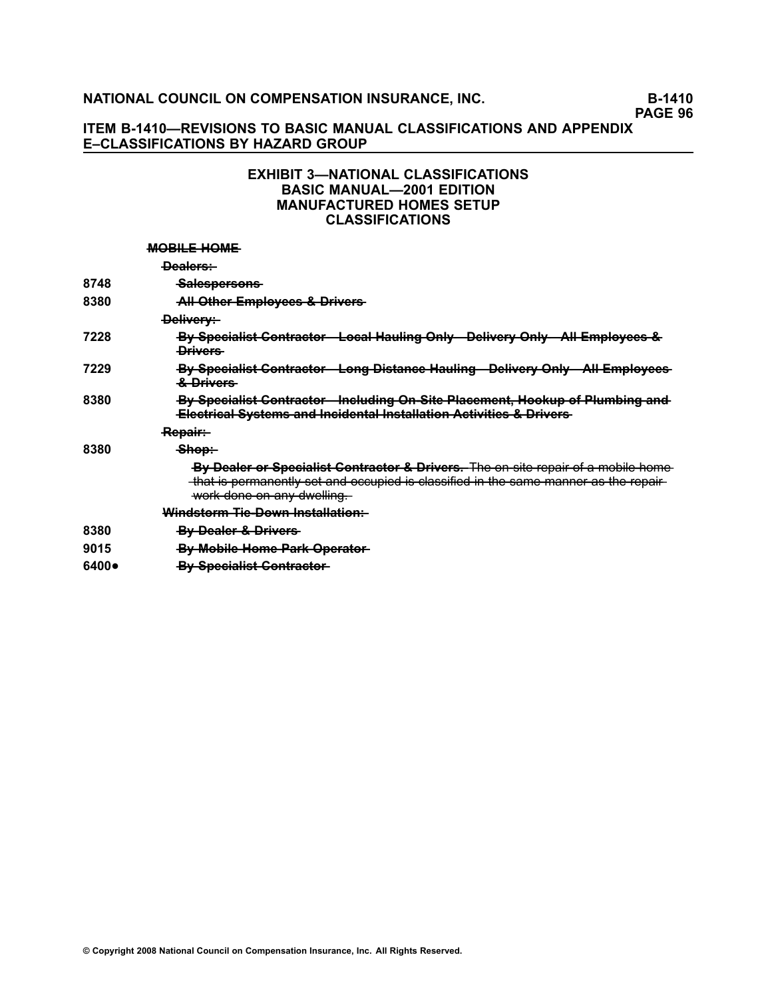# **PAGE 96**

#### **ITEM B1410—REVISIONS TO BASIC MANUAL CLASSIFICATIONS AND APPENDIX E–CLASSIFICATIONS BY HAZARD GROUP**

#### **EXHIBIT 3—NATIONAL CLASSIFICATIONS BASIC MANUAL—2001 EDITION MANUFACTURED HOMES SETUP CLASSIFICATIONS**

#### **MOBILE HOME**

|       | <del>Dealers:</del>                                                                                                                                                                                     |  |
|-------|---------------------------------------------------------------------------------------------------------------------------------------------------------------------------------------------------------|--|
| 8748  | Salespersons                                                                                                                                                                                            |  |
| 8380  | All Other Employees & Drivers                                                                                                                                                                           |  |
|       | <del>Delivery:</del>                                                                                                                                                                                    |  |
| 7228  | By Specialist Contractor Local Hauling Only Delivery Only All Employees &<br><b>Drivers</b>                                                                                                             |  |
| 7229  | By Specialist Contractor Long Distance Hauling Delivery Only All Employees<br><del>&amp; Drivers</del>                                                                                                  |  |
| 8380  | By Specialist Contractor - Including On Site Placement, Hookup of Plumbing and<br><b>Electrical Systems and Incidental Installation Activities &amp; Drivers</b>                                        |  |
|       | <del>Repair:</del>                                                                                                                                                                                      |  |
| 8380  | <del>Shop:</del>                                                                                                                                                                                        |  |
|       | By Dealer or Specialist Contractor & Drivers. The en site repair of a mobile home<br>that is permanently set and occupied is classified in the same manner as the repair-<br>work done on any dwelling. |  |
|       | Windstorm Tie Down Installation:                                                                                                                                                                        |  |
| 8380  | By Dealer & Drivers                                                                                                                                                                                     |  |
| 9015  | By Mobile Home Park Operator-                                                                                                                                                                           |  |
| 6400● | <b>By Specialist Contractor-</b>                                                                                                                                                                        |  |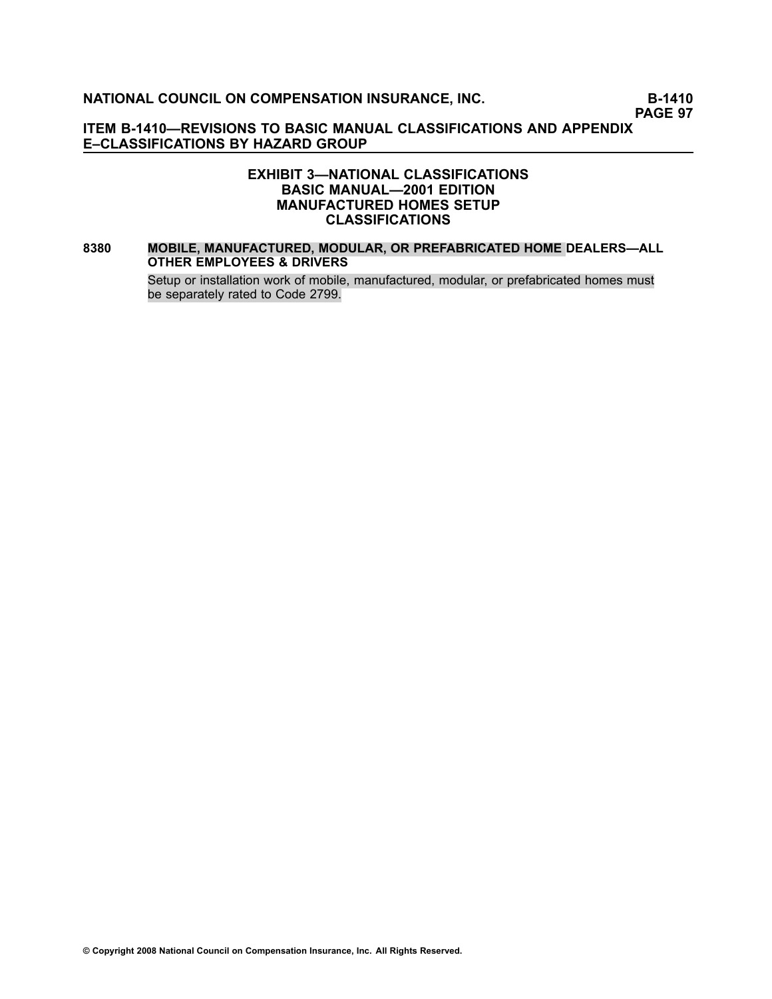**PAGE 97**

#### **ITEM B1410—REVISIONS TO BASIC MANUAL CLASSIFICATIONS AND APPENDIX E–CLASSIFICATIONS BY HAZARD GROUP**

#### **EXHIBIT 3—NATIONAL CLASSIFICATIONS BASIC MANUAL—2001 EDITION MANUFACTURED HOMES SETUP CLASSIFICATIONS**

#### **[8380](file:///C:/manuscript/hyperlink.asp?docid=8380<?Pub & EntityName=amp>manualtitle=scopesxml) MOBILE, MANUFACTURED, MODULAR, OR PREFABRICATED HOME DEALERS—ALL OTHER EMPLOYEES & DRIVERS**

Setup or installation work of mobile, manufactured, modular, or prefabricated homes must be separately rated to Code 2799.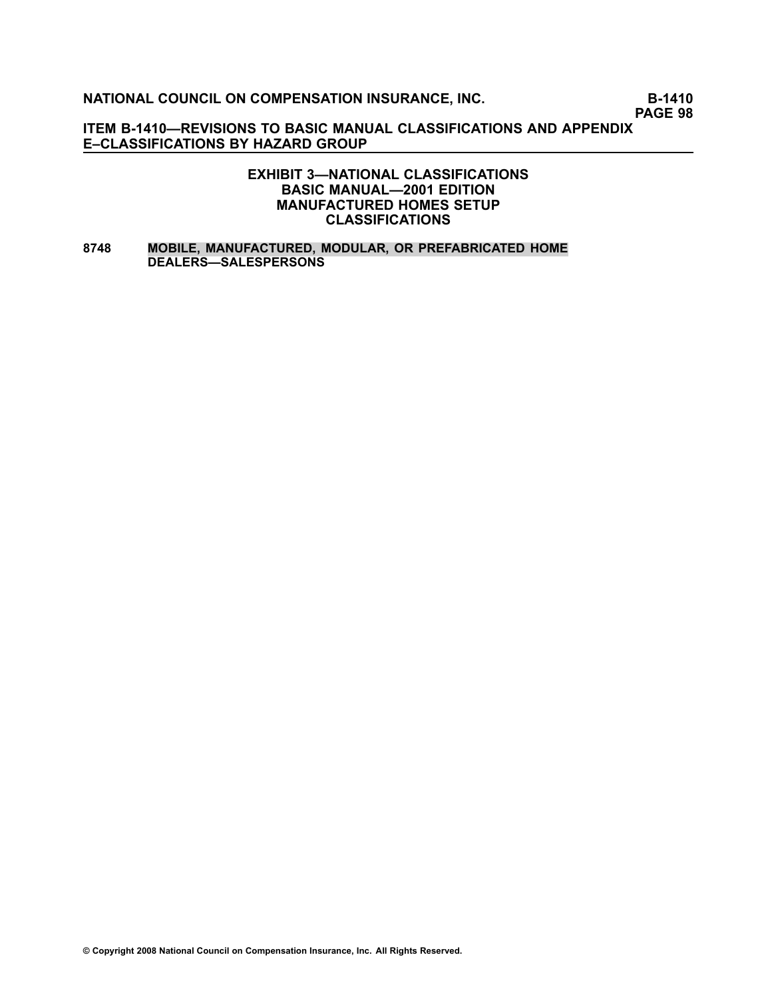**PAGE 98**

**ITEM B1410—REVISIONS TO BASIC MANUAL CLASSIFICATIONS AND APPENDIX E–CLASSIFICATIONS BY HAZARD GROUP**

#### **EXHIBIT 3—NATIONAL CLASSIFICATIONS BASIC MANUAL—2001 EDITION MANUFACTURED HOMES SETUP CLASSIFICATIONS**

#### **[8748](file:///C:/manuscript/hyperlink.asp?docid=8748<?Pub & EntityName=amp>manualtitle=scopesxml) MOBILE, MANUFACTURED, MODULAR, OR PREFABRICATED HOME DEALERS—SALESPERSONS**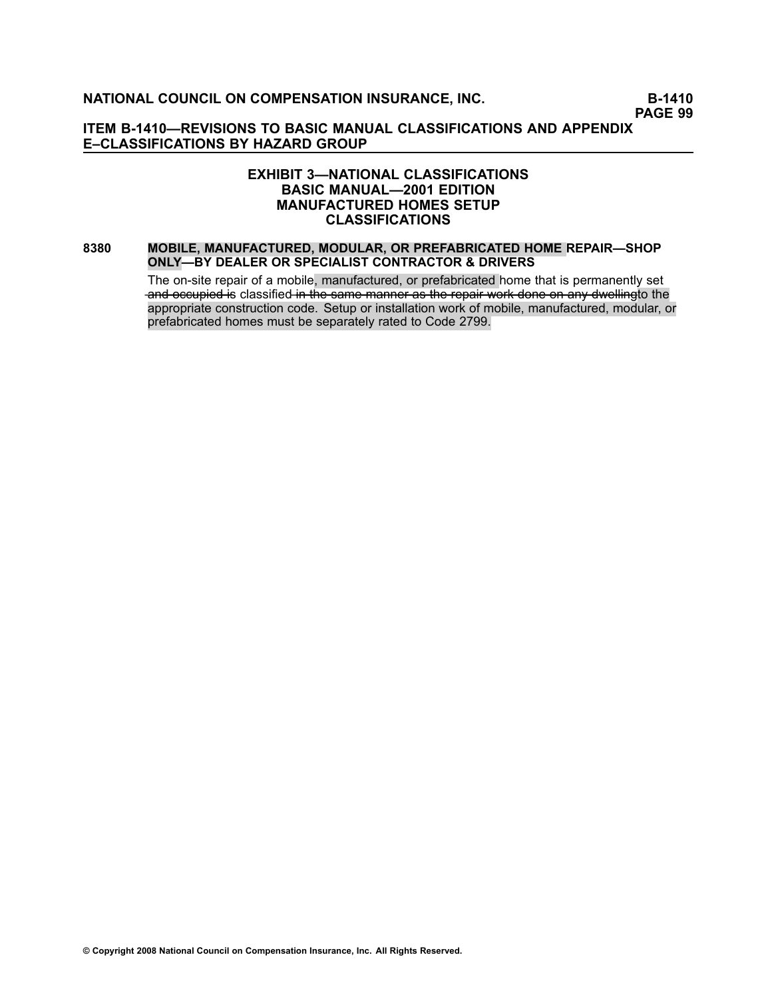**PAGE 99**

#### **ITEM B1410—REVISIONS TO BASIC MANUAL CLASSIFICATIONS AND APPENDIX E–CLASSIFICATIONS BY HAZARD GROUP**

#### **EXHIBIT 3—NATIONAL CLASSIFICATIONS BASIC MANUAL—2001 EDITION MANUFACTURED HOMES SETUP CLASSIFICATIONS**

#### **[8380](file:///C:/manuscript/hyperlink.asp?docid=8380<?Pub & EntityName=amp>manualtitle=scopesxml) MOBILE, MANUFACTURED, MODULAR, OR PREFABRICATED HOME REPAIR—SHOP ONLY—BY DEALER OR SPECIALIST CONTRACTOR & DRIVERS**

The on-site repair of a mobile, manufactured, or prefabricated home that is permanently set and occupied is classified in the same manner as the repair work done on any dwellingto the appropriate construction code. Setup or installation work of mobile, manufactured, modular, or prefabricated homes must be separately rated to Code 2799.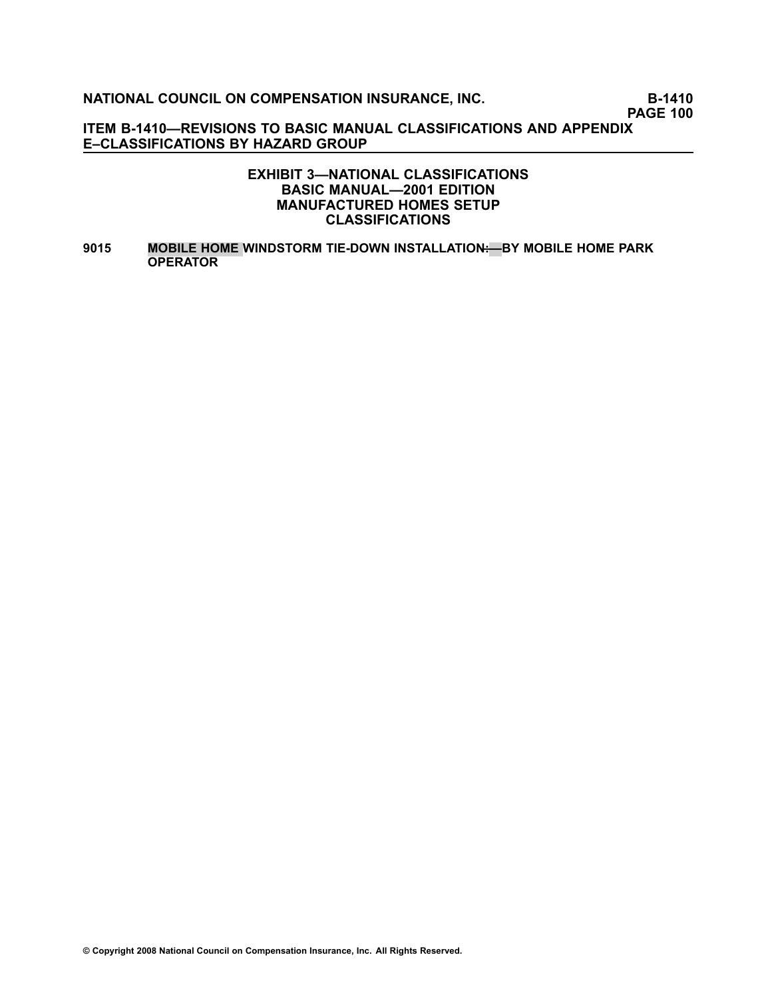**PAGE 100**

**ITEM B1410—REVISIONS TO BASIC MANUAL CLASSIFICATIONS AND APPENDIX E–CLASSIFICATIONS BY HAZARD GROUP**

#### **EXHIBIT 3—NATIONAL CLASSIFICATIONS BASIC MANUAL—2001 EDITION MANUFACTURED HOMES SETUP CLASSIFICATIONS**

**[9015](file:///C:/manuscript/hyperlink.asp?docid=9015<?Pub & EntityName=amp>manualtitle=scopesxml) MOBILE HOME WINDSTORM TIEDOWN INSTALLATION—:—BY MOBILE HOME PARK OPERATOR**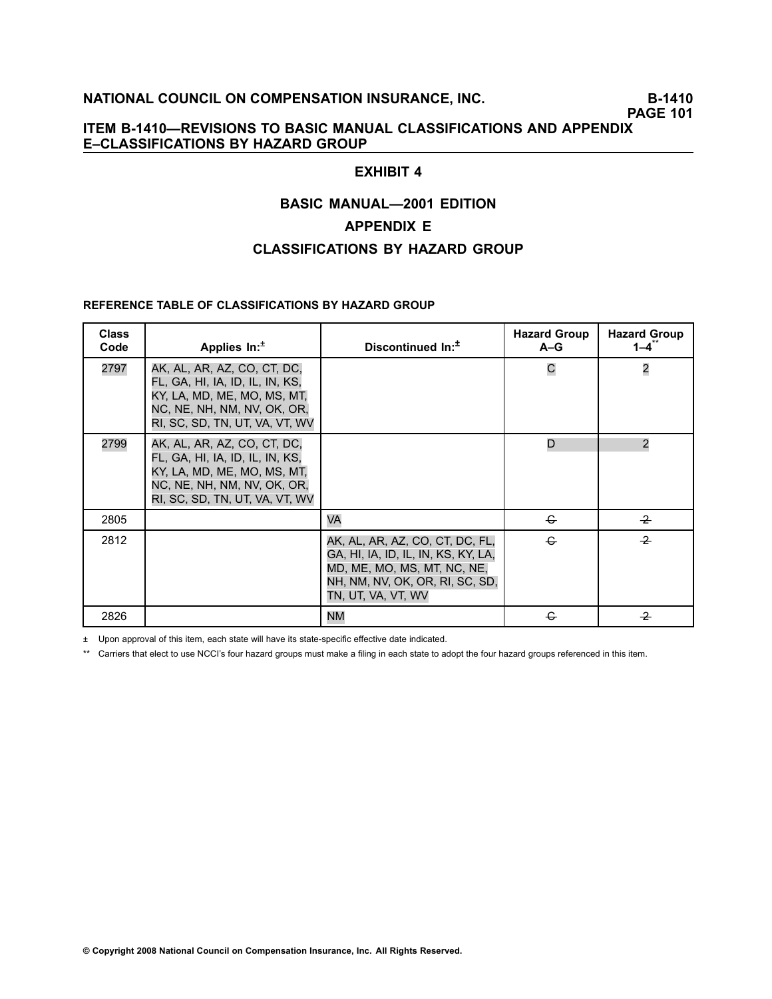# **PAGE 101**

### **ITEM B1410—REVISIONS TO BASIC MANUAL CLASSIFICATIONS AND APPENDIX E–CLASSIFICATIONS BY HAZARD GROUP**

# **EXHIBIT 4**

# **BASIC MANUAL—2001 EDITION**

#### **APPENDIX E**

# **CLASSIFICATIONS BY HAZARD GROUP**

#### **REFERENCE TABLE OF CLASSIFICATIONS BY HAZARD GROUP**

| <b>Class</b><br>Code | Applies $In:±$                                                                                                                                                 | Discontinued In: <sup>1</sup>                                                                                                                                  | <b>Hazard Group</b><br>$A-G$ | <b>Hazard Group</b><br>1–4¨ |
|----------------------|----------------------------------------------------------------------------------------------------------------------------------------------------------------|----------------------------------------------------------------------------------------------------------------------------------------------------------------|------------------------------|-----------------------------|
| 2797                 | AK, AL, AR, AZ, CO, CT, DC,<br>FL, GA, HI, IA, ID, IL, IN, KS,<br>KY, LA, MD, ME, MO, MS, MT,<br>NC, NE, NH, NM, NV, OK, OR,<br>RI, SC, SD, TN, UT, VA, VT, WV |                                                                                                                                                                | C                            | $\overline{\mathbf{c}}$     |
| 2799                 | AK, AL, AR, AZ, CO, CT, DC,<br>FL, GA, HI, IA, ID, IL, IN, KS,<br>KY, LA, MD, ME, MO, MS, MT,<br>NC, NE, NH, NM, NV, OK, OR,<br>RI, SC, SD, TN, UT, VA, VT, WV |                                                                                                                                                                | D                            | $\overline{2}$              |
| 2805                 |                                                                                                                                                                | VA                                                                                                                                                             | $\epsilon$                   | $\overline{2}$              |
| 2812                 |                                                                                                                                                                | AK, AL, AR, AZ, CO, CT, DC, FL,<br>GA, HI, IA, ID, IL, IN, KS, KY, LA,<br>MD, ME, MO, MS, MT, NC, NE,<br>NH, NM, NV, OK, OR, RI, SC, SD,<br>tn, ut, va, vt, wv | $\div$                       | $\overline{2}$              |
| 2826                 |                                                                                                                                                                | <b>NM</b>                                                                                                                                                      | €                            | $\overline{2}$              |

 $±$  Upon approval of this item, each state will have its state-specific effective date indicated.

\*\* Carriers that elect to use NCCI's four hazard groups must make <sup>a</sup> filing in each state to adopt the four hazard groups referenced in this item.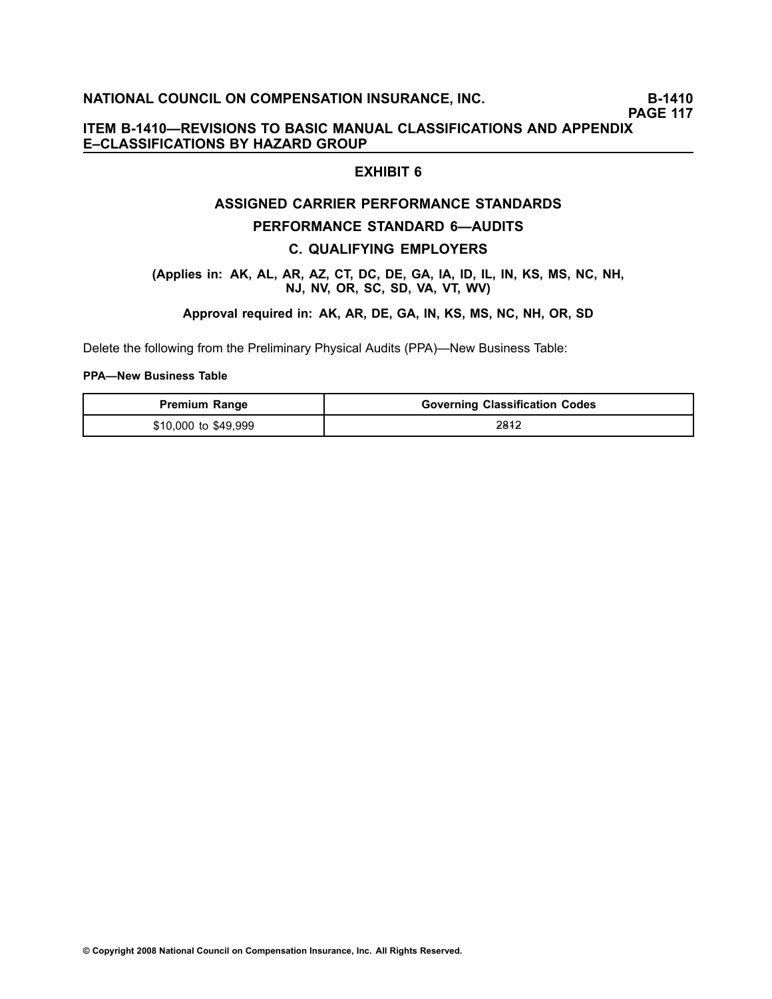**PAGE 117**

# **ITEM B1410—REVISIONS TO BASIC MANUAL CLASSIFICATIONS AND APPENDIX E–CLASSIFICATIONS BY HAZARD GROUP**

# **EXHIBIT 6**

# **ASSIGNED CARRIER PERFORMANCE STANDARDS**

#### **PERFORMANCE STANDARD 6—AUDITS**

#### **C. QUALIFYING EMPLOYERS**

#### **(Applies in: AK, AL, AR, AZ, CT, DC, DE, GA, IA, ID, IL, IN, KS, MS, NC, NH, NJ, NV, OR, SC, SD, VA, VT, WV)**

#### **Approval required in: AK, AR, DE, GA, IN, KS, MS, NC, NH, OR, SD**

Delete the following from the Preliminary Physical Audits (PPA)—New Business Table:

#### **PPA—New Business Table**

| <b>Premium Range</b> | <b>Governing Classification Codes</b> |
|----------------------|---------------------------------------|
| \$10,000 to \$49,999 | 2812                                  |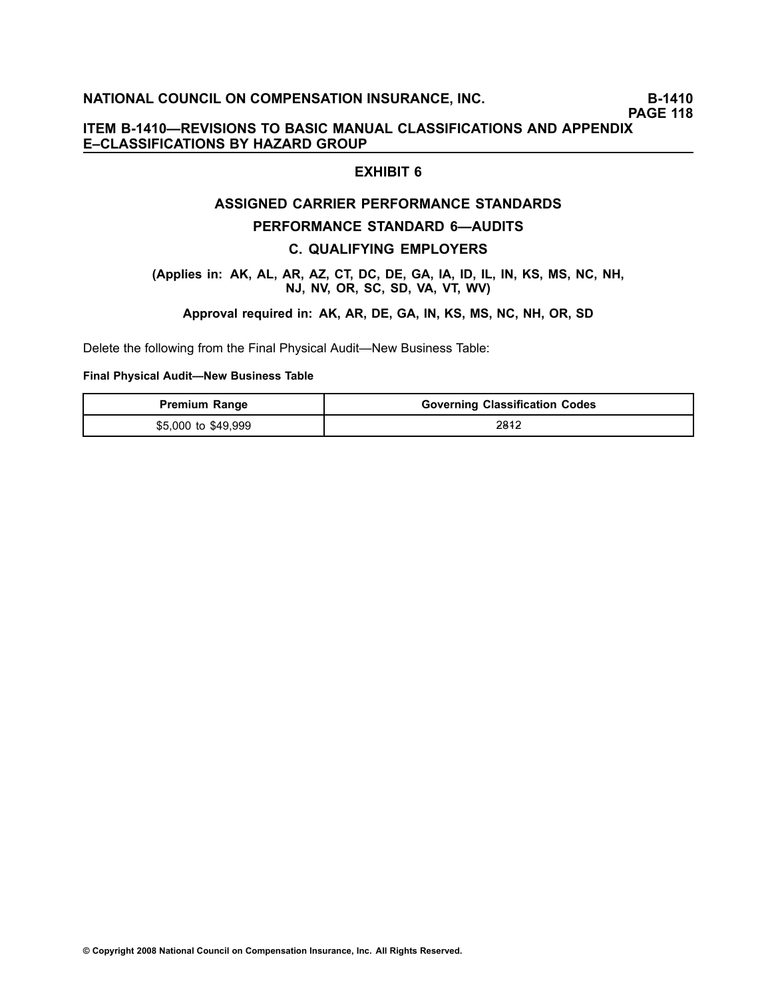**PAGE 118**

# **ITEM B1410—REVISIONS TO BASIC MANUAL CLASSIFICATIONS AND APPENDIX E–CLASSIFICATIONS BY HAZARD GROUP**

# **EXHIBIT 6**

# **ASSIGNED CARRIER PERFORMANCE STANDARDS**

#### **PERFORMANCE STANDARD 6—AUDITS**

#### **C. QUALIFYING EMPLOYERS**

#### **(Applies in: AK, AL, AR, AZ, CT, DC, DE, GA, IA, ID, IL, IN, KS, MS, NC, NH, NJ, NV, OR, SC, SD, VA, VT, WV)**

#### **Approval required in: AK, AR, DE, GA, IN, KS, MS, NC, NH, OR, SD**

Delete the following from the Final Physical Audit—New Business Table:

#### **Final Physical Audit—New Business Table**

| <b>Premium Range</b> | <b>Governing Classification Codes</b> |
|----------------------|---------------------------------------|
| \$5,000 to \$49,999  | 2812                                  |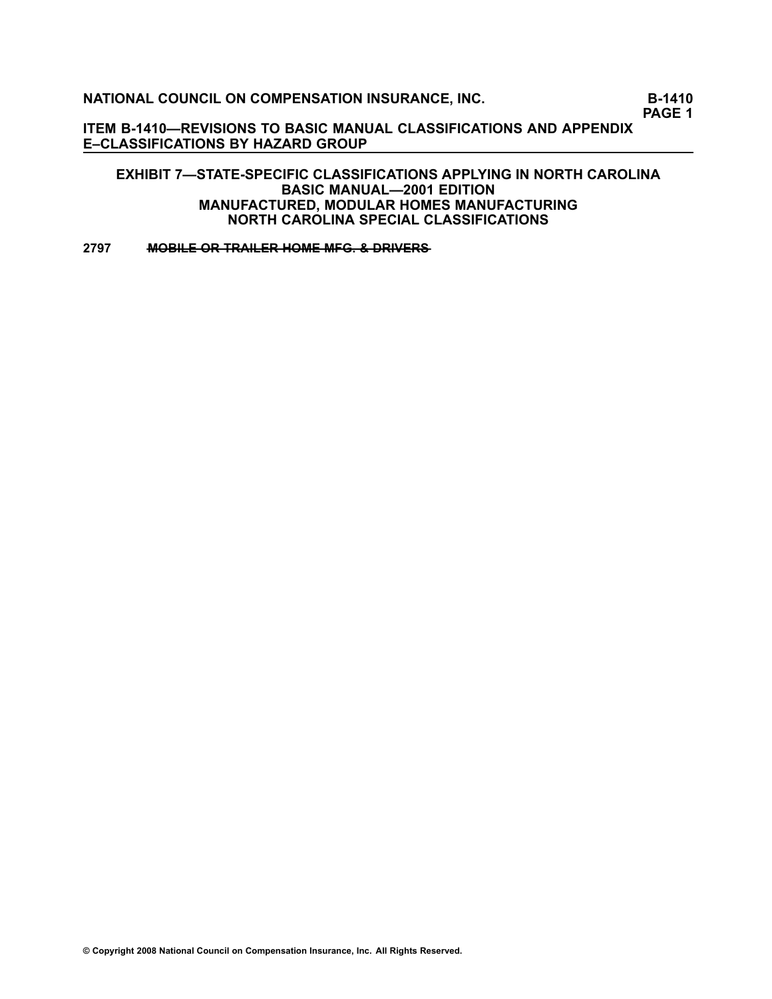**PAGE 1**

**ITEM B1410—REVISIONS TO BASIC MANUAL CLASSIFICATIONS AND APPENDIX E–CLASSIFICATIONS BY HAZARD GROUP**

**EXHIBIT 7—STATESPECIFIC CLASSIFICATIONS APPLYING IN NORTH CAROLINA BASIC MANUAL—2001 EDITION MANUFACTURED, MODULAR HOMES MANUFACTURING NORTH CAROLINA SPECIAL CLASSIFICATIONS**

**[2797](file:///C:/manuscript/hyperlink.asp?docid=2797<?Pub & EntityName=amp>manualtitle=scopesxmlstate ) • MOBILE OR TRAILER HOME MFG. & DRIVERS**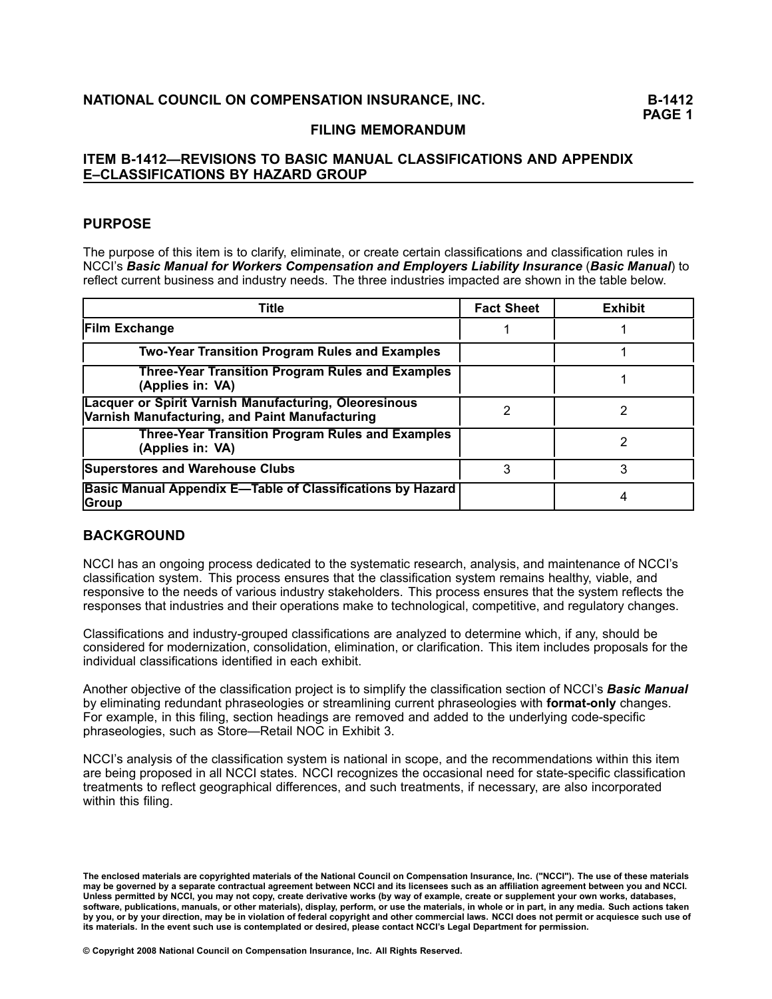# **FILING MEMORANDUM**

# **ITEM B1412—REVISIONS TO BASIC MANUAL CLASSIFICATIONS AND APPENDIX E–CLASSIFICATIONS BY HAZARD GROUP**

# **PURPOSE**

The purpose of this item is to clarify, eliminate, or create certain classifications and classification rules in NCCI's *Basic Manual for Workers Compensation and Employers Liability Insurance* (*Basic Manual*) to reflect current business and industry needs. The three industries impacted are shown in the table below.

| Title                                                                                                   | <b>Fact Sheet</b> | <b>Exhibit</b> |
|---------------------------------------------------------------------------------------------------------|-------------------|----------------|
| <b>Film Exchange</b>                                                                                    |                   |                |
| <b>Two-Year Transition Program Rules and Examples</b>                                                   |                   |                |
| <b>Three-Year Transition Program Rules and Examples</b><br>(Applies in: VA)                             |                   |                |
| Lacquer or Spirit Varnish Manufacturing, Oleoresinous<br>Varnish Manufacturing, and Paint Manufacturing | 2                 |                |
| <b>Three-Year Transition Program Rules and Examples</b><br>(Applies in: VA)                             |                   |                |
| <b>Superstores and Warehouse Clubs</b>                                                                  | З                 | 3              |
| <b>Basic Manual Appendix E-Table of Classifications by Hazard</b><br><b>Group</b>                       |                   |                |

# **BACKGROUND**

NCCI has an ongoing process dedicated to the systematic research, analysis, and maintenance of NCCI's classification system. This process ensures that the classification system remains healthy, viable, and responsive to the needs of various industry stakeholders. This process ensures that the system reflects the responses that industries and their operations make to technological, competitive, and regulatory changes.

Classifications and industry-grouped classifications are analyzed to determine which, if any, should be considered for modernization, consolidation, elimination, or clarification. This item includes proposals for the individual classifications identified in each exhibit.

Another objective of the classification project is to simplify the classification section of NCCI's *Basic Manual* by eliminating redundant phraseologies or streamlining current phraseologies with **format-only** changes. For example, in this filing, section headings are removed and added to the underlying codespecific phraseologies, such as Store—Retail NOC in Exhibit 3.

NCCI's analysis of the classification system is national in scope, and the recommendations within this item are being proposed in all NCCI states. NCCI recognizes the occasional need for state-specific classification treatments to reflect geographical differences, and such treatments, if necessary, are also incorporated within this filing.

The enclosed materials are copyrighted materials of the National Council on Compensation Insurance, Inc. ("NCCI"). The use of these materials may be governed by a separate contractual agreement between NCCI and its licensees such as an affiliation agreement between you and NCCI. Unless permitted by NCCI, you may not copy, create derivative works (by way of example, create or supplement your own works, databases, software, publications, manuals, or other materials), display, perform, or use the materials, in whole or in part, in any media. Such actions taken by you, or by your direction, may be in violation of federal copyright and other commercial laws. NCCI does not permit or acquiesce such use of its materials. In the event such use is contemplated or desired, please contact NCCI's Legal Department for permission.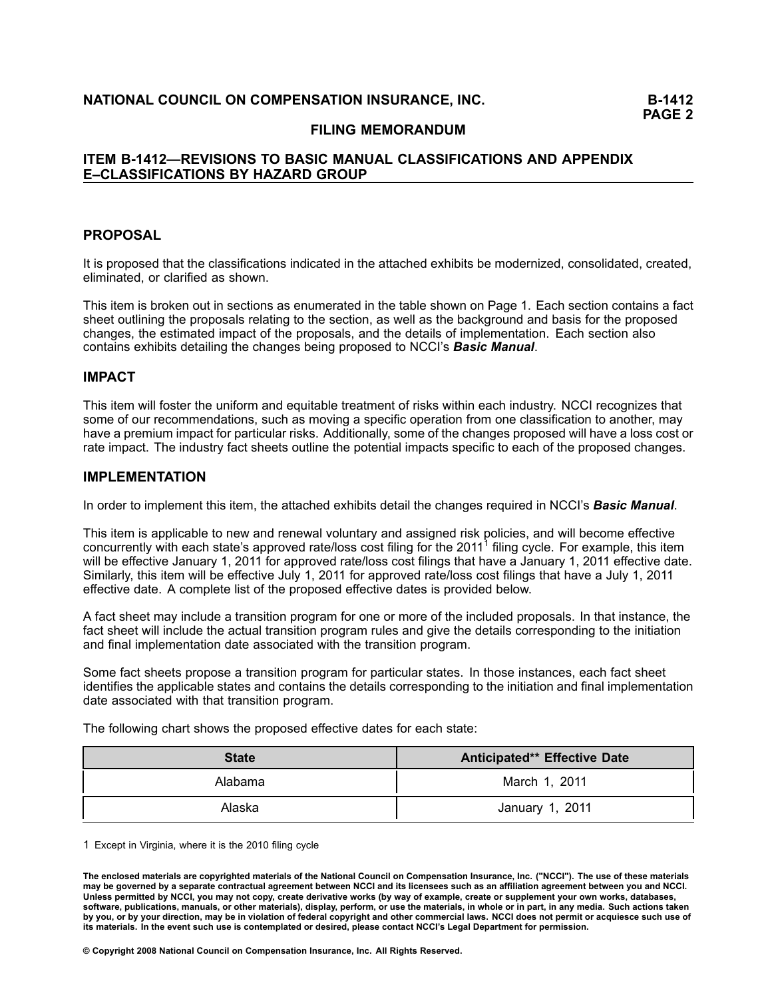#### **FILING MEMORANDUM**

### **ITEM B1412—REVISIONS TO BASIC MANUAL CLASSIFICATIONS AND APPENDIX E–CLASSIFICATIONS BY HAZARD GROUP**

#### **PROPOSAL**

It is proposed that the classifications indicated in the attached exhibits be modernized, consolidated, created, eliminated, or clarified as shown.

This item is broken out in sections as enumerated in the table shown on Page 1. Each section contains <sup>a</sup> fact sheet outlining the proposals relating to the section, as well as the background and basis for the proposed changes, the estimated impact of the proposals, and the details of implementation. Each section also contains exhibits detailing the changes being proposed to NCCI's *Basic Manual*.

#### **IMPACT**

This item will foster the uniform and equitable treatment of risks within each industry. NCCI recognizes that some of our recommendations, such as moving <sup>a</sup> specific operation from one classification to another, may have <sup>a</sup> premium impact for particular risks. Additionally, some of the changes proposed will have <sup>a</sup> loss cost or rate impact. The industry fact sheets outline the potential impacts specific to each of the proposed changes.

#### **IMPLEMENTATION**

In order to implement this item, the attached exhibits detail the changes required in NCCI's *Basic Manual*.

This item is applicable to new and renewal voluntary and assigned risk policies, and will become effective concurrently with each state's approved rate/loss cost filing for the 2011<sup>1</sup> filing cycle. For example, this item will be effective January 1, 2011 for approved rate/loss cost filings that have a January 1, 2011 effective date. Similarly, this item will be effective July 1, 2011 for approved rate/loss cost filings that have <sup>a</sup> July 1, 2011 effective date. A complete list of the proposed effective dates is provided below.

A fact sheet may include <sup>a</sup> transition program for one or more of the included proposals. In that instance, the fact sheet will include the actual transition program rules and give the details corresponding to the initiation and final implementation date associated with the transition program.

Some fact sheets propose <sup>a</sup> transition program for particular states. In those instances, each fact sheet identifies the applicable states and contains the details corresponding to the initiation and final implementation date associated with that transition program.

The following chart shows the proposed effective dates for each state:

| <b>State</b> | <b>Anticipated** Effective Date</b> |
|--------------|-------------------------------------|
| Alabama      | March 1, 2011                       |
| Alaska       | January 1, 2011                     |

1 Except in Virginia, where it is the 2010 filing cycle

The enclosed materials are copyrighted materials of the National Council on Compensation Insurance, Inc. ("NCCI"). The use of these materials may be governed by a separate contractual agreement between NCCI and its licensees such as an affiliation agreement between you and NCCI. Unless permitted by NCCI, you may not copy, create derivative works (by way of example, create or supplement your own works, databases, software, publications, manuals, or other materials), display, perform, or use the materials, in whole or in part, in any media. Such actions taken by you, or by your direction, may be in violation of federal copyright and other commercial laws. NCCI does not permit or acquiesce such use of its materials. In the event such use is contemplated or desired, please contact NCCI's Legal Department for permission.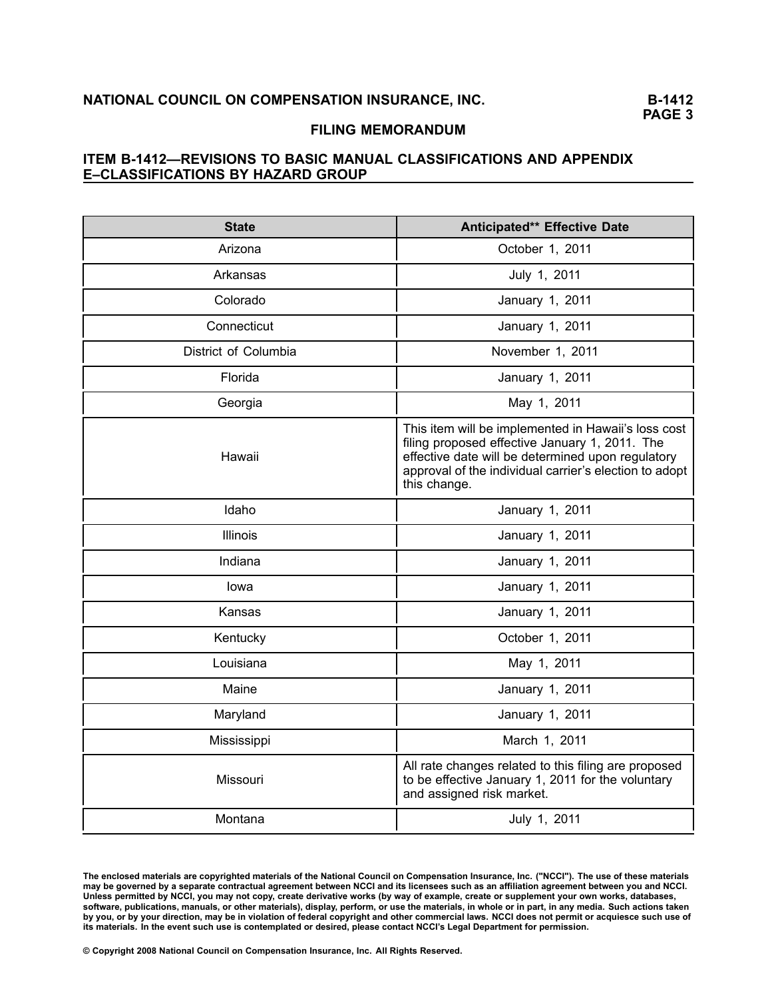#### **FILING MEMORANDUM**

# **ITEM B1412—REVISIONS TO BASIC MANUAL CLASSIFICATIONS AND APPENDIX E–CLASSIFICATIONS BY HAZARD GROUP**

| <b>State</b>         | Anticipated** Effective Date                                                                                                                                                                                                         |
|----------------------|--------------------------------------------------------------------------------------------------------------------------------------------------------------------------------------------------------------------------------------|
| Arizona              | October 1, 2011                                                                                                                                                                                                                      |
| Arkansas             | July 1, 2011                                                                                                                                                                                                                         |
| Colorado             | January 1, 2011                                                                                                                                                                                                                      |
| Connecticut          | January 1, 2011                                                                                                                                                                                                                      |
| District of Columbia | November 1, 2011                                                                                                                                                                                                                     |
| Florida              | January 1, 2011                                                                                                                                                                                                                      |
| Georgia              | May 1, 2011                                                                                                                                                                                                                          |
| Hawaii               | This item will be implemented in Hawaii's loss cost<br>filing proposed effective January 1, 2011. The<br>effective date will be determined upon regulatory<br>approval of the individual carrier's election to adopt<br>this change. |
| Idaho                | January 1, 2011                                                                                                                                                                                                                      |
| Illinois             | January 1, 2011                                                                                                                                                                                                                      |
| Indiana              | January 1, 2011                                                                                                                                                                                                                      |
| lowa                 | January 1, 2011                                                                                                                                                                                                                      |
| Kansas               | January 1, 2011                                                                                                                                                                                                                      |
| Kentucky             | October 1, 2011                                                                                                                                                                                                                      |
| Louisiana            | May 1, 2011                                                                                                                                                                                                                          |
| Maine                | January 1, 2011                                                                                                                                                                                                                      |
| Maryland             | January 1, 2011                                                                                                                                                                                                                      |
| Mississippi          | March 1, 2011                                                                                                                                                                                                                        |
| Missouri             | All rate changes related to this filing are proposed<br>to be effective January 1, 2011 for the voluntary<br>and assigned risk market.                                                                                               |
| Montana              | July 1, 2011                                                                                                                                                                                                                         |

The enclosed materials are copyrighted materials of the National Council on Compensation Insurance, Inc. ("NCCI"). The use of these materials may be governed by a separate contractual agreement between NCCI and its licensees such as an affiliation agreement between you and NCCI. Unless permitted by NCCI, you may not copy, create derivative works (by way of example, create or supplement your own works, databases, software, publications, manuals, or other materials), display, perform, or use the materials, in whole or in part, in any media. Such actions taken by you, or by your direction, may be in violation of federal copyright and other commercial laws. NCCI does not permit or acquiesce such use of its materials. In the event such use is contemplated or desired, please contact NCCI's Legal Department for permission.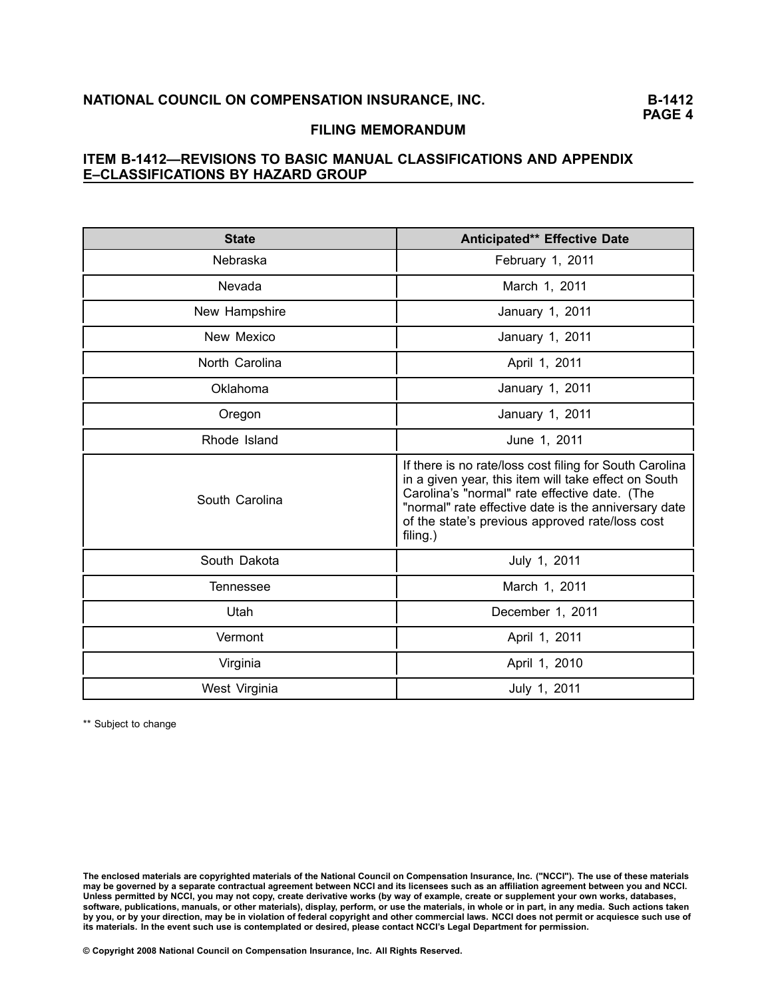# **FILING MEMORANDUM**

# **ITEM B1412—REVISIONS TO BASIC MANUAL CLASSIFICATIONS AND APPENDIX E–CLASSIFICATIONS BY HAZARD GROUP**

| <b>State</b>     | Anticipated** Effective Date                                                                                                                                                                                                                                                            |  |  |  |
|------------------|-----------------------------------------------------------------------------------------------------------------------------------------------------------------------------------------------------------------------------------------------------------------------------------------|--|--|--|
| Nebraska         | February 1, 2011                                                                                                                                                                                                                                                                        |  |  |  |
| Nevada           | March 1, 2011                                                                                                                                                                                                                                                                           |  |  |  |
| New Hampshire    | January 1, 2011                                                                                                                                                                                                                                                                         |  |  |  |
| New Mexico       | January 1, 2011                                                                                                                                                                                                                                                                         |  |  |  |
| North Carolina   | April 1, 2011                                                                                                                                                                                                                                                                           |  |  |  |
| Oklahoma         | January 1, 2011                                                                                                                                                                                                                                                                         |  |  |  |
| Oregon           | January 1, 2011                                                                                                                                                                                                                                                                         |  |  |  |
| Rhode Island     | June 1, 2011                                                                                                                                                                                                                                                                            |  |  |  |
| South Carolina   | If there is no rate/loss cost filing for South Carolina<br>in a given year, this item will take effect on South<br>Carolina's "normal" rate effective date. (The<br>"normal" rate effective date is the anniversary date<br>of the state's previous approved rate/loss cost<br>filing.) |  |  |  |
| South Dakota     | July 1, 2011                                                                                                                                                                                                                                                                            |  |  |  |
| <b>Tennessee</b> | March 1, 2011                                                                                                                                                                                                                                                                           |  |  |  |
| Utah             | December 1, 2011                                                                                                                                                                                                                                                                        |  |  |  |
| Vermont          | April 1, 2011                                                                                                                                                                                                                                                                           |  |  |  |
| Virginia         | April 1, 2010                                                                                                                                                                                                                                                                           |  |  |  |
| West Virginia    | July 1, 2011                                                                                                                                                                                                                                                                            |  |  |  |

\*\* Subject to change

The enclosed materials are copyrighted materials of the National Council on Compensation Insurance, Inc. ("NCCI"). The use of these materials may be governed by a separate contractual agreement between NCCI and its licensees such as an affiliation agreement between you and NCCI. Unless permitted by NCCI, you may not copy, create derivative works (by way of example, create or supplement your own works, databases, software, publications, manuals, or other materials), display, perform, or use the materials, in whole or in part, in any media. Such actions taken by you, or by your direction, may be in violation of federal copyright and other commercial laws. NCCI does not permit or acquiesce such use of its materials. In the event such use is contemplated or desired, please contact NCCI's Legal Department for permission.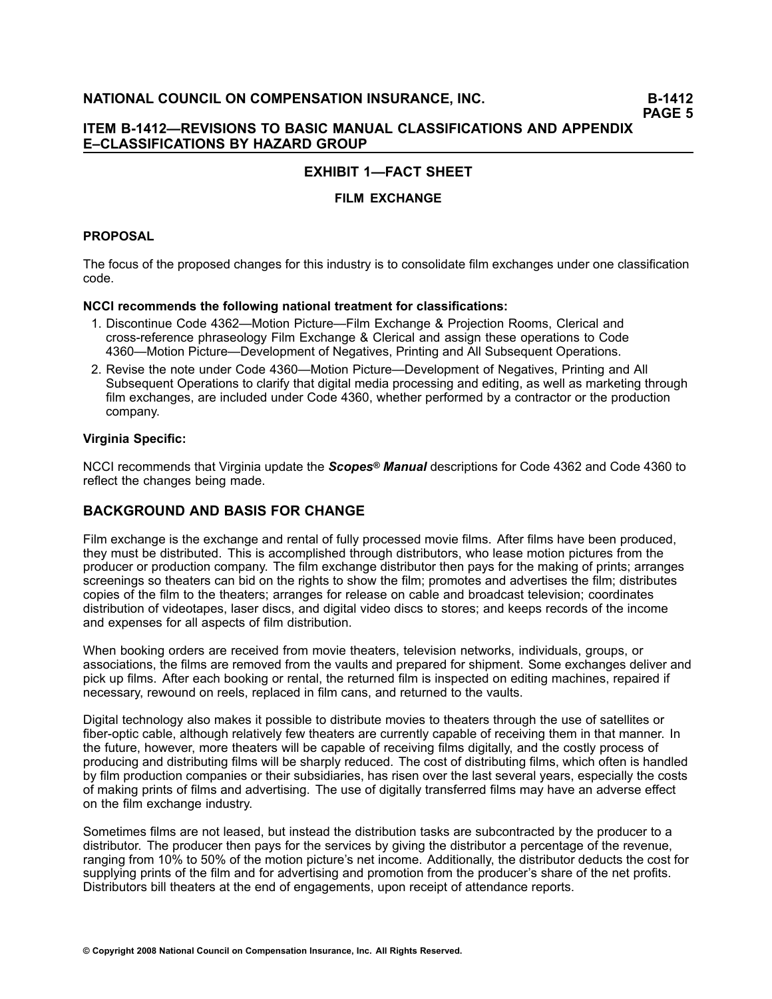# **EXHIBIT 1—FACT SHEET**

# **FILM EXCHANGE**

### **PROPOSAL**

The focus of the proposed changes for this industry is to consolidate film exchanges under one classification code.

### **NCCI recommends the following national treatment for classifications:**

- 1. Discontinue Code 4362—Motion Picture—Film Exchange & Projection Rooms, Clerical and crossreference phraseology Film Exchange & Clerical and assign these operations to Code 4360—Motion Picture—Development of Negatives, Printing and All Subsequent Operations.
- 2. Revise the note under Code 4360—Motion Picture—Development of Negatives, Printing and All Subsequent Operations to clarify that digital media processing and editing, as well as marketing through film exchanges, are included under Code 4360, whether performed by <sup>a</sup> contractor or the production company.

#### **Virginia Specific:**

NCCI recommends that Virginia update the *Scopes® Manual* descriptions for Code 4362 and Code 4360 to reflect the changes being made.

# **BACKGROUND AND BASIS FOR CHANGE**

Film exchange is the exchange and rental of fully processed movie films. After films have been produced, they must be distributed. This is accomplished through distributors, who lease motion pictures from the producer or production company. The film exchange distributor then pays for the making of prints; arranges screenings so theaters can bid on the rights to show the film; promotes and advertises the film; distributes copies of the film to the theaters; arranges for release on cable and broadcast television; coordinates distribution of videotapes, laser discs, and digital video discs to stores; and keeps records of the income and expenses for all aspects of film distribution.

When booking orders are received from movie theaters, television networks, individuals, groups, or associations, the films are removed from the vaults and prepared for shipment. Some exchanges deliver and pick up films. After each booking or rental, the returned film is inspected on editing machines, repaired if necessary, rewound on reels, replaced in film cans, and returned to the vaults.

Digital technology also makes it possible to distribute movies to theaters through the use of satellites or fiber-optic cable, although relatively few theaters are currently capable of receiving them in that manner. In the future, however, more theaters will be capable of receiving films digitally, and the costly process of producing and distributing films will be sharply reduced. The cost of distributing films, which often is handled by film production companies or their subsidiaries, has risen over the last several years, especially the costs of making prints of films and advertising. The use of digitally transferred films may have an adverse effect on the film exchange industry.

Sometimes films are not leased, but instead the distribution tasks are subcontracted by the producer to <sup>a</sup> distributor. The producer then pays for the services by giving the distributor <sup>a</sup> percentage of the revenue, ranging from 10% to 50% of the motion picture's net income. Additionally, the distributor deducts the cost for supplying prints of the film and for advertising and promotion from the producer's share of the net profits. Distributors bill theaters at the end of engagements, upon receipt of attendance reports.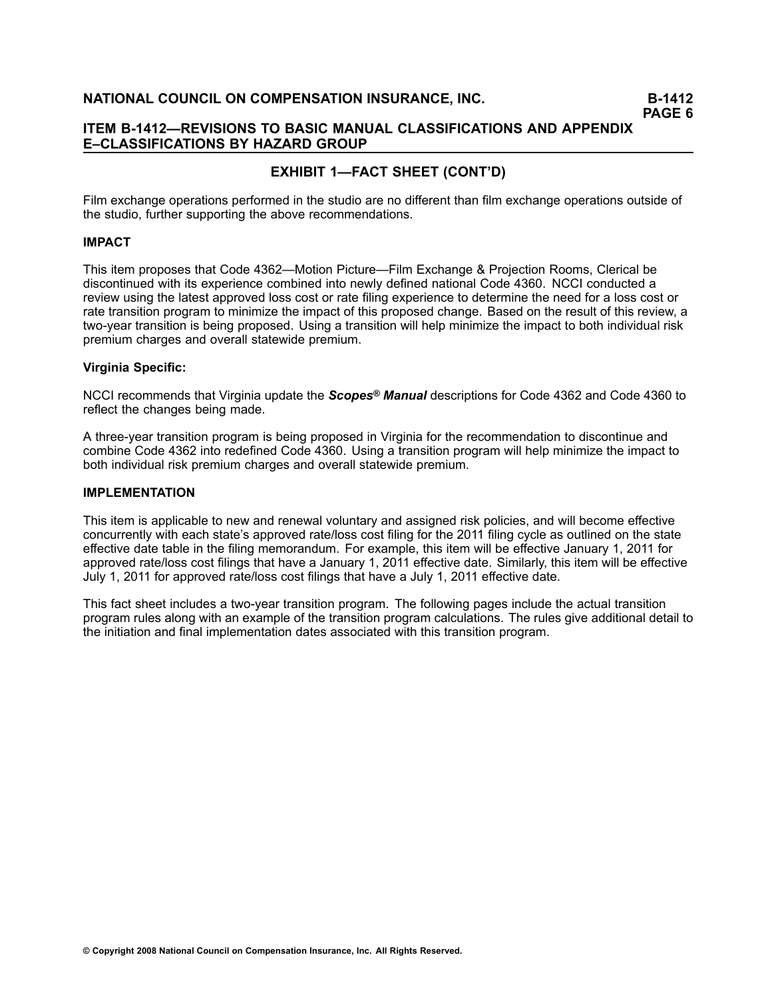**PAGE 6**

# **ITEM B1412—REVISIONS TO BASIC MANUAL CLASSIFICATIONS AND APPENDIX E–CLASSIFICATIONS BY HAZARD GROUP**

# **EXHIBIT 1—FACT SHEET (CONT'D)**

Film exchange operations performed in the studio are no different than film exchange operations outside of the studio, further supporting the above recommendations.

#### **IMPACT**

This item proposes that Code 4362—Motion Picture—Film Exchange & Projection Rooms, Clerical be discontinued with its experience combined into newly defined national Code 4360. NCCI conducted <sup>a</sup> review using the latest approved loss cost or rate filing experience to determine the need for <sup>a</sup> loss cost or rate transition program to minimize the impact of this proposed change. Based on the result of this review, <sup>a</sup> two-year transition is being proposed. Using a transition will help minimize the impact to both individual risk premium charges and overall statewide premium.

### **Virginia Specific:**

NCCI recommends that Virginia update the *Scopes® Manual* descriptions for Code 4362 and Code 4360 to reflect the changes being made.

A three-year transition program is being proposed in Virginia for the recommendation to discontinue and combine Code 4362 into redefined Code 4360. Using <sup>a</sup> transition program will help minimize the impact to both individual risk premium charges and overall statewide premium.

#### **IMPLEMENTATION**

This item is applicable to new and renewal voluntary and assigned risk policies, and will become effective concurrently with each state's approved rate/loss cost filing for the 2011 filing cycle as outlined on the state effective date table in the filing memorandum. For example, this item will be effective January 1, 2011 for approved rate/loss cost filings that have <sup>a</sup> January 1, 2011 effective date. Similarly, this item will be effective July 1, 2011 for approved rate/loss cost filings that have <sup>a</sup> July 1, 2011 effective date.

This fact sheet includes a two-year transition program. The following pages include the actual transition program rules along with an example of the transition program calculations. The rules give additional detail to the initiation and final implementation dates associated with this transition program.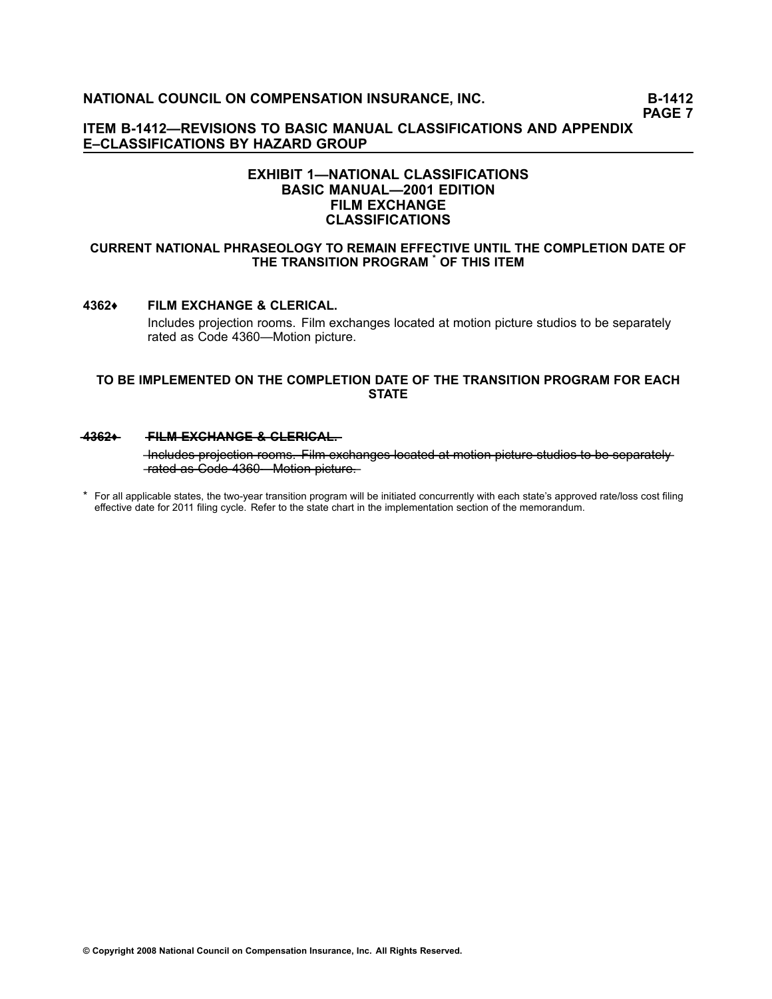### **ITEM B1412—REVISIONS TO BASIC MANUAL CLASSIFICATIONS AND APPENDIX E–CLASSIFICATIONS BY HAZARD GROUP**

# **EXHIBIT 1—NATIONAL CLASSIFICATIONS BASIC MANUAL—2001 EDITION FILM EXCHANGE CLASSIFICATIONS**

#### **CURRENT NATIONAL PHRASEOLOGY TO REMAIN EFFECTIVE UNTIL THE COMPLETION DATE OF THE TRANSITION PROGRAM \* OF THIS ITEM**

#### **4362♦ FILM EXCHANGE & CLERICAL.**

Includes projection rooms. Film exchanges located at motion picture studios to be separately rated as Code [4360](file:///C:/manuscript/hyperlink.asp?docid=4360<?Pub & EntityName=amp>manualtitle=scopesxml)—Motion picture.

#### **TO BE IMPLEMENTED ON THE COMPLETION DATE OF THE TRANSITION PROGRAM FOR EACH STATE**

#### **4362+ FILM EXCHANGE & CLERICAL.**

-Includes projection rooms. Film exchanges located at motion picture studios to be separately  $-\frac{4}{360}$  — as Code 4360 — Motion picture

\* For all applicable states, the two-year transition program will be initiated concurrently with each state's approved rate/loss cost filing effective date for 2011 filing cycle. Refer to the state chart in the implementation section of the memorandum.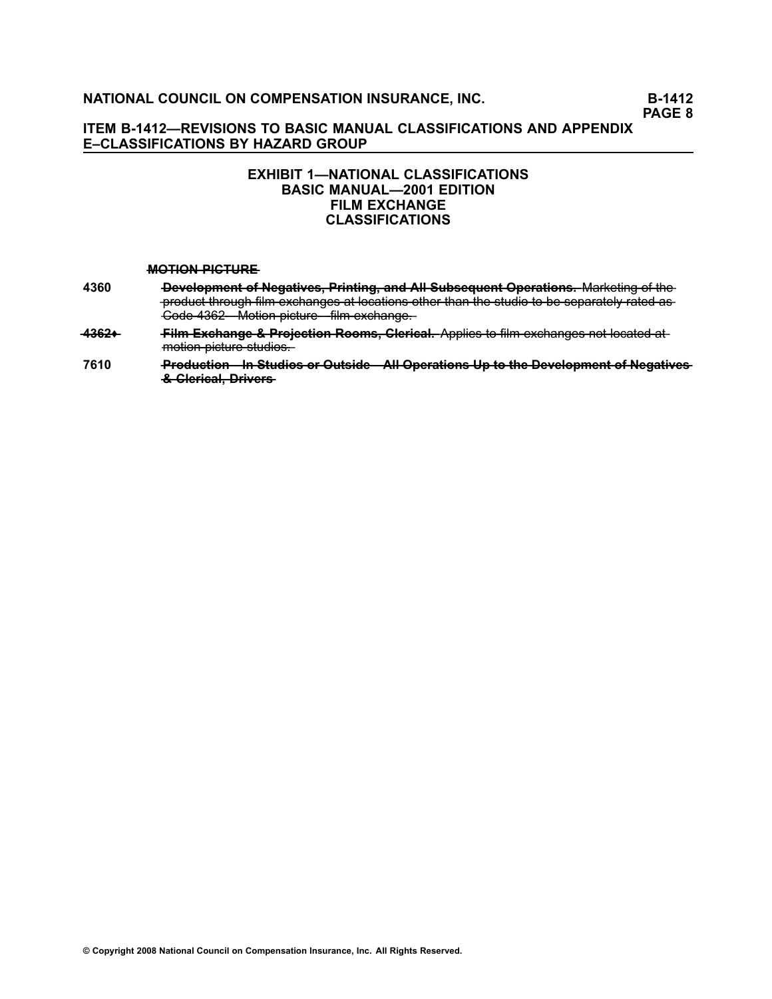# **ITEM B1412—REVISIONS TO BASIC MANUAL CLASSIFICATIONS AND APPENDIX E–CLASSIFICATIONS BY HAZARD GROUP**

# **EXHIBIT 1—NATIONAL CLASSIFICATIONS BASIC MANUAL—2001 EDITION FILM EXCHANGE CLASSIFICATIONS**

#### **MOTION PICTURE**

- **[4360](file:///C:/manuscript/hyperlink.asp?docid=4360<?Pub & EntityName=amp>manualtitle=scopesxml) ———Development of Negatives, Printing, and AII Subsequent Operations. Marketing of the** -product through film exchanges at locations other than the studio to be separately rated as —C—o—d—e**—**[—4—3—6—2—](file:///C:/manuscript/hyperlink.asp?docid=4362<?Pub & EntityName=amp>manualtitle=scopesxml)M——o——ti—o—n**—**—p——ic—t—u—r—e—fi——l—m**—**—e—x—c—h—a—n—g—e—.
- 4362+ Film Exchange & Projection Rooms, Clerical. Applies to film exchanges not located at  $m$ otion picture studios.
- **[7610](file:///C:/manuscript/hyperlink.asp?docid=7610<?Pub & EntityName=amp>manualtitle=scopesxml) ——** Production—In Studios or Outside—All Operations Up to the Development of Negatives  $&$  Glerical. Drivers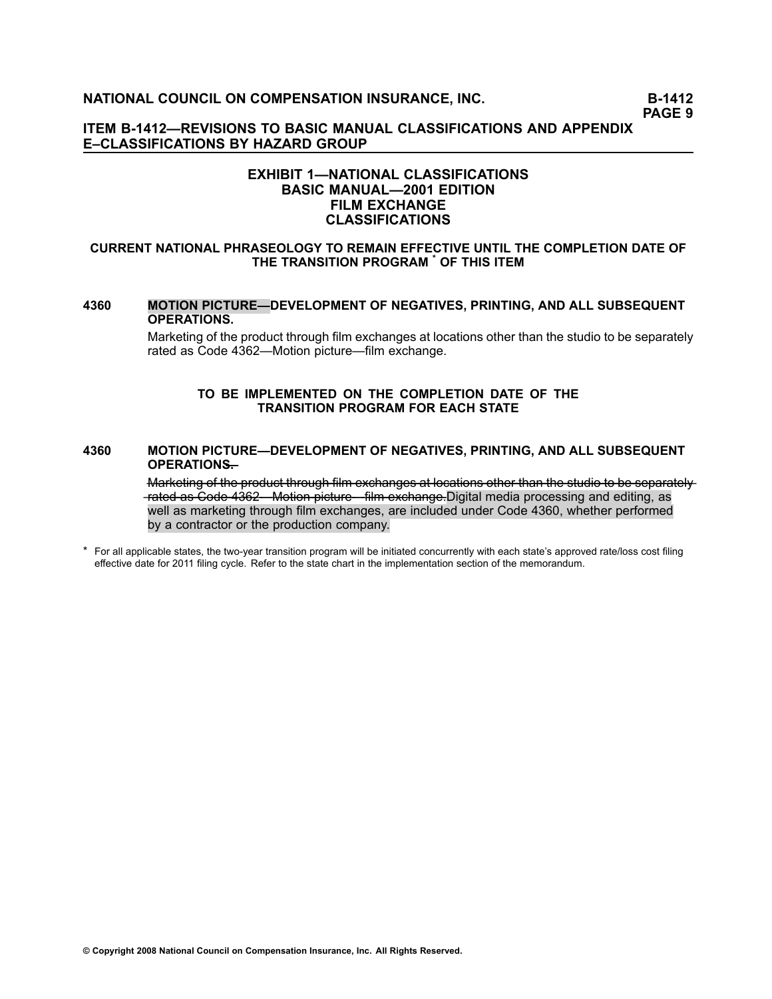# **ITEM B1412—REVISIONS TO BASIC MANUAL CLASSIFICATIONS AND APPENDIX E–CLASSIFICATIONS BY HAZARD GROUP**

# **EXHIBIT 1—NATIONAL CLASSIFICATIONS BASIC MANUAL—2001 EDITION FILM EXCHANGE CLASSIFICATIONS**

#### **CURRENT NATIONAL PHRASEOLOGY TO REMAIN EFFECTIVE UNTIL THE COMPLETION DATE OF THE TRANSITION PROGRAM \* OF THIS ITEM**

#### **[4360](file:///C:/manuscript/hyperlink.asp?docid=4360<?Pub & EntityName=amp>manualtitle=scopesxml) MOTION PICTURE—DEVELOPMENT OF NEGATIVES, PRINTING, AND ALL SUBSEQUENT OPERATIONS.**

Marketing of the product through film exchanges at locations other than the studio to be separately rated as Code [4362](file:///C:/manuscript/hyperlink.asp?docid=4362<?Pub & EntityName=amp>manualtitle=scopesxml)—Motion picture—film exchange.

#### **TO BE IMPLEMENTED ON THE COMPLETION DATE OF THE TRANSITION PROGRAM FOR EACH STATE**

#### **[4360](file:///C:/manuscript/hyperlink.asp?docid=4360<?Pub & EntityName=amp>manualtitle=scopesxml) MOTION PICTURE—DEVELOPMENT OF NEGATIVES, PRINTING, AND ALL SUBSEQUENT OPERATIONS—.**

Marketing of the product through film exchanges at locations other than the studio to be separately —r—a—t—e—d**—**—a—s**—**—C—o—d—e**—**[—4—3—6—2—](file:///C:/manuscript/hyperlink.asp?docid=4362<?Pub & EntityName=amp>manualtitle=scopesxml)M——o——ti—o—n**—**—p——ic—t—u—r—e—fi——l—m**—**—e—x—c—h—a—n—g—e—.Digital media processing and editing, as well as marketing through film exchanges, are included under Code 4360, whether performed by <sup>a</sup> contractor or the production company.

\*For all applicable states, the two-year transition program will be initiated concurrently with each state's approved rate/loss cost filing effective date for 2011 filing cycle. Refer to the state chart in the implementation section of the memorandum.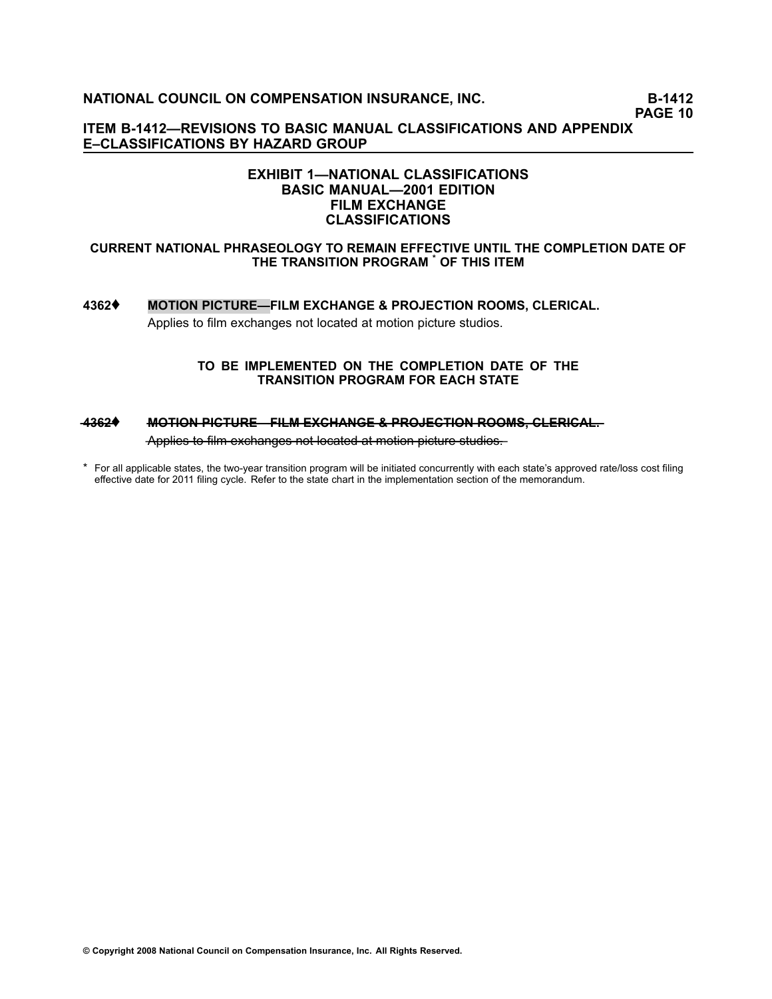**PAGE 10**

**ITEM B1412—REVISIONS TO BASIC MANUAL CLASSIFICATIONS AND APPENDIX E–CLASSIFICATIONS BY HAZARD GROUP**

# **EXHIBIT 1—NATIONAL CLASSIFICATIONS BASIC MANUAL—2001 EDITION FILM EXCHANGE CLASSIFICATIONS**

#### **CURRENT NATIONAL PHRASEOLOGY TO REMAIN EFFECTIVE UNTIL THE COMPLETION DATE OF THE TRANSITION PROGRAM \* OF THIS ITEM**

# **[4362](file:///C:/manuscript/hyperlink.asp?docid=4362<?Pub & EntityName=amp>manualtitle=scopesxml)**♦ **MOTION PICTURE—FILM EXCHANGE & PROJECTION ROOMS, CLERICAL.** Applies to film exchanges not located at motion picture studios.

#### **TO BE IMPLEMENTED ON THE COMPLETION DATE OF THE TRANSITION PROGRAM FOR EACH STATE**

# $-4362$ **♦ MOTION PICTURE—FILM EXCHANGE & PROJECTION ROOMS, CLERICAL,**

—A—p—p——li—e—s**—**—t—o**—**—fi—l—m**—**—e—x—c—h—a—n—g—e—s**—**—n—o—**—**t—l—o—c—a—t—e—d**—**—a—**—**t —m—o——ti—o—n**—**—p——ic—t—u—r—e**—**—s—t—u—d——io—s—.

\* For all applicable states, the two-year transition program will be initiated concurrently with each state's approved rate/loss cost filing effective date for 2011 filing cycle. Refer to the state chart in the implementation section of the memorandum.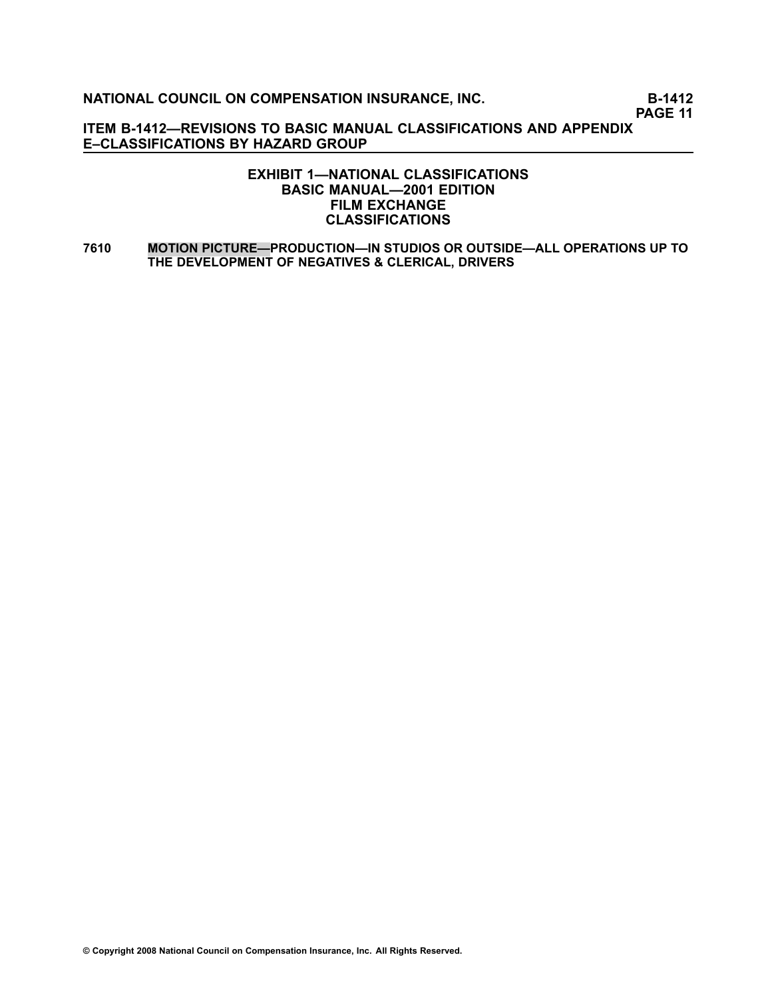**PAGE 11**

**ITEM B1412—REVISIONS TO BASIC MANUAL CLASSIFICATIONS AND APPENDIX E–CLASSIFICATIONS BY HAZARD GROUP**

# **EXHIBIT 1—NATIONAL CLASSIFICATIONS BASIC MANUAL—2001 EDITION FILM EXCHANGE CLASSIFICATIONS**

**[7610](file:///C:/manuscript/hyperlink.asp?docid=7610<?Pub & EntityName=amp>manualtitle=scopesxml) MOTION PICTURE—PRODUCTION—IN STUDIOS OR OUTSIDE—ALL OPERATIONS UP TO THE DEVELOPMENT OF NEGATIVES & CLERICAL, DRIVERS**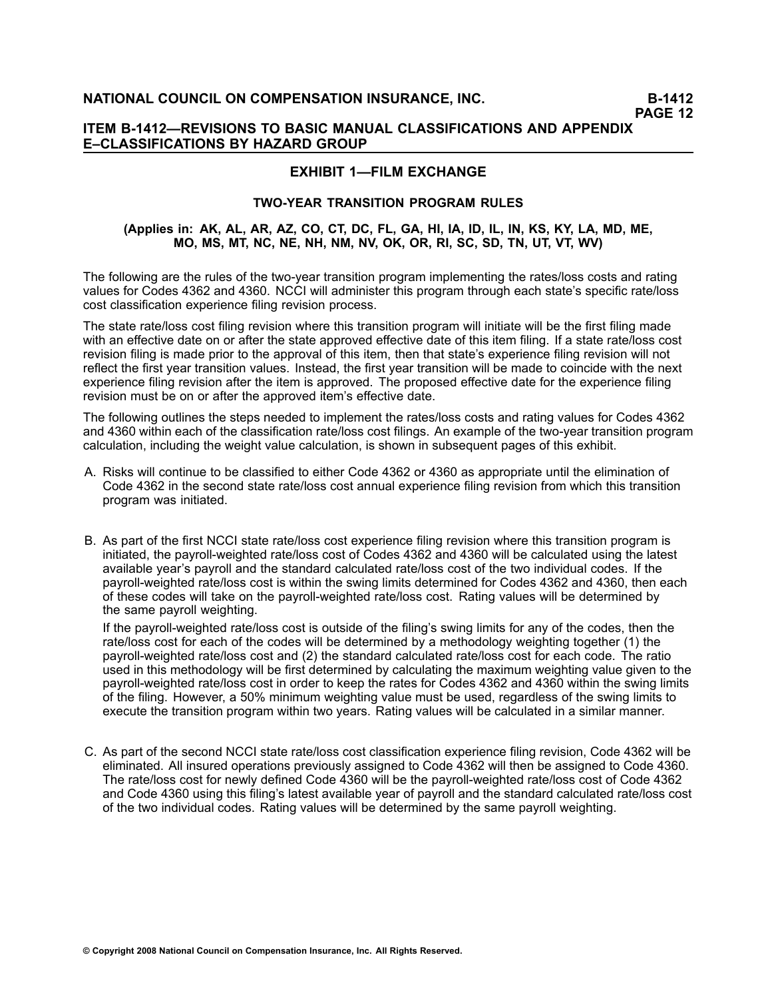# **EXHIBIT 1—FILM EXCHANGE**

### **TWOYEAR TRANSITION PROGRAM RULES**

#### (Applies in: AK, AL, AR, AZ, CO, CT, DC, FL, GA, HI, IA, ID, IL, IN, KS, KY, LA, MD, ME, **MO, MS, MT, NC, NE, NH, NM, NV, OK, OR, RI, SC, SD, TN, UT, VT, WV)**

The following are the rules of the two-year transition program implementing the rates/loss costs and rating values for Codes 4362 and 4360. NCCI will administer this program through each state's specific rate/loss cost classification experience filing revision process.

The state rate/loss cost filing revision where this transition program will initiate will be the first filing made with an effective date on or after the state approved effective date of this item filing. If <sup>a</sup> state rate/loss cost revision filing is made prior to the approval of this item, then that state's experience filing revision will not reflect the first year transition values. Instead, the first year transition will be made to coincide with the next experience filing revision after the item is approved. The proposed effective date for the experience filing revision must be on or after the approved item's effective date.

The following outlines the steps needed to implement the rates/loss costs and rating values for Codes 4362 and 4360 within each of the classification rate/loss cost filings. An example of the two-year transition program calculation, including the weight value calculation, is shown in subsequent pages of this exhibit.

- A. Risks will continue to be classified to either Code 4362 or 4360 as appropriate until the elimination of Code 4362 in the second state rate/loss cost annual experience filing revision from which this transition program was initiated.
- B. As part of the first NCCI state rate/loss cost experience filing revision where this transition program is initiated, the payroll-weighted rate/loss cost of Codes 4362 and 4360 will be calculated using the latest available year's payroll and the standard calculated rate/loss cost of the two individual codes. If the payroll-weighted rate/loss cost is within the swing limits determined for Codes 4362 and 4360, then each of these codes will take on the payroll-weighted rate/loss cost. Rating values will be determined by the same payroll weighting.

If the payroll-weighted rate/loss cost is outside of the filing's swing limits for any of the codes, then the rate/loss cost for each of the codes will be determined by <sup>a</sup> methodology weighting together (1) the payroll-weighted rate/loss cost and (2) the standard calculated rate/loss cost for each code. The ratio used in this methodology will be first determined by calculating the maximum weighting value given to the payroll-weighted rate/loss cost in order to keep the rates for Codes 4362 and 4360 within the swing limits of the filing. However, <sup>a</sup> 50% minimum weighting value must be used, regardless of the swing limits to execute the transition program within two years. Rating values will be calculated in <sup>a</sup> similar manner.

C. As part of the second NCCI state rate/loss cost classification experience filing revision, Code 4362 will be eliminated. All insured operations previously assigned to Code 4362 will then be assigned to Code 4360. The rate/loss cost for newly defined Code 4360 will be the payroll-weighted rate/loss cost of Code 4362 and Code 4360 using this filing's latest available year of payroll and the standard calculated rate/loss cost of the two individual codes. Rating values will be determined by the same payroll weighting.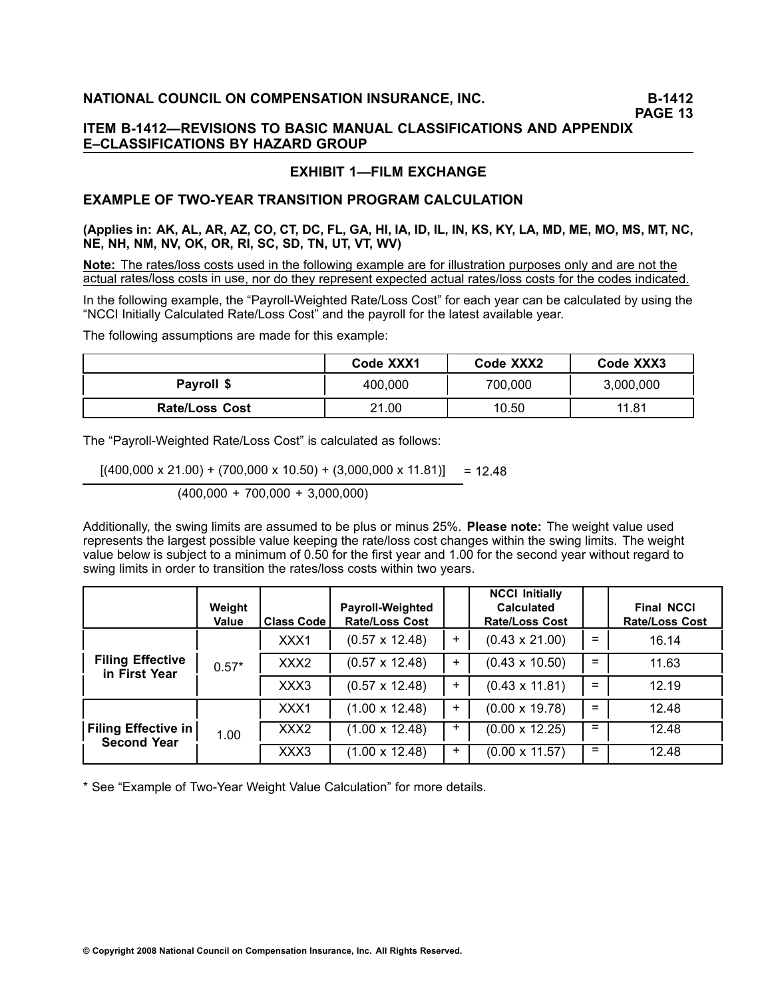# **PAGE 13**

# **ITEM B1412—REVISIONS TO BASIC MANUAL CLASSIFICATIONS AND APPENDIX E–CLASSIFICATIONS BY HAZARD GROUP**

# **EXHIBIT 1—FILM EXCHANGE**

# **EXAMPLE OF TWOYEAR TRANSITION PROGRAM CALCULATION**

(Applies in: AK, AL, AR, AZ, CO, CT, DC, FL, GA, HI, IA, ID, IL, IN, KS, KY, LA, MD, ME, MO, MS, MT, NC, **NE, NH, NM, NV, OK, OR, RI, SC, SD, TN, UT, VT, WV)**

**Note:** The rates/loss costs used in the following example are for illustration purposes only and are not the actual rates/loss costs in use, nor do they represent expected actual rates/loss costs for the codes indicated.

In the following example, the "Payroll-Weighted Rate/Loss Cost" for each year can be calculated by using the "NCCI Initially Calculated Rate/Loss Cost" and the payroll for the latest available year.

The following assumptions are made for this example:

|                       | Code XXX1 | Code XXX2 | Code XXX3 |  |
|-----------------------|-----------|-----------|-----------|--|
| Payroll \$            | 400,000   | 700,000   | 3,000,000 |  |
| <b>Rate/Loss Cost</b> | 21.00     | 10.50     | 11.81     |  |

The "Payroll-Weighted Rate/Loss Cost" is calculated as follows:

 $[(400,000 \times 21.00) + (700,000 \times 10.50) + (3,000,000 \times 11.81)] = 12.48$ 

(400,000 <sup>+</sup> 700,000 <sup>+</sup> 3,000,000)

Additionally, the swing limits are assumed to be plus or minus 25%. **Please note:** The weight value used represents the largest possible value keeping the rate/loss cost changes within the swing limits. The weight value below is subject to <sup>a</sup> minimum of 0.50 for the first year and 1.00 for the second year without regard to swing limits in order to transition the rates/loss costs within two years.

|                                                  | Weight<br><b>Value</b> | <b>Class Code</b> | <b>Payroll-Weighted</b><br><b>Rate/Loss Cost</b> |       | <b>NCCI Initially</b><br><b>Calculated</b><br><b>Rate/Loss Cost</b> |     | <b>Final NCCI</b><br><b>Rate/Loss Cost</b> |
|--------------------------------------------------|------------------------|-------------------|--------------------------------------------------|-------|---------------------------------------------------------------------|-----|--------------------------------------------|
|                                                  |                        | XXX1              | $(0.57 \times 12.48)$                            | $\pm$ | $(0.43 \times 21.00)$                                               | $=$ | 16.14                                      |
| <b>Filing Effective</b><br>in First Year         | $0.57*$                | XXX <sub>2</sub>  | $(0.57 \times 12.48)$                            | $\pm$ | $(0.43 \times 10.50)$                                               | $=$ | 11.63                                      |
|                                                  |                        | XXX3              | $(0.57 \times 12.48)$                            | ÷.    | $(0.43 \times 11.81)$                                               | $=$ | 12.19                                      |
|                                                  |                        | XXX1              | $(1.00 \times 12.48)$                            | $\pm$ | $(0.00 \times 19.78)$                                               | $=$ | 12.48                                      |
| <b>Filing Effective in</b><br><b>Second Year</b> | 1.00                   | XXX <sub>2</sub>  | $(1.00 \times 12.48)$                            | $\pm$ | $(0.00 \times 12.25)$                                               | $=$ | 12.48                                      |
|                                                  |                        | XXX3              | $(1.00 \times 12.48)$                            | $\pm$ | $(0.00 \times 11.57)$                                               | $=$ | 12.48                                      |

\* See "Example of Two-Year Weight Value Calculation" for more details.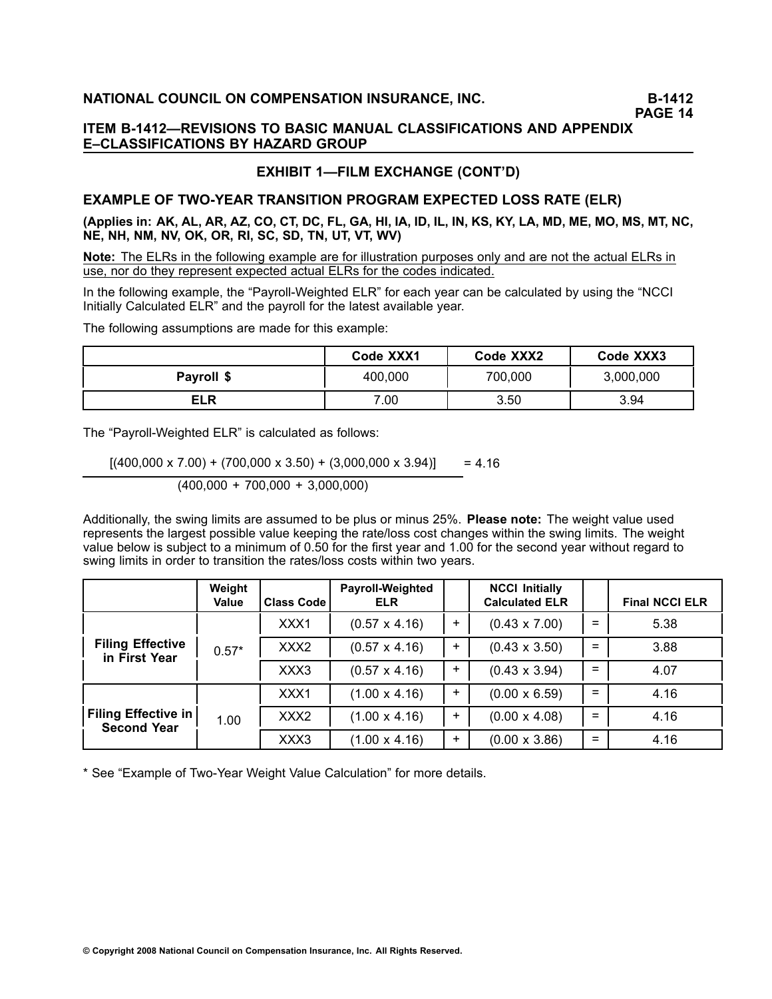# **PAGE 14**

# **ITEM B1412—REVISIONS TO BASIC MANUAL CLASSIFICATIONS AND APPENDIX E–CLASSIFICATIONS BY HAZARD GROUP**

# **EXHIBIT 1—FILM EXCHANGE (CONT'D)**

# **EXAMPLE OF TWOYEAR TRANSITION PROGRAM EXPECTED LOSS RATE (ELR)**

(Applies in: AK, AL, AR, AZ, CO, CT, DC, FL, GA, HI, IA, ID, IL, IN, KS, KY, LA, MD, ME, MO, MS, MT, NC, **NE, NH, NM, NV, OK, OR, RI, SC, SD, TN, UT, VT, WV)**

**Note:** The ELRs in the following example are for illustration purposes only and are not the actual ELRs in use, nor do they represent expected actual ELRs for the codes indicated.

In the following example, the "Payroll-Weighted ELR" for each year can be calculated by using the "NCCI Initially Calculated ELR" and the payroll for the latest available year.

The following assumptions are made for this example:

|            | Code XXX1          | Code XXX2 | Code XXX3 |  |
|------------|--------------------|-----------|-----------|--|
| Payroll \$ | 700,000<br>400,000 |           | 3,000,000 |  |
| <b>ELR</b> | 7.00               | 3.50      | 3.94      |  |

The "Payroll-Weighted ELR" is calculated as follows:

 $[(400,000 \times 7.00) + (700,000 \times 3.50) + (3,000,000 \times 3.94)]$  = 4.16 (400,000 <sup>+</sup> 700,000 <sup>+</sup> 3,000,000)

Additionally, the swing limits are assumed to be plus or minus 25%. **Please note:** The weight value used represents the largest possible value keeping the rate/loss cost changes within the swing limits. The weight value below is subject to <sup>a</sup> minimum of 0.50 for the first year and 1.00 for the second year without regard to swing limits in order to transition the rates/loss costs within two years.

|                                                  | Weight<br><b>Value</b> | <b>Class Code</b> | Payroll-Weighted<br><b>ELR</b> |       | <b>NCCI Initially</b><br><b>Calculated ELR</b> |     | <b>Final NCCI ELR</b> |
|--------------------------------------------------|------------------------|-------------------|--------------------------------|-------|------------------------------------------------|-----|-----------------------|
|                                                  |                        | XXX1              | $(0.57 \times 4.16)$           | $\pm$ | $(0.43 \times 7.00)$                           | $=$ | 5.38                  |
| <b>Filing Effective</b><br>in First Year         | $0.57*$                | XXX <sub>2</sub>  | $(0.57 \times 4.16)$           | $+$   | $(0.43 \times 3.50)$                           | $=$ | 3.88                  |
|                                                  |                        | XXX3              | $(0.57 \times 4.16)$           | $+$   | $(0.43 \times 3.94)$                           | $=$ | 4.07                  |
| <b>Filing Effective in</b><br><b>Second Year</b> |                        | XXX1              | $(1.00 \times 4.16)$           | $+$   | $(0.00 \times 6.59)$                           | $=$ | 4.16                  |
|                                                  | 1.00                   | XXX <sub>2</sub>  | $(1.00 \times 4.16)$           | $\pm$ | $(0.00 \times 4.08)$                           | $=$ | 4.16                  |
|                                                  |                        | XXX3              | $(1.00 \times 4.16)$           | $+$   | $(0.00 \times 3.86)$                           | $=$ | 4.16                  |

\* See "Example of Two-Year Weight Value Calculation" for more details.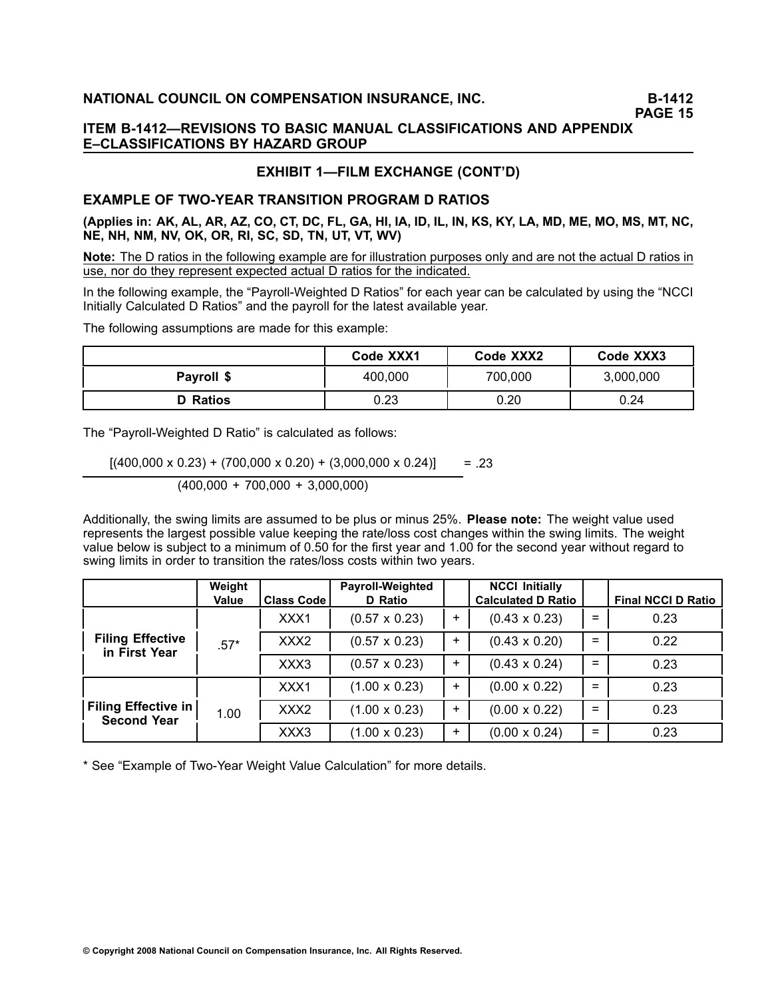# **PAGE 15**

# **ITEM B1412—REVISIONS TO BASIC MANUAL CLASSIFICATIONS AND APPENDIX E–CLASSIFICATIONS BY HAZARD GROUP**

# **EXHIBIT 1—FILM EXCHANGE (CONT'D)**

# **EXAMPLE OF TWOYEAR TRANSITION PROGRAM D RATIOS**

(Applies in: AK, AL, AR, AZ, CO, CT, DC, FL, GA, HI, IA, ID, IL, IN, KS, KY, LA, MD, ME, MO, MS, MT, NC, **NE, NH, NM, NV, OK, OR, RI, SC, SD, TN, UT, VT, WV)**

**Note:** The D ratios in the following example are for illustration purposes only and are not the actual Dratios in use, nor do they represent expected actual D ratios for the indicated.

In the following example, the "Payroll-Weighted D Ratios" for each year can be calculated by using the "NCCI Initially Calculated D Ratios" and the payroll for the latest available year.

The following assumptions are made for this example:

|                 | Code XXX1 | Code XXX2 | Code XXX3 |  |
|-----------------|-----------|-----------|-----------|--|
| Payroll \$      | 400,000   | 700,000   | 3,000,000 |  |
| <b>D</b> Ratios | 0.23      | 0.20      | 0.24      |  |

The "Payroll-Weighted D Ratio" is calculated as follows:

 $[(400,000 \times 0.23) + (700,000 \times 0.20) + (3,000,000 \times 0.24)]$  = .23 (400,000 <sup>+</sup> 700,000 <sup>+</sup> 3,000,000)

Additionally, the swing limits are assumed to be plus or minus 25%. **Please note:** The weight value used represents the largest possible value keeping the rate/loss cost changes within the swing limits. The weight value below is subject to <sup>a</sup> minimum of 0.50 for the first year and 1.00 for the second year without regard to swing limits in order to transition the rates/loss costs within two years.

|                                                  | Weight<br><b>Value</b> | <b>Class Code</b> | Payroll-Weighted<br>D Ratio |           | <b>NCCI Initially</b><br><b>Calculated D Ratio</b> |     | <b>Final NCCI D Ratio</b> |
|--------------------------------------------------|------------------------|-------------------|-----------------------------|-----------|----------------------------------------------------|-----|---------------------------|
|                                                  |                        | XXX1              | $(0.57 \times 0.23)$        | ÷         | $(0.43 \times 0.23)$                               | $=$ | 0.23                      |
| <b>Filing Effective</b><br>in First Year         | $.57*$                 | XXX <sub>2</sub>  | $(0.57 \times 0.23)$        | $\pm$     | $(0.43 \times 0.20)$                               | $=$ | 0.22                      |
|                                                  |                        | XXX3              | $(0.57 \times 0.23)$        | $\ddot{}$ | $(0.43 \times 0.24)$                               | $=$ | 0.23                      |
|                                                  |                        | XXX1              | $(1.00 \times 0.23)$        | +         | $(0.00 \times 0.22)$                               | $=$ | 0.23                      |
| <b>Filing Effective in</b><br><b>Second Year</b> | 1.00                   | XXX <sub>2</sub>  | $(1.00 \times 0.23)$        | ÷         | $(0.00 \times 0.22)$                               | $=$ | 0.23                      |
|                                                  |                        | XXX3              | $(1.00 \times 0.23)$        | $\pm$     | $(0.00 \times 0.24)$                               | $=$ | 0.23                      |

\* See "Example of Two-Year Weight Value Calculation" for more details.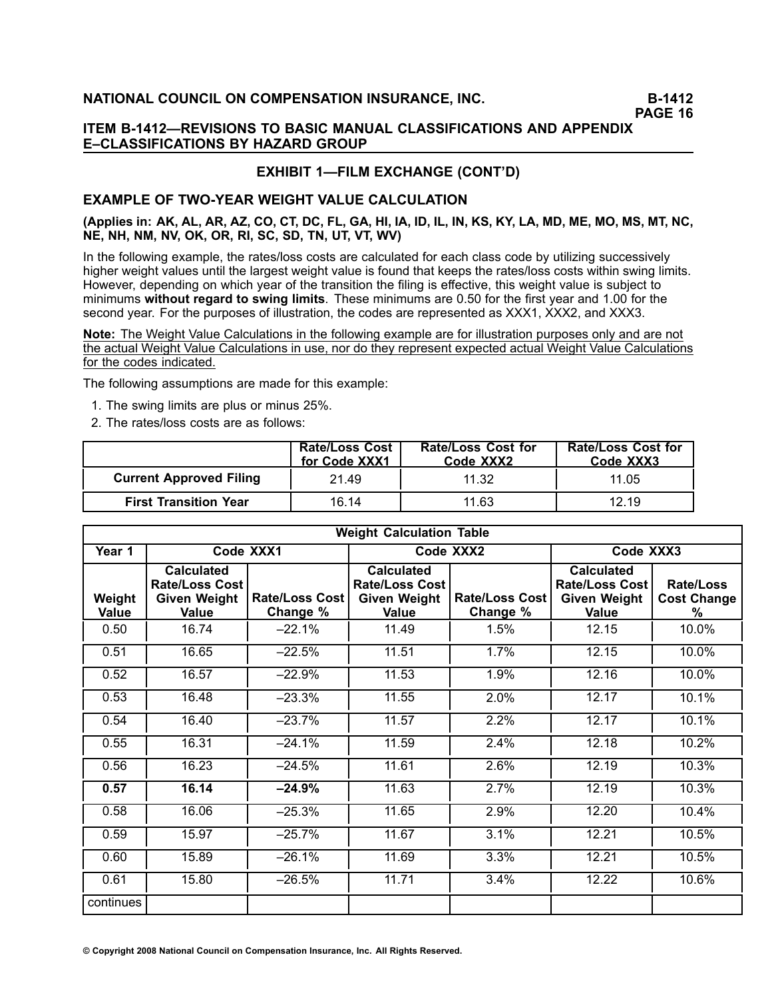**PAGE 16**

# **ITEM B1412—REVISIONS TO BASIC MANUAL CLASSIFICATIONS AND APPENDIX E–CLASSIFICATIONS BY HAZARD GROUP**

# **EXHIBIT 1—FILM EXCHANGE (CONT'D)**

# **EXAMPLE OF TWO-YEAR WEIGHT VALUE CALCULATION**

### (Applies in: AK, AL, AR, AZ, CO, CT, DC, FL, GA, HI, IA, ID, IL, IN, KS, KY, LA, MD, ME, MO, MS, MT, NC, **NE, NH, NM, NV, OK, OR, RI, SC, SD, TN, UT, VT, WV)**

In the following example, the rates/loss costs are calculated for each class code by utilizing successively higher weight values until the largest weight value is found that keeps the rates/loss costs within swing limits. However, depending on which year of the transition the filing is effective, this weight value is subject to minimums **without regard to swing limits**. These minimums are 0.50 for the first year and 1.00 for the second year. For the purposes of illustration, the codes are represented as XXX1, XXX2, and XXX3.

**Note:** The Weight Value Calculations in the following example are for illustration purposes only and are not the actual Weight Value Calculations in use, nor do they represent expected actual Weight Value Calculations for the codes indicated.

The following assumptions are made for this example:

- 1. The swing limits are plus or minus 25%.
- 2. The rates/loss costs are as follows:

|                                | <b>Rate/Loss Cost</b><br>for Code XXX1 | <b>Rate/Loss Cost for</b><br>Code XXX2 | <b>Rate/Loss Cost for</b><br>Code XXX3 |
|--------------------------------|----------------------------------------|----------------------------------------|----------------------------------------|
| <b>Current Approved Filing</b> | 21.49                                  | 11.32                                  | 11.05                                  |
| <b>First Transition Year</b>   | 16.14                                  | 11.63                                  | 12.19                                  |

|                 | <b>Weight Calculation Table</b>                                            |                                   |                                                                            |                                   |                                                                            |                                      |  |  |
|-----------------|----------------------------------------------------------------------------|-----------------------------------|----------------------------------------------------------------------------|-----------------------------------|----------------------------------------------------------------------------|--------------------------------------|--|--|
| Year 1          |                                                                            | Code XXX1                         |                                                                            | Code XXX2                         | Code XXX3                                                                  |                                      |  |  |
| Weight<br>Value | <b>Calculated</b><br><b>Rate/Loss Cost</b><br><b>Given Weight</b><br>Value | <b>Rate/Loss Cost</b><br>Change % | <b>Calculated</b><br><b>Rate/Loss Cost</b><br><b>Given Weight</b><br>Value | <b>Rate/Loss Cost</b><br>Change % | <b>Calculated</b><br><b>Rate/Loss Cost</b><br><b>Given Weight</b><br>Value | Rate/Loss<br><b>Cost Change</b><br>℅ |  |  |
| 0.50            | 16.74                                                                      | $-22.1%$                          | 11.49                                                                      | 1.5%                              | 12.15                                                                      | 10.0%                                |  |  |
| 0.51            | 16.65                                                                      | $-22.5%$                          | 11.51                                                                      | 1.7%                              | 12.15                                                                      | 10.0%                                |  |  |
| 0.52            | 16.57                                                                      | $-22.9%$                          | 11.53                                                                      | 1.9%                              | 12.16                                                                      | 10.0%                                |  |  |
| 0.53            | 16.48                                                                      | $-23.3%$                          | 11.55                                                                      | 2.0%                              | 12.17                                                                      | 10.1%                                |  |  |
| 0.54            | 16.40                                                                      | $-23.7%$                          | 11.57                                                                      | 2.2%                              | 12.17                                                                      | 10.1%                                |  |  |
| 0.55            | 16.31                                                                      | $-24.1%$                          | 11.59                                                                      | 2.4%                              | 12.18                                                                      | 10.2%                                |  |  |
| 0.56            | 16.23                                                                      | $-24.5%$                          | 11.61                                                                      | 2.6%                              | 12.19                                                                      | 10.3%                                |  |  |
| 0.57            | 16.14                                                                      | $-24.9%$                          | 11.63                                                                      | 2.7%                              | 12.19                                                                      | 10.3%                                |  |  |
| 0.58            | 16.06                                                                      | $-25.3%$                          | 11.65                                                                      | 2.9%                              | 12.20                                                                      | 10.4%                                |  |  |
| 0.59            | 15.97                                                                      | $-25.7%$                          | 11.67                                                                      | 3.1%                              | 12.21                                                                      | 10.5%                                |  |  |
| 0.60            | 15.89                                                                      | $-26.1%$                          | 11.69                                                                      | 3.3%                              | 12.21                                                                      | 10.5%                                |  |  |
| 0.61            | 15.80                                                                      | $-26.5%$                          | 11.71                                                                      | 3.4%                              | 12.22                                                                      | 10.6%                                |  |  |
| continues       |                                                                            |                                   |                                                                            |                                   |                                                                            |                                      |  |  |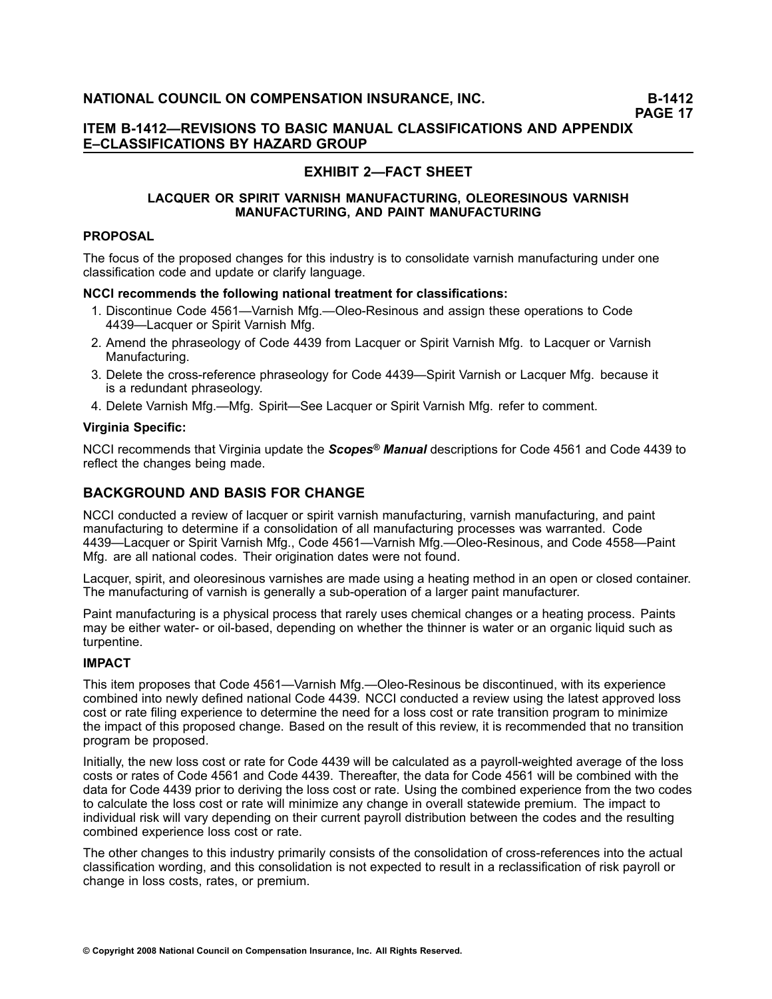# **EXHIBIT 2—FACT SHEET**

### **LACQUER OR SPIRIT VARNISH MANUFACTURING, OLEORESINOUS VARNISH MANUFACTURING, AND PAINT MANUFACTURING**

# **PROPOSAL**

The focus of the proposed changes for this industry is to consolidate varnish manufacturing under one classification code and update or clarify language.

#### **NCCI recommends the following national treatment for classifications:**

- 1. Discontinue Code 4561—Varnish Mfg.—Oleo-Resinous and assign these operations to Code 4439—Lacquer or Spirit Varnish Mfg.
- 2. Amend the phraseology of Code 4439 from Lacquer or Spirit Varnish Mfg. to Lacquer or Varnish Manufacturing.
- 3. Delete the cross-reference phraseology for Code 4439-Spirit Varnish or Lacquer Mfg. because it is <sup>a</sup> redundant phraseology.
- 4. Delete Varnish Mfg.—Mfg. Spirit—See Lacquer or Spirit Varnish Mfg. refer to comment.

### **Virginia Specific:**

NCCI recommends that Virginia update the *Scopes® Manual* descriptions for Code 4561 and Code 4439 to reflect the changes being made.

# **BACKGROUND AND BASIS FOR CHANGE**

NCCI conducted <sup>a</sup> review of lacquer or spirit varnish manufacturing, varnish manufacturing, and paint manufacturing to determine if <sup>a</sup> consolidation of all manufacturing processes was warranted. Code 4439—Lacquer or Spirit Varnish Mfg., Code 4561—Varnish Mfg.—Oleo-Resinous, and Code 4558—Paint Mfg. are all national codes. Their origination dates were not found.

Lacquer, spirit, and oleoresinous varnishes are made using <sup>a</sup> heating method in an open or closed container. The manufacturing of varnish is generally a sub-operation of a larger paint manufacturer.

Paint manufacturing is <sup>a</sup> physical process that rarely uses chemical changes or <sup>a</sup> heating process. Paints may be either water- or oil-based, depending on whether the thinner is water or an organic liquid such as turpentine.

### **IMPACT**

This item proposes that Code 4561—Varnish Mfg.—Oleo-Resinous be discontinued, with its experience combined into newly defined national Code 4439. NCCI conducted <sup>a</sup> review using the latest approved loss cost or rate filing experience to determine the need for <sup>a</sup> loss cost or rate transition program to minimize the impact of this proposed change. Based on the result of this review, it is recommended that no transition program be proposed.

Initially, the new loss cost or rate for Code 4439 will be calculated as a payroll-weighted average of the loss costs or rates of Code 4561 and Code 4439. Thereafter, the data for Code 4561 will be combined with the data for Code 4439 prior to deriving the loss cost or rate. Using the combined experience from the two codes to calculate the loss cost or rate will minimize any change in overall statewide premium. The impact to individual risk will vary depending on their current payroll distribution between the codes and the resulting combined experience loss cost or rate.

The other changes to this industry primarily consists of the consolidation of cross-references into the actual classification wording, and this consolidation is not expected to result in <sup>a</sup> reclassification of risk payroll or change in loss costs, rates, or premium.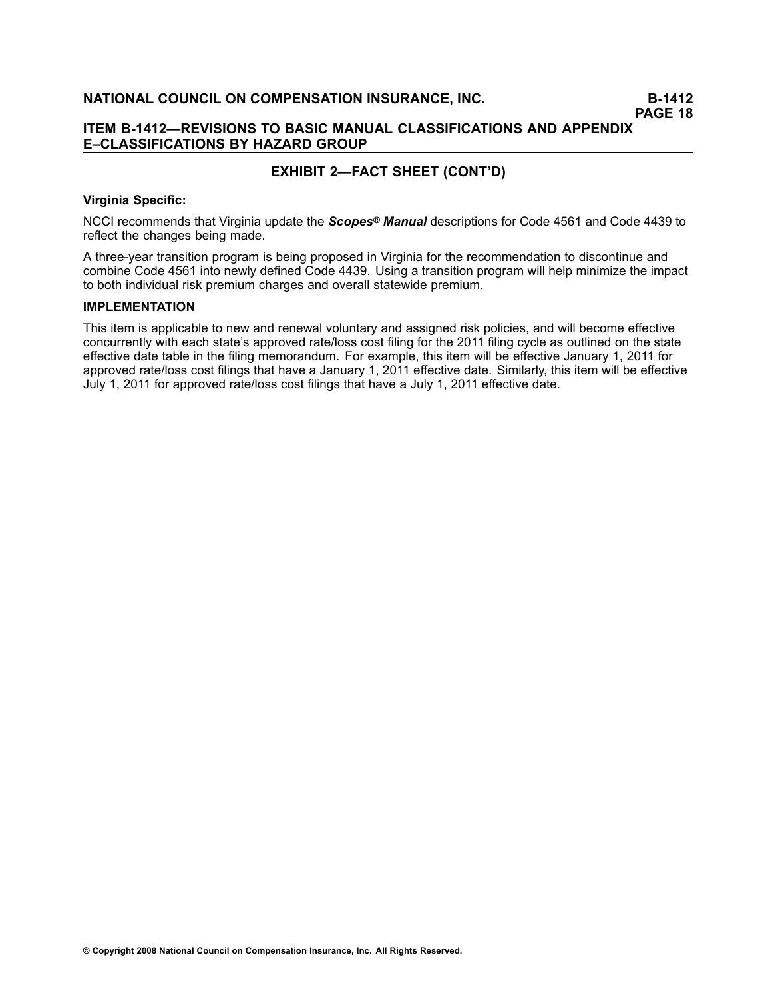# **ITEM B1412—REVISIONS TO BASIC MANUAL CLASSIFICATIONS AND APPENDIX E–CLASSIFICATIONS BY HAZARD GROUP**

# **EXHIBIT 2—FACT SHEET (CONT'D)**

#### **Virginia Specific:**

NCCI recommends that Virginia update the *Scopes® Manual* descriptions for Code 4561 and Code 4439 to reflect the changes being made.

A threeyear transition program is being proposed in Virginia for the recommendation to discontinue and combine Code 4561 into newly defined Code 4439. Using <sup>a</sup> transition program will help minimize the impact to both individual risk premium charges and overall statewide premium.

#### **IMPLEMENTATION**

This item is applicable to new and renewal voluntary and assigned risk policies, and will become effective concurrently with each state's approved rate/loss cost filing for the 2011 filing cycle as outlined on the state effective date table in the filing memorandum. For example, this item will be effective January 1, 2011 for approved rate/loss cost filings that have <sup>a</sup> January 1, 2011 effective date. Similarly, this item will be effective July 1, 2011 for approved rate/loss cost filings that have <sup>a</sup> July 1, 2011 effective date.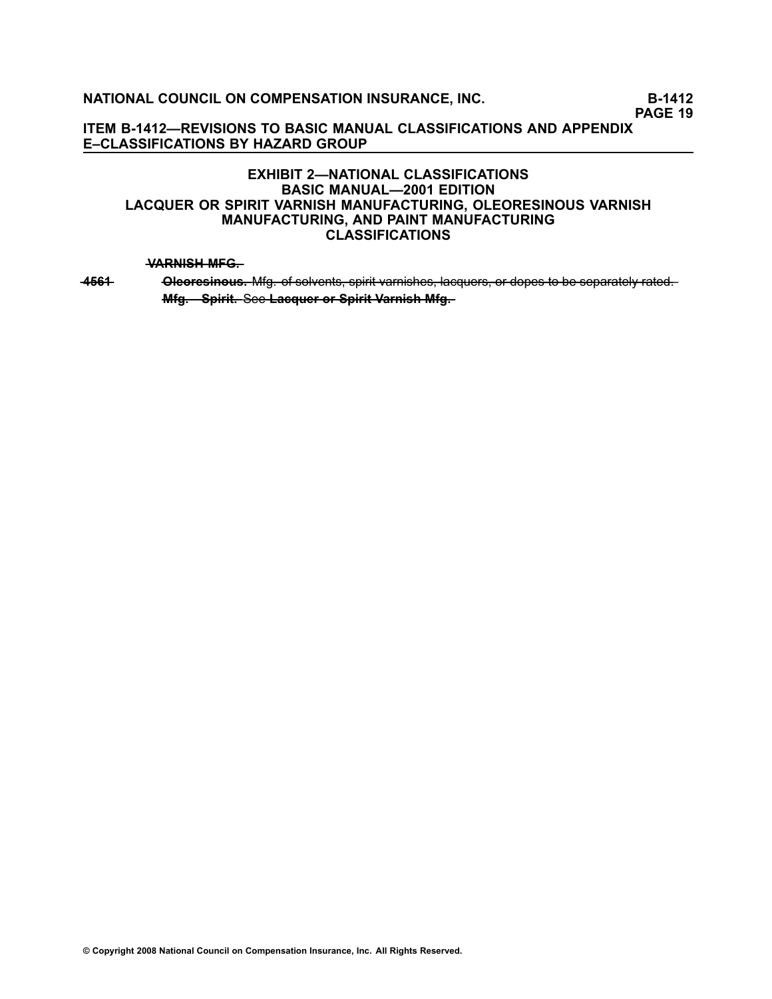**PAGE 19**

**ITEM B1412—REVISIONS TO BASIC MANUAL CLASSIFICATIONS AND APPENDIX E–CLASSIFICATIONS BY HAZARD GROUP**

# **EXHIBIT 2—NATIONAL CLASSIFICATIONS BASIC MANUAL—2001 EDITION LACQUER OR SPIRIT VARNISH MANUFACTURING, OLEORESINOUS VARNISH MANUFACTURING, AND PAINT MANUFACTURING CLASSIFICATIONS**

#### **WARNISH MFG.**

4561 Oleoresinous. Mfg. of solvents, spirit varnishes, lacquers, or dopes to be separately rated. **Mfg. - Spirit. See Lacquer or Spirit Varnish Mfg.**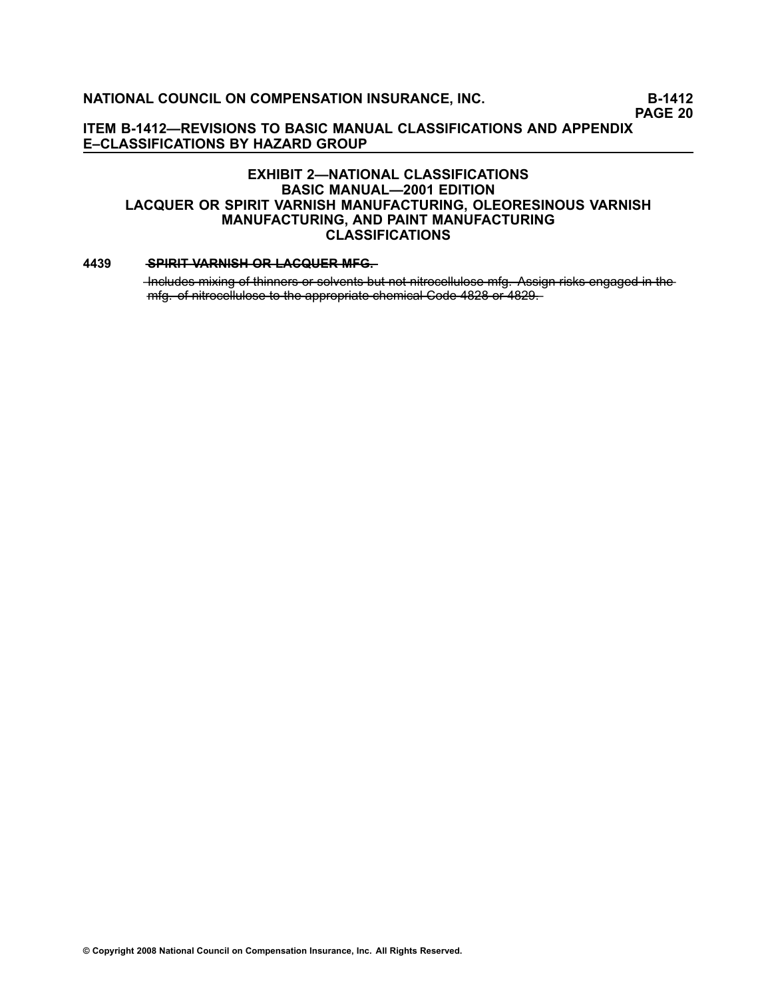**PAGE 20**

**ITEM B1412—REVISIONS TO BASIC MANUAL CLASSIFICATIONS AND APPENDIX E–CLASSIFICATIONS BY HAZARD GROUP**

# **EXHIBIT 2—NATIONAL CLASSIFICATIONS BASIC MANUAL—2001 EDITION LACQUER OR SPIRIT VARNISH MANUFACTURING, OLEORESINOUS VARNISH MANUFACTURING, AND PAINT MANUFACTURING CLASSIFICATIONS**

#### **[4439](file:///C:/manuscript/hyperlink.asp?docid=4439<?Pub & EntityName=amp>manualtitle=scopesxml) •• SPIRIT VARNISH OR LACQUER MFG.**

-Includes mixing of thinners or solvents but not nitrocellulose mfg. Assign risks engaged in the  $mfg$  of nitrocellulose to the appropriate chemical Code 4828 or 4829.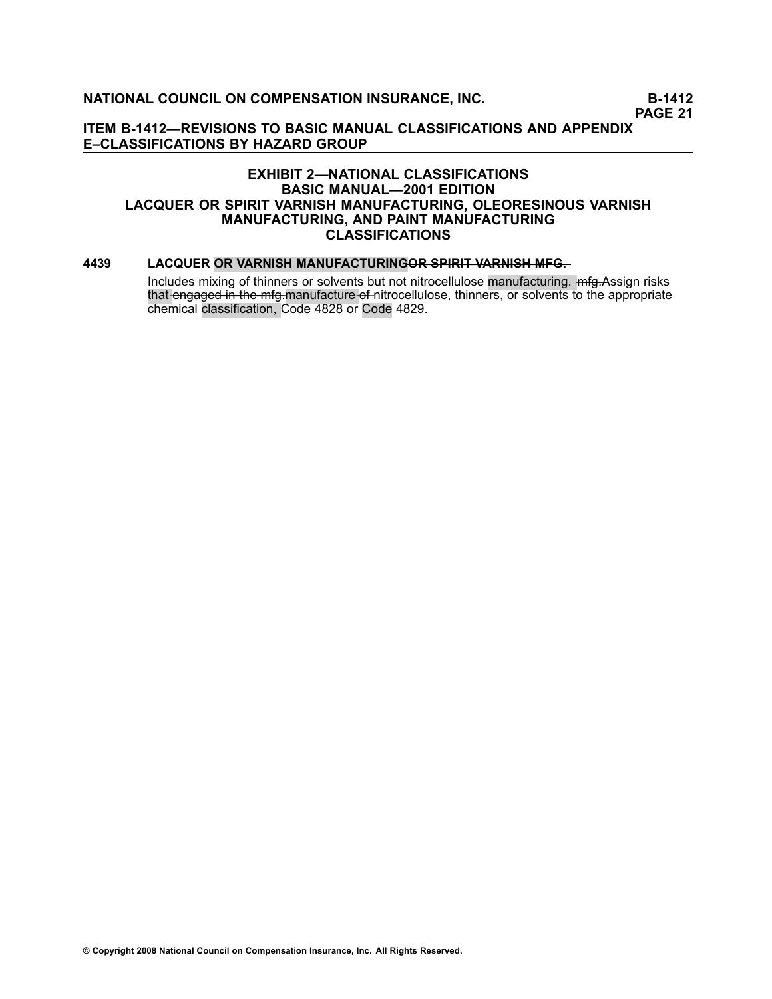**PAGE 21**

**ITEM B1412—REVISIONS TO BASIC MANUAL CLASSIFICATIONS AND APPENDIX E–CLASSIFICATIONS BY HAZARD GROUP**

# **EXHIBIT 2—NATIONAL CLASSIFICATIONS BASIC MANUAL—2001 EDITION LACQUER OR SPIRIT VARNISH MANUFACTURING, OLEORESINOUS VARNISH MANUFACTURING, AND PAINT MANUFACTURING CLASSIFICATIONS**

#### **[4439](file:///C:/manuscript/hyperlink.asp?docid=4439<?Pub & EntityName=amp>manualtitle=scopesxml) LACQUER OR VARNISH MANUFACTURING<del>OR SPIRIT VARNISH MFG.</del>**

Includes mixing of thinners or solvents but not nitrocellulose manufacturing.  $mfg.A$ ssign risks that-engaged in the mfg-manufacture of nitrocellulose, thinners, or solvents to the appropriate chemical classification, Code [4828](file:///C:/manuscript/hyperlink.asp?docid=4828<?Pub & EntityName=amp>manualtitle=scopesxml) or Code [4829](file:///C:/manuscript/hyperlink.asp?docid=4829<?Pub & EntityName=amp>manualtitle=scopesxml).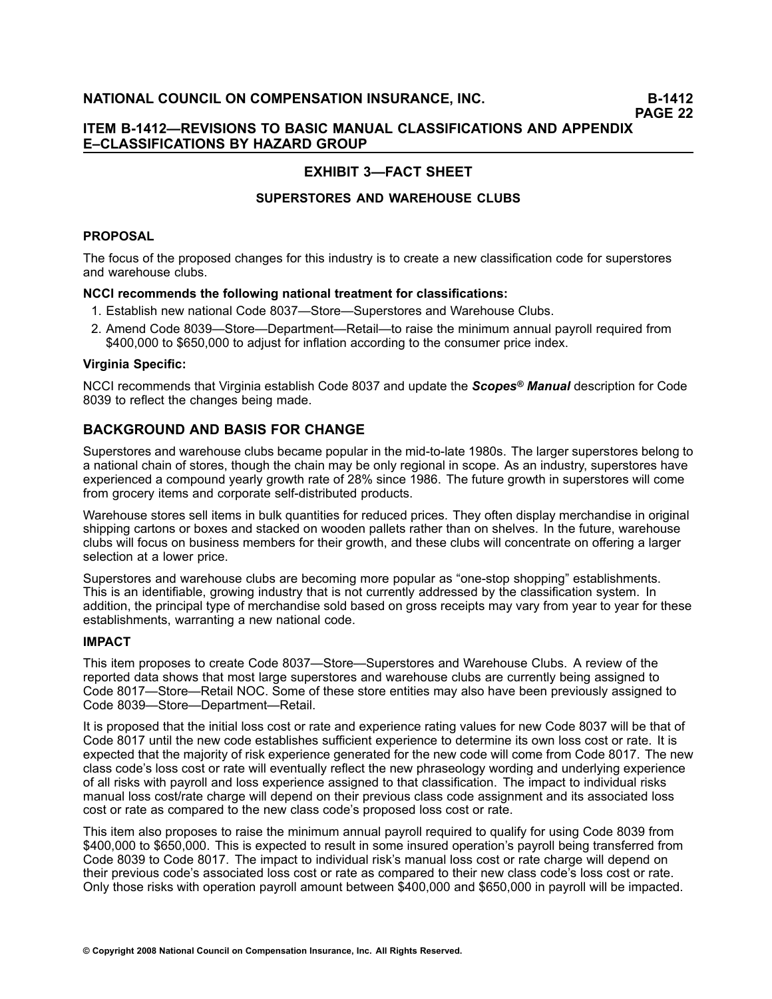# **EXHIBIT 3—FACT SHEET**

# **SUPERSTORES AND WAREHOUSE CLUBS**

### **PROPOSAL**

The focus of the proposed changes for this industry is to create <sup>a</sup> new classification code for superstores and warehouse clubs.

### **NCCI recommends the following national treatment for classifications:**

- 1. Establish new national Code 8037—Store—Superstores and Warehouse Clubs.
- 2. Amend Code 8039—Store—Department—Retail—to raise the minimum annual payroll required from \$400,000 to \$650,000 to adjust for inflation according to the consumer price index.

### **Virginia Specific:**

NCCI recommends that Virginia establish Code 8037 and update the *Scopes® Manual* description for Code 8039 to reflect the changes being made.

# **BACKGROUND AND BASIS FOR CHANGE**

Superstores and warehouse clubs became popular in the mid-to-late 1980s. The larger superstores belong to <sup>a</sup> national chain of stores, though the chain may be only regional in scope. As an industry, superstores have experienced <sup>a</sup> compound yearly growth rate of 28% since 1986. The future growth in superstores will come from grocery items and corporate self-distributed products.

Warehouse stores sell items in bulk quantities for reduced prices. They often display merchandise in original shipping cartons or boxes and stacked on wooden pallets rather than on shelves. In the future, warehouse clubs will focus on business members for their growth, and these clubs will concentrate on offering <sup>a</sup> larger selection at <sup>a</sup> lower price.

Superstores and warehouse clubs are becoming more popular as "one-stop shopping" establishments. This is an identifiable, growing industry that is not currently addressed by the classification system. In addition, the principal type of merchandise sold based on gross receipts may vary from year to year for these establishments, warranting <sup>a</sup> new national code.

### **IMPACT**

This item proposes to create Code 8037—Store—Superstores and Warehouse Clubs. A review of the reported data shows that most large superstores and warehouse clubs are currently being assigned to Code 8017—Store—Retail NOC. Some of these store entities may also have been previously assigned to Code 8039—Store—Department—Retail.

It is proposed that the initial loss cost or rate and experience rating values for new Code 8037 will be that of Code 8017 until the new code establishes sufficient experience to determine its own loss cost or rate. It is expected that the majority of risk experience generated for the new code will come from Code 8017. The new class code's loss cost or rate will eventually reflect the new phraseology wording and underlying experience of all risks with payroll and loss experience assigned to that classification. The impact to individual risks manual loss cost/rate charge will depend on their previous class code assignment and its associated loss cost or rate as compared to the new class code's proposed loss cost or rate.

This item also proposes to raise the minimum annual payroll required to qualify for using Code 8039 from \$400,000 to \$650,000. This is expected to result in some insured operation's payroll being transferred from Code 8039 to Code 8017. The impact to individual risk's manual loss cost or rate charge will depend on their previous code's associated loss cost or rate as compared to their new class code's loss cost or rate. Only those risks with operation payroll amount between \$400,000 and \$650,000 in payroll will be impacted.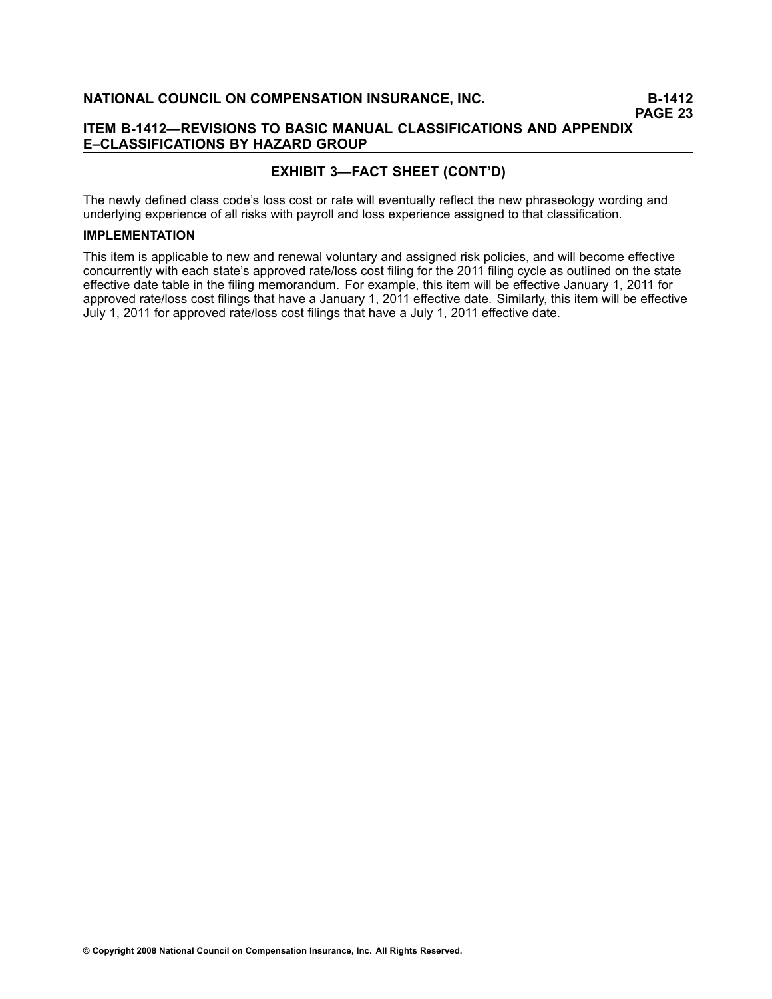# **ITEM B1412—REVISIONS TO BASIC MANUAL CLASSIFICATIONS AND APPENDIX E–CLASSIFICATIONS BY HAZARD GROUP**

# **EXHIBIT 3—FACT SHEET (CONT'D)**

The newly defined class code's loss cost or rate will eventually reflect the new phraseology wording and underlying experience of all risks with payroll and loss experience assigned to that classification.

### **IMPLEMENTATION**

This item is applicable to new and renewal voluntary and assigned risk policies, and will become effective concurrently with each state's approved rate/loss cost filing for the 2011 filing cycle as outlined on the state effective date table in the filing memorandum. For example, this item will be effective January 1, 2011 for approved rate/loss cost filings that have <sup>a</sup> January 1, 2011 effective date. Similarly, this item will be effective July 1, 2011 for approved rate/loss cost filings that have <sup>a</sup> July 1, 2011 effective date.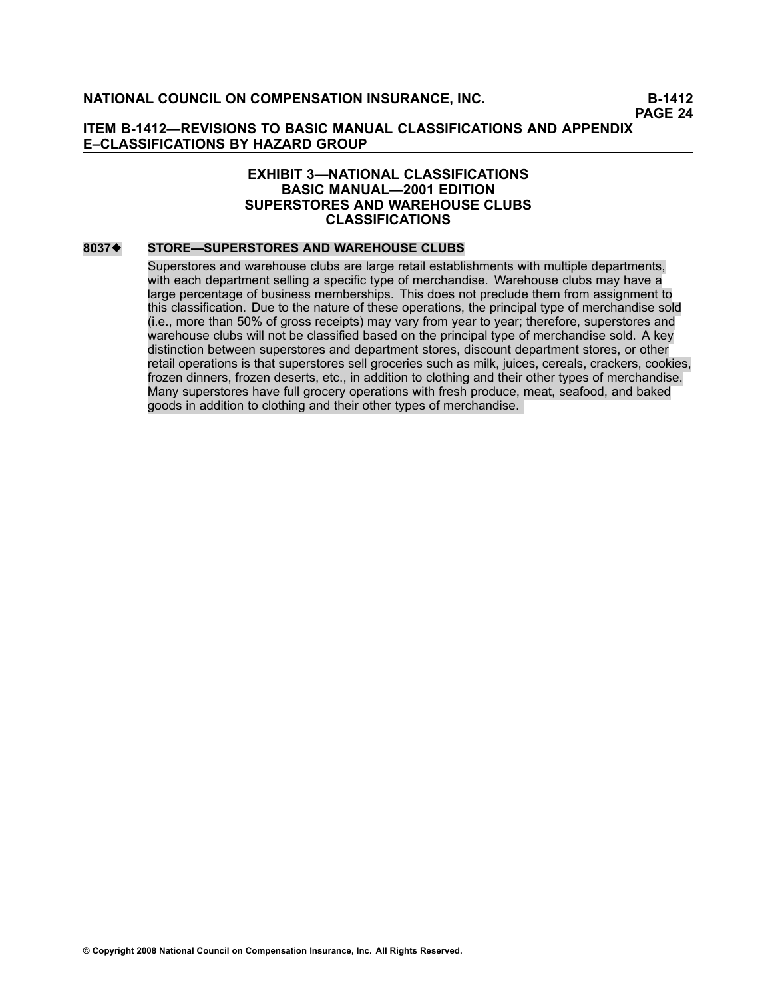# **EXHIBIT 3—NATIONAL CLASSIFICATIONS BASIC MANUAL—2001 EDITION SUPERSTORES AND WAREHOUSE CLUBS CLASSIFICATIONS**

### **[8037](file:///C:/manuscript/hyperlink.asp?docid=8037<?Pub & EntityName=amp>manualtitle=scopesxml)**[♦](file:///C:/manuscript/hyperlink.asp?docid=8037<?Pub & EntityName=amp>manualtitle=scopesxml) **STORE—SUPERSTORES AND WAREHOUSE CLUBS**

Superstores and warehouse clubs are large retail establishments with multiple departments, with each department selling <sup>a</sup> specific type of merchandise. Warehouse clubs may have <sup>a</sup> large percentage of business memberships. This does not preclude them from assignment to this classification. Due to the nature of these operations, the principal type of merchandise sold (i.e., more than 50% of gross receipts) may vary from year to year; therefore, superstores and warehouse clubs will not be classified based on the principal type of merchandise sold. A key distinction between superstores and department stores, discount department stores, or other retail operations is that superstores sell groceries such as milk, juices, cereals, crackers, cookies, frozen dinners, frozen deserts, etc., in addition to clothing and their other types of merchandise. Many superstores have full grocery operations with fresh produce, meat, seafood, and baked goods in addition to clothing and their other types of merchandise.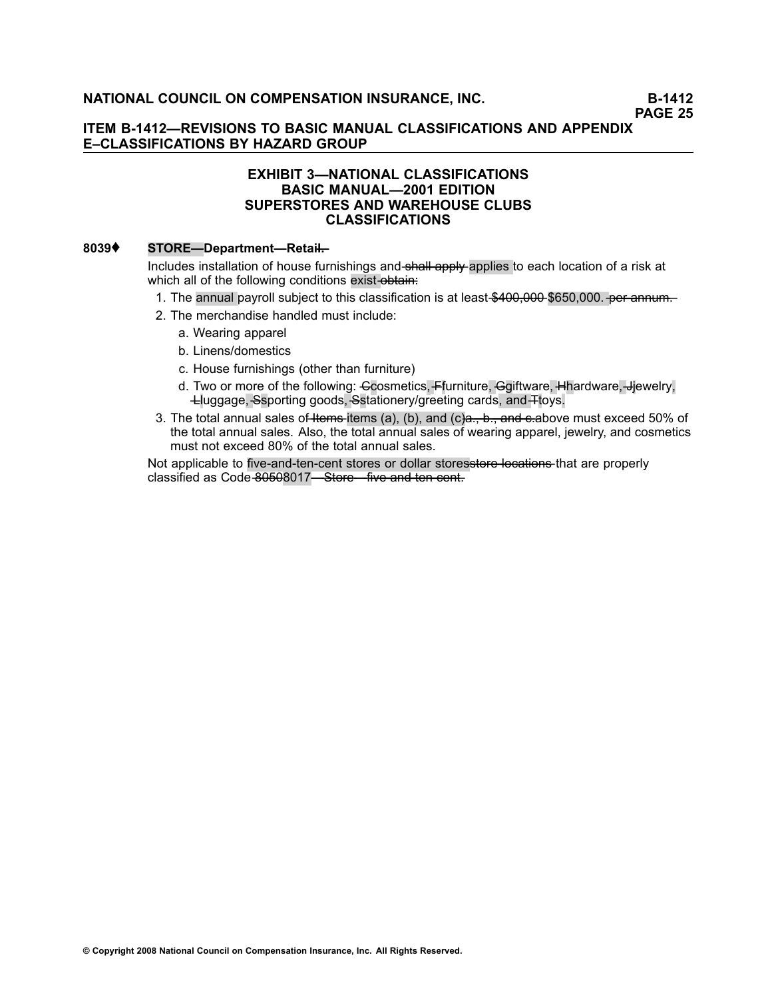# **EXHIBIT 3—NATIONAL CLASSIFICATIONS BASIC MANUAL—2001 EDITION SUPERSTORES AND WAREHOUSE CLUBS CLASSIFICATIONS**

# **[8039](file:///C:/manuscript/hyperlink.asp?docid=8039<?Pub & EntityName=amp>manualtitle=scopesxml)**♦ **STORE—Department—Retail—.**

Includes installation of house furnishings and **shall apply** applies to each location of a risk at which all of the following conditions exist-obtain:

- 1. The annual payroll subject to this classification is at least \$400,000 \$650,000. <del>per annum.</del>
- 2. The merchandise handled must include:
	- a. Wearing apparel
	- b. Linens/domestics
	- c. House furnishings (other than furniture)
	- d. Two or more of the following: Ccosmetics, Ffurniture, Ggiftware, Hhardware, Hiewelry, —Lluggage,—Ssporting goods,—Sstationery/greeting cards, and—Ttoys.
- 3. The total annual sales of Hems items (a), (b), and (c)a., b., and e-above must exceed 50% of the total annual sales. Also, the total annual sales of wearing apparel, jewelry, and cosmetics must not exceed 80% of the total annual sales.

Not applicable to five-and-ten-cent stores or dollar storesstore locations that are properly classified as Code-80508017—Store—five-and-ten-cent.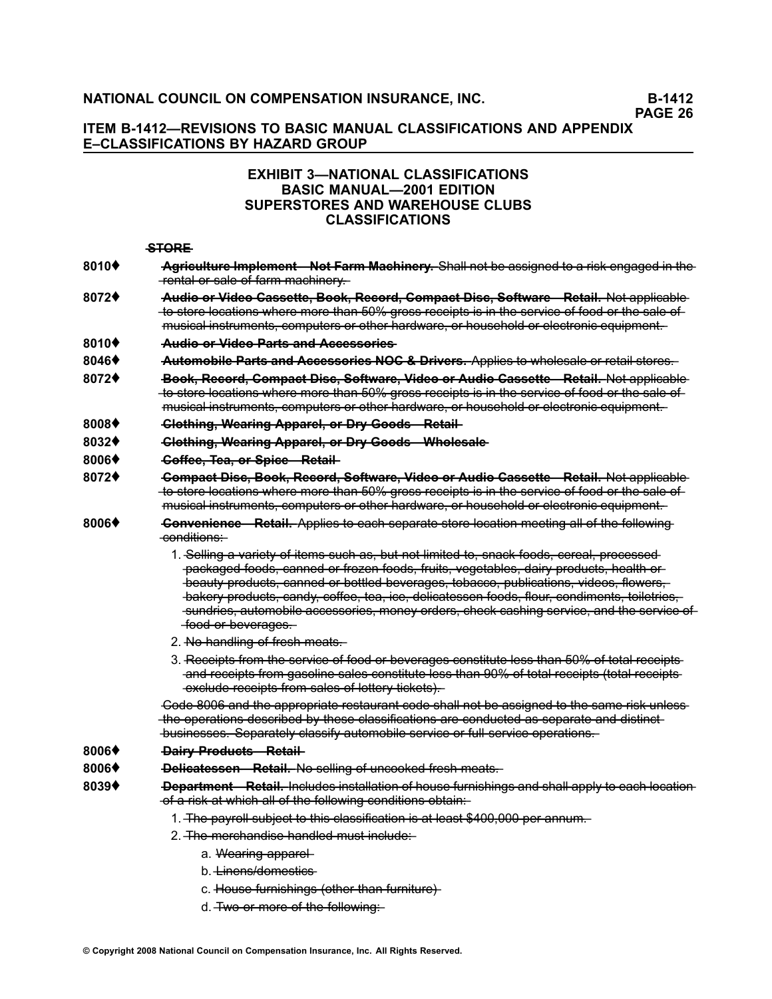# **ITEM B1412—REVISIONS TO BASIC MANUAL CLASSIFICATIONS AND APPENDIX E–CLASSIFICATIONS BY HAZARD GROUP**

# **EXHIBIT 3—NATIONAL CLASSIFICATIONS BASIC MANUAL—2001 EDITION SUPERSTORES AND WAREHOUSE CLUBS CLASSIFICATIONS**

#### **—S—T—O—R—E**

- [8010](file:///C:/manuscript/hyperlink.asp?docid=8010<?Pub & EntityName=amp>manualtitle=scopesxml)<sup> $\bullet$ </sup> Agriculture Implement Not Farm Machinery. Shall not be assigned to a risk engaged in the  $-$ rental or sale of farm machinery.
- **[8072](file:///C:/manuscript/hyperlink.asp?docid=8072<?Pub & EntityName=amp>manualtitle=scopesxml)♦ Audie er Videe Cassette, Beek, Recerd, Compact Disc, Seftware—Retail. Not applicable** to store locations where more than 50% gross receipts is in the service of food or the sale of musical instruments, computers or other hardware, or household or electronic equipment.

#### **[8010](file:///C:/manuscript/hyperlink.asp?docid=8010<?Pub & EntityName=amp>manualtitle=scopesxml)**♦ **—A—u—d—i—o——o—r——V—i—d—e—o——P—a—r—t—s——a—n—d——A—c—c—e—s—s—o—r—i—e—s**

- **[8046](file:///C:/manuscript/hyperlink.asp?docid=8046<?Pub & EntityName=amp>manualtitle=scopesxml)♦ <del>Automobile Parts and Accessories NOC & Drivers. Applies to wholesale or retail stores.**</del>
- **[8072](file:///C:/manuscript/hyperlink.asp?docid=8072<?Pub & EntityName=amp>manualtitle=scopesxml)♦ <del>Book, Record, Compact Disc, Software, Video or Audio Cassette—Retail. Not applicable**</del> te store locations where more than 50% gross receipts is in the service of food or the sale of musical instruments, computers or other hardware, or household or electronic equipment.
- **[8008](file:///C:/manuscript/hyperlink.asp?docid=8008<?Pub & EntityName=amp>manualtitle=scopesxml)**♦ **—C—l—o—t—h—i—n—g——, —W—e—a—r—i—n—g——A—p—p—a—r—e——l—,—o—r——D—r—y——G—o—o—d—s—R——e—t—a——il**
- [8032](file:///C:/manuscript/hyperlink.asp?docid=8032<?Pub & EntityName=amp>manualtitle=scopesxml)<sup> $\blacklozenge$ </sup>  *Clething, Wearing Apparel, or Dry Goods—Wholesale*
- **[8006](file:///C:/manuscript/hyperlink.asp?docid=8006<?Pub & EntityName=amp>manualtitle=scopesxml)**♦ **—C—o——ff—e—e——,—T—e—a——,—o—r——S—p—i—c—e—R——e—t—a——il**
- **[8072](file:///C:/manuscript/hyperlink.asp?docid=8072<?Pub & EntityName=amp>manualtitle=scopesxml)♦ <del>Compact Disc, Book, Record, Software, Video or Audio Cassette Retail. Not applicable**</del> to store locations where more than 50% gross receipts is in the service of food or the sale of musical instruments, computers or other hardware, or household or electronic equipment.
- [8006](file:///C:/manuscript/hyperlink.asp?docid=8006<?Pub & EntityName=amp>manualtitle=scopesxml)<sup> $\bullet$ </sup> Convenience Retail. Applies to each separate store location meeting all of the following —c—o—n—d——i—ti—o—n—s—:
	- 1. Selling a variety of items such as, but not limited to, snack foods, sereal, processed packaged foods, canned or frozen foods, fruits, vegetables, dairy products, health or  $\frac{1}{2}$  beauty products, canned or bottled beverages, tobacco, publications, videos, flowers, bakery products, candy, coffee, tea, ice, delicatessen foods, flour, condiments, toiletries, sundries, automobile accessories, money orders, check cashing service, and the service of  $-$ food or beverages.
	- 2. No-handling of fresh meats.
	- 3. Receipts from the service of food or beverages constitute less than 50% of total receipts and receipts from gasoline sales constitute less than 00% of total receipts (total receipts  $-\text{exclude receives from sales of lottery tickets}.$

Code 8006 and the appropriate restaurant code shall not be assigned to the same risk unlessthe operations described by these classifications are conducted as separate and distinct- $-\frac{1}{2}$  businesses. Separately classify automobile service or full service operations.

#### **[8006](file:///C:/manuscript/hyperlink.asp?docid=8006<?Pub & EntityName=amp>manualtitle=scopesxml)♦ <del>Dairy Products Retail</del>-**

- **[8006](file:///C:/manuscript/hyperlink.asp?docid=8006<?Pub & EntityName=amp>manualtitle=scopesxml)♦ <del>Delicatessen Retail.</del> No selling of uncooked fresh meats.**
- [8039](file:///C:/manuscript/hyperlink.asp?docid=8039<?Pub & EntityName=amp>manualtitle=scopesxml) **Department** Retail, Includes installation of house furnishings and shall apply to each location  $-\text{of a risk at which all of the following conditions obtain:}\n$ 
	- 1. The payroll subject to this classification is at least \$400,000 per annum.
	- 2. The merchandise handled must include:
		- a. Wearing apparel
		- b. <del>Linens/domestics</del>
		- c. House furnishings (other than furniture)
		- d. Two or more of the following: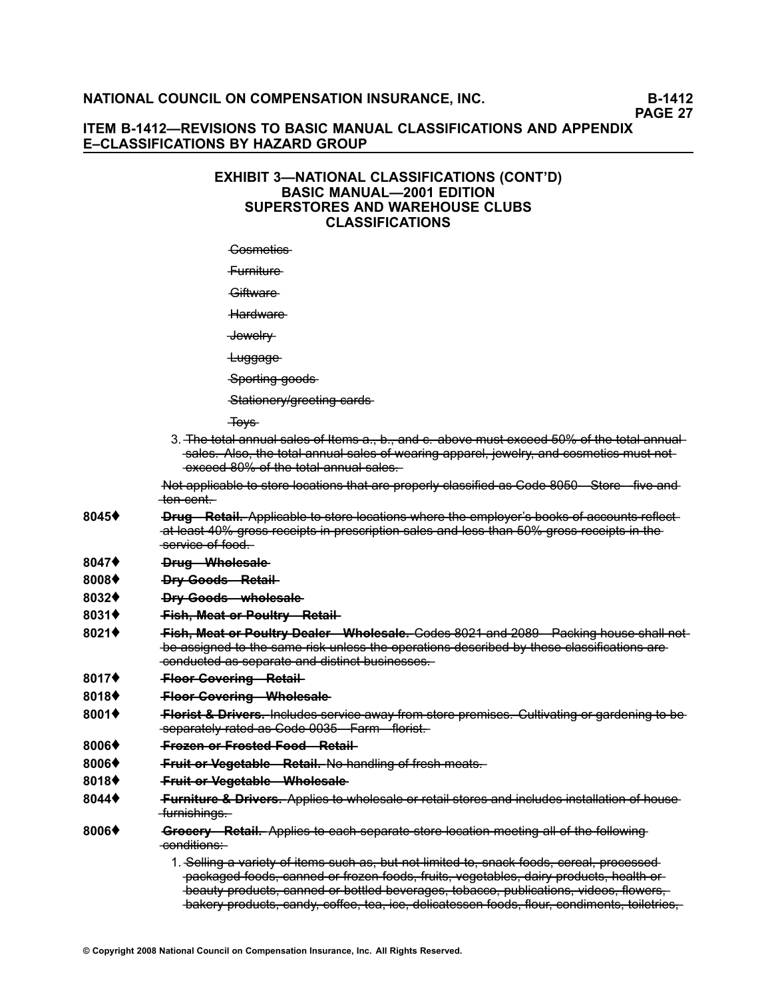# **ITEM B1412—REVISIONS TO BASIC MANUAL CLASSIFICATIONS AND APPENDIX E–CLASSIFICATIONS BY HAZARD GROUP**

# **EXHIBIT 3—NATIONAL CLASSIFICATIONS (CONT'D) BASIC MANUAL—2001 EDITION SUPERSTORES AND WAREHOUSE CLUBS CLASSIFICATIONS**

Gesmetics-

—F—u—r—n——it—u—r—e

Giftware

Hardware

 $\overline{\phantom{a}}$  Jewelry

Luggage

 $\frac{1}{2}$  Sporting goods

 $-$ Stationery/greeting-cards-

 $\overline{+}$ ovs

3. The total annual sales of Items a. b. and c. above must exceed 50% of the total annual sales. Also, the total annual sales of wearing apparel, jewelry, and cosmetics must not  $-\text{exceed-80\% of the total-annual-sales.}$ 

Not applicable to store locations that are properly classified as Code 8050 Store five and  $-$ ten cent.

- [8045](file:///C:/manuscript/hyperlink.asp?docid=8045<?Pub & EntityName=amp>manualtitle=scopesxml)♦ **Brug** Retail, Applicable to store locations where the employer's books of accounts reflectat least 40% gross receipts in prescription sales and less than 50% gross receipts in the —s—e—r—v——ic—e**—**—o—**—**f—f—o—o—d—.
- [8047](file:///C:/manuscript/hyperlink.asp?docid=8047<?Pub & EntityName=amp>manualtitle=scopesxml)♦ <del>Drug Wholesale</del>
- [8008](file:///C:/manuscript/hyperlink.asp?docid=8008<?Pub & EntityName=amp>manualtitle=scopesxml)♦ <del>Dry Goods Retail</del>
- [8032](file:///C:/manuscript/hyperlink.asp?docid=8032<?Pub & EntityName=amp>manualtitle=scopesxml)♦ **Dry-Goods—wholesale**
- **[8031](file:///C:/manuscript/hyperlink.asp?docid=8031<?Pub & EntityName=amp>manualtitle=scopesxml)♦ Fish, Meat or Poultry Retail-**
- **[8021](file:///C:/manuscript/hyperlink.asp?docid=8021<?Pub & EntityName=amp>manualtitle=scopesxml)♦ <del>Fich. Meat or Poultry Dealer Wholesale. Codes 8021 and 2089 Packing house shall not**</del> be assigned to the same risk unless the operations described by these classifications are —c—o—n—d—u—c—t—e—d**—**—a—s**—**—s—e—p—a—r—a—t—e**—**—a—n—d**—**—d——is——ti—n—c—**—**t—b—u—s—i—n—e—s—s—e—s—.
- **[8017](file:///C:/manuscript/hyperlink.asp?docid=8017<?Pub & EntityName=amp>manualtitle=scopesxml)♦ Fleer Covering Retail-**
- [8018](file:///C:/manuscript/hyperlink.asp?docid=8018<?Pub & EntityName=amp>manualtitle=scopesxml)<sup> $\blacklozenge$ </sup> **Floor-Covering-Wholesale**
- [8001](file:///C:/manuscript/hyperlink.asp?docid=8001<?Pub & EntityName=amp>manualtitle=scopesxml)<sup>o</sup> Florist & Drivers. Includes service away from store premises. Cultivating or gardening to be —s—e—p—a—r—a—t—e——ly**—**—r—a—t—e—d**—**—a—s**—**—C—o—d—e**—**[—0—0—3—5—](file:///C:/manuscript/hyperlink.asp?docid=0035<?Pub & EntityName=amp>manualtitle=scopesxml)F——a—r—m—fl——o——r—is——t.
- **[8006](file:///C:/manuscript/hyperlink.asp?docid=8006<?Pub & EntityName=amp>manualtitle=scopesxml)**♦ **—F—r—o—z—e—n——o—r——F—r—o—s—t—e—d——F—o—o—d—R——e—t—a——il**
- **[8006](file:///C:/manuscript/hyperlink.asp?docid=8006<?Pub & EntityName=amp>manualtitle=scopesxml)**♦ **—F—r—u——i—t—o—r——V—e—g—e—t—a—b—l—e—R——e—t—a——i—l.** —N—o**—**—h—a—n—d——li—n—g**—**—o—**—**f——fr—e—s—h**—**—m—e—a—t—s—.
- [8018](file:///C:/manuscript/hyperlink.asp?docid=8018<?Pub & EntityName=amp>manualtitle=scopesxml)<sup> $\blacklozenge$ </sup> **Fruit or Vegetable—Wholesale**
- [8044](file:///C:/manuscript/hyperlink.asp?docid=8044<?Pub & EntityName=amp>manualtitle=scopesxml) Furniture & Drivers. Applies to wholesale or retail stores and includes installation of house —furnishings.
- [8006](file:///C:/manuscript/hyperlink.asp?docid=8006<?Pub & EntityName=amp>manualtitle=scopesxml)<sup> $\bullet$ </sup> Grocery Retail. Applies to each separate store location meeting all of the following -conditions:

1. Selling a variety of items such as, but not limited to, snack foods, sereal, processed packaged foods, canned or frozen foods, fruits, vegetables, dairy products, health or —b—e—a—u—t—y**—**—p—r—o—d—u—c—t—s—**—**,—c—a—n—n—e—d**—**—o—**—**r—b—o——t—tl—e—d**—**—b—e—v—e—r—a—g—e—s—**—**,—t—o—b—a—c—c—o—**—**,—p—u—b——l—ic—a——t—io—n—s—**—**,—v——id—e—o—s—**—**,—fl—o—w—e—r—s—,

bakery products, candy, coffee, tea, ice, delicatessen foods, flour, condiments, toiletries,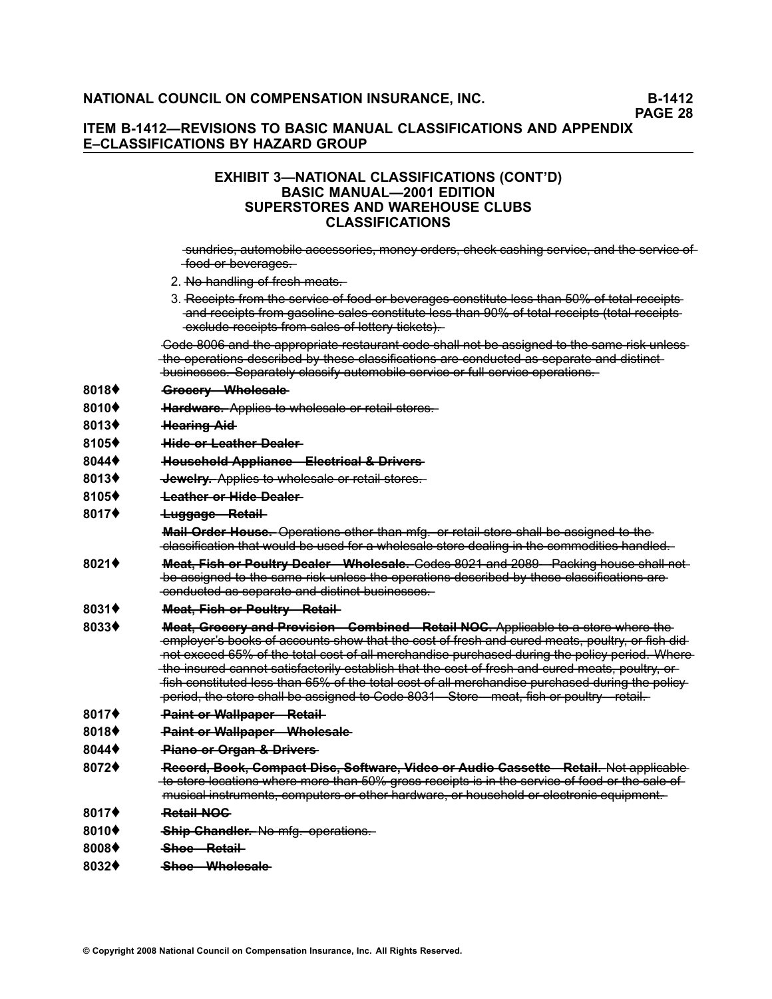# **EXHIBIT 3—NATIONAL CLASSIFICATIONS (CONT'D) BASIC MANUAL—2001 EDITION SUPERSTORES AND WAREHOUSE CLUBS CLASSIFICATIONS**

sundries, automobile accessories, money orders, check cashing service, and the service of  $-$ food or beverages.

- 2. No-handling of fresh meats.
- 3. Receipts from the service of food or beverages constitute less than 50% of total receipts and receipts from gasoline sales constitute less than 90% of total receipts (total receipts  $-\text{exclude receipts from sales of lottery tickets).}$

Code 8006 and the appropriate restaurant code shall not be assigned to the same risk unlessthe operations described by these classifications are conducted as separate and distinct —b—u—s—i—n—e—s—s—e—s—**—**. —S—e—p—a—r—a—t—e——ly**—**—c—l—a—s—s——if—y**—**—a—u—t—o—m—o—b——il—e**—**—s—e—r—v——ic—e**—**—o—**—**r—f—u——l—l—s—e—r—v——ic—e**—**—o—p—e—r—a——t—io—n—s—.

#### **[8018](file:///C:/manuscript/hyperlink.asp?docid=8018<?Pub & EntityName=amp>manualtitle=scopesxml)♦ • Greeery Whelesale**

**[8010](file:///C:/manuscript/hyperlink.asp?docid=8010<?Pub & EntityName=amp>manualtitle=scopesxml)♦ Hardware.** Applies to wholesale or retail stores.

#### **[8013](file:///C:/manuscript/hyperlink.asp?docid=8013<?Pub & EntityName=amp>manualtitle=scopesxml)♦ Hearing Aid-**

- **[8105](file:///C:/manuscript/hyperlink.asp?docid=8105<?Pub & EntityName=amp>manualtitle=scopesxml)♦ Hide-or-Leather-Dealer-**
- **[8044](file:///C:/manuscript/hyperlink.asp?docid=8044<?Pub & EntityName=amp>manualtitle=scopesxml)♦ Houschold Appliance—Electrical & Drivers**
- **[8013](file:///C:/manuscript/hyperlink.asp?docid=8013<?Pub & EntityName=amp>manualtitle=scopesxml)**♦ **—J—e—w—e——lr—y—.** —A—p—p——li—e—s**—**—t—o**—**—w—h—o—l—e—s—a—l—e**—**—o—**—**r—r—e—t—a——i**—**l—s—t—o—r—e—s—.
- **[8105](file:///C:/manuscript/hyperlink.asp?docid=8105<?Pub & EntityName=amp>manualtitle=scopesxml)♦ <del>Leather or Hide Dealer</del>**

#### [8017](file:///C:/manuscript/hyperlink.asp?docid=8017<?Pub & EntityName=amp>manualtitle=scopesxml)♦ <del>Luggage Retail</del>

**Mail Order House.** Operations other than mfg. or retail store shall be assigned to the classification that would be used for a wholesale store dealing in the commodities handled.

**[8021](file:///C:/manuscript/hyperlink.asp?docid=8021<?Pub & EntityName=amp>manualtitle=scopesxml)♦ • • • • Meat, Fish or Poultry Dealer—Wholesale, Codes 8021 and 2089—Packing house shall not** be assigned to the same risk unless the operations described by these classifications are —c—o—n—d—u—c—t—e—d**—**—a—s**—**—s—e—p—a—r—a—t—e**—**—a—n—d**—**—d——is——ti—n—c—**—**t—b—u—s—i—n—e—s—s—e—s—.

#### **[8031](file:///C:/manuscript/hyperlink.asp?docid=8031<?Pub & EntityName=amp>manualtitle=scopesxml)♦ <del>Meat, Fish or Poultry—Retail-</del>**

- **[8033](file:///C:/manuscript/hyperlink.asp?docid=8033<?Pub & EntityName=amp>manualtitle=scopesxml)**♦ **—M—e—a——t—, —G—r—o—c—e—r—y——a—n—d——P—r—o—v—i—s—i—o—n—C——o—m—b—i—n—e—d—R——e—t—a——i—l—N—O—C—.**—A—p—p——l—ic—a—b——le**—**—t—o**—**—a**—**—s—t—o—r—e**—**—w—h—e—r—e**—**—t—h—e employer's books of accounts show that the cost of fresh and cured meats, poultry, or fish didnot exceed 65% of the total cost of all merchandise purchased during the policy period. Where the insured cannot satisfactorily establish that the cost of fresh and cured meats, poultry, or fish constituted less than 65% of the total cost of all merchandise purchased during the policy period, the store shall be assigned to Code 8031 Store meat, fish or poultry retail.
- **[8017](file:///C:/manuscript/hyperlink.asp?docid=8017<?Pub & EntityName=amp>manualtitle=scopesxml)♦ Paint or Wallpaper—Retail-**
- **[8018](file:///C:/manuscript/hyperlink.asp?docid=8018<?Pub & EntityName=amp>manualtitle=scopesxml)♦ •• Paint or Wallpaper—Wholesale—**
- **[8044](file:///C:/manuscript/hyperlink.asp?docid=8044<?Pub & EntityName=amp>manualtitle=scopesxml)♦ •• Piano or Organ & Drivers**
- **[8072](file:///C:/manuscript/hyperlink.asp?docid=8072<?Pub & EntityName=amp>manualtitle=scopesxml)♦ Resord, Book, Compact Disc, Software, Video or Audio Cassette—Retail. Not applicable** to store locations where more than 50% gross receipts is in the service of food or the sale of musical instruments, computers or other hardware, or household or electronic equipment.

#### **[8017](file:///C:/manuscript/hyperlink.asp?docid=8017<?Pub & EntityName=amp>manualtitle=scopesxml)**♦ **—R—e—t—a——i—l —N—O—C**

- **[8010](file:///C:/manuscript/hyperlink.asp?docid=8010<?Pub & EntityName=amp>manualtitle=scopesxml)**♦ **—S—h—i—p——C—h—a—n—d—l—e——r.** —N—o**—**—m—f—g—.**—**—o—p—e—r—a——ti—o—n—s—.
- **[8008](file:///C:/manuscript/hyperlink.asp?docid=8008<?Pub & EntityName=amp>manualtitle=scopesxml)♦ Shoe Retail**
- **[8032](file:///C:/manuscript/hyperlink.asp?docid=8032<?Pub & EntityName=amp>manualtitle=scopesxml)♦ Shoe—Wholesale—**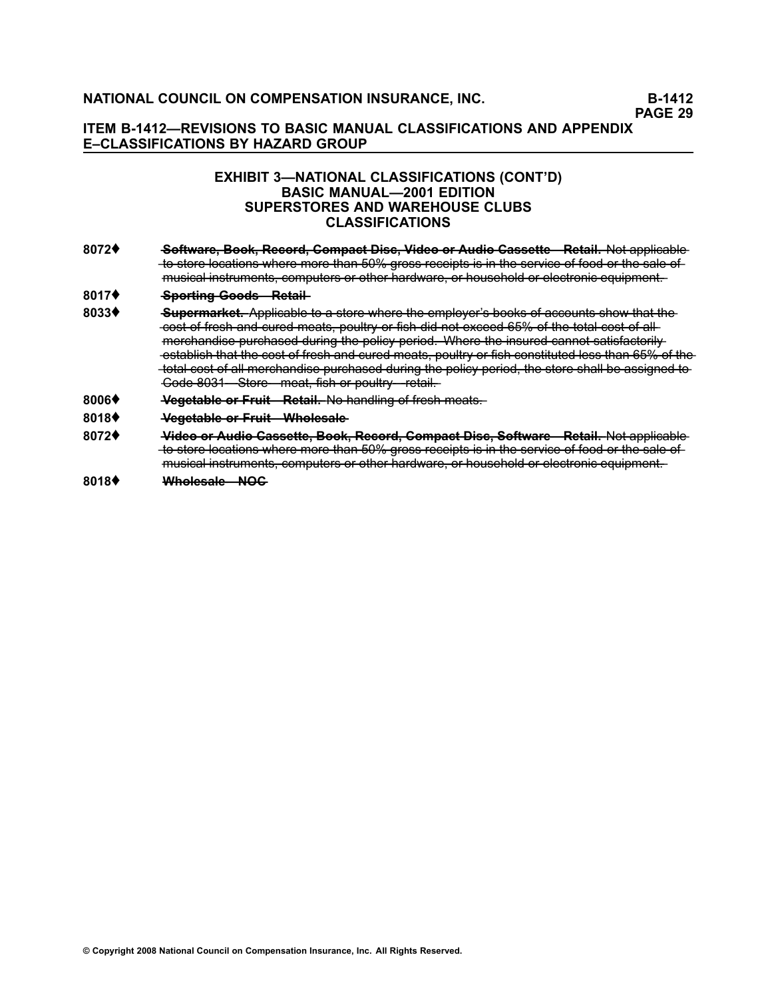# **EXHIBIT 3—NATIONAL CLASSIFICATIONS (CONT'D) BASIC MANUAL—2001 EDITION SUPERSTORES AND WAREHOUSE CLUBS CLASSIFICATIONS**

**[8072](file:///C:/manuscript/hyperlink.asp?docid=8072<?Pub & EntityName=amp>manualtitle=scopesxml)♦ <del>Software, Book, Record, Compact Disc, Video or Audio Cassette - Retail. Not applicable**</del> to store locations where more than 50% gross receipts is in the service of food or the sale of musical instruments, computers or other hardware, or household or electronic equipment.

#### **[8017](file:///C:/manuscript/hyperlink.asp?docid=8017<?Pub & EntityName=amp>manualtitle=scopesxml)♦ • Sporting Goods-Retail-**

- [8033](file:///C:/manuscript/hyperlink.asp?docid=8033<?Pub & EntityName=amp>manualtitle=scopesxml)♦ Supermarket. Applicable to a store where the employer's books of accounts show that the cost of fresh and cured meats, poultry or fish did not exceed 65% of the total cost of allmerchandise purchased during the policy period. Where the insured cannot satisfactorily establish that the cost of fresh and cured meats, poultry or fish constituted less than 65% of the total cost of all merchandise purchased during the policy period, the store shall be assigned to  $\frac{1}{2}$  Gode 8031 Store meat, fish or poultry retail.
- **[8006](file:///C:/manuscript/hyperlink.asp?docid=8006<?Pub & EntityName=amp>manualtitle=scopesxml)♦ <del>Vegetable or Fruit—Retail.</del> No handling of fresh meats.**
- **[8018](file:///C:/manuscript/hyperlink.asp?docid=8018<?Pub & EntityName=amp>manualtitle=scopesxml)**♦ **—V—e—g—e—t—a—b—l—e——o—r——F—r—u——it—W——h—o—l—e—s—a—l—e**
- **[8072](file:///C:/manuscript/hyperlink.asp?docid=8072<?Pub & EntityName=amp>manualtitle=scopesxml)**♦ **——** <del>Video or Audio Cassette, Book, Record, Compact Disc, Software—Retail. Not applicable</del> to store locations where more than 50% gross receipts is in the service of food or the sale of musical instruments, computers or other hardware, or household or electronic equipment.
- **[8018](file:///C:/manuscript/hyperlink.asp?docid=8018<?Pub & EntityName=amp>manualtitle=scopesxml)♦ Wholesale—NOG**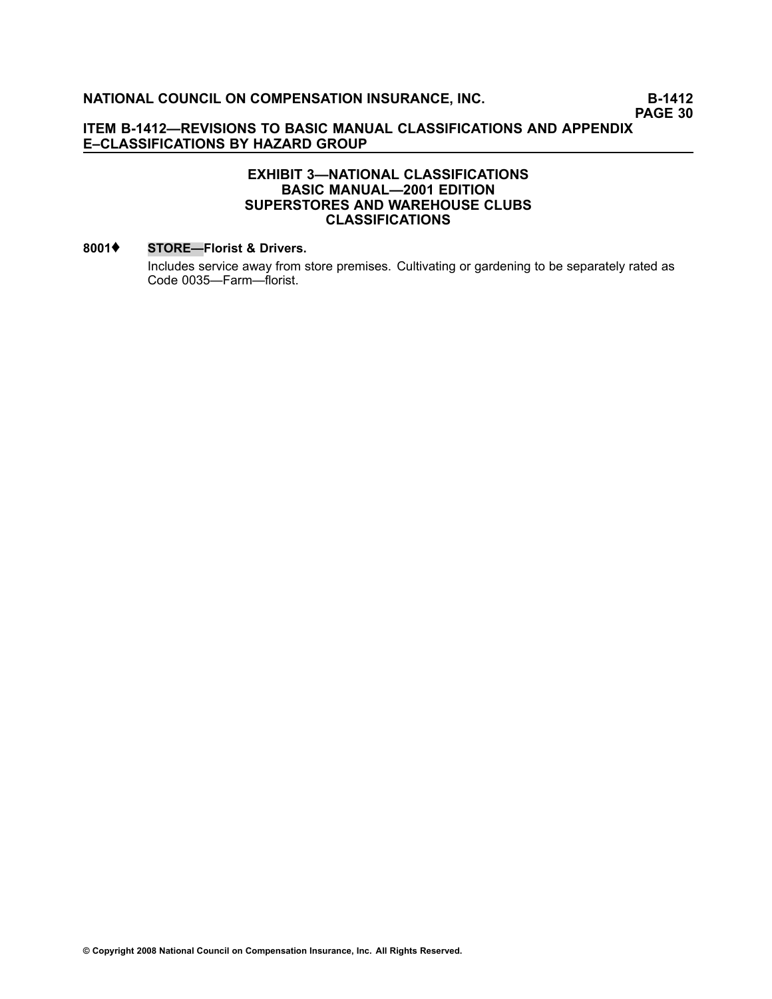# **EXHIBIT 3—NATIONAL CLASSIFICATIONS BASIC MANUAL—2001 EDITION SUPERSTORES AND WAREHOUSE CLUBS CLASSIFICATIONS**

### **[8001](file:///C:/manuscript/hyperlink.asp?docid=8001<?Pub & EntityName=amp>manualtitle=scopesxml)**♦ **STORE—Florist & Drivers.**

Includes service away from store premises. Cultivating or gardening to be separately rated as Code [0035—](file:///C:/manuscript/hyperlink.asp?docid=0035<?Pub & EntityName=amp>manualtitle=scopesxml)Farm—florist.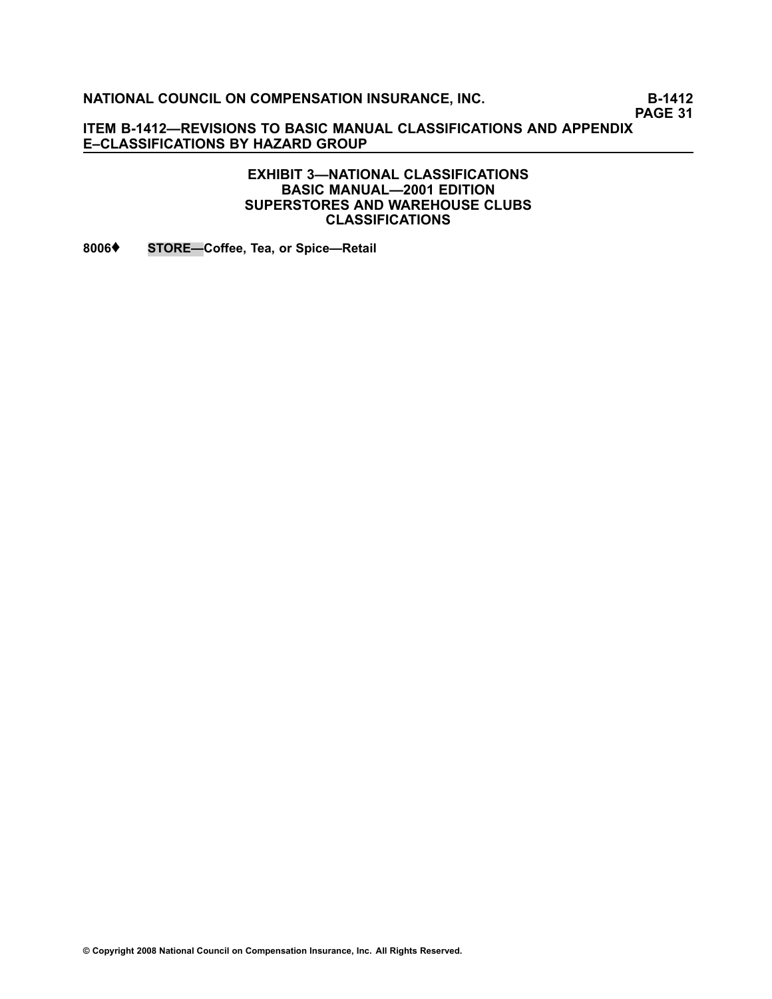**PAGE 31**

**ITEM B1412—REVISIONS TO BASIC MANUAL CLASSIFICATIONS AND APPENDIX E–CLASSIFICATIONS BY HAZARD GROUP**

# **EXHIBIT 3—NATIONAL CLASSIFICATIONS BASIC MANUAL—2001 EDITION SUPERSTORES AND WAREHOUSE CLUBS CLASSIFICATIONS**

**[8006](file:///C:/manuscript/hyperlink.asp?docid=8006<?Pub & EntityName=amp>manualtitle=scopesxml)**♦ **STORE—Coffee, Tea, or Spice—Retail**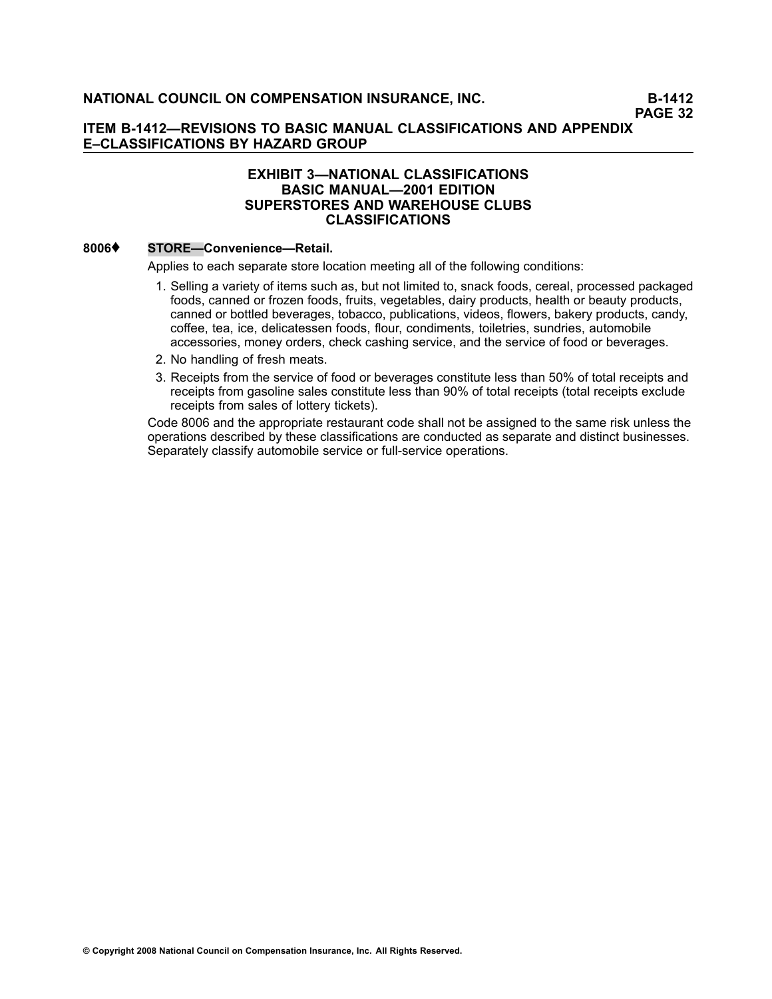# **EXHIBIT 3—NATIONAL CLASSIFICATIONS BASIC MANUAL—2001 EDITION SUPERSTORES AND WAREHOUSE CLUBS CLASSIFICATIONS**

# **[8006](file:///C:/manuscript/hyperlink.asp?docid=8006<?Pub & EntityName=amp>manualtitle=scopesxml)**♦ **STORE—Convenience—Retail.**

Applies to each separate store location meeting all of the following conditions:

- 1. Selling <sup>a</sup> variety of items such as, but not limited to, snack foods, cereal, processed packaged foods, canned or frozen foods, fruits, vegetables, dairy products, health or beauty products, canned or bottled beverages, tobacco, publications, videos, flowers, bakery products, candy, coffee, tea, ice, delicatessen foods, flour, condiments, toiletries, sundries, automobile accessories, money orders, check cashing service, and the service of food or beverages.
- 2. No handling of fresh meats.
- 3. Receipts from the service of food or beverages constitute less than 50% of total receipts and receipts from gasoline sales constitute less than 90% of total receipts (total receipts exclude receipts from sales of lottery tickets).

Code [8006](file:///C:/manuscript/hyperlink.asp?docid=8006<?Pub & EntityName=amp>manualtitle=scopesxml) and the appropriate restaurant code shall not be assigned to the same risk unless the operations described by these classifications are conducted as separate and distinct businesses. Separately classify automobile service or full-service operations.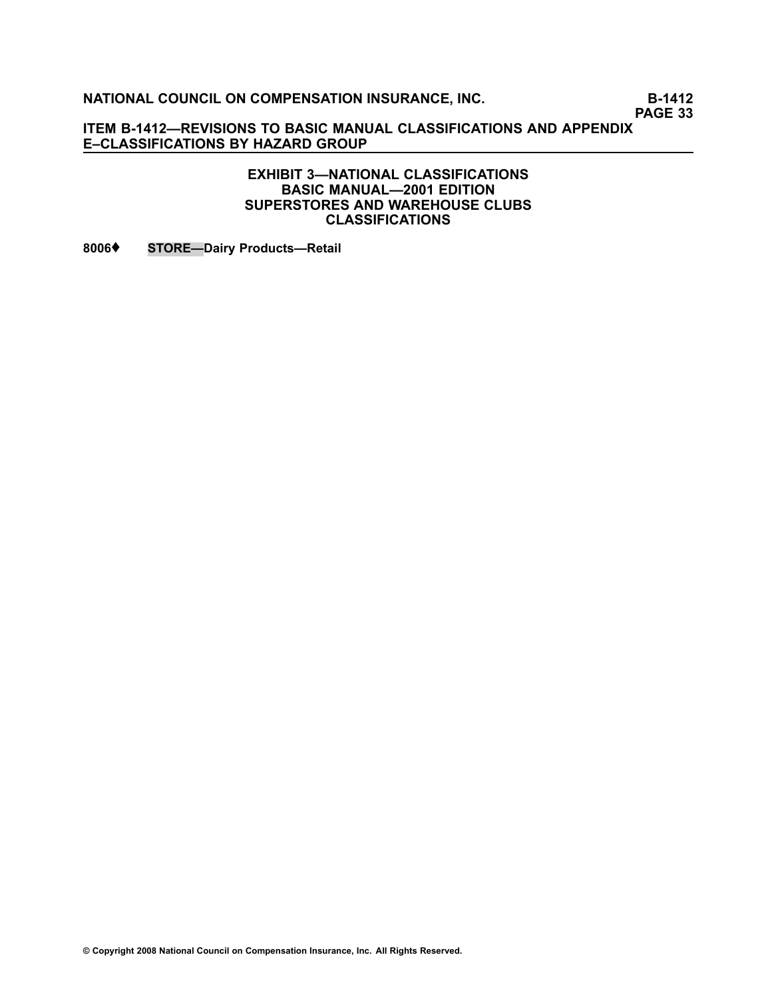**PAGE 33**

**ITEM B1412—REVISIONS TO BASIC MANUAL CLASSIFICATIONS AND APPENDIX E–CLASSIFICATIONS BY HAZARD GROUP**

> **EXHIBIT 3—NATIONAL CLASSIFICATIONS BASIC MANUAL—2001 EDITION SUPERSTORES AND WAREHOUSE CLUBS CLASSIFICATIONS**

**[8006](file:///C:/manuscript/hyperlink.asp?docid=8006<?Pub & EntityName=amp>manualtitle=scopesxml)**♦ **STORE—Dairy Products—Retail**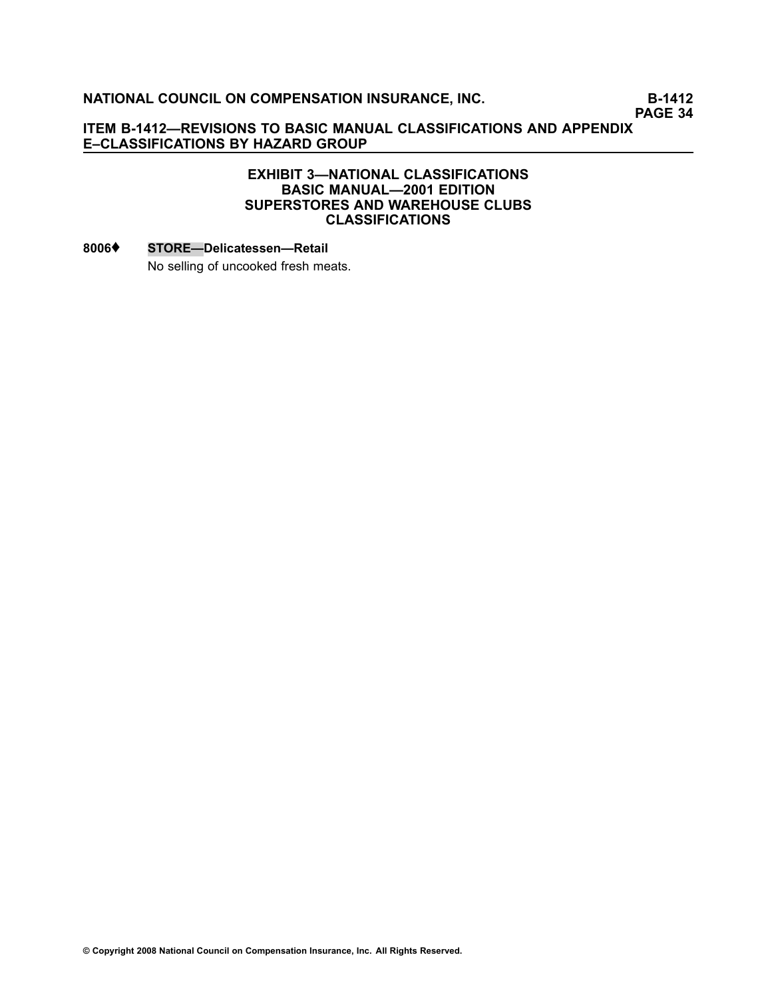**PAGE 34**

# **ITEM B1412—REVISIONS TO BASIC MANUAL CLASSIFICATIONS AND APPENDIX E–CLASSIFICATIONS BY HAZARD GROUP**

# **EXHIBIT 3—NATIONAL CLASSIFICATIONS BASIC MANUAL—2001 EDITION SUPERSTORES AND WAREHOUSE CLUBS CLASSIFICATIONS**

### **[8006](file:///C:/manuscript/hyperlink.asp?docid=8006<?Pub & EntityName=amp>manualtitle=scopesxml)**♦ **STORE—Delicatessen—Retail**

No selling of uncooked fresh meats.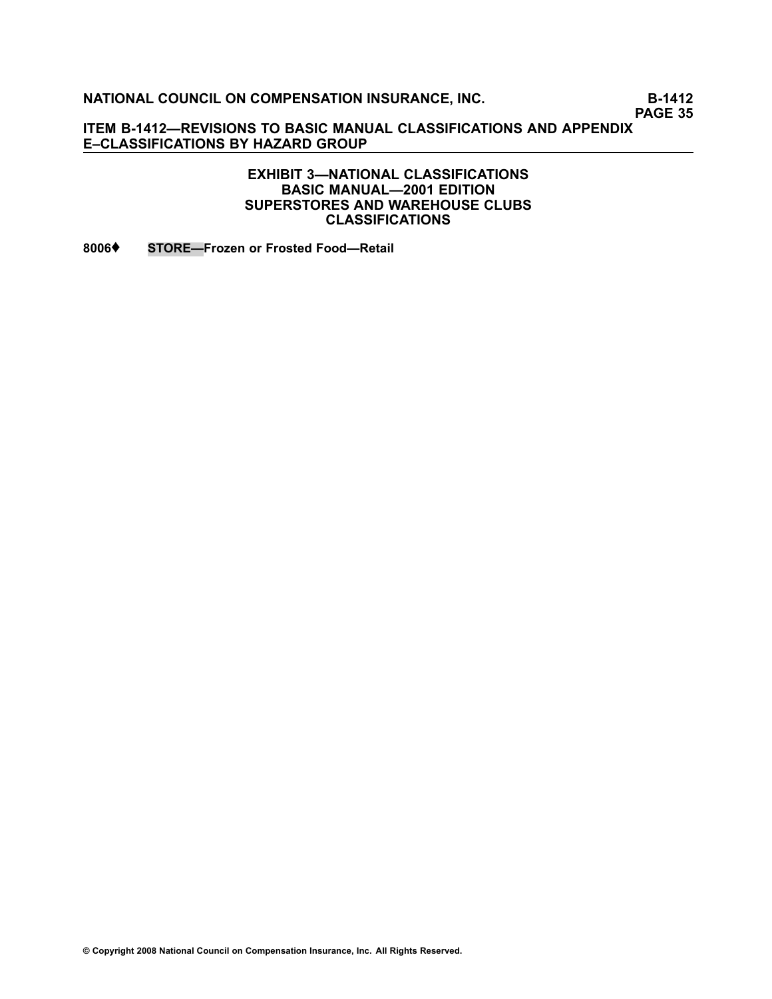**PAGE 35**

**ITEM B1412—REVISIONS TO BASIC MANUAL CLASSIFICATIONS AND APPENDIX E–CLASSIFICATIONS BY HAZARD GROUP**

# **EXHIBIT 3—NATIONAL CLASSIFICATIONS BASIC MANUAL—2001 EDITION SUPERSTORES AND WAREHOUSE CLUBS CLASSIFICATIONS**

**[8006](file:///C:/manuscript/hyperlink.asp?docid=8006<?Pub & EntityName=amp>manualtitle=scopesxml)**♦ **STORE—Frozen or Frosted Food—Retail**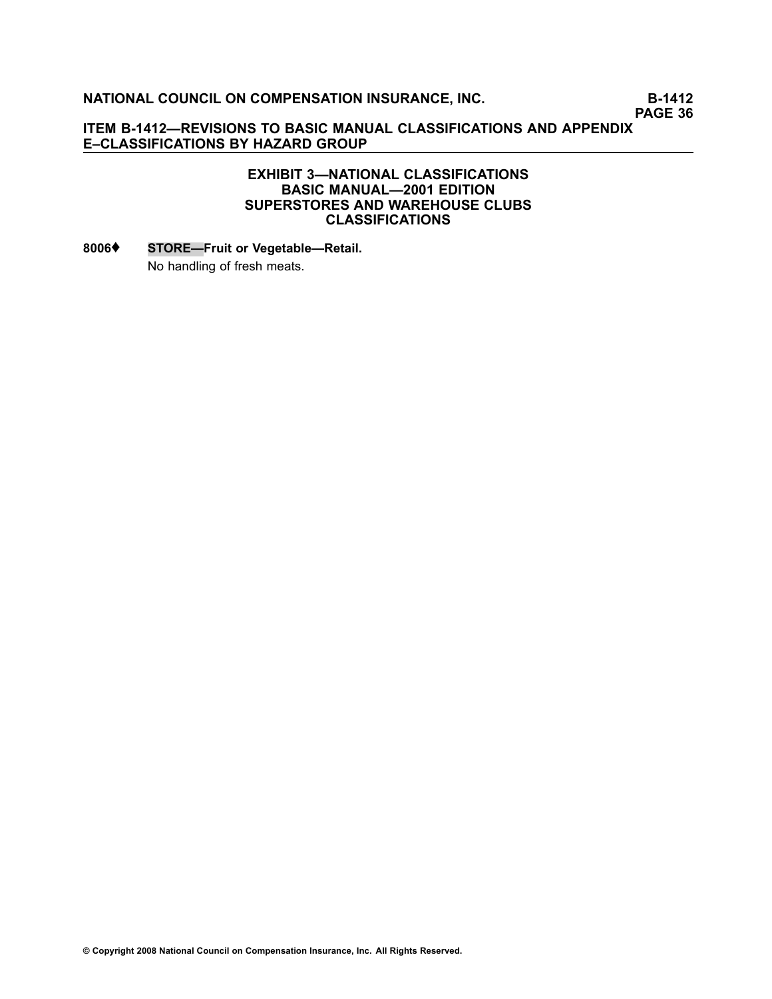**PAGE 36**

# **ITEM B1412—REVISIONS TO BASIC MANUAL CLASSIFICATIONS AND APPENDIX E–CLASSIFICATIONS BY HAZARD GROUP**

# **EXHIBIT 3—NATIONAL CLASSIFICATIONS BASIC MANUAL—2001 EDITION SUPERSTORES AND WAREHOUSE CLUBS CLASSIFICATIONS**

# **[8006](file:///C:/manuscript/hyperlink.asp?docid=8006<?Pub & EntityName=amp>manualtitle=scopesxml)**♦ **STORE—Fruit or Vegetable—Retail.** No handling of fresh meats.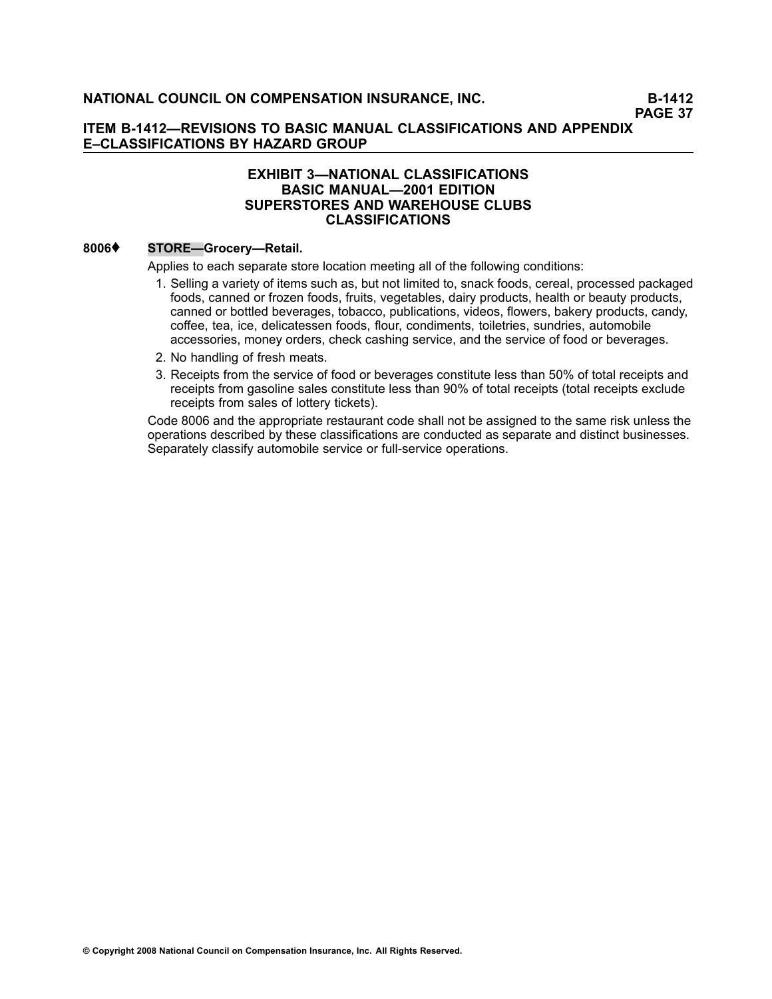# **EXHIBIT 3—NATIONAL CLASSIFICATIONS BASIC MANUAL—2001 EDITION SUPERSTORES AND WAREHOUSE CLUBS CLASSIFICATIONS**

### **[8006](file:///C:/manuscript/hyperlink.asp?docid=8006<?Pub & EntityName=amp>manualtitle=scopesxml)**♦ **STORE—Grocery—Retail.**

Applies to each separate store location meeting all of the following conditions:

- 1. Selling <sup>a</sup> variety of items such as, but not limited to, snack foods, cereal, processed packaged foods, canned or frozen foods, fruits, vegetables, dairy products, health or beauty products, canned or bottled beverages, tobacco, publications, videos, flowers, bakery products, candy, coffee, tea, ice, delicatessen foods, flour, condiments, toiletries, sundries, automobile accessories, money orders, check cashing service, and the service of food or beverages.
- 2. No handling of fresh meats.
- 3. Receipts from the service of food or beverages constitute less than 50% of total receipts and receipts from gasoline sales constitute less than 90% of total receipts (total receipts exclude receipts from sales of lottery tickets).

Code [8006](file:///C:/manuscript/hyperlink.asp?docid=8006<?Pub & EntityName=amp>manualtitle=scopesxml) and the appropriate restaurant code shall not be assigned to the same risk unless the operations described by these classifications are conducted as separate and distinct businesses. Separately classify automobile service or full-service operations.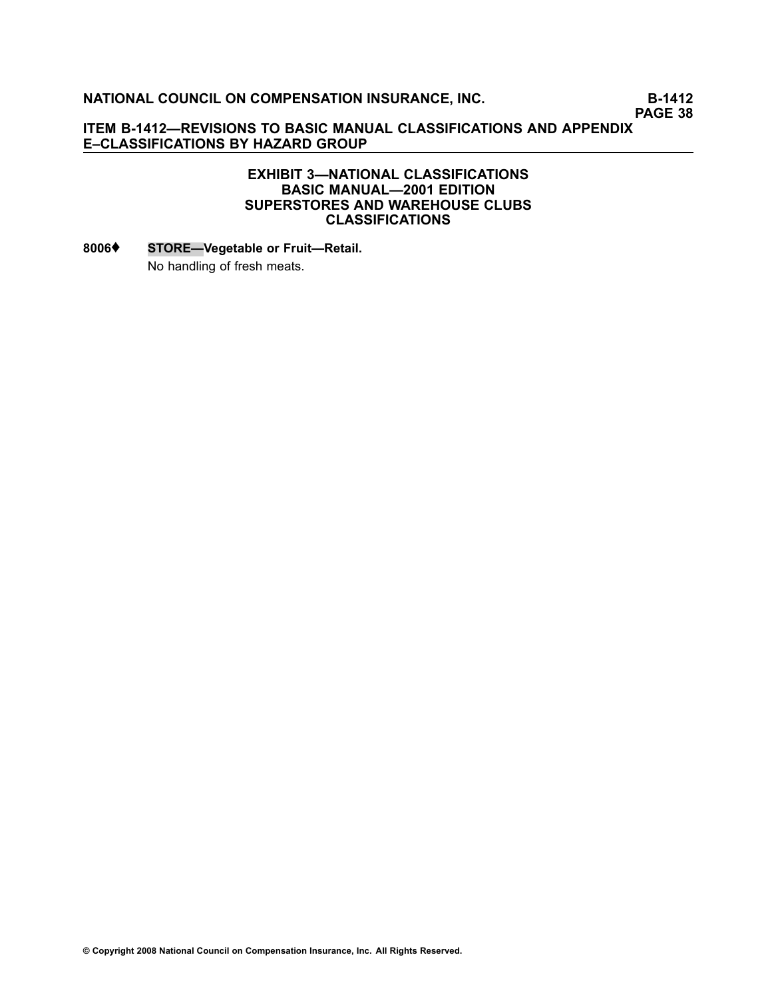**PAGE 38**

# **ITEM B1412—REVISIONS TO BASIC MANUAL CLASSIFICATIONS AND APPENDIX E–CLASSIFICATIONS BY HAZARD GROUP**

# **EXHIBIT 3—NATIONAL CLASSIFICATIONS BASIC MANUAL—2001 EDITION SUPERSTORES AND WAREHOUSE CLUBS CLASSIFICATIONS**

# **[8006](file:///C:/manuscript/hyperlink.asp?docid=8006<?Pub & EntityName=amp>manualtitle=scopesxml)**♦ **STORE—Vegetable or Fruit—Retail.** No handling of fresh meats.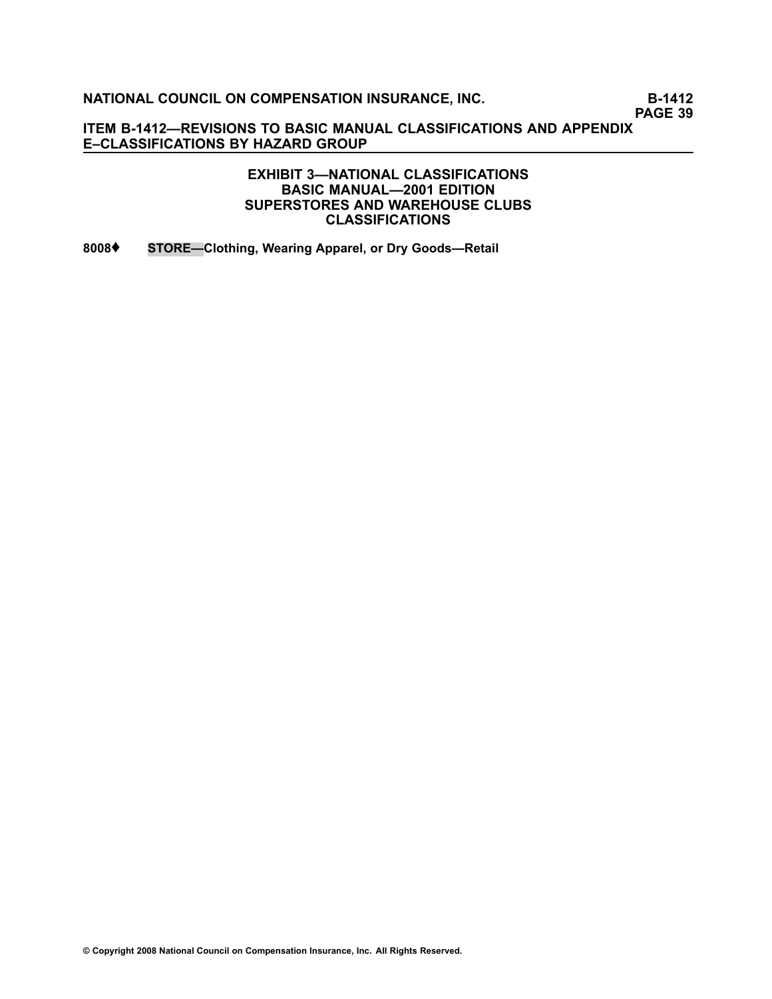**PAGE 39**

**ITEM B1412—REVISIONS TO BASIC MANUAL CLASSIFICATIONS AND APPENDIX E–CLASSIFICATIONS BY HAZARD GROUP**

> **EXHIBIT 3—NATIONAL CLASSIFICATIONS BASIC MANUAL—2001 EDITION SUPERSTORES AND WAREHOUSE CLUBS CLASSIFICATIONS**

**[8008](file:///C:/manuscript/hyperlink.asp?docid=8008<?Pub & EntityName=amp>manualtitle=scopesxml)**♦ **STORE—Clothing, Wearing Apparel, or Dry Goods—Retail**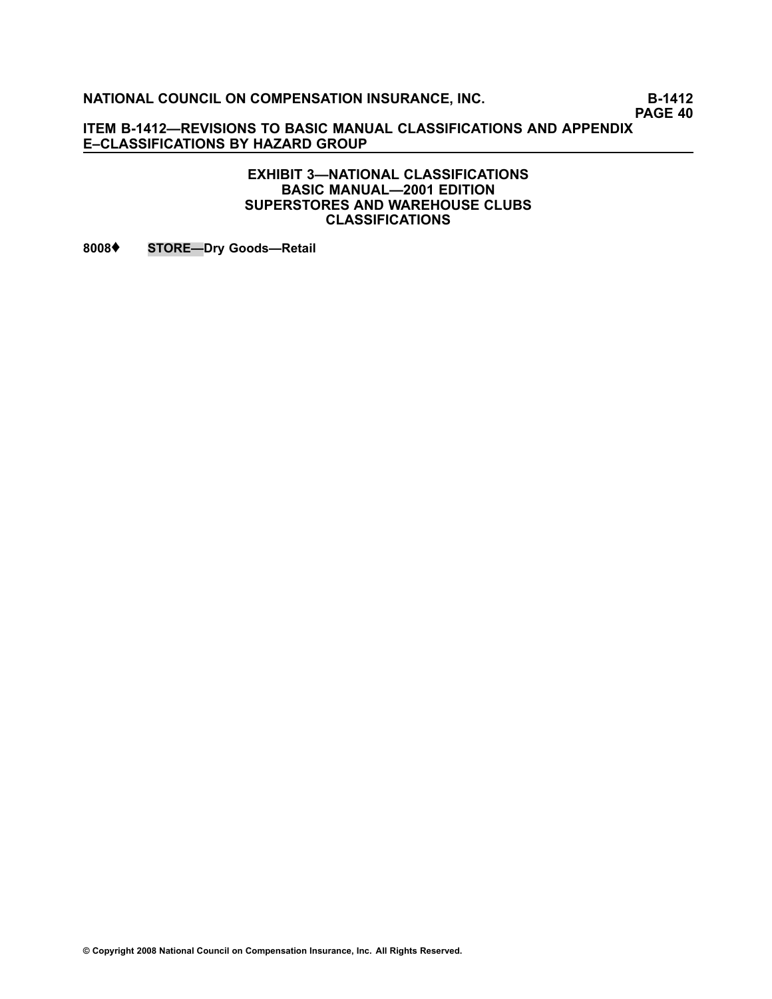**PAGE 40**

**ITEM B1412—REVISIONS TO BASIC MANUAL CLASSIFICATIONS AND APPENDIX E–CLASSIFICATIONS BY HAZARD GROUP**

#### **EXHIBIT 3—NATIONAL CLASSIFICATIONS BASIC MANUAL—2001 EDITION SUPERSTORES AND WAREHOUSE CLUBS CLASSIFICATIONS**

**[8008](file:///C:/manuscript/hyperlink.asp?docid=8008<?Pub & EntityName=amp>manualtitle=scopesxml)**♦ **STORE—Dry Goods—Retail**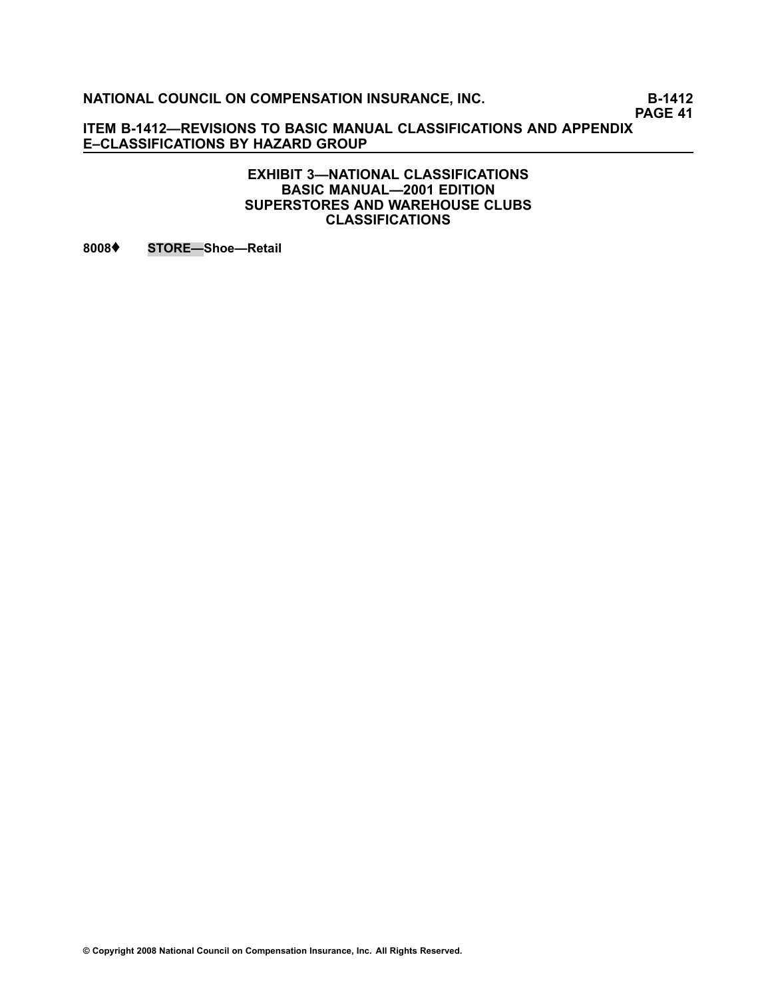**PAGE 41**

**ITEM B1412—REVISIONS TO BASIC MANUAL CLASSIFICATIONS AND APPENDIX E–CLASSIFICATIONS BY HAZARD GROUP**

#### **EXHIBIT 3—NATIONAL CLASSIFICATIONS BASIC MANUAL—2001 EDITION SUPERSTORES AND WAREHOUSE CLUBS CLASSIFICATIONS**

**[8008](file:///C:/manuscript/hyperlink.asp?docid=8008<?Pub & EntityName=amp>manualtitle=scopesxml)**♦ **STORE—Shoe—Retail**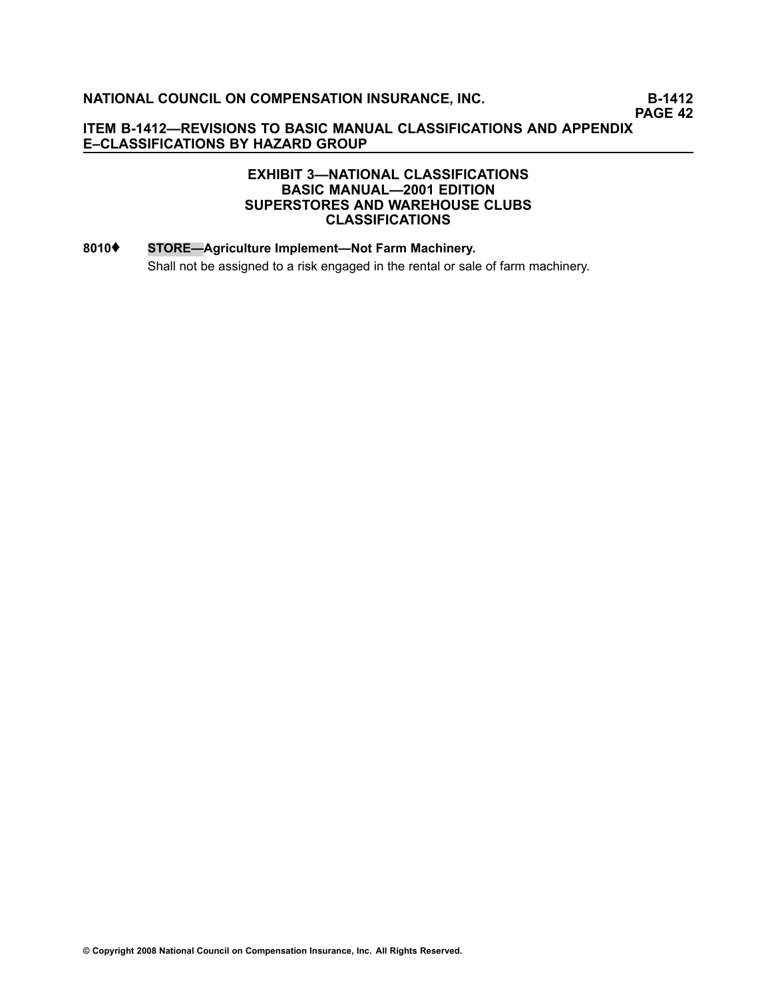### **EXHIBIT 3—NATIONAL CLASSIFICATIONS BASIC MANUAL—2001 EDITION SUPERSTORES AND WAREHOUSE CLUBS CLASSIFICATIONS**

# **[8010](file:///C:/manuscript/hyperlink.asp?docid=8010<?Pub & EntityName=amp>manualtitle=scopesxml)**♦ **STORE—Agriculture Implement—Not Farm Machinery.** Shall not be assigned to <sup>a</sup> risk engaged in the rental or sale of farm machinery.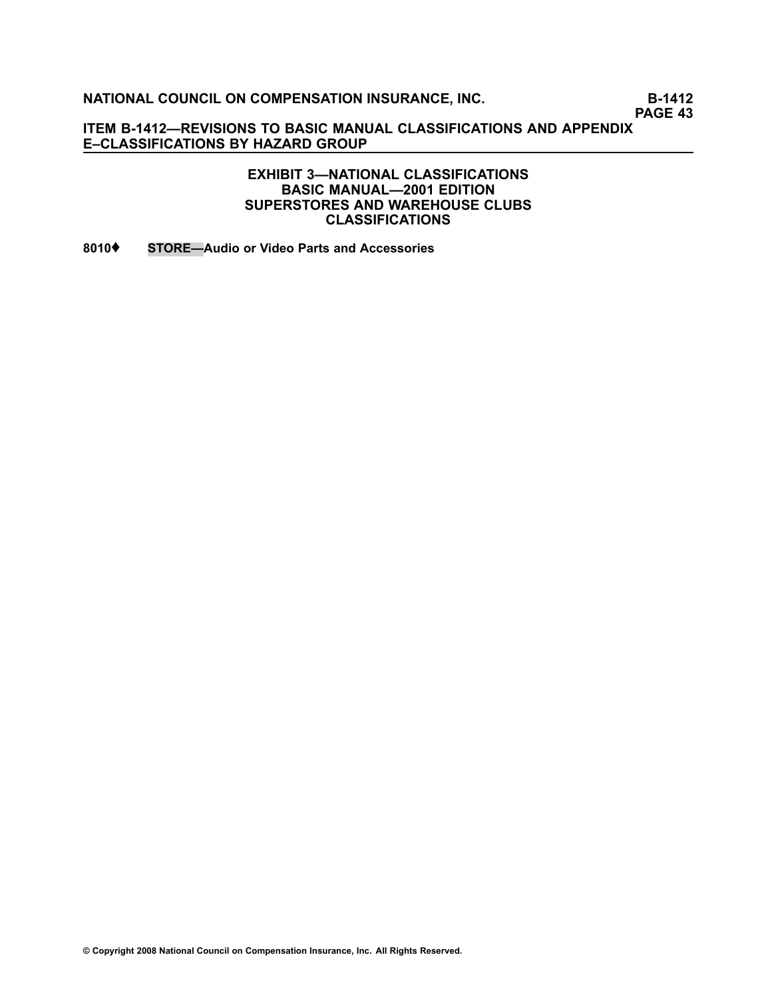**PAGE 43**

**ITEM B1412—REVISIONS TO BASIC MANUAL CLASSIFICATIONS AND APPENDIX E–CLASSIFICATIONS BY HAZARD GROUP**

> **EXHIBIT 3—NATIONAL CLASSIFICATIONS BASIC MANUAL—2001 EDITION SUPERSTORES AND WAREHOUSE CLUBS CLASSIFICATIONS**

**[8010](file:///C:/manuscript/hyperlink.asp?docid=8010<?Pub & EntityName=amp>manualtitle=scopesxml)**♦ **STORE—Audio or Video Parts and Accessories**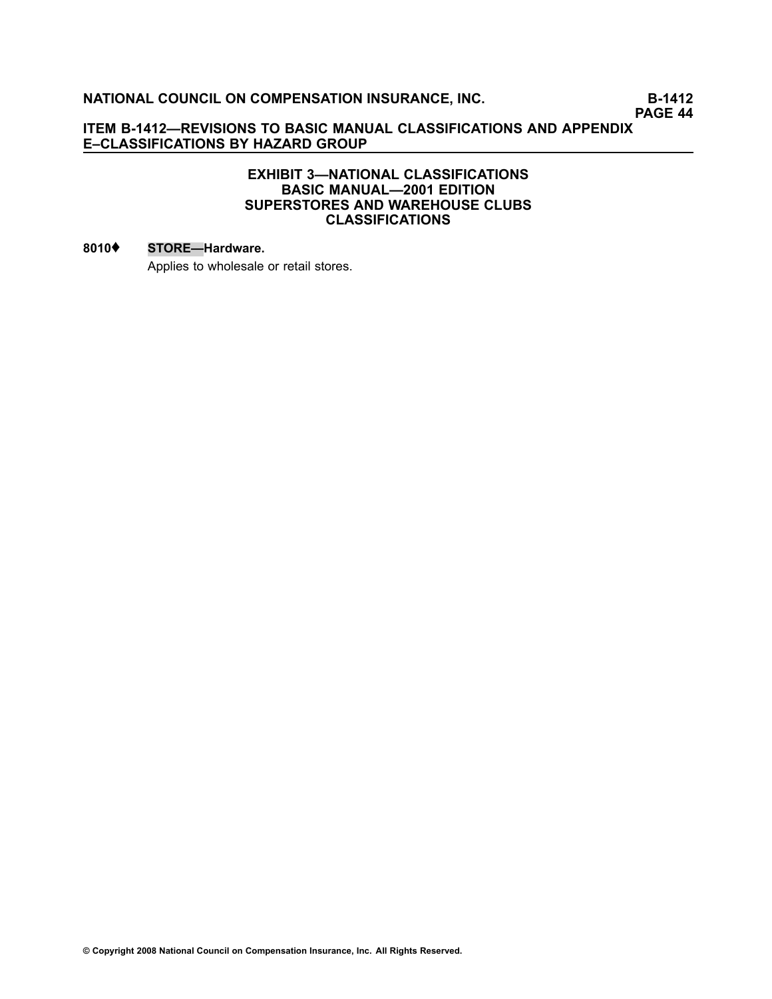**PAGE 44**

#### **ITEM B1412—REVISIONS TO BASIC MANUAL CLASSIFICATIONS AND APPENDIX E–CLASSIFICATIONS BY HAZARD GROUP**

#### **EXHIBIT 3—NATIONAL CLASSIFICATIONS BASIC MANUAL—2001 EDITION SUPERSTORES AND WAREHOUSE CLUBS CLASSIFICATIONS**

#### **[8010](file:///C:/manuscript/hyperlink.asp?docid=8010<?Pub & EntityName=amp>manualtitle=scopesxml)**♦ **STORE—Hardware.**

Applies to wholesale or retail stores.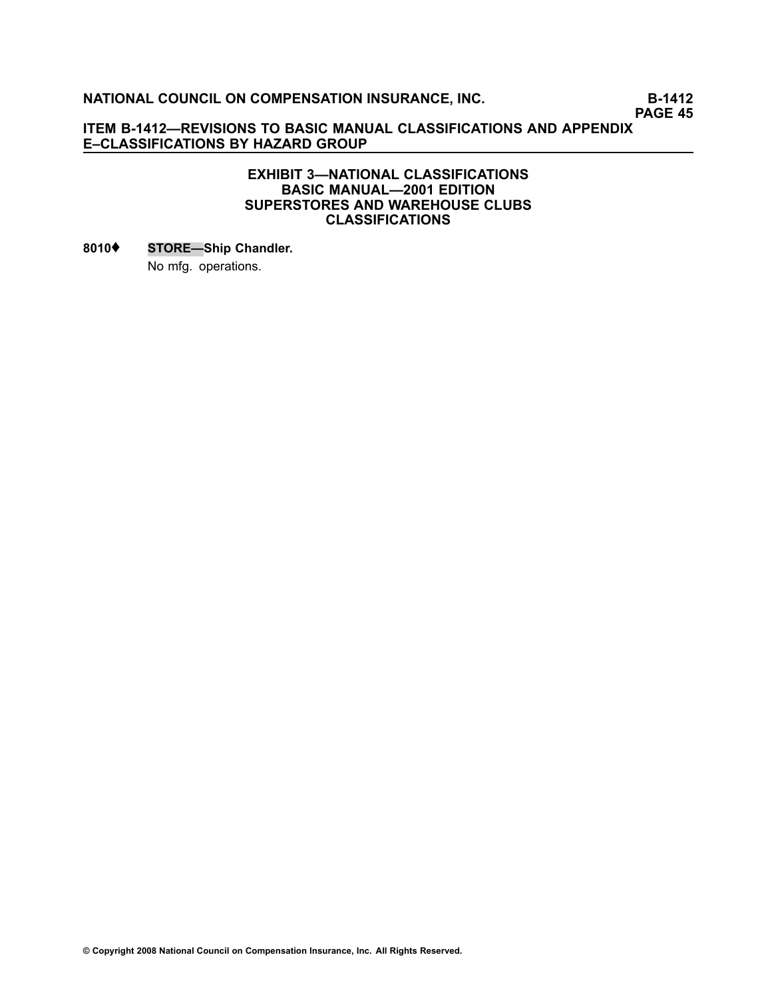**PAGE 45**

#### **ITEM B1412—REVISIONS TO BASIC MANUAL CLASSIFICATIONS AND APPENDIX E–CLASSIFICATIONS BY HAZARD GROUP**

#### **EXHIBIT 3—NATIONAL CLASSIFICATIONS BASIC MANUAL—2001 EDITION SUPERSTORES AND WAREHOUSE CLUBS CLASSIFICATIONS**

# **[8010](file:///C:/manuscript/hyperlink.asp?docid=8010<?Pub & EntityName=amp>manualtitle=scopesxml)**♦ **STORE—Ship Chandler.** No mfg. operations.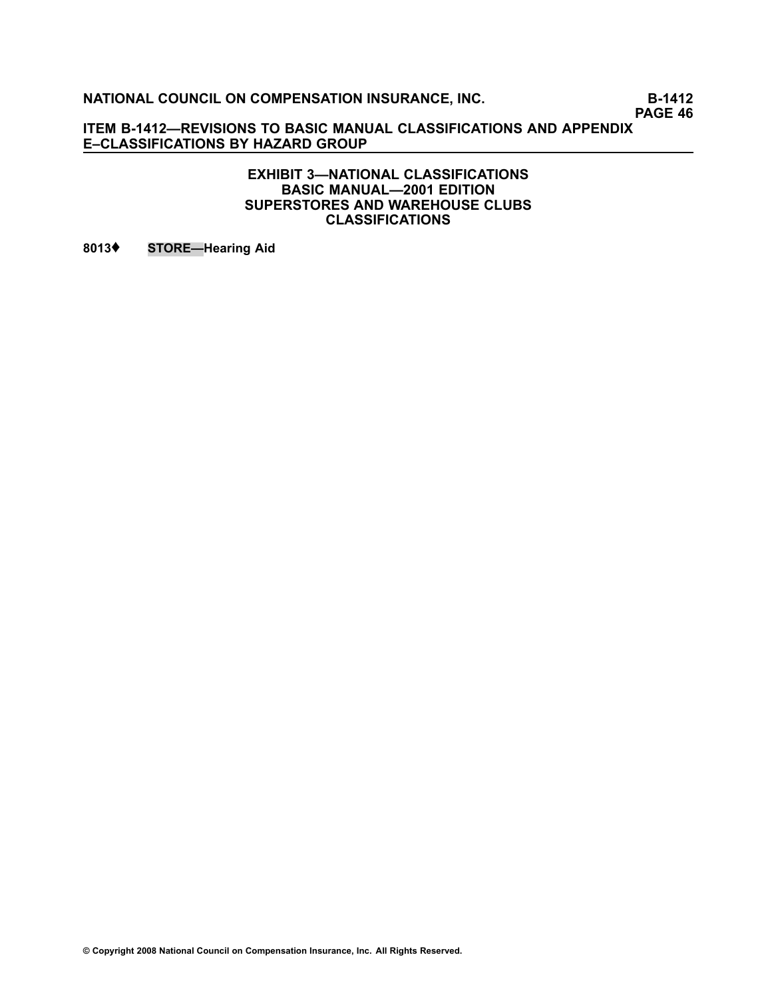**PAGE 46**

**ITEM B1412—REVISIONS TO BASIC MANUAL CLASSIFICATIONS AND APPENDIX E–CLASSIFICATIONS BY HAZARD GROUP**

> **EXHIBIT 3—NATIONAL CLASSIFICATIONS BASIC MANUAL—2001 EDITION SUPERSTORES AND WAREHOUSE CLUBS CLASSIFICATIONS**

**[8013](file:///C:/manuscript/hyperlink.asp?docid=8013<?Pub & EntityName=amp>manualtitle=scopesxml)**♦ **STORE—Hearing Aid**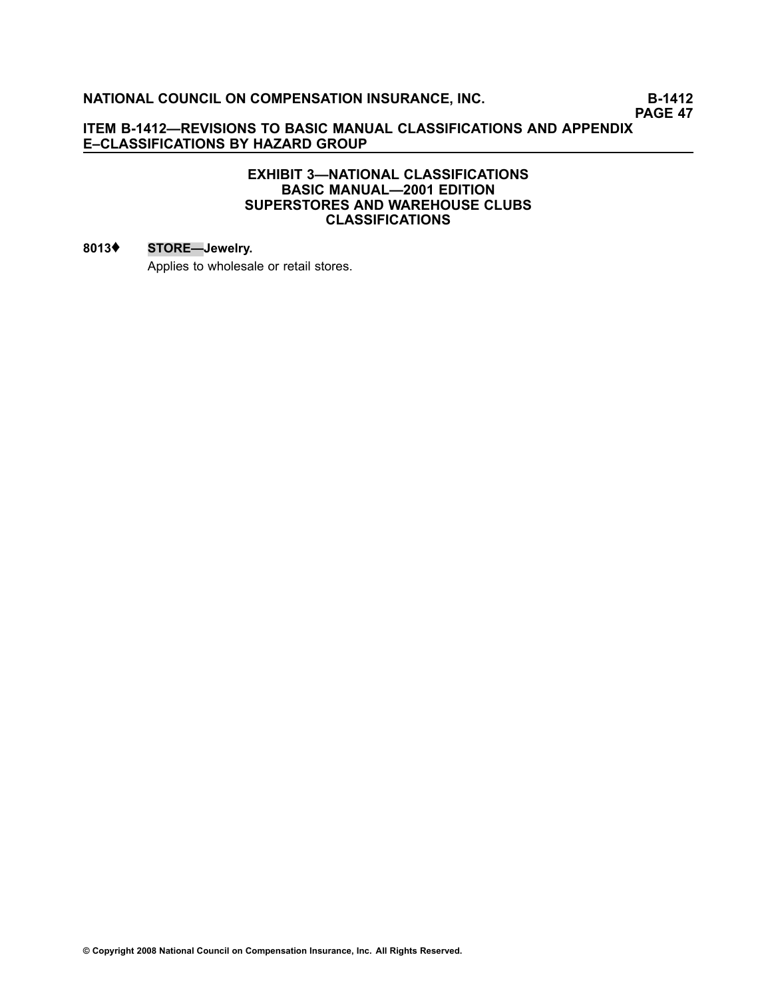**PAGE 47**

#### **ITEM B1412—REVISIONS TO BASIC MANUAL CLASSIFICATIONS AND APPENDIX E–CLASSIFICATIONS BY HAZARD GROUP**

#### **EXHIBIT 3—NATIONAL CLASSIFICATIONS BASIC MANUAL—2001 EDITION SUPERSTORES AND WAREHOUSE CLUBS CLASSIFICATIONS**

### **[8013](file:///C:/manuscript/hyperlink.asp?docid=8013<?Pub & EntityName=amp>manualtitle=scopesxml)**♦ **STORE—Jewelry.**

Applies to wholesale or retail stores.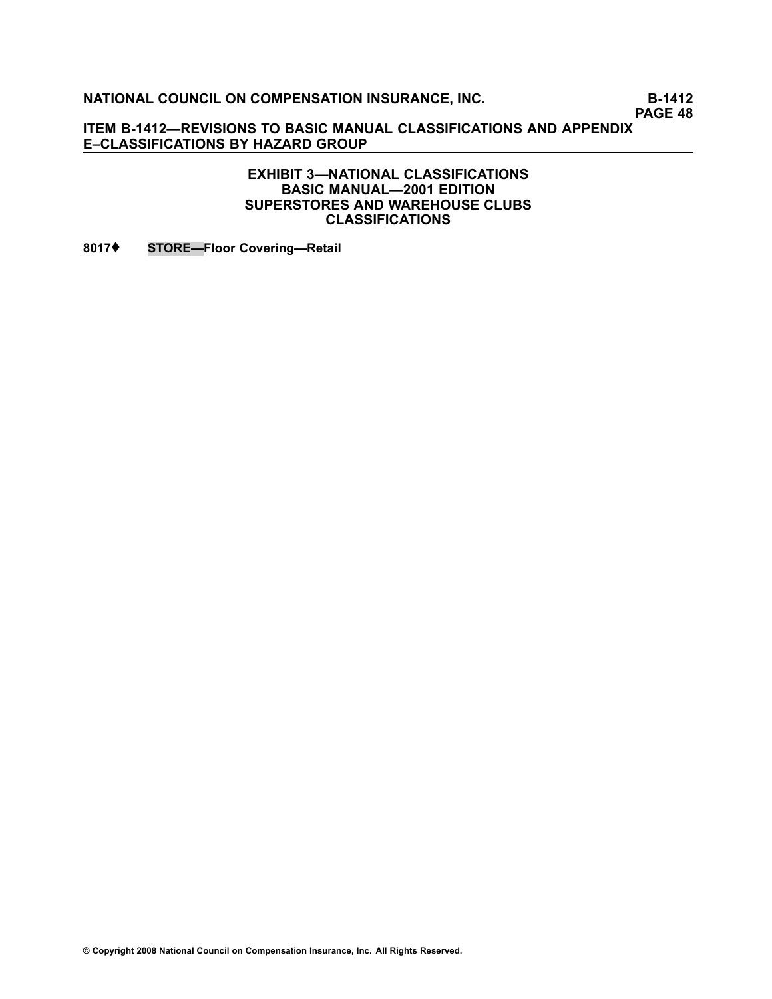**PAGE 48**

**ITEM B1412—REVISIONS TO BASIC MANUAL CLASSIFICATIONS AND APPENDIX E–CLASSIFICATIONS BY HAZARD GROUP**

> **EXHIBIT 3—NATIONAL CLASSIFICATIONS BASIC MANUAL—2001 EDITION SUPERSTORES AND WAREHOUSE CLUBS CLASSIFICATIONS**

**[8017](file:///C:/manuscript/hyperlink.asp?docid=8017<?Pub & EntityName=amp>manualtitle=scopesxml)**♦ **STORE—Floor Covering—Retail**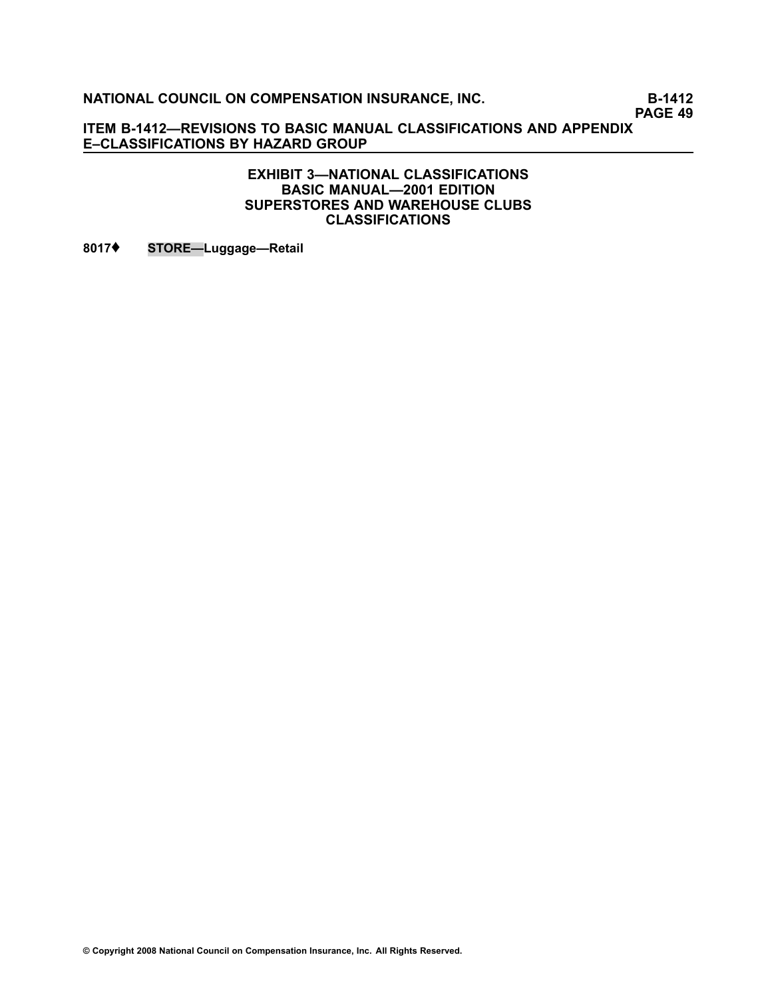**PAGE 49**

**ITEM B1412—REVISIONS TO BASIC MANUAL CLASSIFICATIONS AND APPENDIX E–CLASSIFICATIONS BY HAZARD GROUP**

#### **EXHIBIT 3—NATIONAL CLASSIFICATIONS BASIC MANUAL—2001 EDITION SUPERSTORES AND WAREHOUSE CLUBS CLASSIFICATIONS**

**[8017](file:///C:/manuscript/hyperlink.asp?docid=8017<?Pub & EntityName=amp>manualtitle=scopesxml)**♦ **STORE—Luggage—Retail**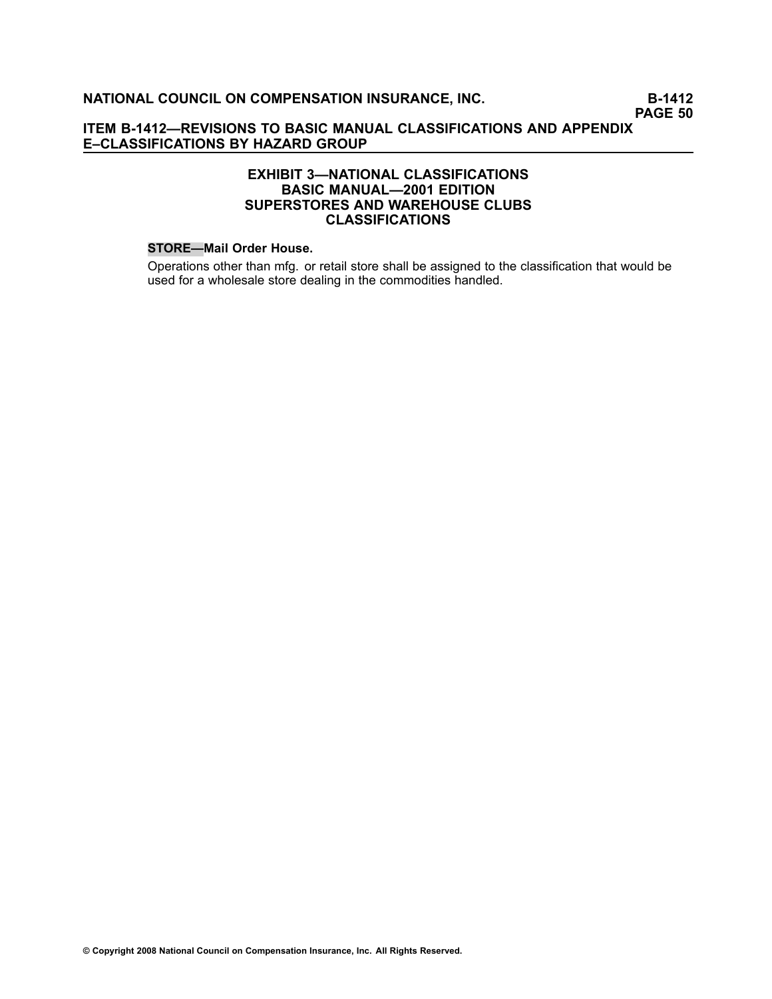### **EXHIBIT 3—NATIONAL CLASSIFICATIONS BASIC MANUAL—2001 EDITION SUPERSTORES AND WAREHOUSE CLUBS CLASSIFICATIONS**

#### **STORE—Mail Order House.**

Operations other than mfg. or retail store shall be assigned to the classification that would be used for <sup>a</sup> wholesale store dealing in the commodities handled.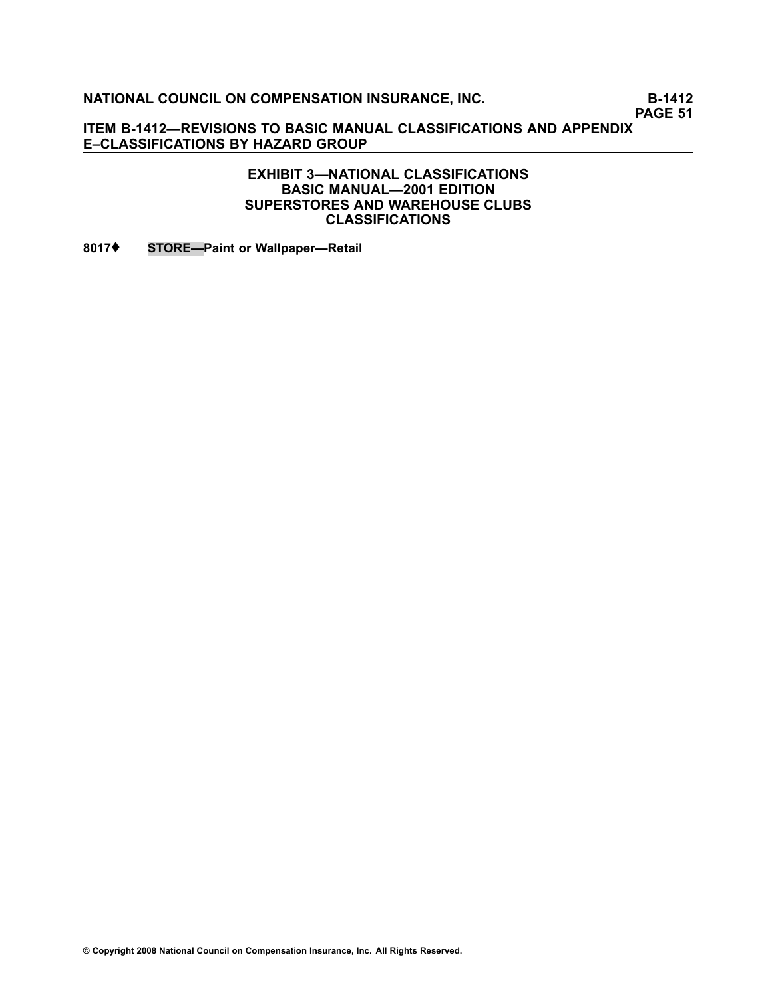**PAGE 51**

**ITEM B1412—REVISIONS TO BASIC MANUAL CLASSIFICATIONS AND APPENDIX E–CLASSIFICATIONS BY HAZARD GROUP**

### **EXHIBIT 3—NATIONAL CLASSIFICATIONS BASIC MANUAL—2001 EDITION SUPERSTORES AND WAREHOUSE CLUBS CLASSIFICATIONS**

**[8017](file:///C:/manuscript/hyperlink.asp?docid=8017<?Pub & EntityName=amp>manualtitle=scopesxml)**♦ **STORE—Paint or Wallpaper—Retail**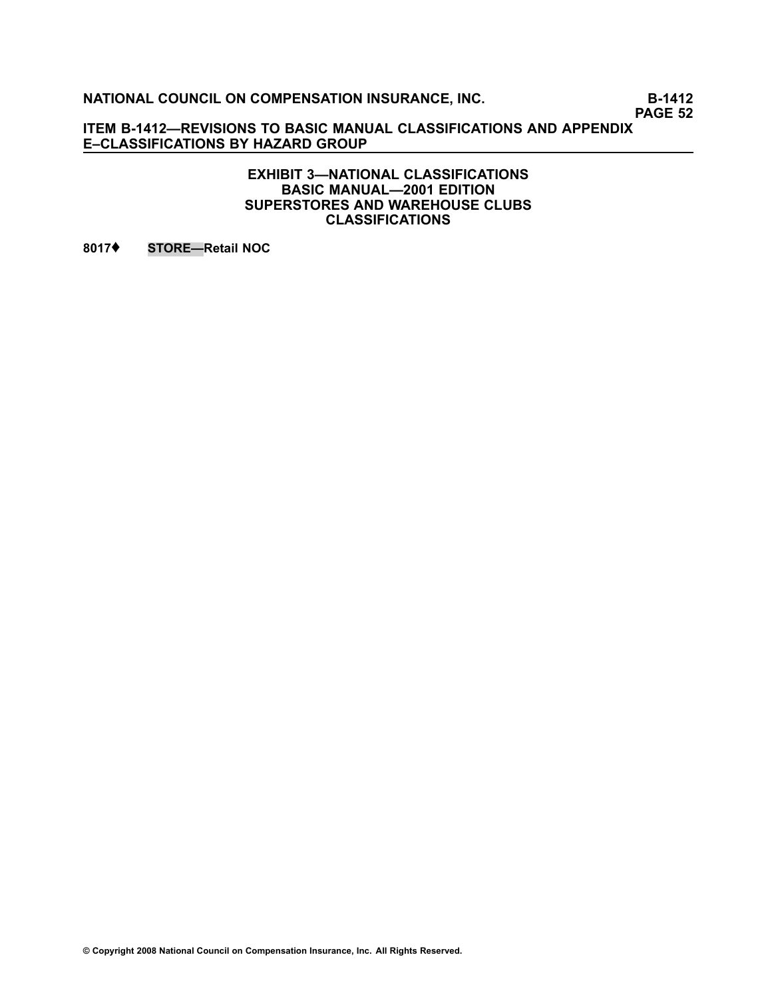**PAGE 52**

**ITEM B1412—REVISIONS TO BASIC MANUAL CLASSIFICATIONS AND APPENDIX E–CLASSIFICATIONS BY HAZARD GROUP**

> **EXHIBIT 3—NATIONAL CLASSIFICATIONS BASIC MANUAL—2001 EDITION SUPERSTORES AND WAREHOUSE CLUBS CLASSIFICATIONS**

**[8017](file:///C:/manuscript/hyperlink.asp?docid=8017<?Pub & EntityName=amp>manualtitle=scopesxml)**♦ **STORE—Retail NOC**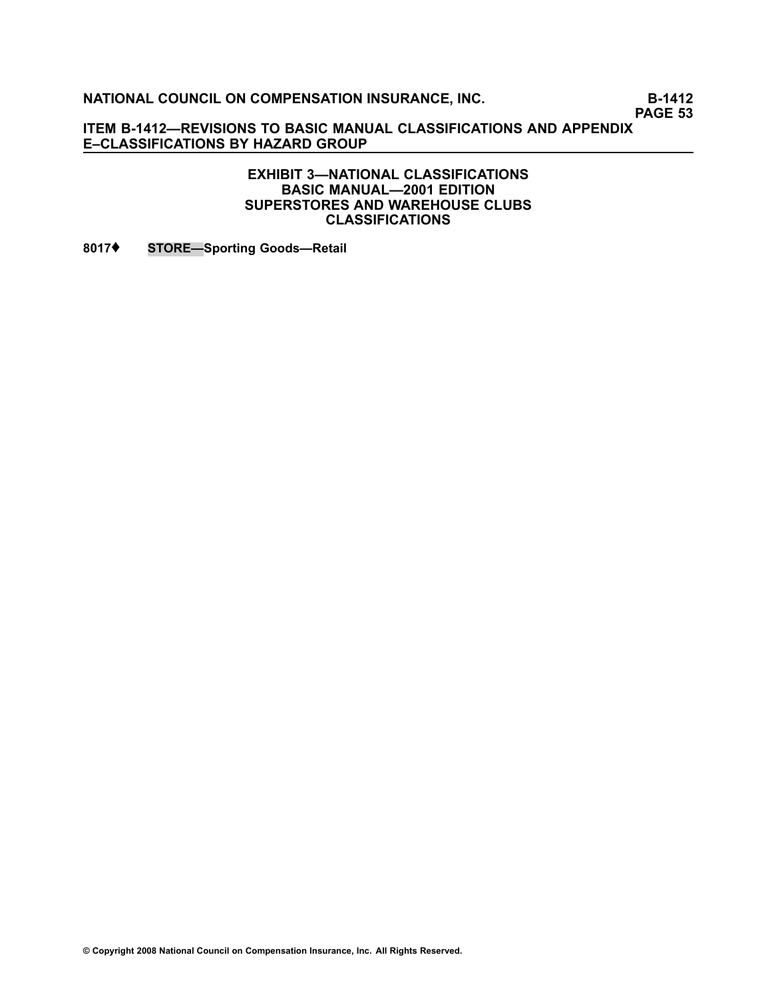**PAGE 53**

**ITEM B1412—REVISIONS TO BASIC MANUAL CLASSIFICATIONS AND APPENDIX E–CLASSIFICATIONS BY HAZARD GROUP**

> **EXHIBIT 3—NATIONAL CLASSIFICATIONS BASIC MANUAL—2001 EDITION SUPERSTORES AND WAREHOUSE CLUBS CLASSIFICATIONS**

**[8017](file:///C:/manuscript/hyperlink.asp?docid=8017<?Pub & EntityName=amp>manualtitle=scopesxml)**♦ **STORE—Sporting Goods—Retail**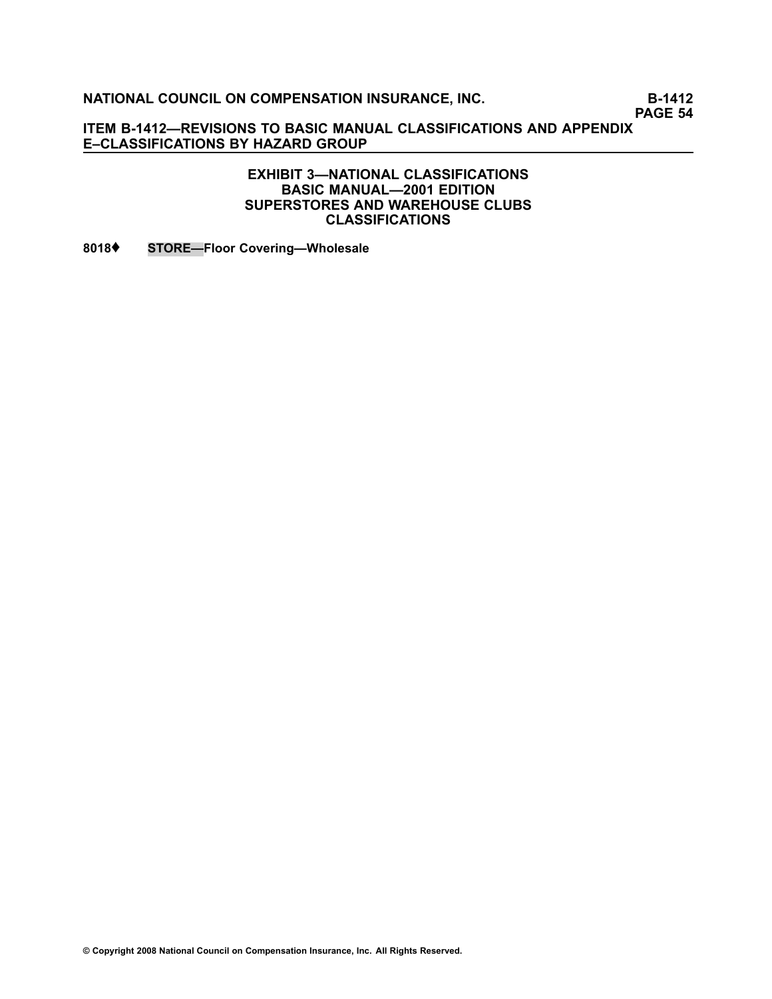**PAGE 54**

**ITEM B1412—REVISIONS TO BASIC MANUAL CLASSIFICATIONS AND APPENDIX E–CLASSIFICATIONS BY HAZARD GROUP**

### **EXHIBIT 3—NATIONAL CLASSIFICATIONS BASIC MANUAL—2001 EDITION SUPERSTORES AND WAREHOUSE CLUBS CLASSIFICATIONS**

**[8018](file:///C:/manuscript/hyperlink.asp?docid=8018<?Pub & EntityName=amp>manualtitle=scopesxml)**♦ **STORE—Floor Covering—Wholesale**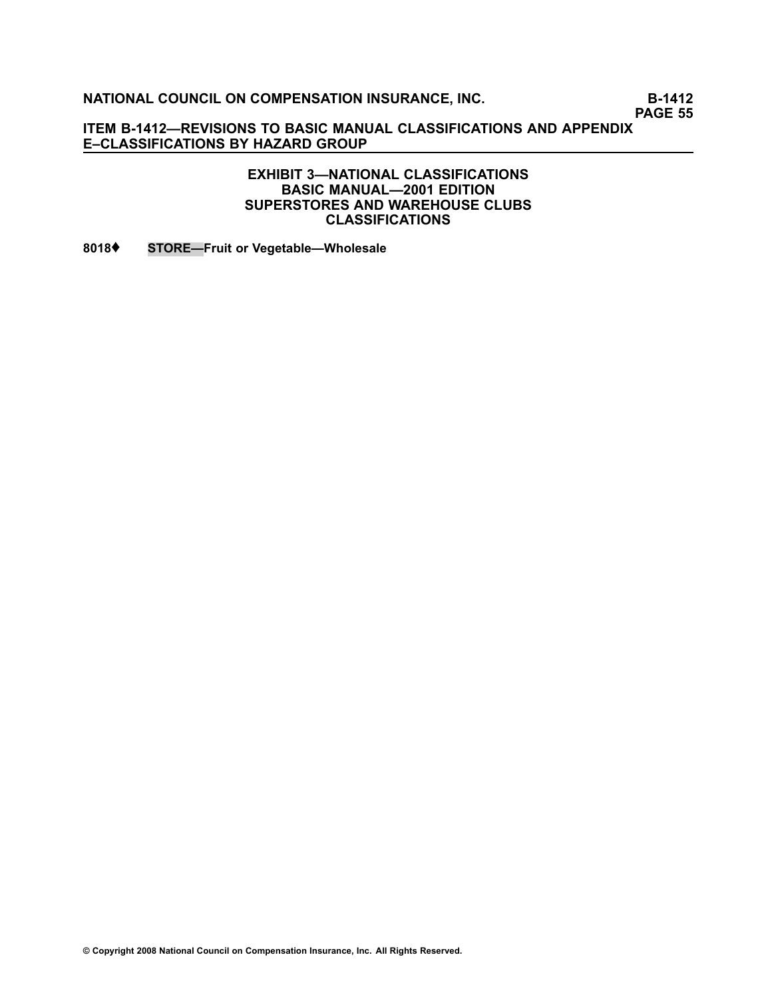**PAGE 55**

**ITEM B1412—REVISIONS TO BASIC MANUAL CLASSIFICATIONS AND APPENDIX E–CLASSIFICATIONS BY HAZARD GROUP**

#### **EXHIBIT 3—NATIONAL CLASSIFICATIONS BASIC MANUAL—2001 EDITION SUPERSTORES AND WAREHOUSE CLUBS CLASSIFICATIONS**

**[8018](file:///C:/manuscript/hyperlink.asp?docid=8018<?Pub & EntityName=amp>manualtitle=scopesxml)**♦ **STORE—Fruit or Vegetable—Wholesale**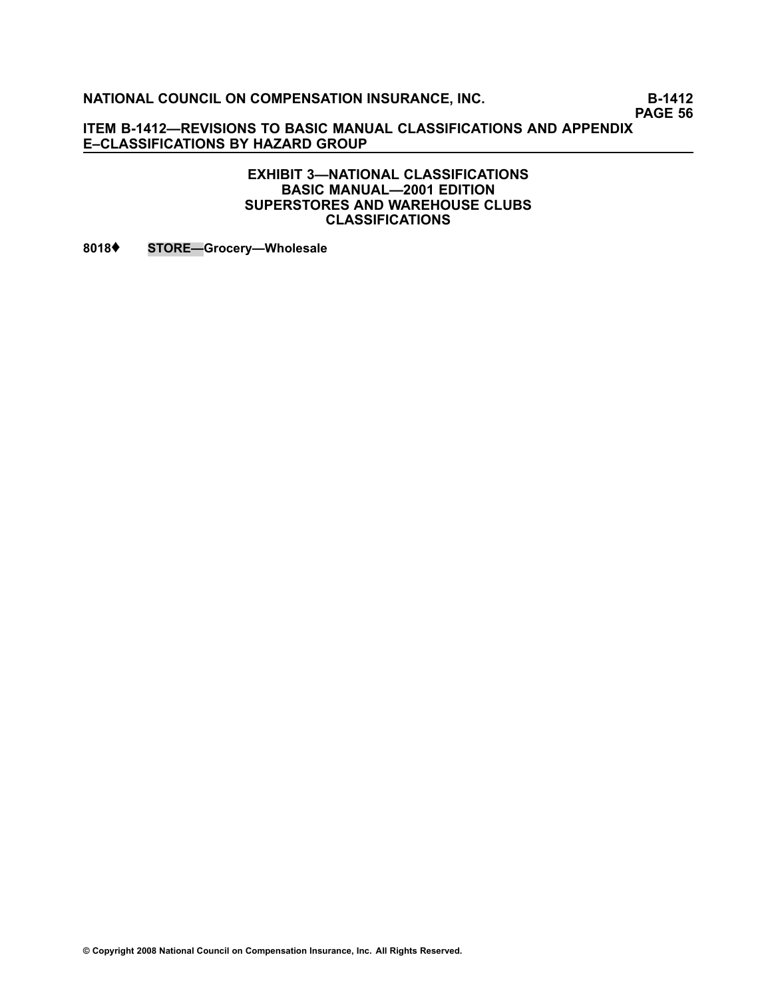**PAGE 56**

**ITEM B1412—REVISIONS TO BASIC MANUAL CLASSIFICATIONS AND APPENDIX E–CLASSIFICATIONS BY HAZARD GROUP**

#### **EXHIBIT 3—NATIONAL CLASSIFICATIONS BASIC MANUAL—2001 EDITION SUPERSTORES AND WAREHOUSE CLUBS CLASSIFICATIONS**

**[8018](file:///C:/manuscript/hyperlink.asp?docid=8018<?Pub & EntityName=amp>manualtitle=scopesxml)**♦ **STORE—Grocery—Wholesale**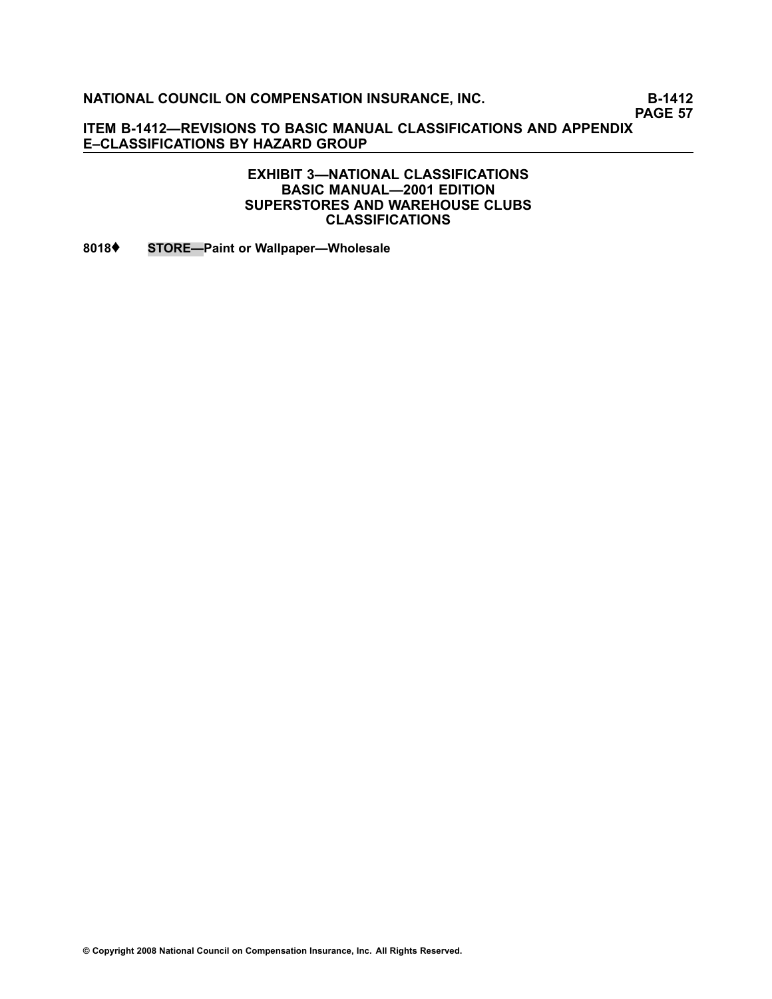**PAGE 57**

**ITEM B1412—REVISIONS TO BASIC MANUAL CLASSIFICATIONS AND APPENDIX E–CLASSIFICATIONS BY HAZARD GROUP**

#### **EXHIBIT 3—NATIONAL CLASSIFICATIONS BASIC MANUAL—2001 EDITION SUPERSTORES AND WAREHOUSE CLUBS CLASSIFICATIONS**

**[8018](file:///C:/manuscript/hyperlink.asp?docid=8018<?Pub & EntityName=amp>manualtitle=scopesxml)**♦ **STORE—Paint or Wallpaper—Wholesale**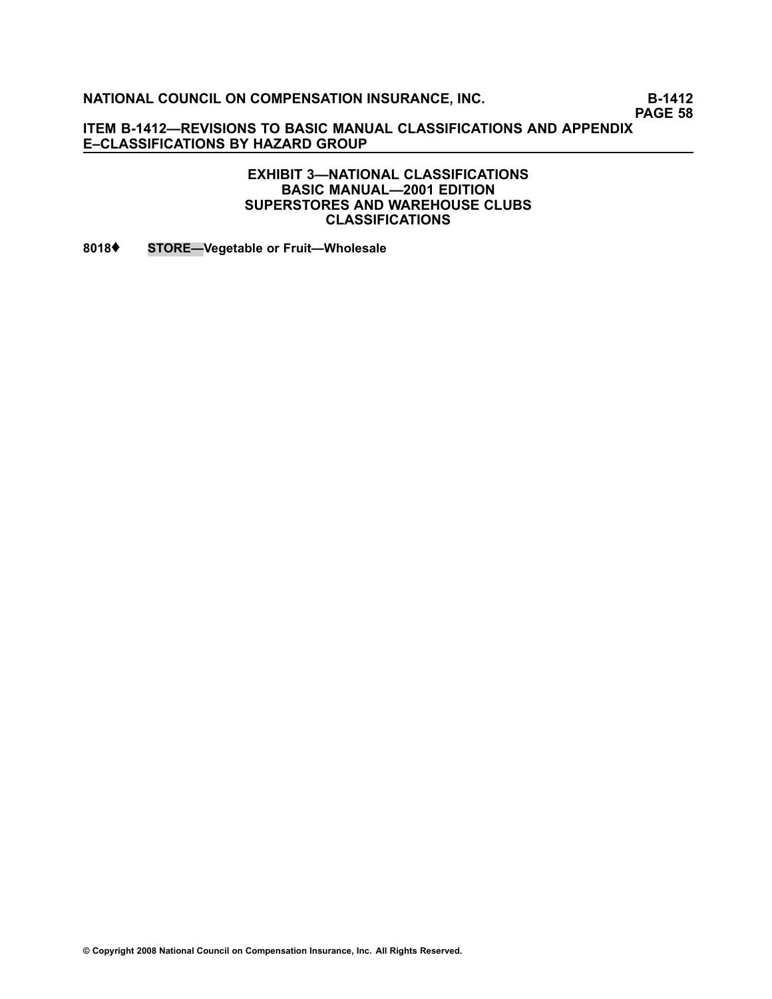**PAGE 58**

**ITEM B1412—REVISIONS TO BASIC MANUAL CLASSIFICATIONS AND APPENDIX E–CLASSIFICATIONS BY HAZARD GROUP**

#### **EXHIBIT 3—NATIONAL CLASSIFICATIONS BASIC MANUAL—2001 EDITION SUPERSTORES AND WAREHOUSE CLUBS CLASSIFICATIONS**

**[8018](file:///C:/manuscript/hyperlink.asp?docid=8018<?Pub & EntityName=amp>manualtitle=scopesxml)**♦ **STORE—Vegetable or Fruit—Wholesale**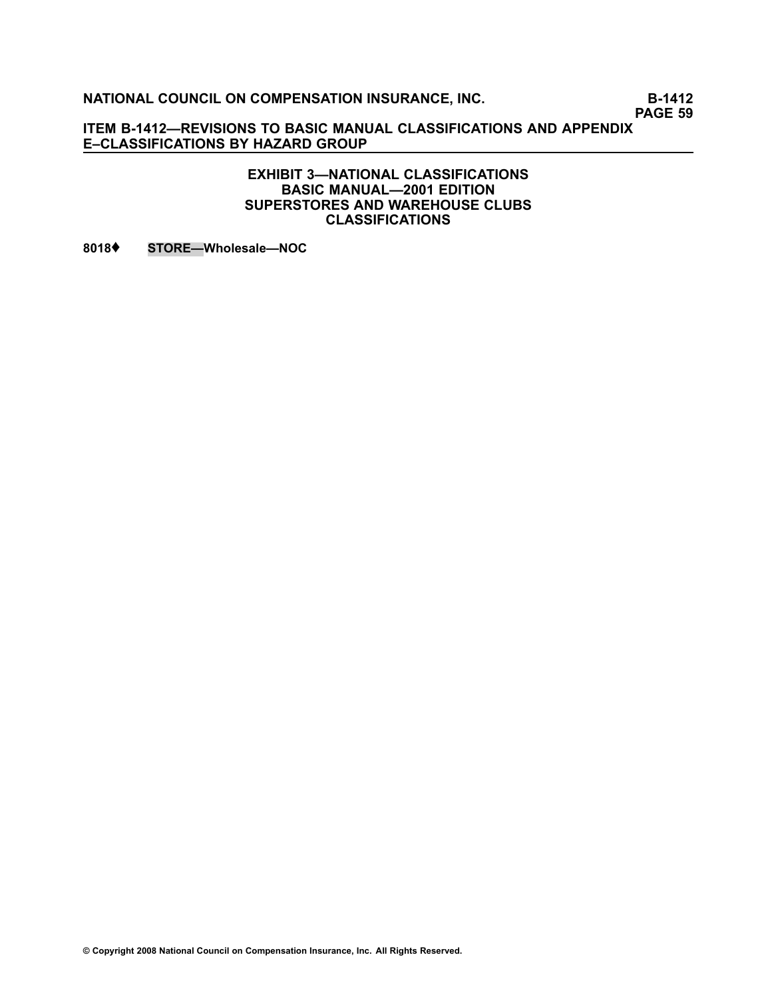**PAGE 59**

**ITEM B1412—REVISIONS TO BASIC MANUAL CLASSIFICATIONS AND APPENDIX E–CLASSIFICATIONS BY HAZARD GROUP**

> **EXHIBIT 3—NATIONAL CLASSIFICATIONS BASIC MANUAL—2001 EDITION SUPERSTORES AND WAREHOUSE CLUBS CLASSIFICATIONS**

**[8018](file:///C:/manuscript/hyperlink.asp?docid=8018<?Pub & EntityName=amp>manualtitle=scopesxml)**♦ **STORE—Wholesale—NOC**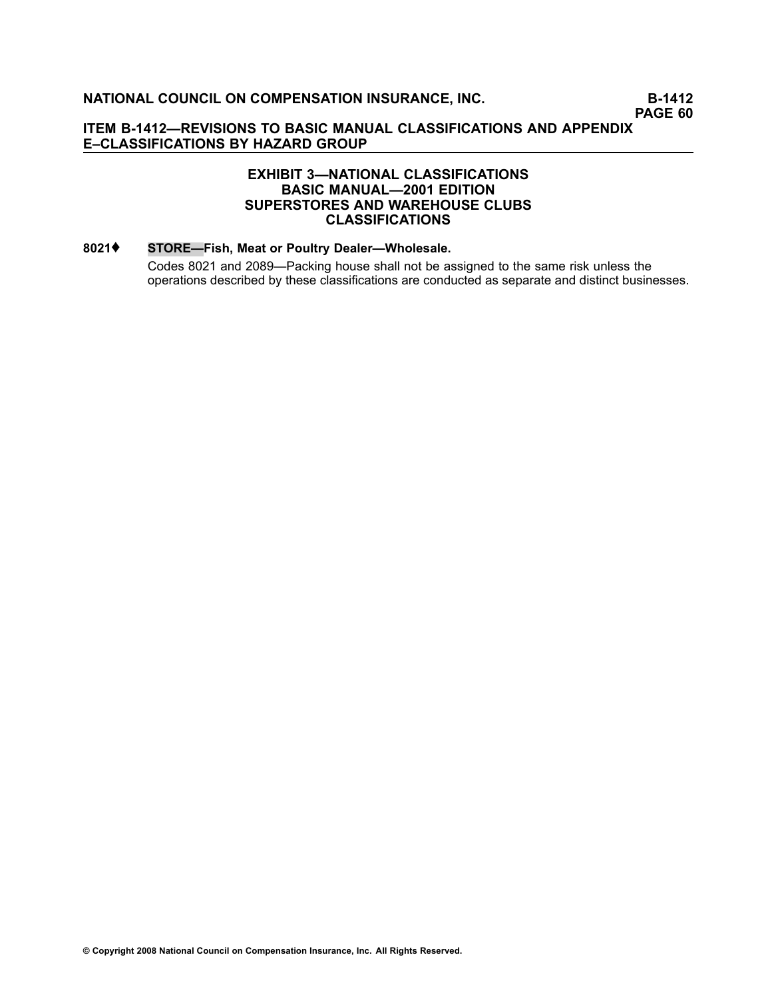### **EXHIBIT 3—NATIONAL CLASSIFICATIONS BASIC MANUAL—2001 EDITION SUPERSTORES AND WAREHOUSE CLUBS CLASSIFICATIONS**

#### **[8021](file:///C:/manuscript/hyperlink.asp?docid=8021<?Pub & EntityName=amp>manualtitle=scopesxml)**♦ **STORE—Fish, Meat or Poultry Dealer—Wholesale.**

Codes [8021](file:///C:/manuscript/hyperlink.asp?docid=8021<?Pub & EntityName=amp>manualtitle=scopesxml) and [2089](file:///C:/manuscript/hyperlink.asp?docid=2089<?Pub & EntityName=amp>manualtitle=scopesxml)—Packing house shall not be assigned to the same risk unless the operations described by these classifications are conducted as separate and distinct businesses.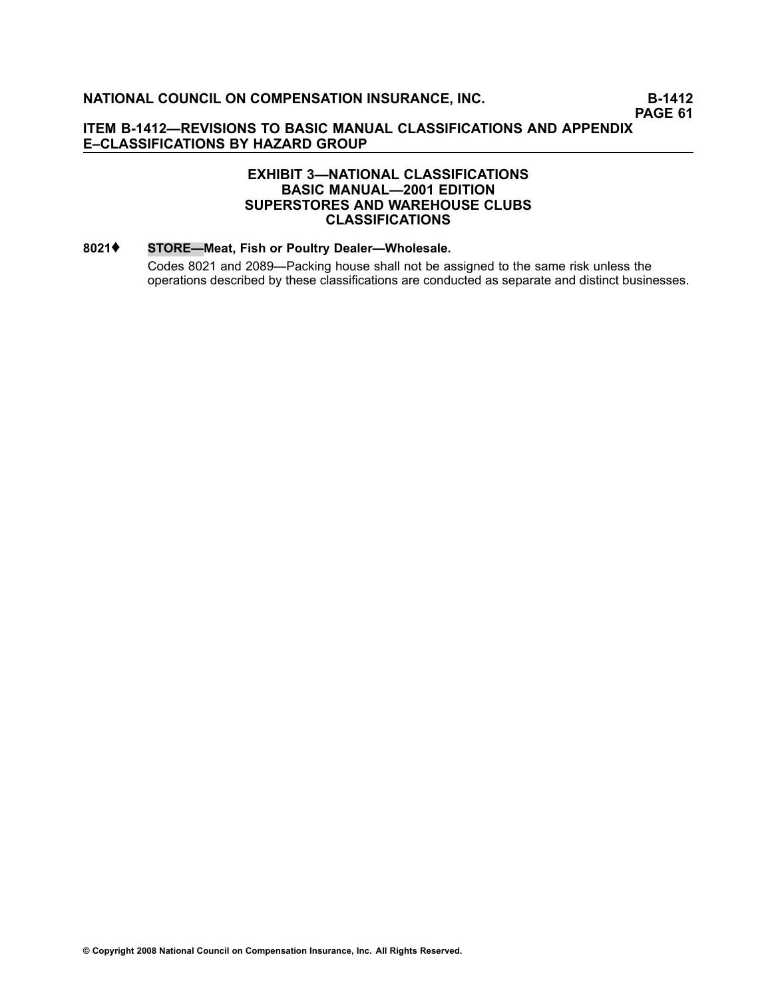### **EXHIBIT 3—NATIONAL CLASSIFICATIONS BASIC MANUAL—2001 EDITION SUPERSTORES AND WAREHOUSE CLUBS CLASSIFICATIONS**

#### **[8021](file:///C:/manuscript/hyperlink.asp?docid=8021<?Pub & EntityName=amp>manualtitle=scopesxml)**♦ **STORE—Meat, Fish or Poultry Dealer—Wholesale.**

Codes [8021](file:///C:/manuscript/hyperlink.asp?docid=8021<?Pub & EntityName=amp>manualtitle=scopesxml) and [2089](file:///C:/manuscript/hyperlink.asp?docid=2089<?Pub & EntityName=amp>manualtitle=scopesxml)—Packing house shall not be assigned to the same risk unless the operations described by these classifications are conducted as separate and distinct businesses.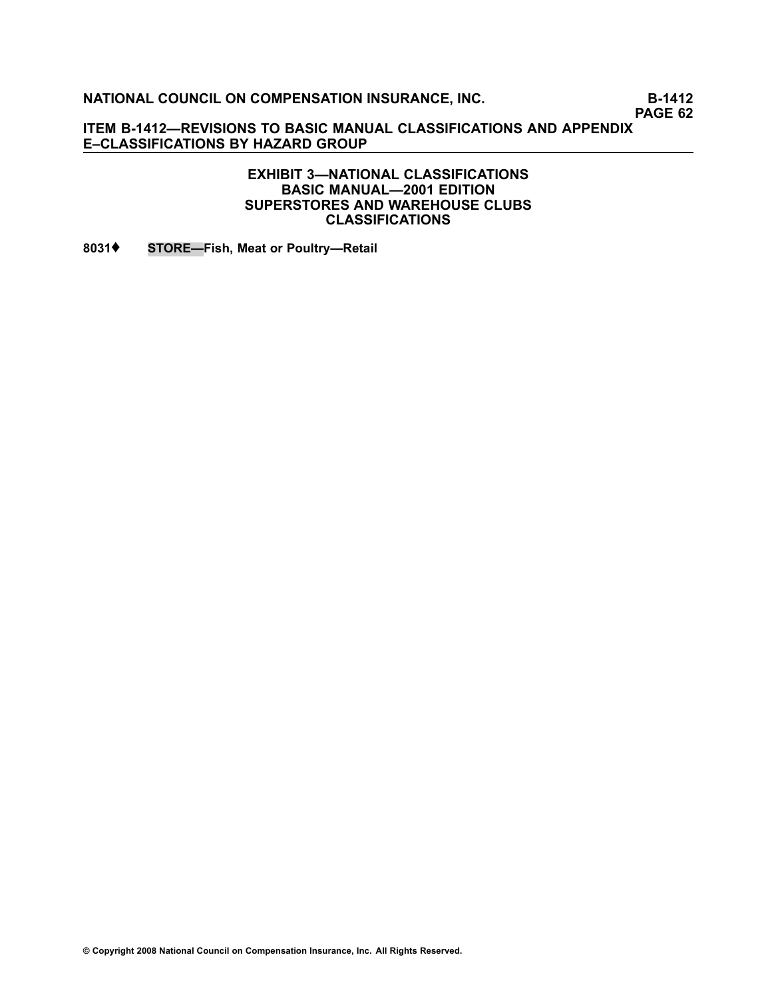**PAGE 62**

**ITEM B1412—REVISIONS TO BASIC MANUAL CLASSIFICATIONS AND APPENDIX E–CLASSIFICATIONS BY HAZARD GROUP**

### **EXHIBIT 3—NATIONAL CLASSIFICATIONS BASIC MANUAL—2001 EDITION SUPERSTORES AND WAREHOUSE CLUBS CLASSIFICATIONS**

**[8031](file:///C:/manuscript/hyperlink.asp?docid=8031<?Pub & EntityName=amp>manualtitle=scopesxml)**♦ **STORE—Fish, Meat or Poultry—Retail**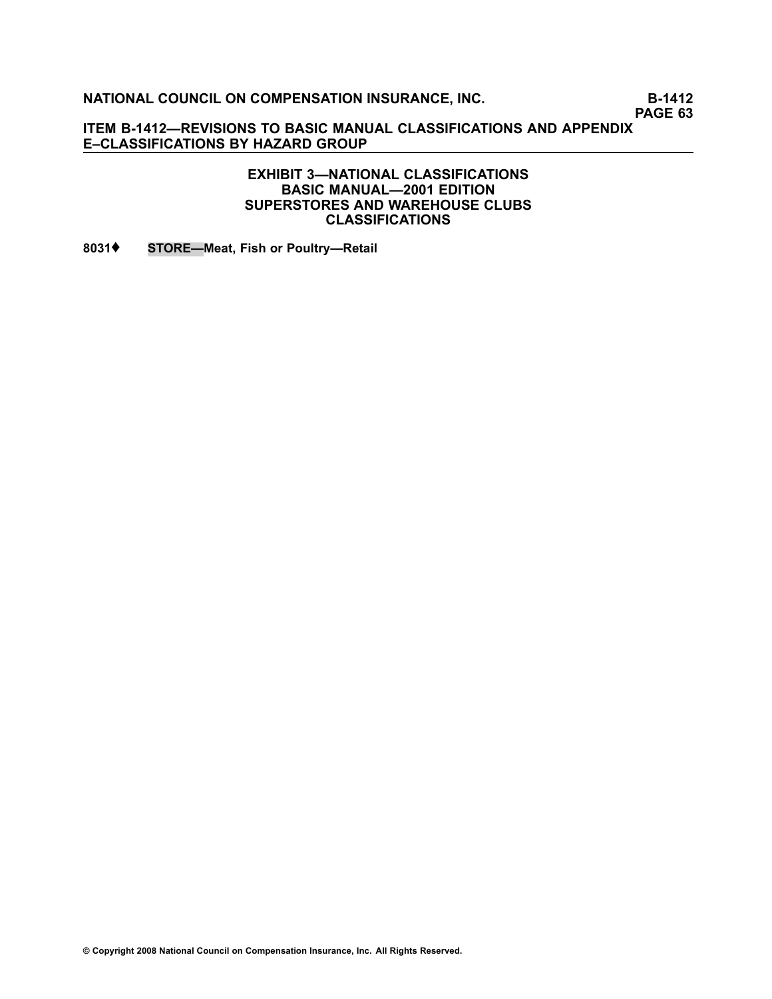**PAGE 63**

**ITEM B1412—REVISIONS TO BASIC MANUAL CLASSIFICATIONS AND APPENDIX E–CLASSIFICATIONS BY HAZARD GROUP**

#### **EXHIBIT 3—NATIONAL CLASSIFICATIONS BASIC MANUAL—2001 EDITION SUPERSTORES AND WAREHOUSE CLUBS CLASSIFICATIONS**

**[8031](file:///C:/manuscript/hyperlink.asp?docid=8031<?Pub & EntityName=amp>manualtitle=scopesxml)**♦ **STORE—Meat, Fish or Poultry—Retail**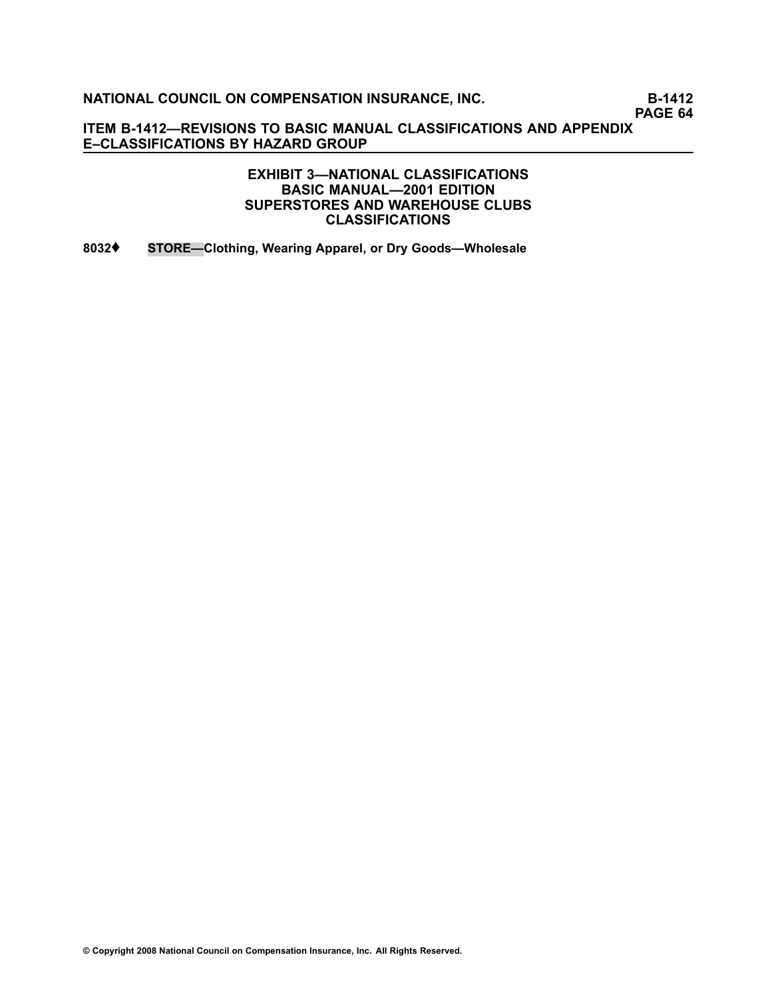**PAGE 64**

**ITEM B1412—REVISIONS TO BASIC MANUAL CLASSIFICATIONS AND APPENDIX E–CLASSIFICATIONS BY HAZARD GROUP**

> **EXHIBIT 3—NATIONAL CLASSIFICATIONS BASIC MANUAL—2001 EDITION SUPERSTORES AND WAREHOUSE CLUBS CLASSIFICATIONS**

**[8032](file:///C:/manuscript/hyperlink.asp?docid=8032<?Pub & EntityName=amp>manualtitle=scopesxml)**♦ **STORE—Clothing, Wearing Apparel, or Dry Goods—Wholesale**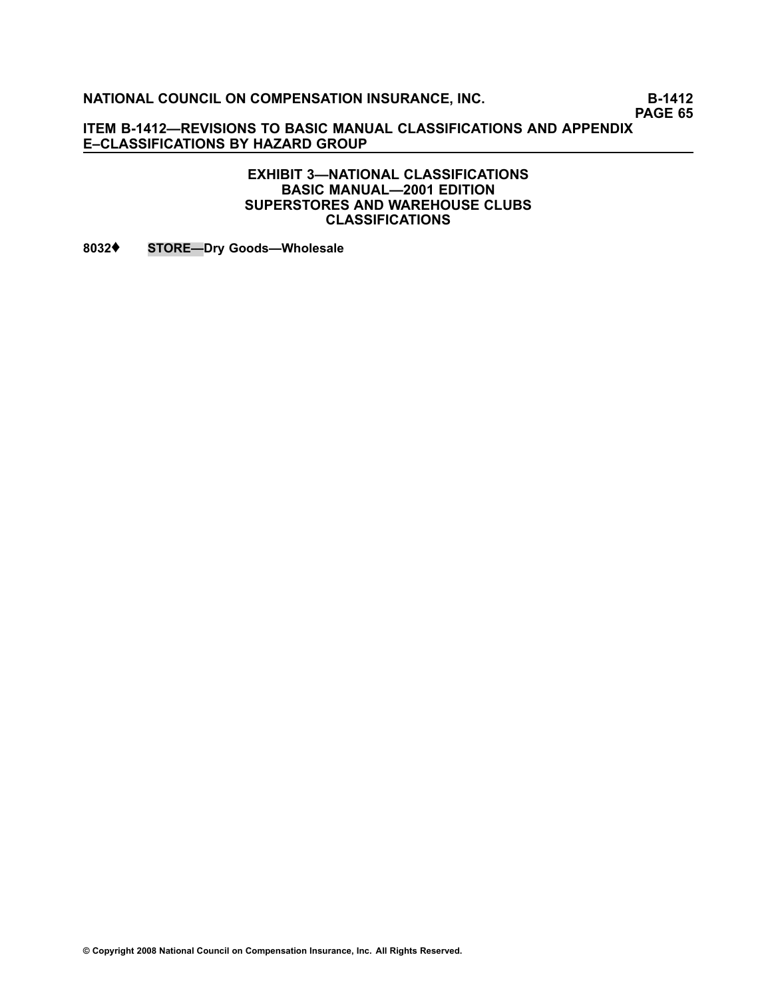**PAGE 65**

**ITEM B1412—REVISIONS TO BASIC MANUAL CLASSIFICATIONS AND APPENDIX E–CLASSIFICATIONS BY HAZARD GROUP**

> **EXHIBIT 3—NATIONAL CLASSIFICATIONS BASIC MANUAL—2001 EDITION SUPERSTORES AND WAREHOUSE CLUBS CLASSIFICATIONS**

**[8032](file:///C:/manuscript/hyperlink.asp?docid=8032<?Pub & EntityName=amp>manualtitle=scopesxml)**♦ **STORE—Dry Goods—Wholesale**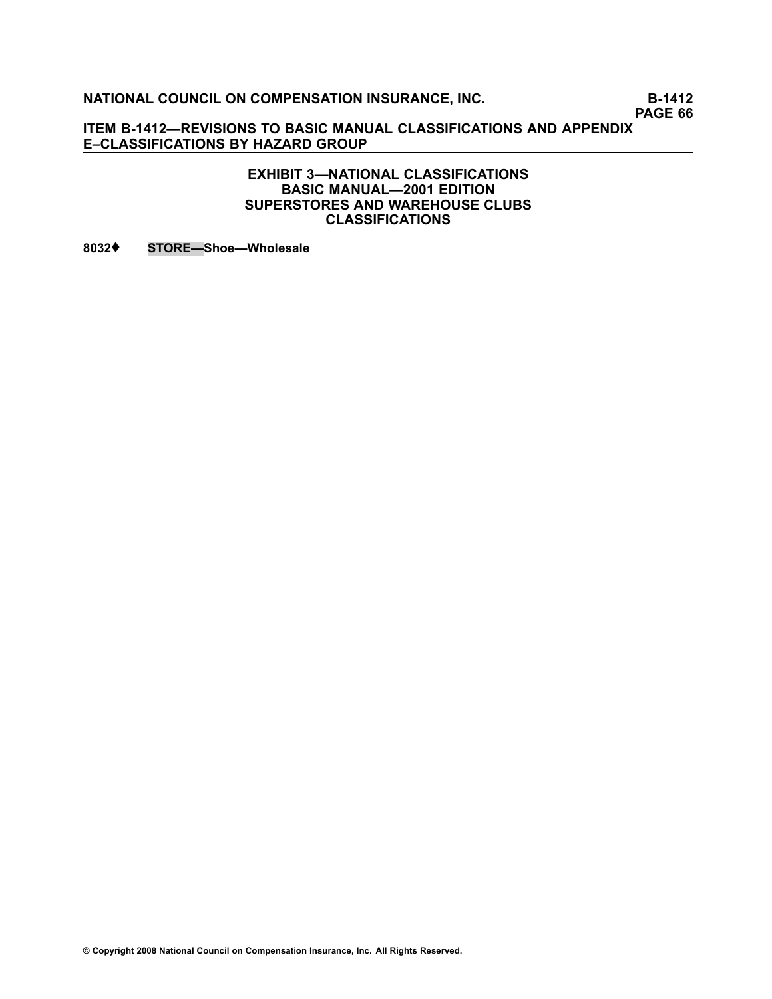**PAGE 66**

**ITEM B1412—REVISIONS TO BASIC MANUAL CLASSIFICATIONS AND APPENDIX E–CLASSIFICATIONS BY HAZARD GROUP**

#### **EXHIBIT 3—NATIONAL CLASSIFICATIONS BASIC MANUAL—2001 EDITION SUPERSTORES AND WAREHOUSE CLUBS CLASSIFICATIONS**

**[8032](file:///C:/manuscript/hyperlink.asp?docid=8032<?Pub & EntityName=amp>manualtitle=scopesxml)**♦ **STORE—Shoe—Wholesale**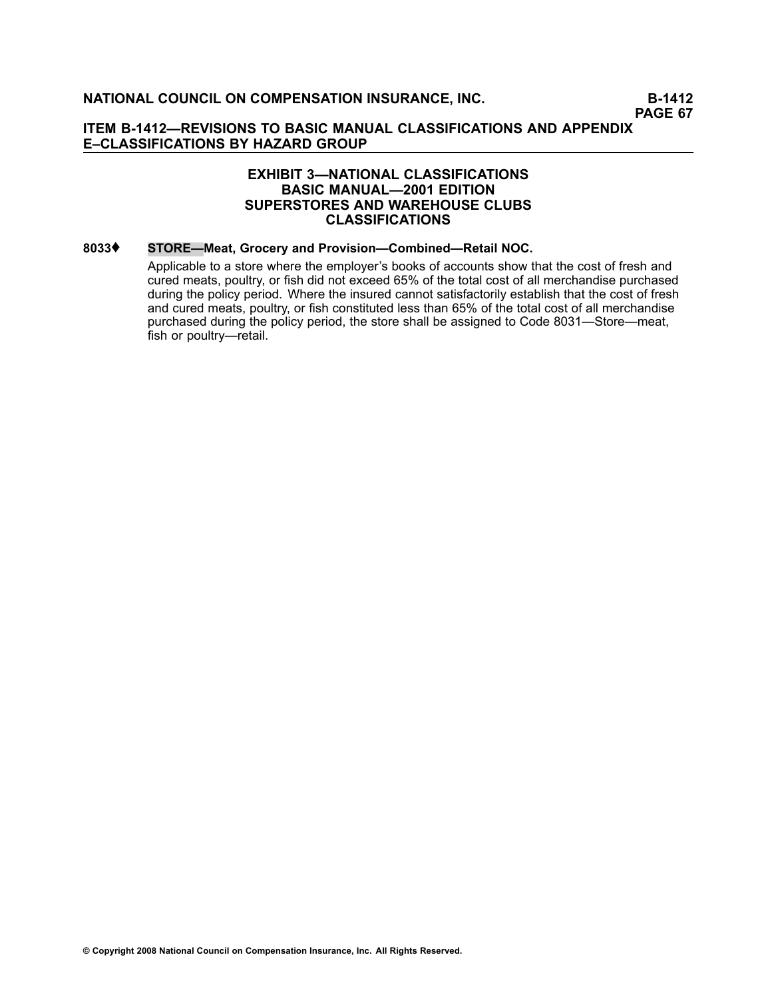#### **EXHIBIT 3—NATIONAL CLASSIFICATIONS BASIC MANUAL—2001 EDITION SUPERSTORES AND WAREHOUSE CLUBS CLASSIFICATIONS**

#### **[8033](file:///C:/manuscript/hyperlink.asp?docid=8033<?Pub & EntityName=amp>manualtitle=scopesxml)**♦ **STORE—Meat, Grocery and Provision—Combined—Retail NOC.**

Applicable to <sup>a</sup> store where the employer's books of accounts show that the cost of fresh and cured meats, poultry, or fish did not exceed 65% of the total cost of all merchandise purchased during the policy period. Where the insured cannot satisfactorily establish that the cost of fresh and cured meats, poultry, or fish constituted less than 65% of the total cost of all merchandise purchased during the policy period, the store shall be assigned to Code [8031—](file:///C:/manuscript/hyperlink.asp?docid=8031<?Pub & EntityName=amp>manualtitle=scopesxml)Store—meat, fish or poultry—retail.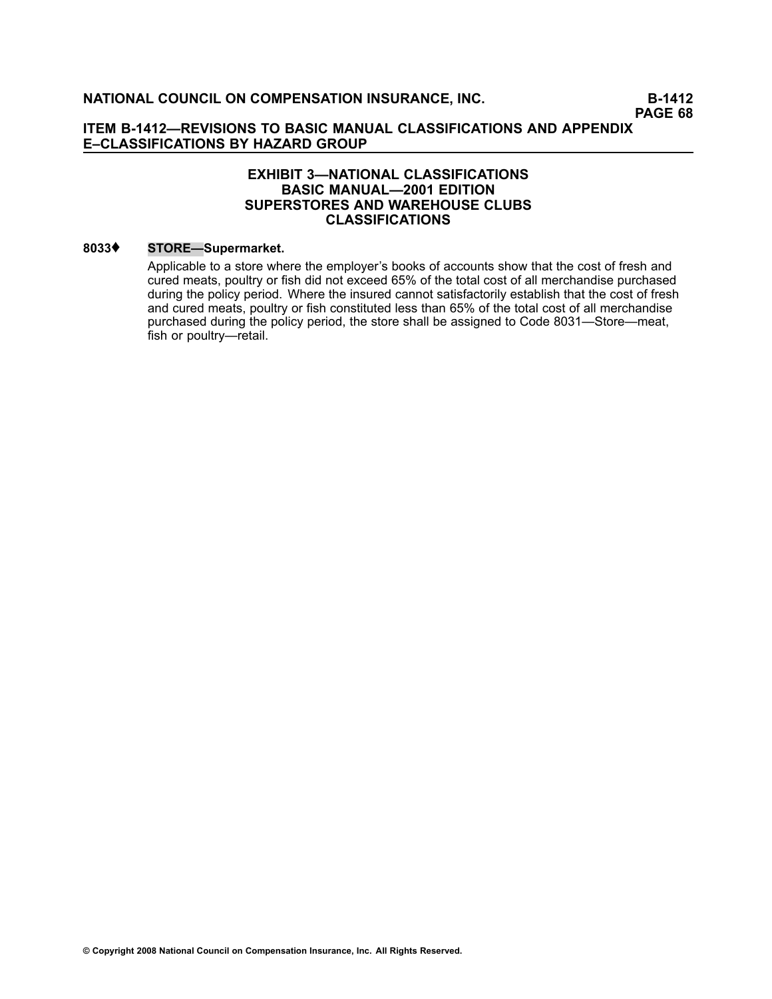#### **EXHIBIT 3—NATIONAL CLASSIFICATIONS BASIC MANUAL—2001 EDITION SUPERSTORES AND WAREHOUSE CLUBS CLASSIFICATIONS**

#### **[8033](file:///C:/manuscript/hyperlink.asp?docid=8033<?Pub & EntityName=amp>manualtitle=scopesxml)**♦ **STORE—Supermarket.**

Applicable to <sup>a</sup> store where the employer's books of accounts show that the cost of fresh and cured meats, poultry or fish did not exceed 65% of the total cost of all merchandise purchased during the policy period. Where the insured cannot satisfactorily establish that the cost of fresh and cured meats, poultry or fish constituted less than 65% of the total cost of all merchandise purchased during the policy period, the store shall be assigned to Code [8031—](file:///C:/manuscript/hyperlink.asp?docid=8031<?Pub & EntityName=amp>manualtitle=scopesxml)Store—meat, fish or poultry—retail.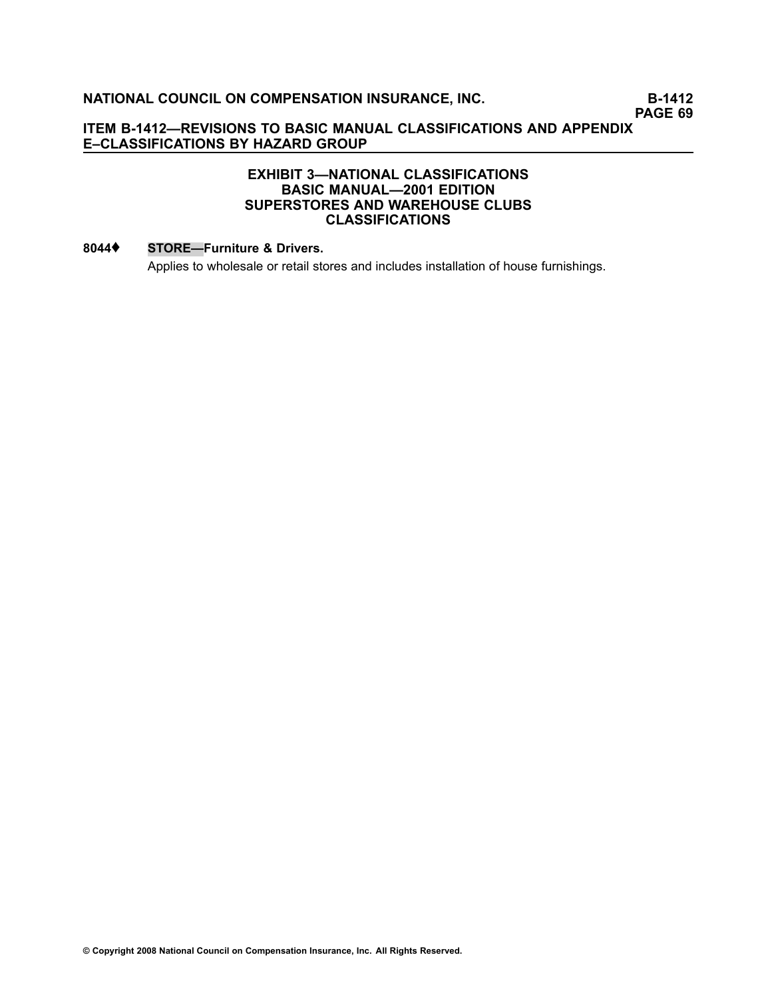**PAGE 69**

### **ITEM B1412—REVISIONS TO BASIC MANUAL CLASSIFICATIONS AND APPENDIX E–CLASSIFICATIONS BY HAZARD GROUP**

### **EXHIBIT 3—NATIONAL CLASSIFICATIONS BASIC MANUAL—2001 EDITION SUPERSTORES AND WAREHOUSE CLUBS CLASSIFICATIONS**

#### **[8044](file:///C:/manuscript/hyperlink.asp?docid=8044<?Pub & EntityName=amp>manualtitle=scopesxml)**♦ **STORE—Furniture & Drivers.**

Applies to wholesale or retail stores and includes installation of house furnishings.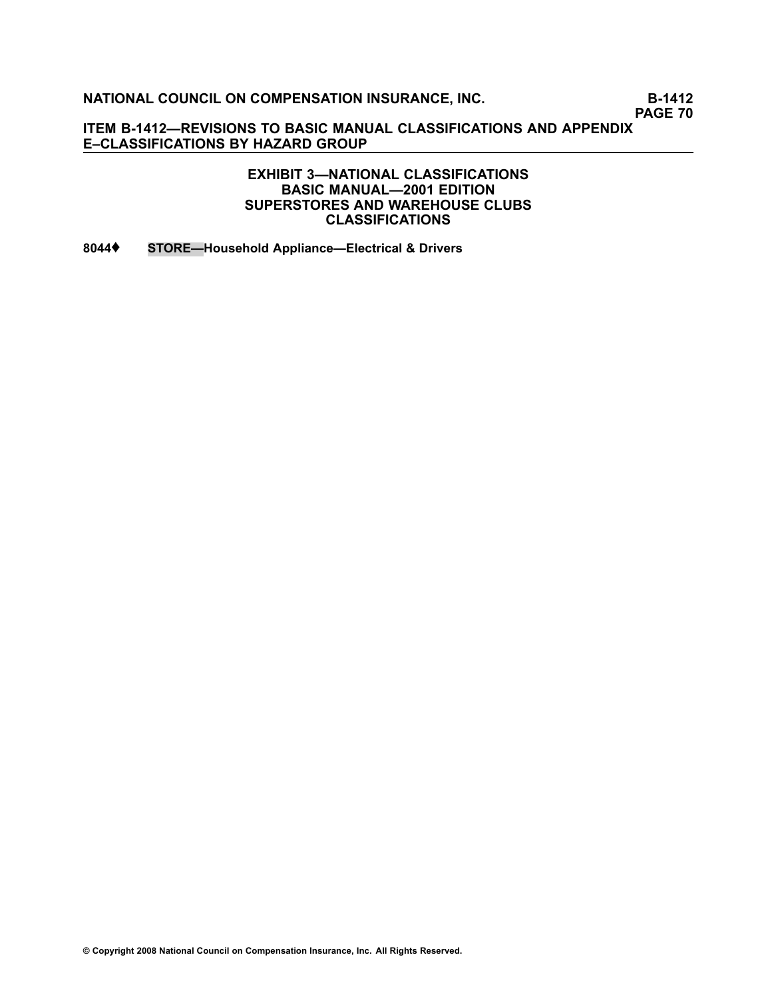**PAGE 70**

**ITEM B1412—REVISIONS TO BASIC MANUAL CLASSIFICATIONS AND APPENDIX E–CLASSIFICATIONS BY HAZARD GROUP**

> **EXHIBIT 3—NATIONAL CLASSIFICATIONS BASIC MANUAL—2001 EDITION SUPERSTORES AND WAREHOUSE CLUBS CLASSIFICATIONS**

**[8044](file:///C:/manuscript/hyperlink.asp?docid=8044<?Pub & EntityName=amp>manualtitle=scopesxml)**♦ **STORE—Household Appliance—Electrical & Drivers**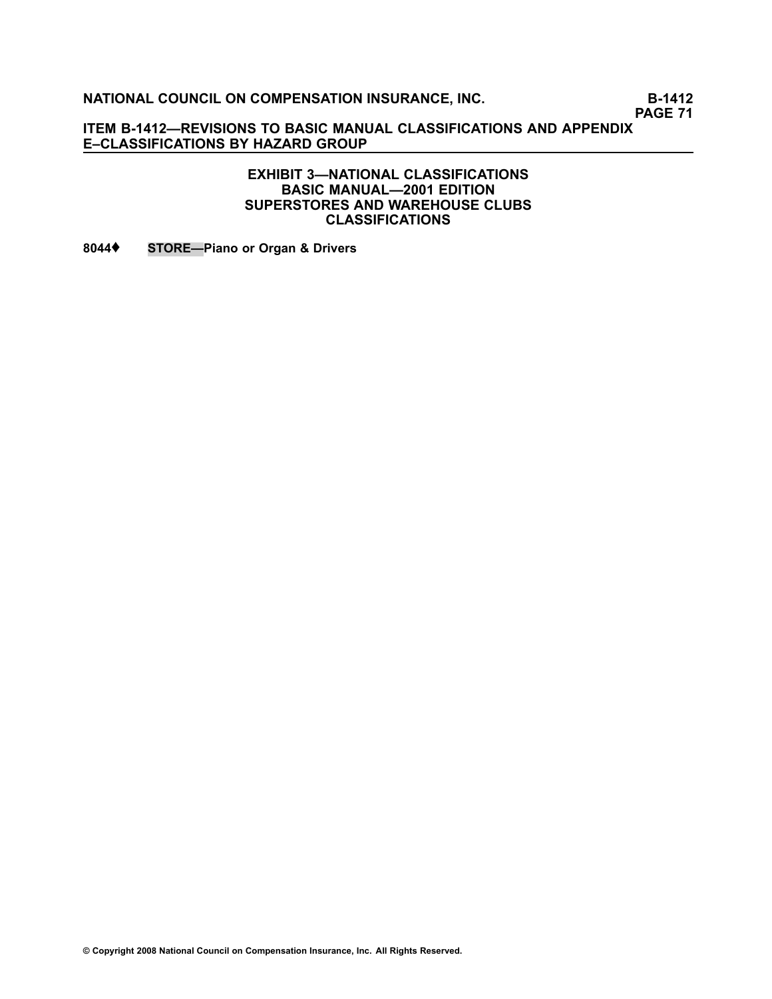**PAGE 71**

**ITEM B1412—REVISIONS TO BASIC MANUAL CLASSIFICATIONS AND APPENDIX E–CLASSIFICATIONS BY HAZARD GROUP**

> **EXHIBIT 3—NATIONAL CLASSIFICATIONS BASIC MANUAL—2001 EDITION SUPERSTORES AND WAREHOUSE CLUBS CLASSIFICATIONS**

**[8044](file:///C:/manuscript/hyperlink.asp?docid=8044<?Pub & EntityName=amp>manualtitle=scopesxml)**♦ **STORE—Piano or Organ & Drivers**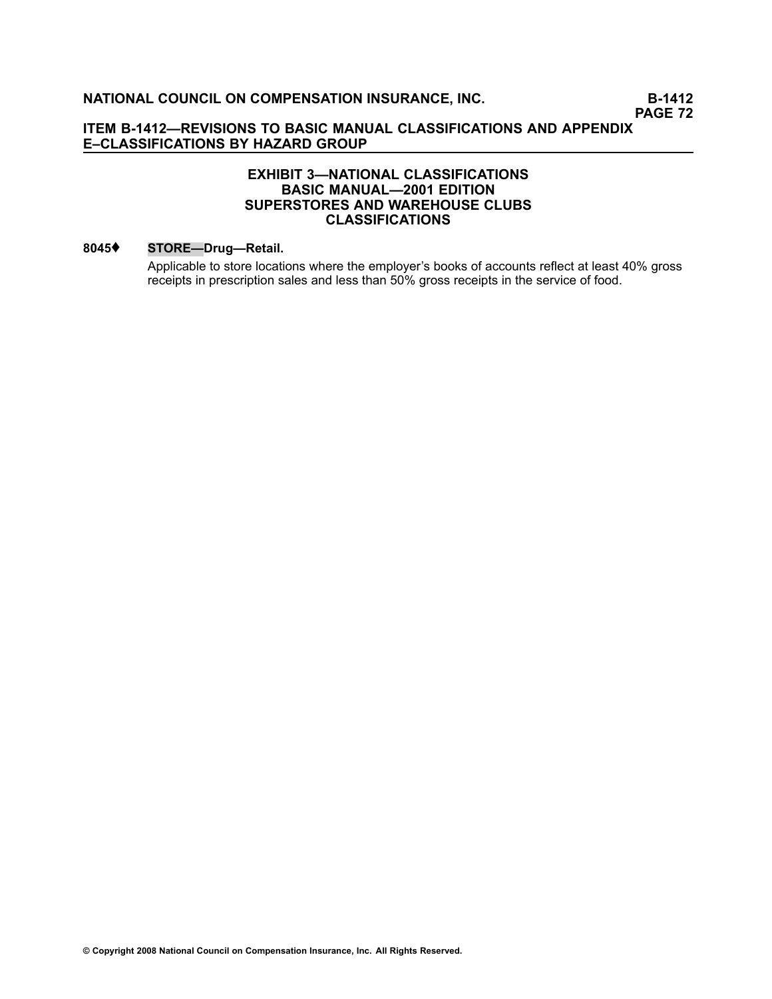### **EXHIBIT 3—NATIONAL CLASSIFICATIONS BASIC MANUAL—2001 EDITION SUPERSTORES AND WAREHOUSE CLUBS CLASSIFICATIONS**

#### **[8045](file:///C:/manuscript/hyperlink.asp?docid=8045<?Pub & EntityName=amp>manualtitle=scopesxml)**♦ **STORE—Drug—Retail.**

Applicable to store locations where the employer's books of accounts reflect at least 40% gross receipts in prescription sales and less than 50% gross receipts in the service of food.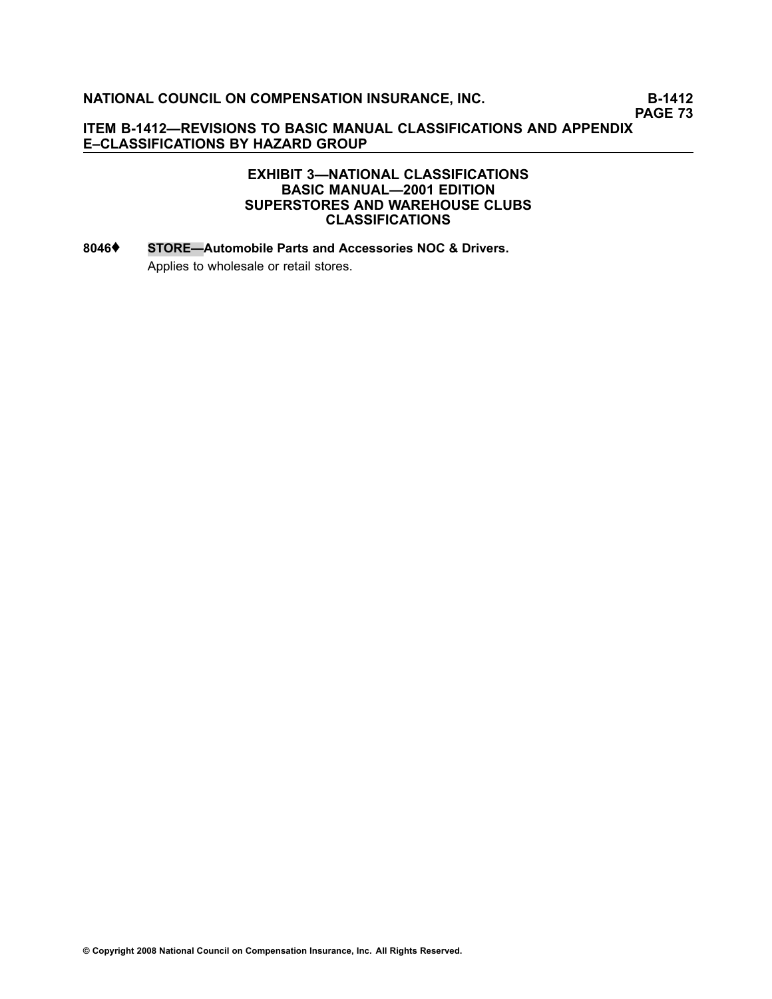**PAGE 73**

### **ITEM B1412—REVISIONS TO BASIC MANUAL CLASSIFICATIONS AND APPENDIX E–CLASSIFICATIONS BY HAZARD GROUP**

#### **EXHIBIT 3—NATIONAL CLASSIFICATIONS BASIC MANUAL—2001 EDITION SUPERSTORES AND WAREHOUSE CLUBS CLASSIFICATIONS**

# **[8046](file:///C:/manuscript/hyperlink.asp?docid=8046<?Pub & EntityName=amp>manualtitle=scopesxml)**♦ **STORE—Automobile Parts and Accessories NOC & Drivers.** Applies to wholesale or retail stores.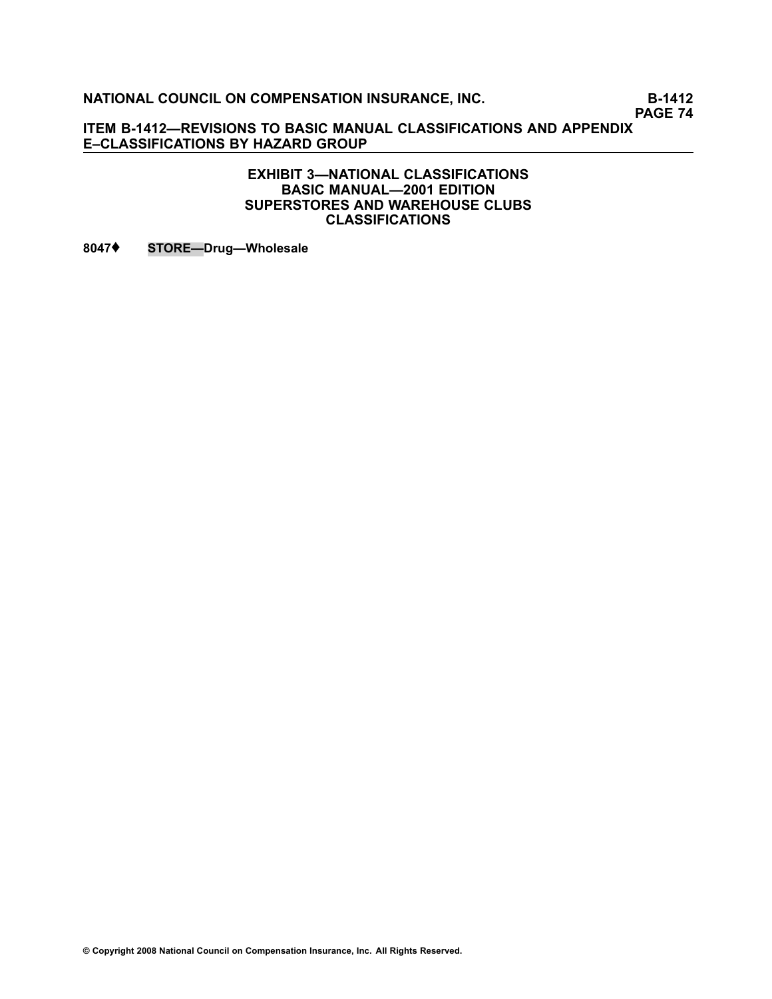**PAGE 74**

**ITEM B1412—REVISIONS TO BASIC MANUAL CLASSIFICATIONS AND APPENDIX E–CLASSIFICATIONS BY HAZARD GROUP**

#### **EXHIBIT 3—NATIONAL CLASSIFICATIONS BASIC MANUAL—2001 EDITION SUPERSTORES AND WAREHOUSE CLUBS CLASSIFICATIONS**

**[8047](file:///C:/manuscript/hyperlink.asp?docid=8047<?Pub & EntityName=amp>manualtitle=scopesxml)**♦ **STORE—Drug—Wholesale**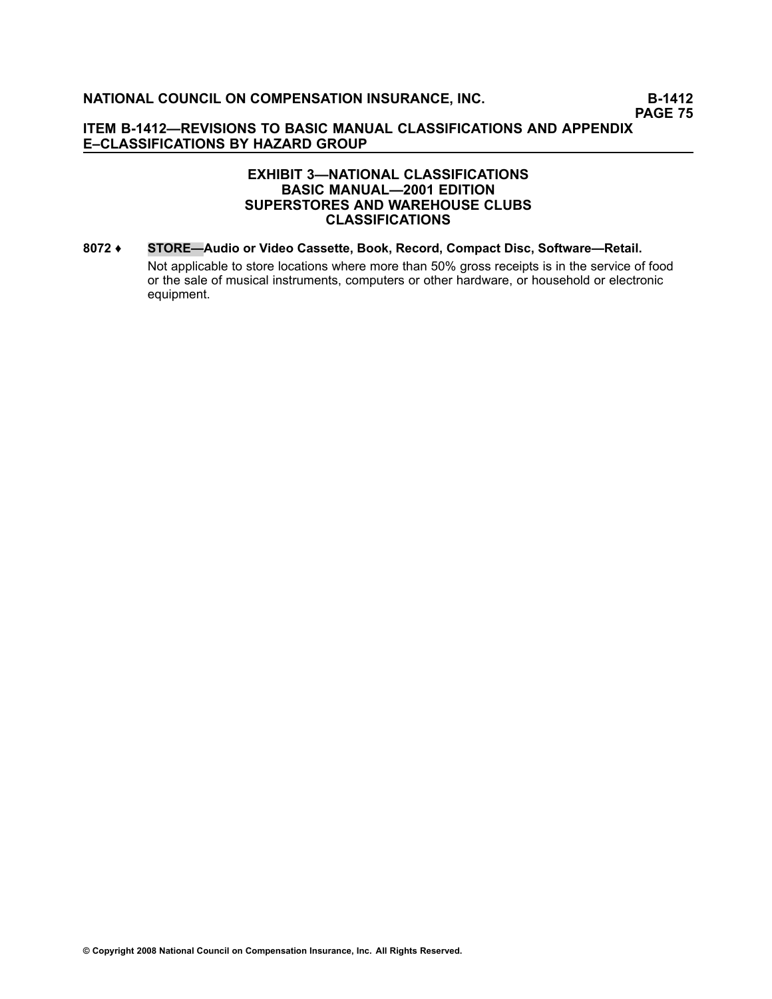#### **EXHIBIT 3—NATIONAL CLASSIFICATIONS BASIC MANUAL—2001 EDITION SUPERSTORES AND WAREHOUSE CLUBS CLASSIFICATIONS**

**[8072](file:///C:/manuscript/hyperlink.asp?docid=8072<?Pub & EntityName=amp>manualtitle=scopesxml) ♦ STORE—Audio or Video Cassette, Book, Record, Compact Disc, Software—Retail.** Not applicable to store locations where more than 50% gross receipts is in the service of food or the sale of musical instruments, computers or other hardware, or household or electronic equipment.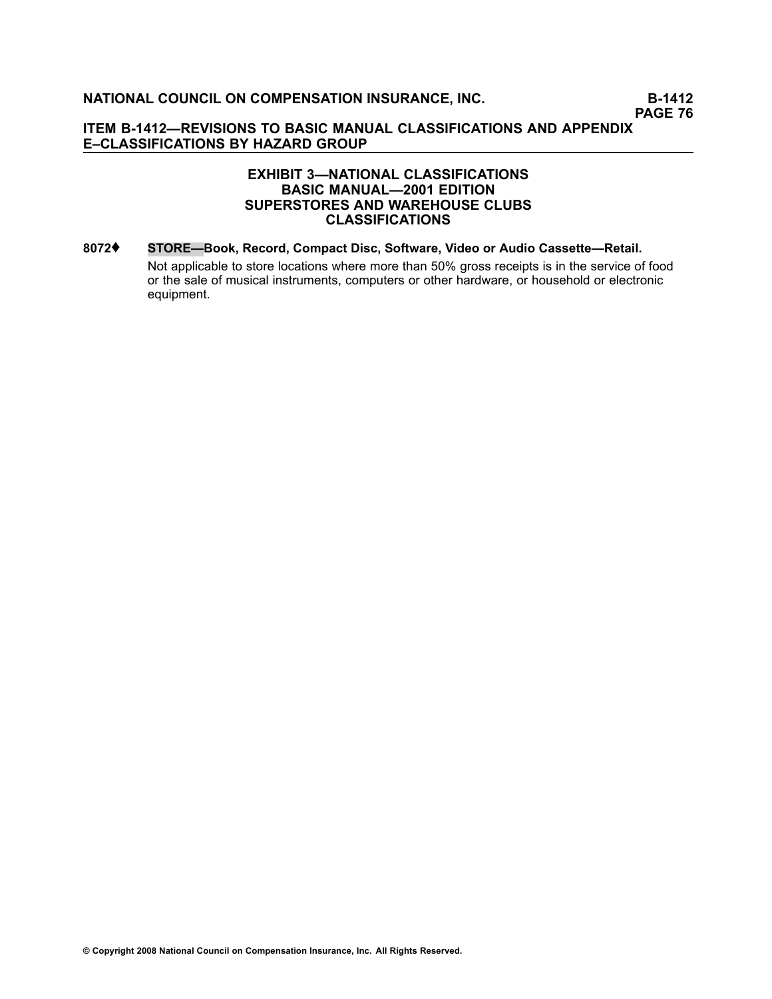#### **EXHIBIT 3—NATIONAL CLASSIFICATIONS BASIC MANUAL—2001 EDITION SUPERSTORES AND WAREHOUSE CLUBS CLASSIFICATIONS**

**[8072](file:///C:/manuscript/hyperlink.asp?docid=8072<?Pub & EntityName=amp>manualtitle=scopesxml)**♦ **STORE—Book, Record, Compact Disc, Software, Video or Audio Cassette—Retail.** Not applicable to store locations where more than 50% gross receipts is in the service of food or the sale of musical instruments, computers or other hardware, or household or electronic equipment.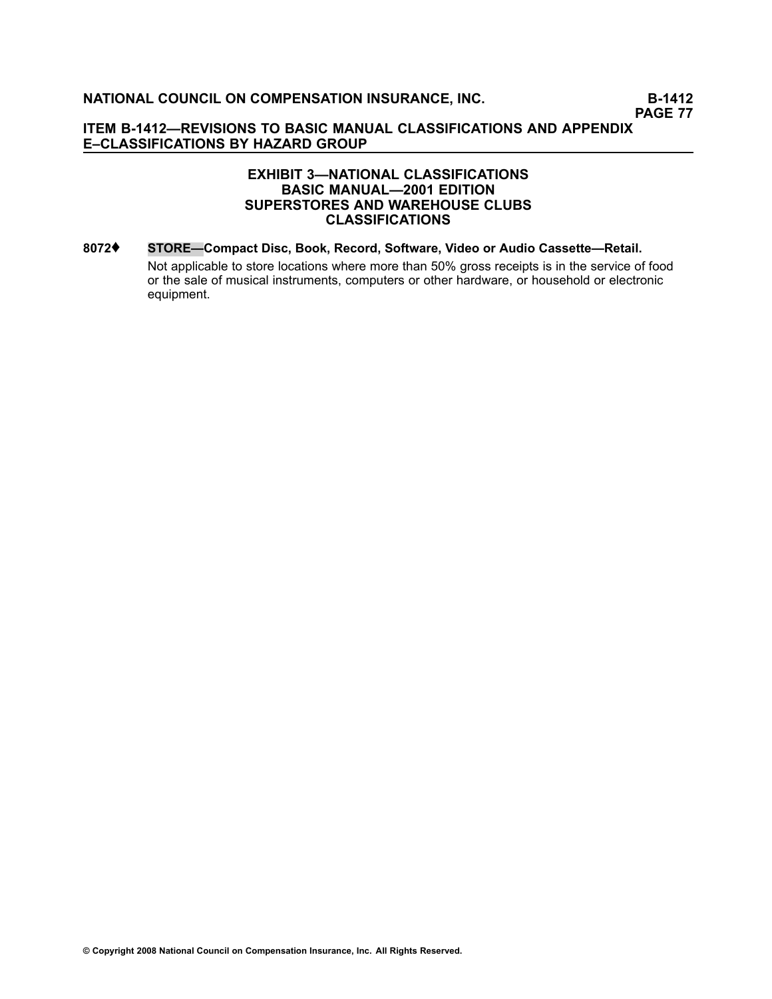#### **EXHIBIT 3—NATIONAL CLASSIFICATIONS BASIC MANUAL—2001 EDITION SUPERSTORES AND WAREHOUSE CLUBS CLASSIFICATIONS**

**[8072](file:///C:/manuscript/hyperlink.asp?docid=8072<?Pub & EntityName=amp>manualtitle=scopesxml)**♦ **STORE—Compact Disc, Book, Record, Software, Video or Audio Cassette—Retail.** Not applicable to store locations where more than 50% gross receipts is in the service of food or the sale of musical instruments, computers or other hardware, or household or electronic equipment.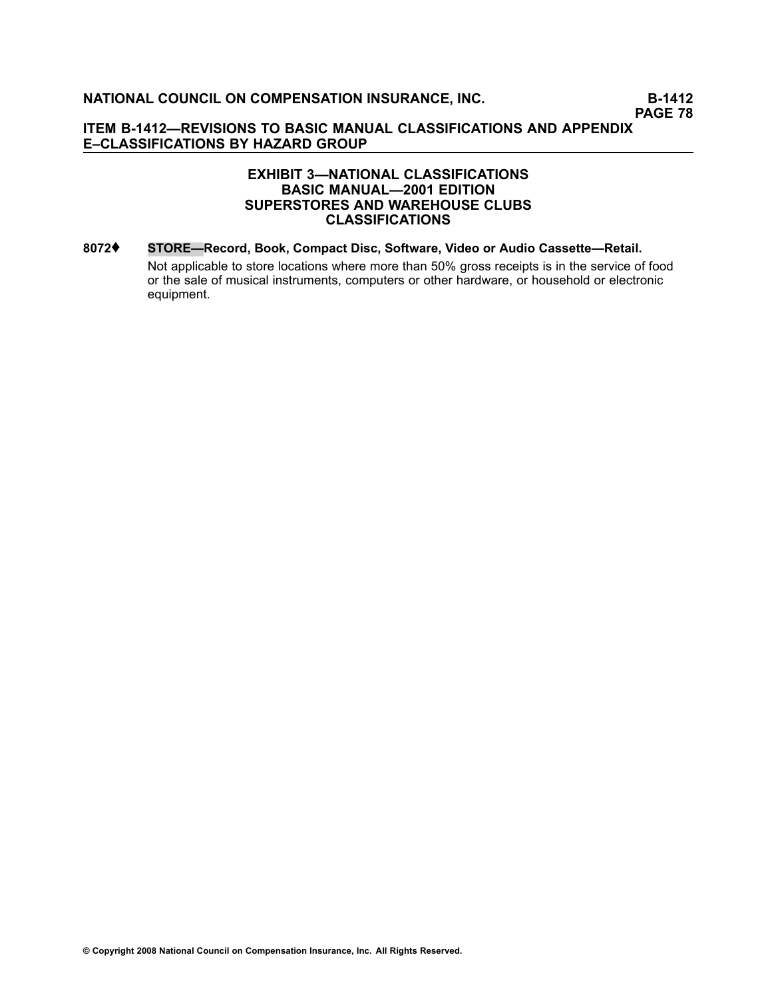#### **EXHIBIT 3—NATIONAL CLASSIFICATIONS BASIC MANUAL—2001 EDITION SUPERSTORES AND WAREHOUSE CLUBS CLASSIFICATIONS**

**[8072](file:///C:/manuscript/hyperlink.asp?docid=8072<?Pub & EntityName=amp>manualtitle=scopesxml)**♦ **STORE—Record, Book, Compact Disc, Software, Video or Audio Cassette—Retail.** Not applicable to store locations where more than 50% gross receipts is in the service of food or the sale of musical instruments, computers or other hardware, or household or electronic equipment.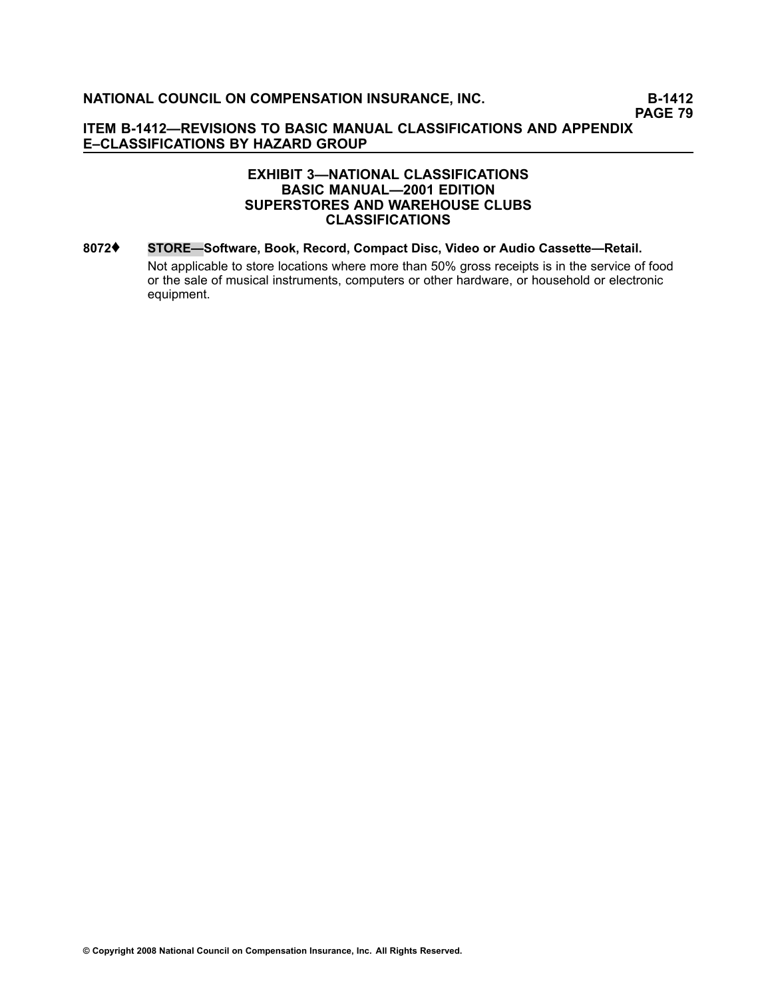#### **EXHIBIT 3—NATIONAL CLASSIFICATIONS BASIC MANUAL—2001 EDITION SUPERSTORES AND WAREHOUSE CLUBS CLASSIFICATIONS**

**[8072](file:///C:/manuscript/hyperlink.asp?docid=8072<?Pub & EntityName=amp>manualtitle=scopesxml)**♦ **STORE—Software, Book, Record, Compact Disc, Video or Audio Cassette—Retail.** Not applicable to store locations where more than 50% gross receipts is in the service of food or the sale of musical instruments, computers or other hardware, or household or electronic equipment.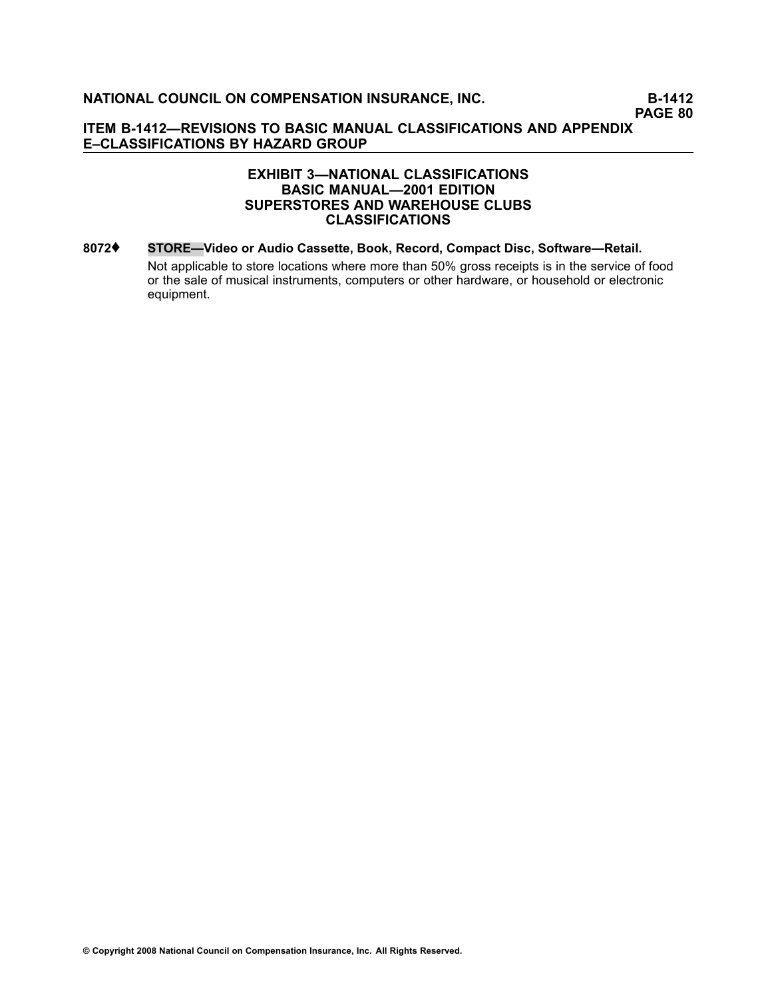#### **EXHIBIT 3—NATIONAL CLASSIFICATIONS BASIC MANUAL—2001 EDITION SUPERSTORES AND WAREHOUSE CLUBS CLASSIFICATIONS**

**[8072](file:///C:/manuscript/hyperlink.asp?docid=8072<?Pub & EntityName=amp>manualtitle=scopesxml)**♦ **STORE—Video or Audio Cassette, Book, Record, Compact Disc, Software—Retail.** Not applicable to store locations where more than 50% gross receipts is in the service of food or the sale of musical instruments, computers or other hardware, or household or electronic equipment.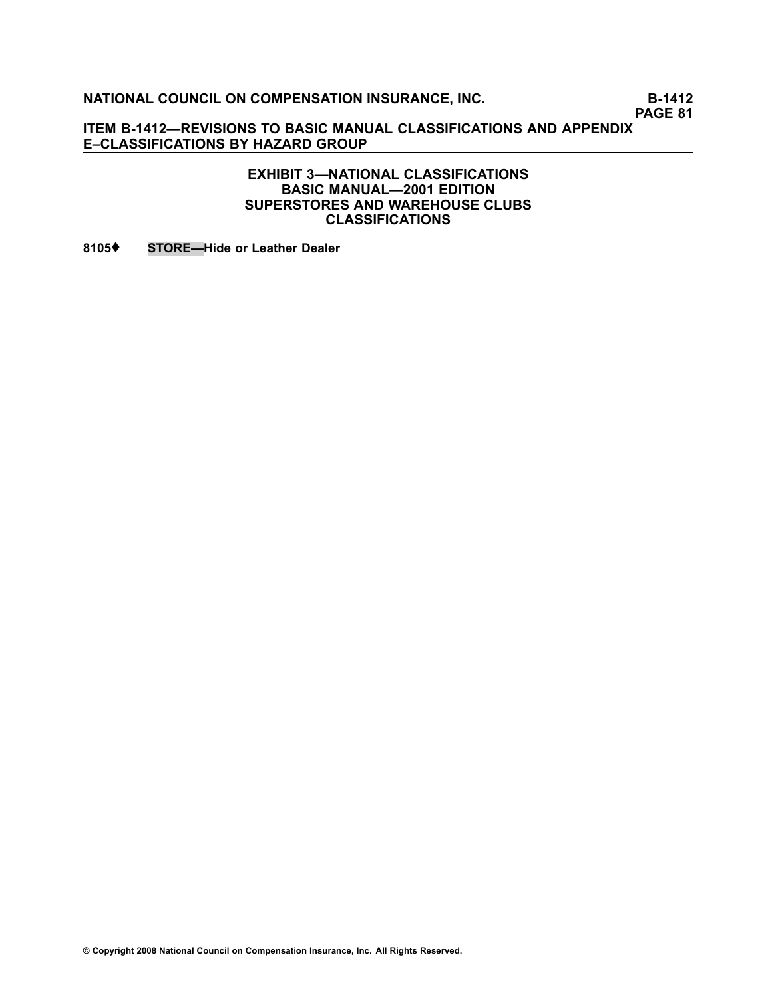**NATIONAL COUNCIL ON COMPENSATION INSURANCE, INC.** B-1412

**PAGE 81**

**ITEM B1412—REVISIONS TO BASIC MANUAL CLASSIFICATIONS AND APPENDIX E–CLASSIFICATIONS BY HAZARD GROUP**

> **EXHIBIT 3—NATIONAL CLASSIFICATIONS BASIC MANUAL—2001 EDITION SUPERSTORES AND WAREHOUSE CLUBS CLASSIFICATIONS**

**[8105](file:///C:/manuscript/hyperlink.asp?docid=8105<?Pub & EntityName=amp>manualtitle=scopesxml)**♦ **STORE—Hide or Leather Dealer**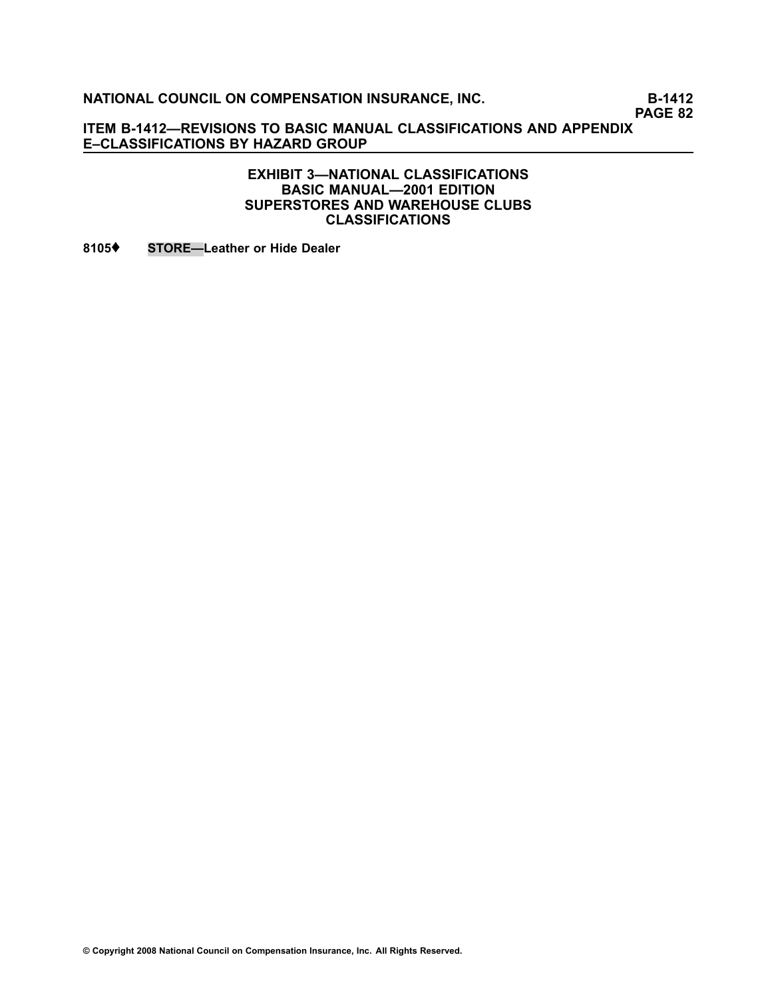**NATIONAL COUNCIL ON COMPENSATION INSURANCE, INC.** B-1412

**PAGE 82**

**ITEM B1412—REVISIONS TO BASIC MANUAL CLASSIFICATIONS AND APPENDIX E–CLASSIFICATIONS BY HAZARD GROUP**

#### **EXHIBIT 3—NATIONAL CLASSIFICATIONS BASIC MANUAL—2001 EDITION SUPERSTORES AND WAREHOUSE CLUBS CLASSIFICATIONS**

**[8105](file:///C:/manuscript/hyperlink.asp?docid=8105<?Pub & EntityName=amp>manualtitle=scopesxml)**♦ **STORE—Leather or Hide Dealer**